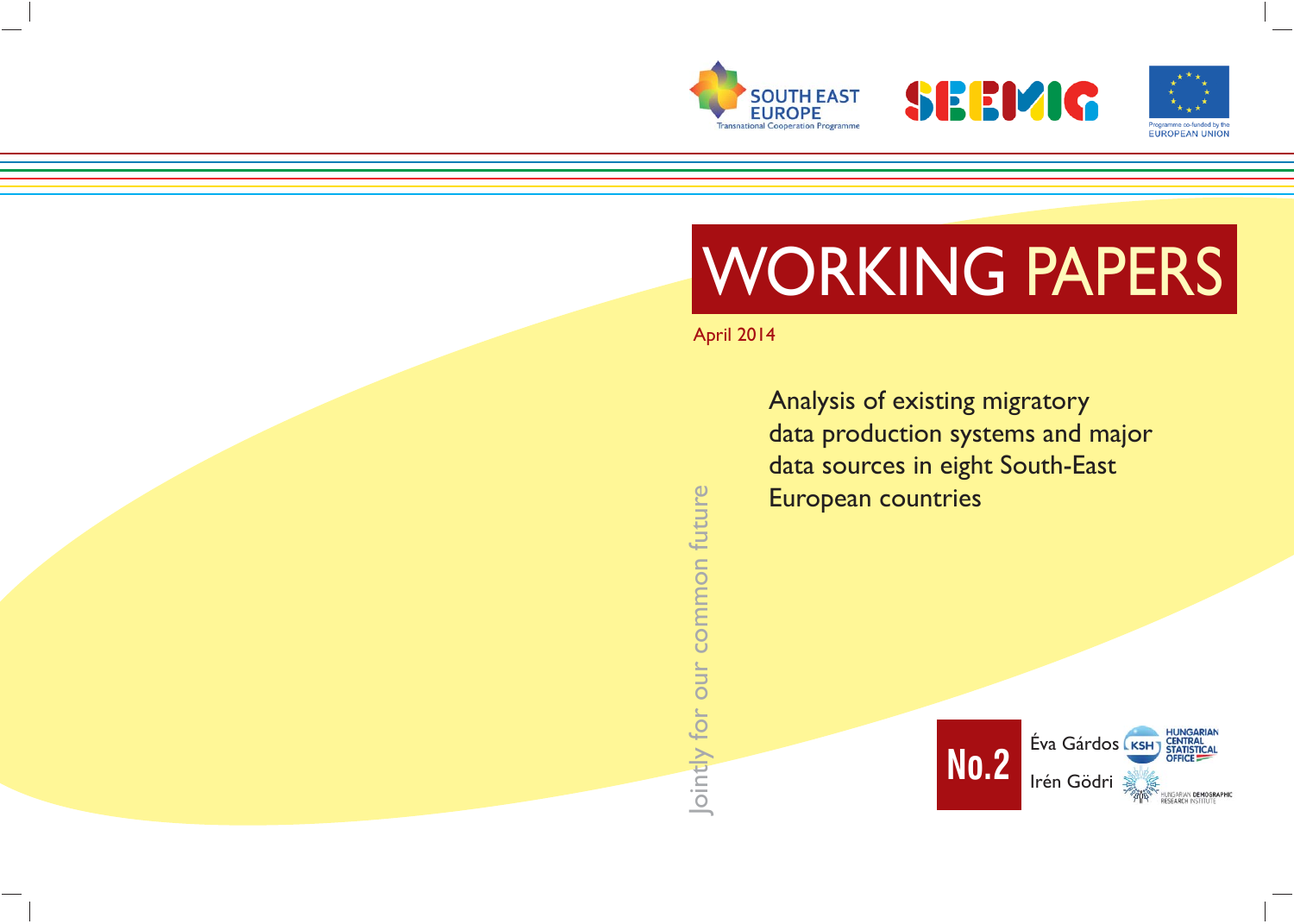





# WORKING PAPERS

# April 2014

Analysis of existing migratory data production systems and major data sources in eight South-East European countries



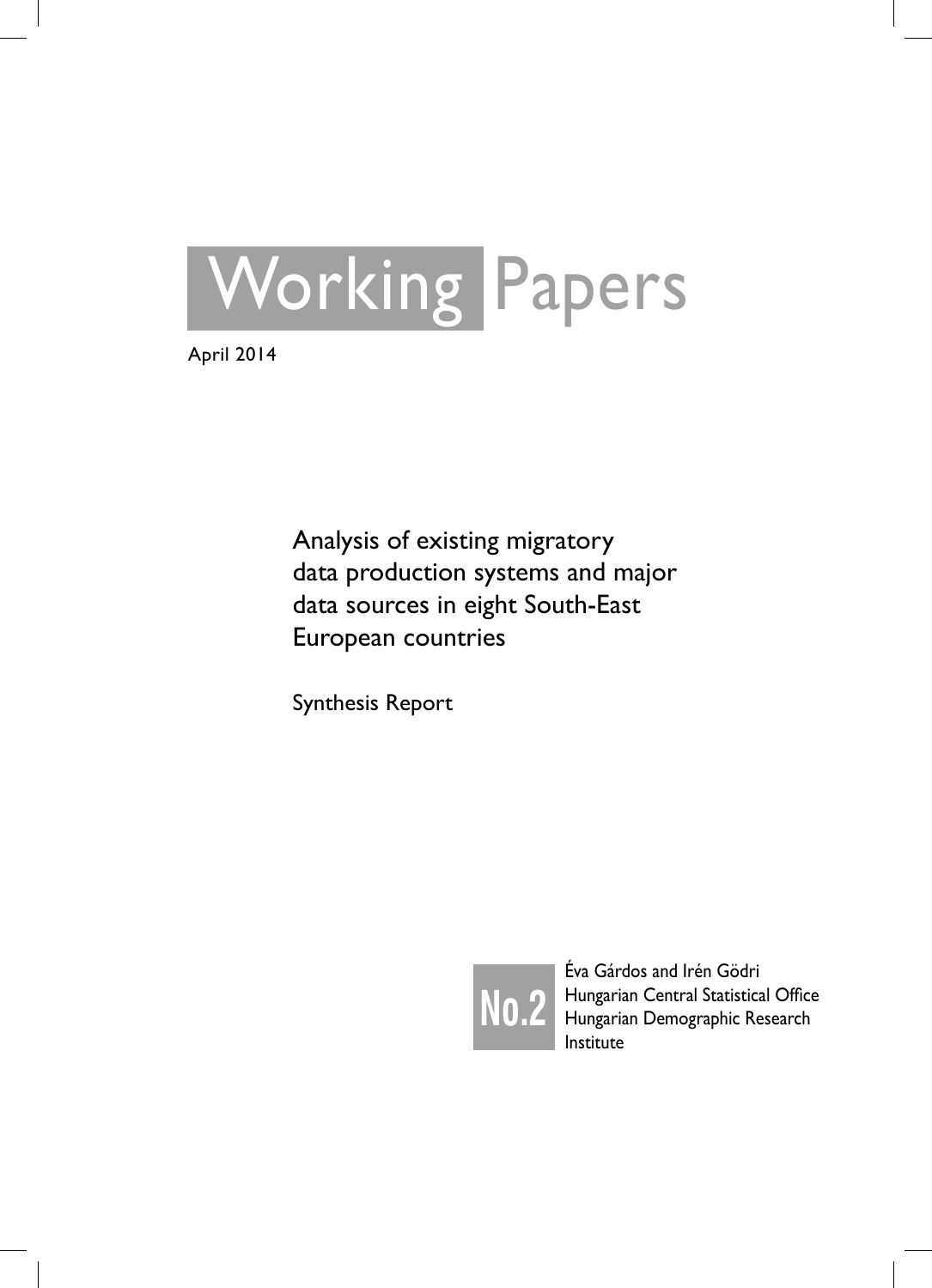

April 2014

Analysis of existing migratory data production systems and major data sources in eight South-East European countries

Synthesis Report



Éva Gárdos and Irén Gödri Hungarian Central Statistical Office Hungarian Demographic Research Institute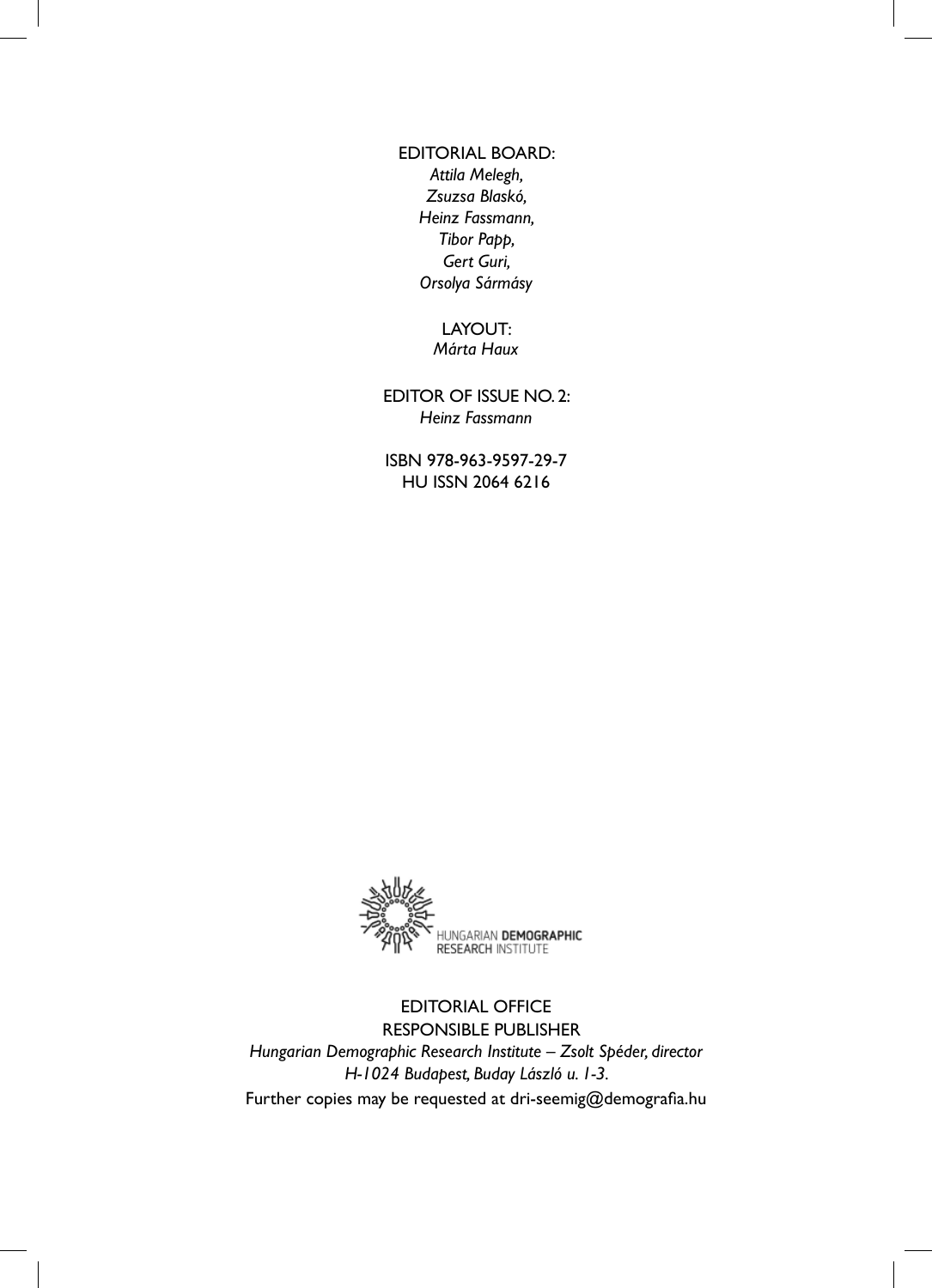# EDITORIAL BOARD: *Attila Melegh, Zsuzsa Blaskó, Heinz Fassmann, Tibor Papp, Gert Guri, Orsolya Sármásy*

## LAYOUT: *Márta Haux*

EDITOR OF ISSUE NO. 2: *Heinz Fassmann*

ISBN 978-963-9597-29-7 HU ISSN 2064 6216



EDITORIAL OFFICE RESPONSIBLE PUBLISHER *Hungarian Demographic Research Institute – Zsolt Spéder, director H-1024 Budapest, Buday László u. 1-3.* Further copies may be requested at dri-seemig@demografia.hu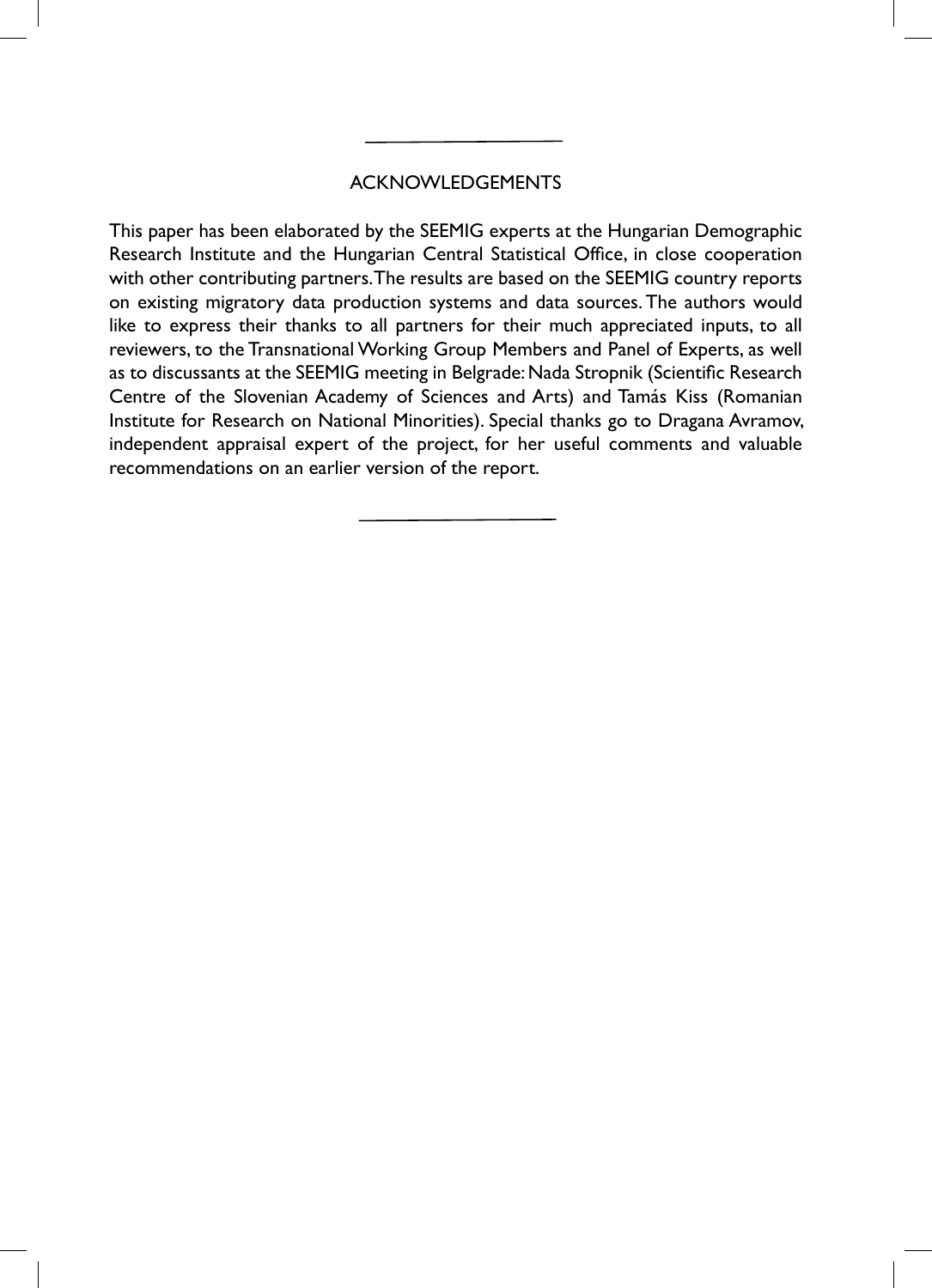# ACKNOWLEDGEMENTS

This paper has been elaborated by the SEEMIG experts at the Hungarian Demographic Research Institute and the Hungarian Central Statistical Office, in close cooperation with other contributing partners. The results are based on the SEEMIG country reports on existing migratory data production systems and data sources. The authors would like to express their thanks to all partners for their much appreciated inputs, to all reviewers, to the Transnational Working Group Members and Panel of Experts, as well as to discussants at the SEEMIG meeting in Belgrade: Nada Stropnik (Scientific Research Centre of the Slovenian Academy of Sciences and Arts) and Tamás Kiss (Romanian Institute for Research on National Minorities). Special thanks go to Dragana Avramov, independent appraisal expert of the project, for her useful comments and valuable recommendations on an earlier version of the report.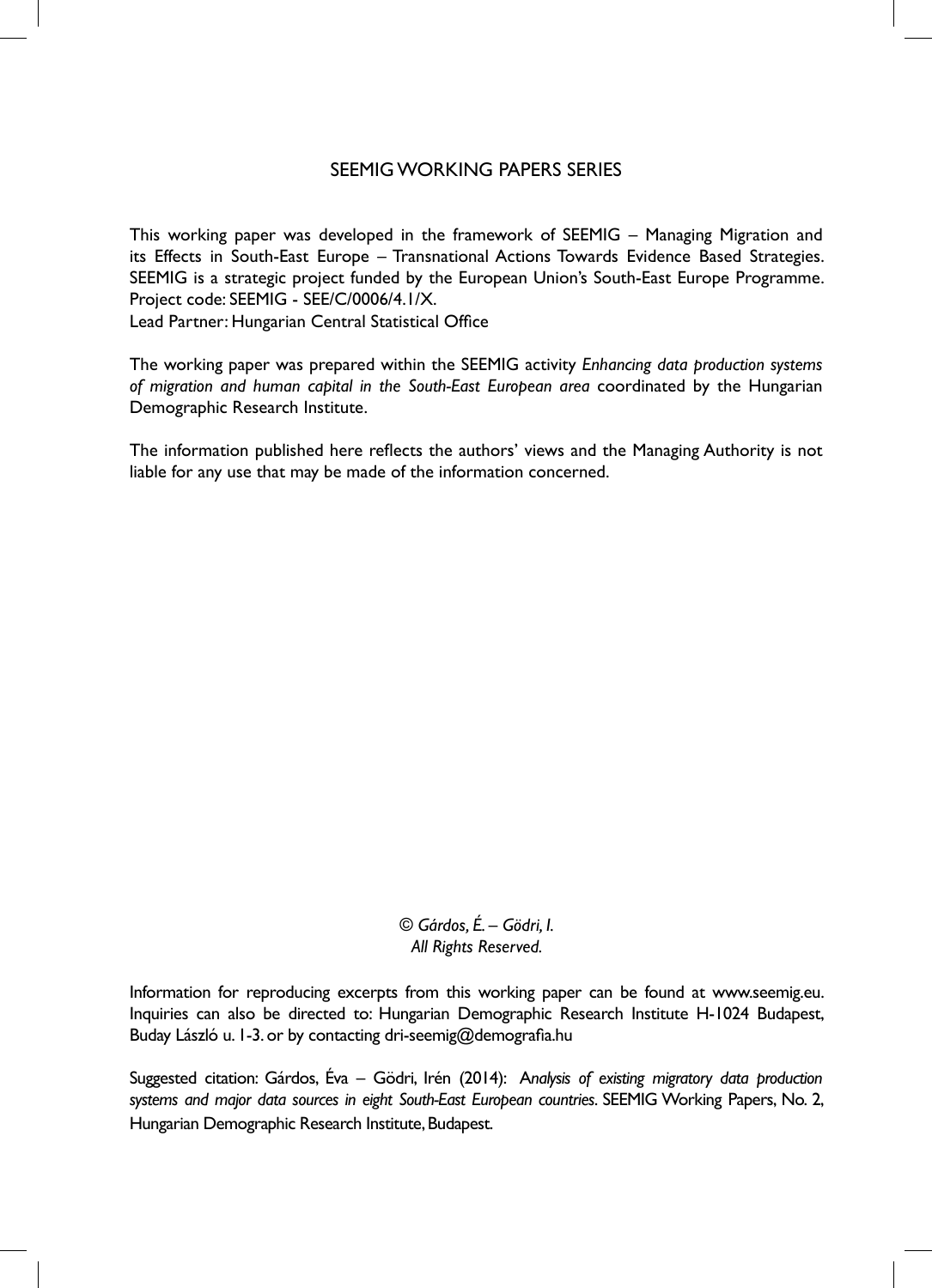# SEEMIG WORKING PAPERS SERIES

This working paper was developed in the framework of SEEMIG – Managing Migration and its Effects in South-East Europe – Transnational Actions Towards Evidence Based Strategies. SEEMIG is a strategic project funded by the European Union's South-East Europe Programme. Project code: SEEMIG - SEE/C/0006/4.1/X.

Lead Partner: Hungarian Central Statistical Office

The working paper was prepared within the SEEMIG activity *Enhancing data production systems of migration and human capital in the South-East European area* coordinated by the Hungarian Demographic Research Institute.

The information published here reflects the authors' views and the Managing Authority is not liable for any use that may be made of the information concerned.

> *© Gárdos, É. – Gödri, I. All Rights Reserved.*

Information for reproducing excerpts from this working paper can be found at www.seemig.eu. Inquiries can also be directed to: Hungarian Demographic Research Institute H-1024 Budapest, Buday László u. I-3. or by contacting dri-seemig@demografia.hu

Suggested citation: Gárdos, Éva – Gödri, Irén (2014): A*nalysis of existing migratory data production systems and major data sources in eight South-East European countries*. SEEMIG Working Papers, No. 2, Hungarian Demographic Research Institute, Budapest.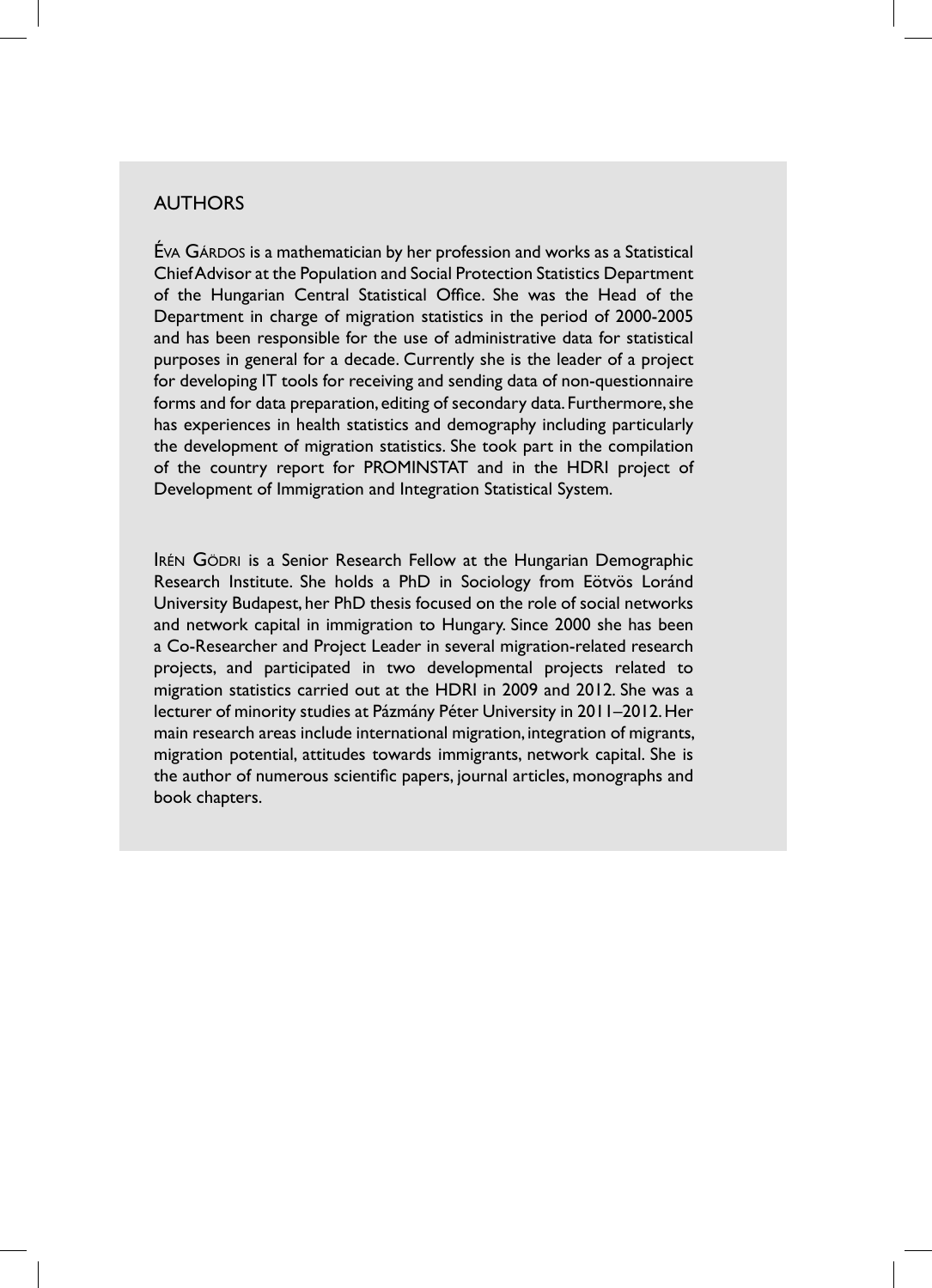## AUTHORS

ÉVA GÁRDOS is a mathematician by her profession and works as a Statistical Chief Advisor at the Population and Social Protection Statistics Department of the Hungarian Central Statistical Office. She was the Head of the Department in charge of migration statistics in the period of 2000-2005 and has been responsible for the use of administrative data for statistical purposes in general for a decade. Currently she is the leader of a project for developing IT tools for receiving and sending data of non-questionnaire forms and for data preparation, editing of secondary data. Furthermore, she has experiences in health statistics and demography including particularly the development of migration statistics. She took part in the compilation of the country report for PROMINSTAT and in the HDRI project of Development of Immigration and Integration Statistical System.

IRÉN GÖDRI is a Senior Research Fellow at the Hungarian Demographic Research Institute. She holds a PhD in Sociology from Eötvös Loránd University Budapest, her PhD thesis focused on the role of social networks and network capital in immigration to Hungary. Since 2000 she has been a Co-Researcher and Project Leader in several migration-related research projects, and participated in two developmental projects related to migration statistics carried out at the HDRI in 2009 and 2012. She was a lecturer of minority studies at Pázmány Péter University in 2011–2012. Her main research areas include international migration, integration of migrants, migration potential, attitudes towards immigrants, network capital. She is the author of numerous scientific papers, journal articles, monographs and book chapters.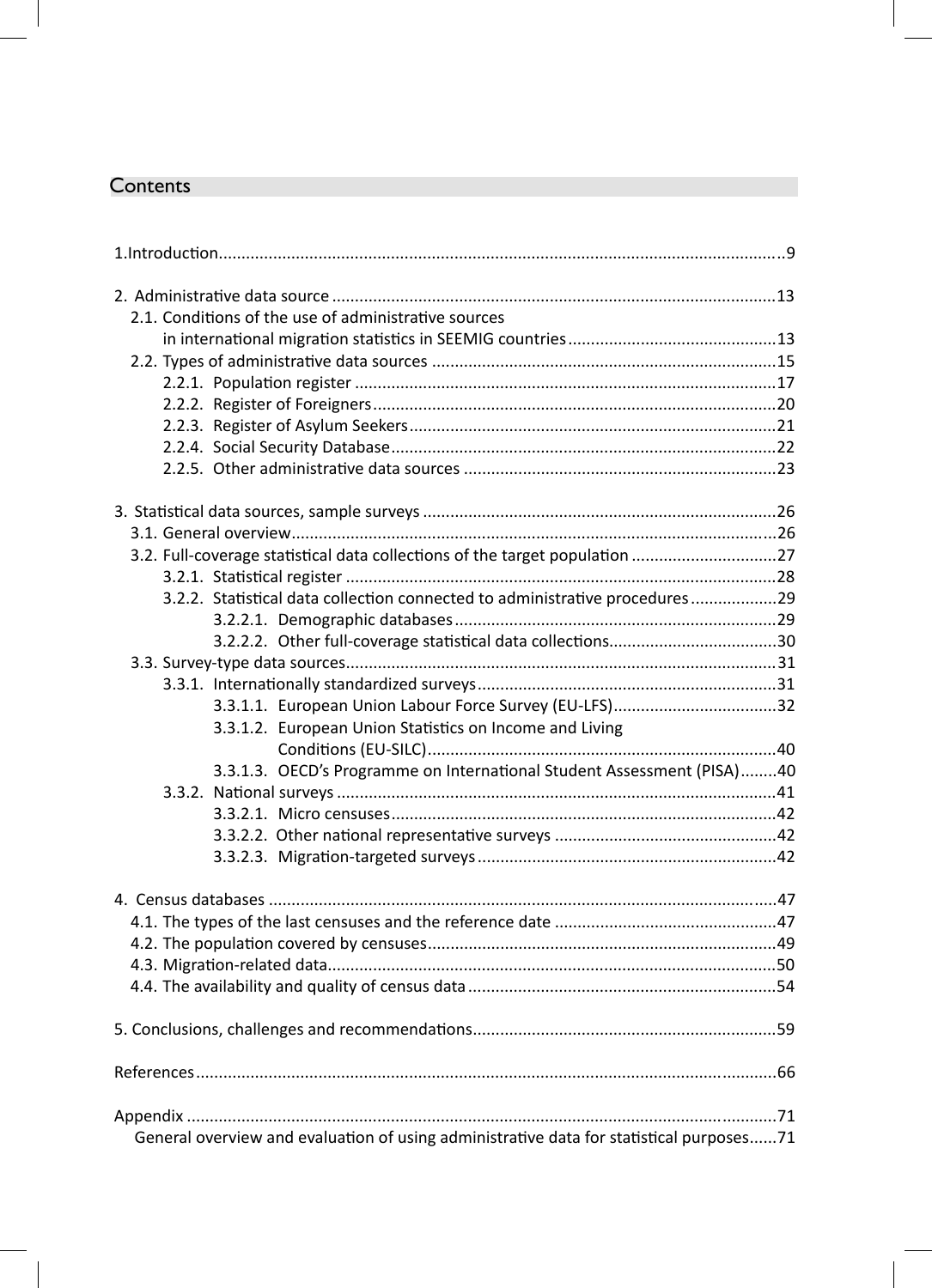# **Contents**

| 2.1. Conditions of the use of administrative sources                                    |  |
|-----------------------------------------------------------------------------------------|--|
|                                                                                         |  |
|                                                                                         |  |
|                                                                                         |  |
|                                                                                         |  |
|                                                                                         |  |
|                                                                                         |  |
|                                                                                         |  |
|                                                                                         |  |
|                                                                                         |  |
| 3.2. Full-coverage statistical data collections of the target population 27             |  |
|                                                                                         |  |
| 3.2.2. Statistical data collection connected to administrative procedures29             |  |
|                                                                                         |  |
|                                                                                         |  |
|                                                                                         |  |
|                                                                                         |  |
| 3.3.1.1. European Union Labour Force Survey (EU-LFS)32                                  |  |
| 3.3.1.2. European Union Statistics on Income and Living                                 |  |
|                                                                                         |  |
| 3.3.1.3. OECD's Programme on International Student Assessment (PISA)40                  |  |
|                                                                                         |  |
|                                                                                         |  |
|                                                                                         |  |
|                                                                                         |  |
|                                                                                         |  |
|                                                                                         |  |
|                                                                                         |  |
|                                                                                         |  |
|                                                                                         |  |
|                                                                                         |  |
|                                                                                         |  |
|                                                                                         |  |
|                                                                                         |  |
| General overview and evaluation of using administrative data for statistical purposes71 |  |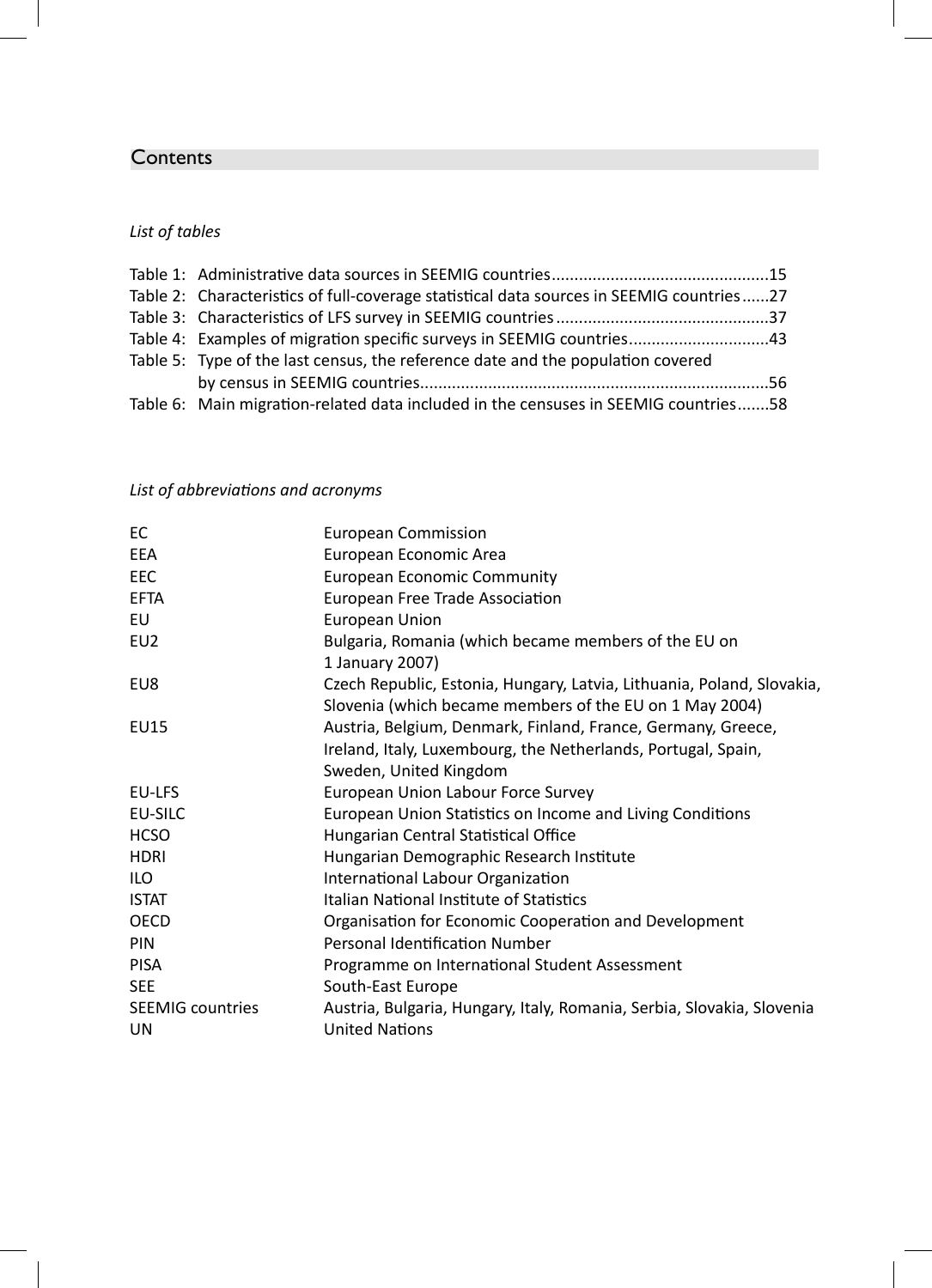# **Contents**

# *List of tables*

| Table 2: Characteristics of full-coverage statistical data sources in SEEMIG countries27 |  |
|------------------------------------------------------------------------------------------|--|
|                                                                                          |  |
| Table 4: Examples of migration specific surveys in SEEMIG countries43                    |  |
| Table 5: Type of the last census, the reference date and the population covered          |  |
|                                                                                          |  |
| Table 6: Main migration-related data included in the censuses in SEEMIG countries58      |  |

# *List of abbreviaƟ ons and acronyms*

| EC                      | European Commission                                                    |  |
|-------------------------|------------------------------------------------------------------------|--|
| EEA                     | European Economic Area                                                 |  |
| EEC                     | European Economic Community                                            |  |
| <b>EFTA</b>             | European Free Trade Association                                        |  |
| EU                      | European Union                                                         |  |
| EU <sub>2</sub>         | Bulgaria, Romania (which became members of the EU on                   |  |
|                         | 1 January 2007)                                                        |  |
| EU8                     | Czech Republic, Estonia, Hungary, Latvia, Lithuania, Poland, Slovakia, |  |
|                         | Slovenia (which became members of the EU on 1 May 2004)                |  |
| EU15                    | Austria, Belgium, Denmark, Finland, France, Germany, Greece,           |  |
|                         | Ireland, Italy, Luxembourg, the Netherlands, Portugal, Spain,          |  |
|                         | Sweden, United Kingdom                                                 |  |
| EU-LFS                  | European Union Labour Force Survey                                     |  |
| EU-SILC                 | European Union Statistics on Income and Living Conditions              |  |
| <b>HCSO</b>             | Hungarian Central Statistical Office                                   |  |
| <b>HDRI</b>             | Hungarian Demographic Research Institute                               |  |
| <b>ILO</b>              | International Labour Organization                                      |  |
| <b>ISTAT</b>            | Italian National Institute of Statistics                               |  |
| OECD                    | Organisation for Economic Cooperation and Development                  |  |
| PIN                     | Personal Identification Number                                         |  |
| <b>PISA</b>             | Programme on International Student Assessment                          |  |
| <b>SEE</b>              | South-East Europe                                                      |  |
| <b>SEEMIG countries</b> | Austria, Bulgaria, Hungary, Italy, Romania, Serbia, Slovakia, Slovenia |  |
| <b>UN</b>               | <b>United Nations</b>                                                  |  |
|                         |                                                                        |  |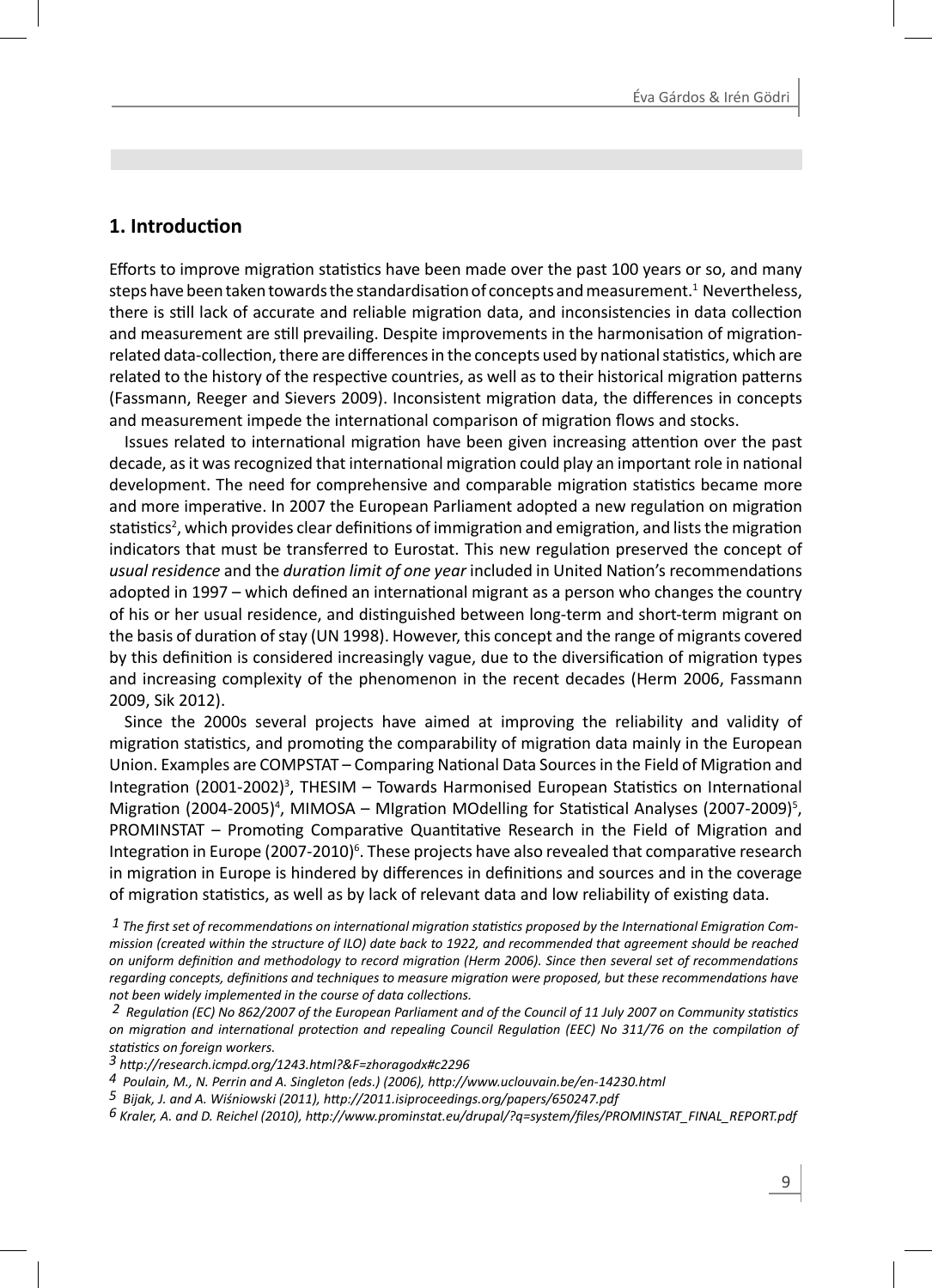# **1. IntroducƟ on**

Efforts to improve migration statistics have been made over the past 100 years or so, and many steps have been taken towards the standardisation of concepts and measurement.<sup>1</sup> Nevertheless, there is still lack of accurate and reliable migration data, and inconsistencies in data collection and measurement are still prevailing. Despite improvements in the harmonisation of migrationrelated data-collection, there are differences in the concepts used by national statistics, which are related to the history of the respective countries, as well as to their historical migration patterns (Fassmann, Reeger and Sievers 2009). Inconsistent migration data, the differences in concepts and measurement impede the international comparison of migration flows and stocks.

Issues related to international migration have been given increasing attention over the past decade, as it was recognized that international migration could play an important role in national development. The need for comprehensive and comparable migration statistics became more and more imperative. In 2007 the European Parliament adopted a new regulation on migration statistics<sup>2</sup>, which provides clear definitions of immigration and emigration, and lists the migration indicators that must be transferred to Eurostat. This new regulation preserved the concept of *usual residence* and the *duration limit of one year* included in United Nation's recommendations adopted in 1997 – which defined an international migrant as a person who changes the country of his or her usual residence, and distinguished between long-term and short-term migrant on the basis of duration of stay (UN 1998). However, this concept and the range of migrants covered by this definition is considered increasingly vague, due to the diversification of migration types and increasing complexity of the phenomenon in the recent decades (Herm 2006, Fassmann 2009, Sik 2012).

Since the 2000s several projects have aimed at improving the reliability and validity of migration statistics, and promoting the comparability of migration data mainly in the European Union. Examples are COMPSTAT – Comparing National Data Sources in the Field of Migration and Integration (2001-2002)<sup>3</sup>, THESIM - Towards Harmonised European Statistics on International Migration (2004-2005)<sup>4</sup>, MIMOSA – MIgration MOdelling for Statistical Analyses (2007-2009)<sup>5</sup>, PROMINSTAT – Promoting Comparative Quantitative Research in the Field of Migration and Integration in Europe (2007-2010)<sup>6</sup>. These projects have also revealed that comparative research in migration in Europe is hindered by differences in definitions and sources and in the coverage of migration statistics, as well as by lack of relevant data and low reliability of existing data.

 $1$  The first set of recommendations on international migration statistics proposed by the International Emigration Com*mission (created within the structure of ILO) date back to 1922, and recommended that agreement should be reached on uniform definition and methodology to record migration (Herm 2006). Since then several set of recommendations regarding concepts, definitions and techniques to measure migration were proposed, but these recommendations have* not been widely implemented in the course of data collections.<br><sup>2</sup> Requlation (EC) No 862/2007 of the European Parliament and of the Council of 11 July 2007 on Community statistics

*on migraƟ on and internaƟ onal protecƟ on and repealing Council RegulaƟ on (EEC) No 311/76 on the compilaƟ on of staƟ sƟ cs on foreign workers.*

*<sup>3</sup> hƩ p://research.icmpd.org/1243.html?&F=zhoragodx#c2296* 

*<sup>4</sup> Poulain, M., N. Perrin and A. Singleton (eds.) (2006), hƩ p://www.uclouvain.be/en-14230.html*

*<sup>5</sup> Bijak, J. and A. Wiśniowski (2011), hƩ p://2011.isiproceedings.org/papers/650247.pdf*

*<sup>6</sup> Kraler, A. and D. Reichel (2010), hƩ p://www.prominstat.eu/drupal/?q=system/fi les/PROMINSTAT\_FINAL\_REPORT.pdf*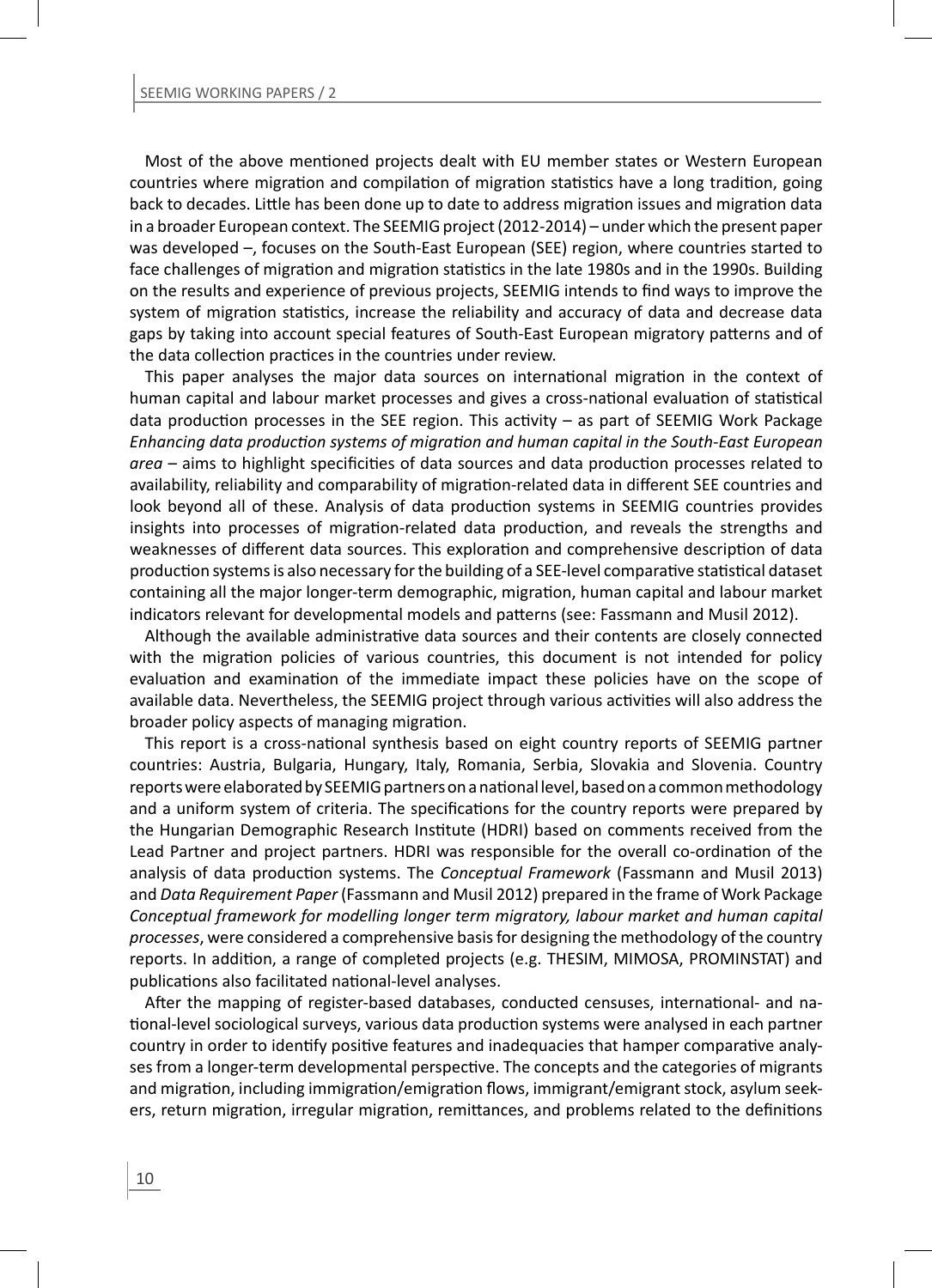Most of the above mentioned projects dealt with EU member states or Western European countries where migration and compilation of migration statistics have a long tradition, going back to decades. Little has been done up to date to address migration issues and migration data in a broader European context. The SEEMIG project (2012-2014) – under which the present paper was developed –, focuses on the South-East European (SEE) region, where countries started to face challenges of migration and migration statistics in the late 1980s and in the 1990s. Building on the results and experience of previous projects. SEEMIG intends to find ways to improve the system of migration statistics, increase the reliability and accuracy of data and decrease data gaps by taking into account special features of South-East European migratory patterns and of the data collection practices in the countries under review.

This paper analyses the major data sources on international migration in the context of human capital and labour market processes and gives a cross-national evaluation of statistical data production processes in the SEE region. This activity - as part of SEEMIG Work Package *Enhancing data producƟ on systems of migraƟ on and human capital in the South-East European*  area – aims to highlight specificities of data sources and data production processes related to availability, reliability and comparability of migration-related data in different SEE countries and look beyond all of these. Analysis of data production systems in SEEMIG countries provides insights into processes of migration-related data production, and reveals the strengths and weaknesses of different data sources. This exploration and comprehensive description of data production systems is also necessary for the building of a SEE-level comparative statistical dataset containing all the major longer-term demographic, migration, human capital and labour market indicators relevant for developmental models and patterns (see: Fassmann and Musil 2012).

Although the available administrative data sources and their contents are closely connected with the migration policies of various countries, this document is not intended for policy evaluation and examination of the immediate impact these policies have on the scope of available data. Nevertheless, the SEEMIG project through various activities will also address the broader policy aspects of managing migration.

This report is a cross-national synthesis based on eight country reports of SEEMIG partner countries: Austria, Bulgaria, Hungary, Italy, Romania, Serbia, Slovakia and Slovenia. Country reports were elaborated by SEEMIG partners on a national level, based on a common methodology and a uniform system of criteria. The specifications for the country reports were prepared by the Hungarian Demographic Research Institute (HDRI) based on comments received from the Lead Partner and project partners. HDRI was responsible for the overall co-ordination of the analysis of data production systems. The *Conceptual Framework* (Fassmann and Musil 2013) and *Data Requirement Paper* (Fassmann and Musil 2012) prepared in the frame of Work Package *Conceptual framework for modelling longer term migratory, labour market and human capital processes*, were considered a comprehensive basis for designing the methodology of the country reports. In addition, a range of completed projects (e.g. THESIM, MIMOSA, PROMINSTAT) and publications also facilitated national-level analyses.

After the mapping of register-based databases, conducted censuses, international- and national-level sociological surveys, various data production systems were analysed in each partner country in order to identify positive features and inadequacies that hamper comparative analyses from a longer-term developmental perspective. The concepts and the categories of migrants and migration, including immigration/emigration flows, immigrant/emigrant stock, asylum seekers, return migration, irregular migration, remittances, and problems related to the definitions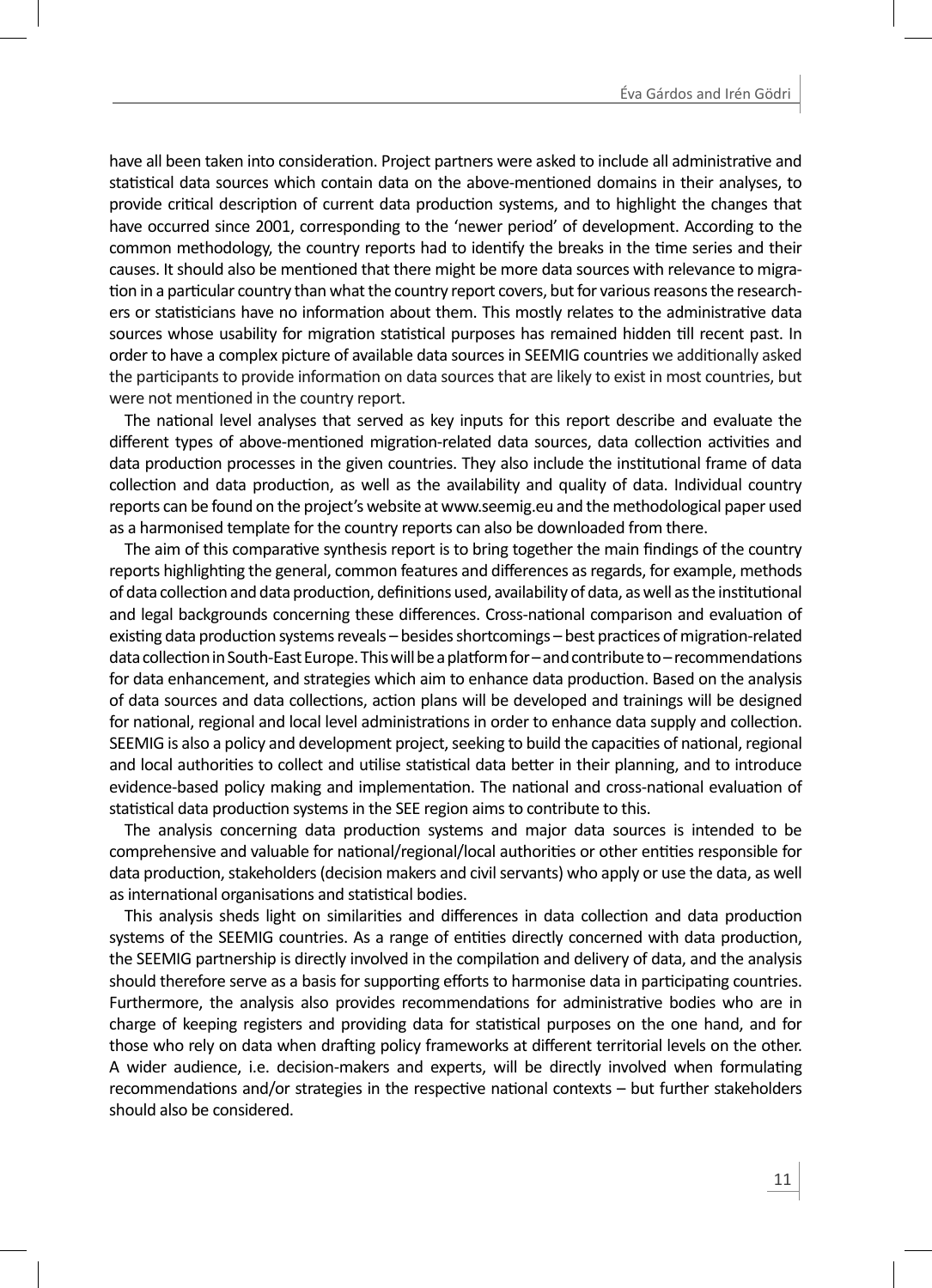have all been taken into consideration. Project partners were asked to include all administrative and statistical data sources which contain data on the above-mentioned domains in their analyses, to provide critical description of current data production systems, and to highlight the changes that have occurred since 2001, corresponding to the 'newer period' of development. According to the common methodology, the country reports had to identify the breaks in the time series and their causes. It should also be mentioned that there might be more data sources with relevance to migration in a particular country than what the country report covers, but for various reasons the researchers or statisticians have no information about them. This mostly relates to the administrative data sources whose usability for migration statistical purposes has remained hidden till recent past. In order to have a complex picture of available data sources in SEEMIG countries we additionally asked the participants to provide information on data sources that are likely to exist in most countries, but were not mentioned in the country report.

The national level analyses that served as key inputs for this report describe and evaluate the different types of above-mentioned migration-related data sources, data collection activities and data production processes in the given countries. They also include the institutional frame of data collection and data production, as well as the availability and quality of data. Individual country reports can be found on the project's website at www.seemig.eu and the methodological paper used as a harmonised template for the country reports can also be downloaded from there.

The aim of this comparative synthesis report is to bring together the main findings of the country reports highlighting the general, common features and differences as regards, for example, methods of data collection and data production, definitions used, availability of data, as well as the institutional and legal backgrounds concerning these differences. Cross-national comparison and evaluation of existing data production systems reveals – besides shortcomings – best practices of migration-related data collection in South-East Europe. This will be a platform for – and contribute to – recommendations for data enhancement, and strategies which aim to enhance data production. Based on the analysis of data sources and data collections, action plans will be developed and trainings will be designed for national, regional and local level administrations in order to enhance data supply and collection. SEEMIG is also a policy and development project, seeking to build the capacities of national, regional and local authorities to collect and utilise statistical data better in their planning, and to introduce evidence-based policy making and implementation. The national and cross-national evaluation of statistical data production systems in the SEE region aims to contribute to this.

The analysis concerning data production systems and major data sources is intended to be comprehensive and valuable for national/regional/local authorities or other entities responsible for data production, stakeholders (decision makers and civil servants) who apply or use the data, as well as international organisations and statistical bodies.

This analysis sheds light on similarities and differences in data collection and data production systems of the SEEMIG countries. As a range of entities directly concerned with data production, the SEEMIG partnership is directly involved in the compilation and delivery of data, and the analysis should therefore serve as a basis for supporting efforts to harmonise data in participating countries. Furthermore, the analysis also provides recommendations for administrative bodies who are in charge of keeping registers and providing data for statistical purposes on the one hand, and for those who rely on data when drafting policy frameworks at different territorial levels on the other. A wider audience, i.e. decision-makers and experts, will be directly involved when formulating recommendations and/or strategies in the respective national contexts – but further stakeholders should also be considered.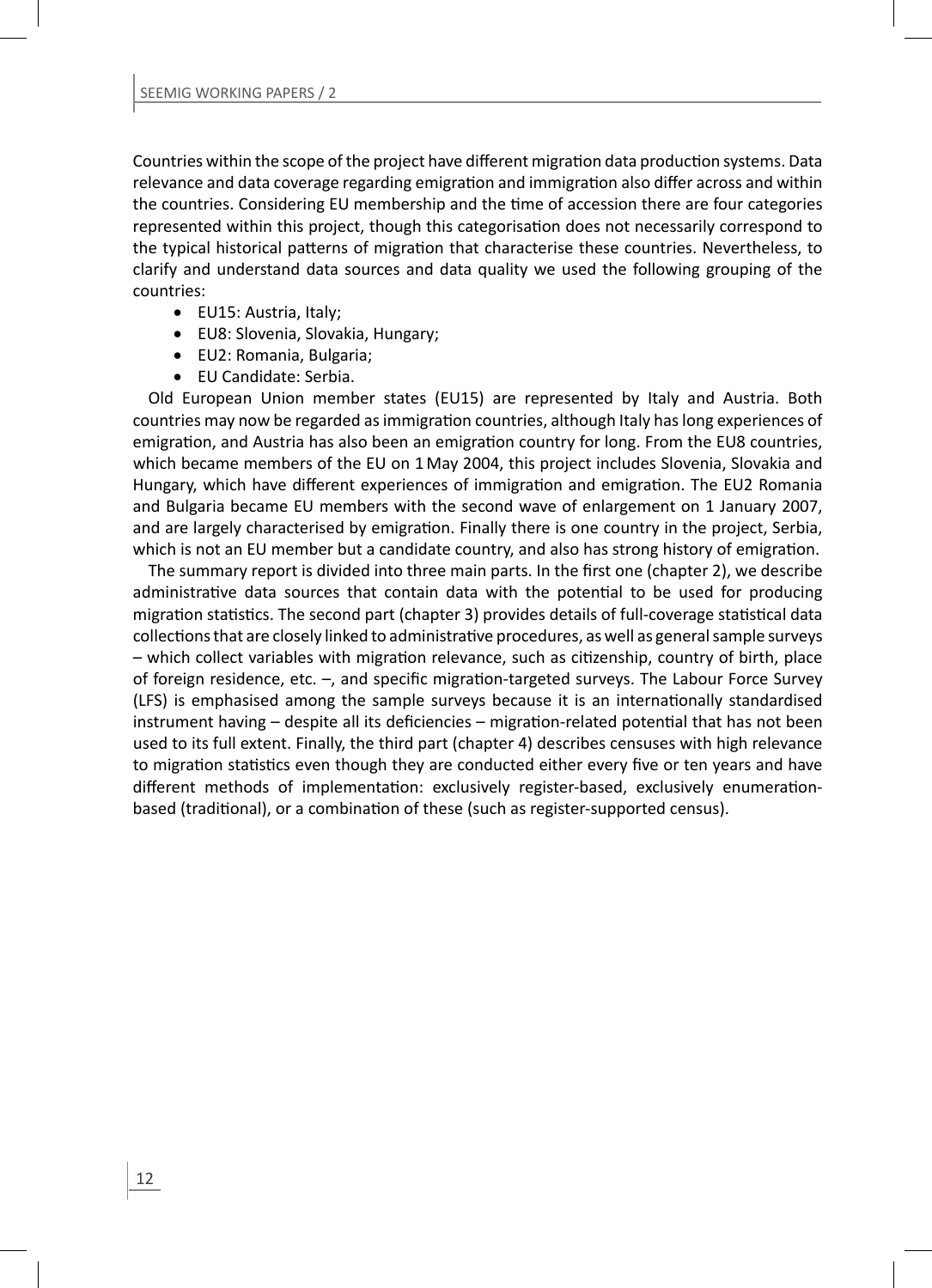Countries within the scope of the project have different migration data production systems. Data relevance and data coverage regarding emigration and immigration also differ across and within the countries. Considering EU membership and the time of accession there are four categories represented within this project, though this categorisation does not necessarily correspond to the typical historical patterns of migration that characterise these countries. Nevertheless, to clarify and understand data sources and data quality we used the following grouping of the countries:

- EU15: Austria, Italy;
- EU8: Slovenia, Slovakia, Hungary;
- EU2: Romania, Bulgaria;
- EU Candidate: Serbia.

Old European Union member states (EU15) are represented by Italy and Austria. Both countries may now be regarded as immigration countries, although Italy has long experiences of emigration, and Austria has also been an emigration country for long. From the EU8 countries, which became members of the EU on 1 May 2004, this project includes Slovenia, Slovakia and Hungary, which have different experiences of immigration and emigration. The EU2 Romania and Bulgaria became EU members with the second wave of enlargement on 1 January 2007, and are largely characterised by emigration. Finally there is one country in the project, Serbia, which is not an EU member but a candidate country, and also has strong history of emigration.

The summary report is divided into three main parts. In the first one (chapter 2), we describe administrative data sources that contain data with the potential to be used for producing migration statistics. The second part (chapter 3) provides details of full-coverage statistical data collections that are closely linked to administrative procedures, as well as general sample surveys – which collect variables with migration relevance, such as citizenship, country of birth, place of foreign residence, etc.  $-$ , and specific migration-targeted surveys. The Labour Force Survey (LFS) is emphasised among the sample surveys because it is an internationally standardised  $instrument$  having  $-d$  espite all its deficiencies  $-migration$ -related potential that has not been used to its full extent. Finally, the third part (chapter 4) describes censuses with high relevance to migration statistics even though they are conducted either every five or ten years and have different methods of implementation: exclusively register-based, exclusively enumerationbased (traditional), or a combination of these (such as register-supported census).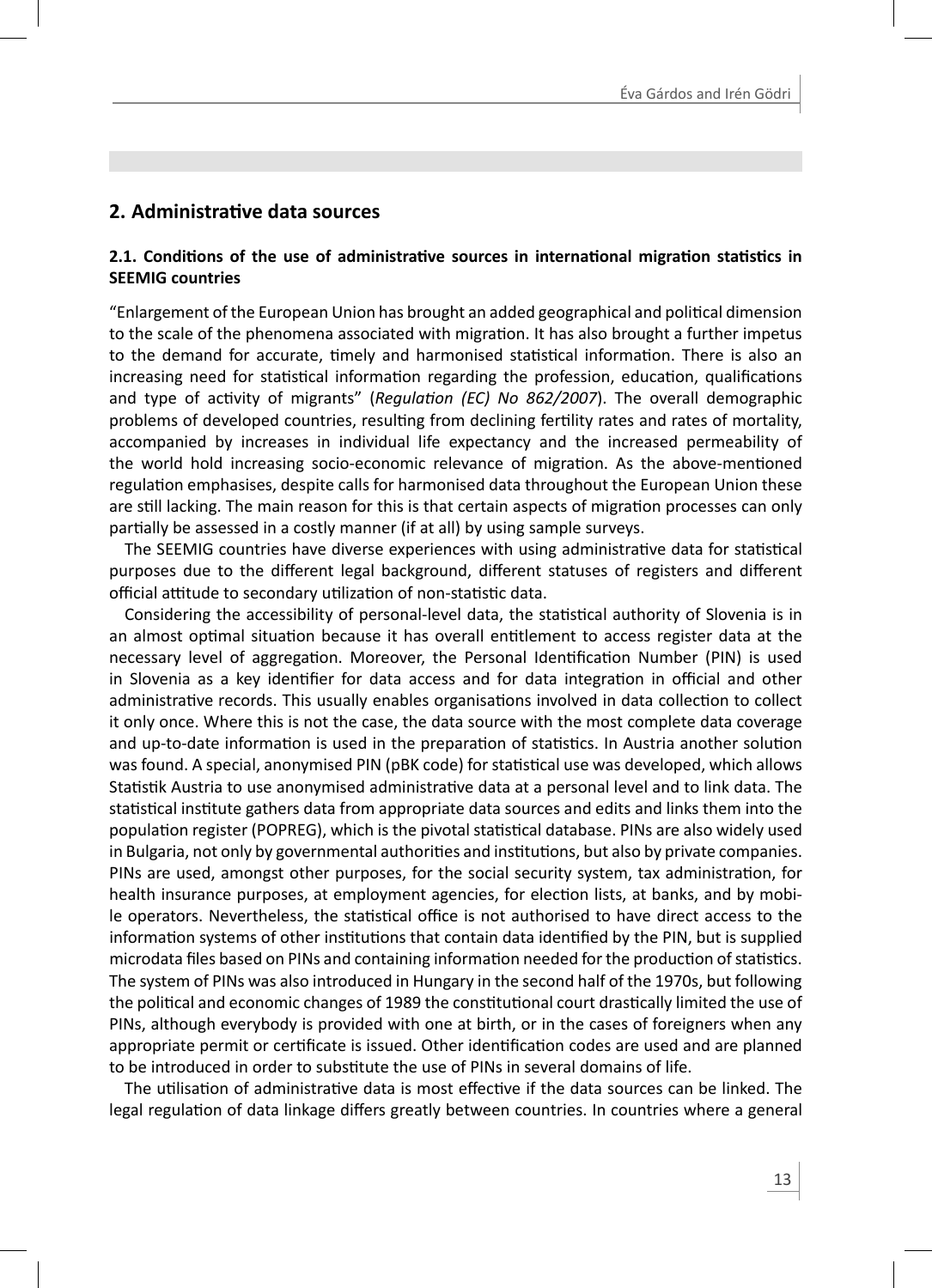# **2. AdministraƟ ve data sources**

#### **2.1. CondiƟ ons of the use of administraƟ ve sources in internaƟ onal migraƟ on staƟ sƟ cs in SEEMIG countries**

"Enlargement of the European Union has brought an added geographical and political dimension to the scale of the phenomena associated with migration. It has also brought a further impetus to the demand for accurate, timely and harmonised statistical information. There is also an increasing need for statistical information regarding the profession, education, qualifications and type of activity of migrants" (*Regulation (EC) No 862/2007*). The overall demographic problems of developed countries, resulting from declining fertility rates and rates of mortality, accompanied by increases in individual life expectancy and the increased permeability of the world hold increasing socio-economic relevance of migration. As the above-mentioned regulation emphasises, despite calls for harmonised data throughout the European Union these are still lacking. The main reason for this is that certain aspects of migration processes can only partially be assessed in a costly manner (if at all) by using sample surveys.

The SEEMIG countries have diverse experiences with using administrative data for statistical purposes due to the different legal background, different statuses of registers and different official attitude to secondary utilization of non-statistic data.

Considering the accessibility of personal-level data, the statistical authority of Slovenia is in an almost optimal situation because it has overall entitlement to access register data at the necessary level of aggregation. Moreover, the Personal Identification Number (PIN) is used in Slovenia as a key identifier for data access and for data integration in official and other administrative records. This usually enables organisations involved in data collection to collect it only once. Where this is not the case, the data source with the most complete data coverage and up-to-date information is used in the preparation of statistics. In Austria another solution was found. A special, anonymised PIN (pBK code) for statistical use was developed, which allows Statistik Austria to use anonymised administrative data at a personal level and to link data. The statistical institute gathers data from appropriate data sources and edits and links them into the population register (POPREG), which is the pivotal statistical database. PINs are also widely used in Bulgaria, not only by governmental authorities and institutions, but also by private companies. PINs are used, amongst other purposes, for the social security system, tax administration, for health insurance purposes, at employment agencies, for election lists, at banks, and by mobile operators. Nevertheless, the statistical office is not authorised to have direct access to the information systems of other institutions that contain data identified by the PIN, but is supplied microdata files based on PINs and containing information needed for the production of statistics. The system of PINs was also introduced in Hungary in the second half of the 1970s, but following the political and economic changes of 1989 the constitutional court drastically limited the use of PINs, although everybody is provided with one at birth, or in the cases of foreigners when any appropriate permit or certificate is issued. Other identification codes are used and are planned to be introduced in order to substitute the use of PINs in several domains of life.

The utilisation of administrative data is most effective if the data sources can be linked. The legal regulation of data linkage differs greatly between countries. In countries where a general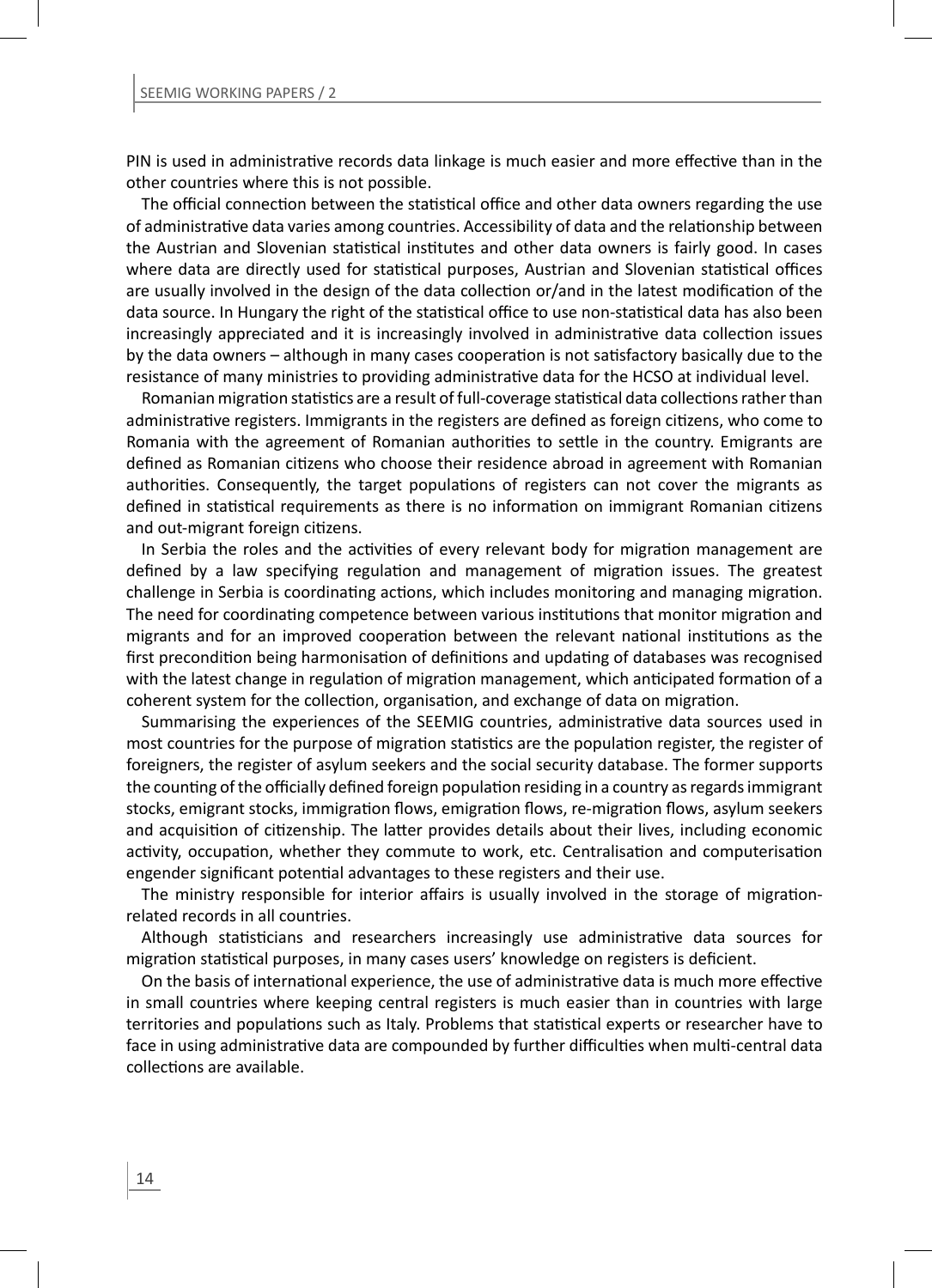PIN is used in administrative records data linkage is much easier and more effective than in the other countries where this is not possible.

The official connection between the statistical office and other data owners regarding the use of administrative data varies among countries. Accessibility of data and the relationship between the Austrian and Slovenian statistical institutes and other data owners is fairly good. In cases where data are directly used for statistical purposes, Austrian and Slovenian statistical offices are usually involved in the design of the data collection or/and in the latest modification of the data source. In Hungary the right of the statistical office to use non-statistical data has also been increasingly appreciated and it is increasingly involved in administrative data collection issues by the data owners – although in many cases cooperation is not satisfactory basically due to the resistance of many ministries to providing administrative data for the HCSO at individual level.

Romanian migration statistics are a result of full-coverage statistical data collections rather than administrative registers. Immigrants in the registers are defined as foreign citizens, who come to Romania with the agreement of Romanian authorities to settle in the country. Emigrants are defined as Romanian citizens who choose their residence abroad in agreement with Romanian authorities. Consequently, the target populations of registers can not cover the migrants as defined in statistical requirements as there is no information on immigrant Romanian citizens and out-migrant foreign citizens.

In Serbia the roles and the activities of every relevant body for migration management are defined by a law specifying regulation and management of migration issues. The greatest challenge in Serbia is coordinating actions, which includes monitoring and managing migration. The need for coordinating competence between various institutions that monitor migration and migrants and for an improved cooperation between the relevant national institutions as the first precondition being harmonisation of definitions and updating of databases was recognised with the latest change in regulation of migration management, which anticipated formation of a coherent system for the collection, organisation, and exchange of data on migration.

Summarising the experiences of the SEEMIG countries, administrative data sources used in most countries for the purpose of migration statistics are the population register, the register of foreigners, the register of asylum seekers and the social security database. The former supports the counting of the officially defined foreign population residing in a country as regards immigrant stocks, emigrant stocks, immigration flows, emigration flows, re-migration flows, asylum seekers and acquisition of citizenship. The latter provides details about their lives, including economic activity, occupation, whether they commute to work, etc. Centralisation and computerisation engender significant potential advantages to these registers and their use.

The ministry responsible for interior affairs is usually involved in the storage of migrationrelated records in all countries.

Although statisticians and researchers increasingly use administrative data sources for migration statistical purposes, in many cases users' knowledge on registers is deficient.

On the basis of international experience, the use of administrative data is much more effective in small countries where keeping central registers is much easier than in countries with large territories and populations such as Italy. Problems that statistical experts or researcher have to face in using administrative data are compounded by further difficulties when multi-central data collections are available.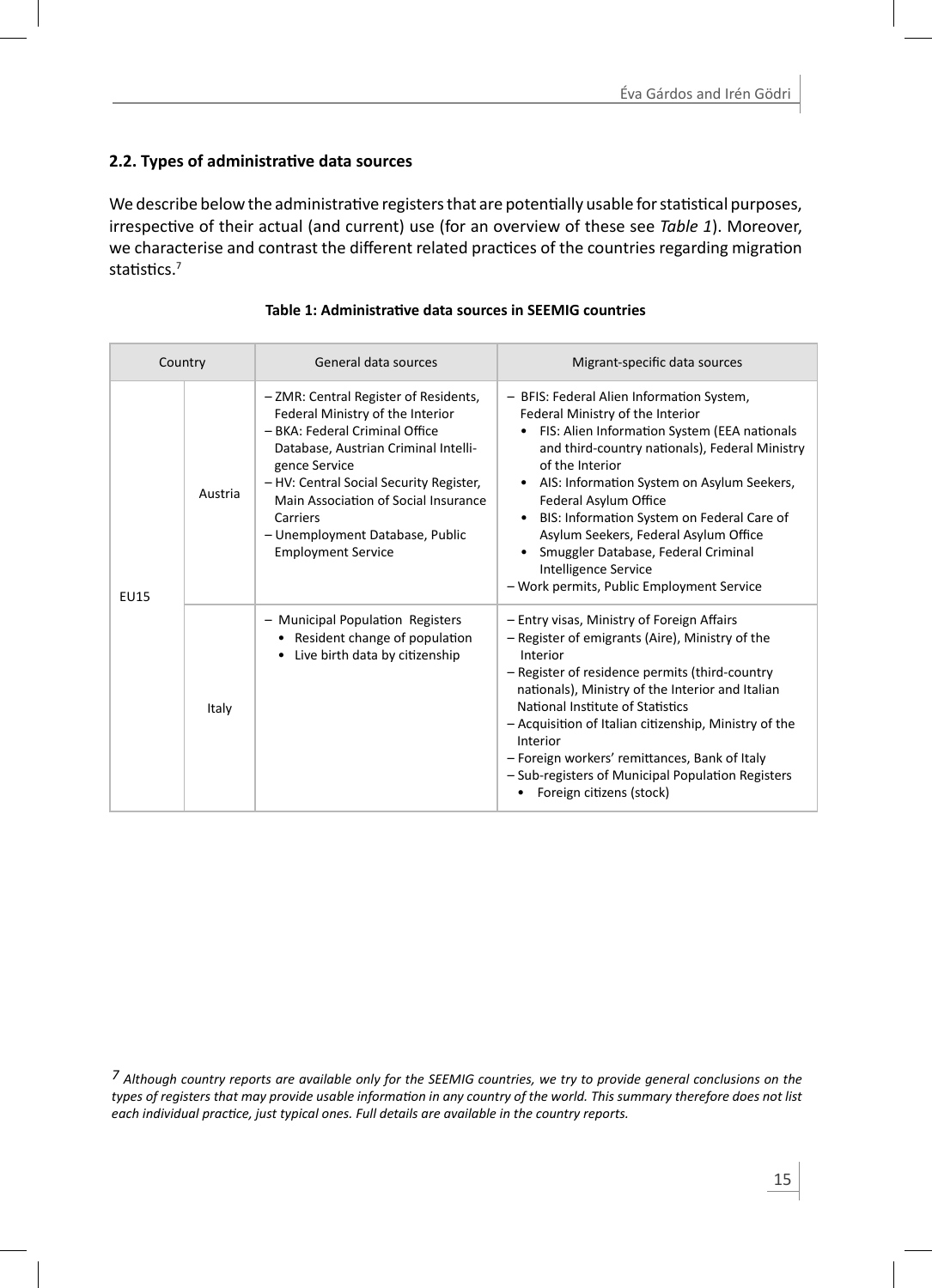# **2.2. Types of administraƟ ve data sources**

We describe below the administrative registers that are potentially usable for statistical purposes, irrespective of their actual (and current) use (for an overview of these see *Table 1*). Moreover, we characterise and contrast the different related practices of the countries regarding migration statistics $<sup>7</sup>$ </sup>

| Country     |         | General data sources                                                                                                                                                                                                                                                                                                                | Migrant-specific data sources                                                                                                                                                                                                                                                                                                                                                                                                                                                               |
|-------------|---------|-------------------------------------------------------------------------------------------------------------------------------------------------------------------------------------------------------------------------------------------------------------------------------------------------------------------------------------|---------------------------------------------------------------------------------------------------------------------------------------------------------------------------------------------------------------------------------------------------------------------------------------------------------------------------------------------------------------------------------------------------------------------------------------------------------------------------------------------|
| <b>EU15</b> | Austria | - ZMR: Central Register of Residents,<br>Federal Ministry of the Interior<br>- BKA: Federal Criminal Office<br>Database, Austrian Criminal Intelli-<br>gence Service<br>- HV: Central Social Security Register,<br>Main Association of Social Insurance<br>Carriers<br>- Unemployment Database, Public<br><b>Employment Service</b> | - BFIS: Federal Alien Information System,<br>Federal Ministry of the Interior<br>FIS: Alien Information System (EEA nationals<br>and third-country nationals), Federal Ministry<br>of the Interior<br>• AIS: Information System on Asylum Seekers,<br>Federal Asylum Office<br>BIS: Information System on Federal Care of<br>$\bullet$<br>Asylum Seekers, Federal Asylum Office<br>Smuggler Database, Federal Criminal<br>Intelligence Service<br>- Work permits, Public Employment Service |
|             | Italy   | - Municipal Population Registers<br>Resident change of population<br>Live birth data by citizenship                                                                                                                                                                                                                                 | - Entry visas, Ministry of Foreign Affairs<br>- Register of emigrants (Aire), Ministry of the<br>Interior<br>- Register of residence permits (third-country<br>nationals), Ministry of the Interior and Italian<br>National Institute of Statistics<br>- Acquisition of Italian citizenship, Ministry of the<br>Interior<br>- Foreign workers' remittances, Bank of Italy<br>- Sub-registers of Municipal Population Registers<br>Foreign citizens (stock)                                  |

#### **Table 1: AdministraƟ ve data sources in SEEMIG countries**

*7 Although country reports are available only for the SEEMIG countries, we try to provide general conclusions on the*  types of registers that may provide usable information in any country of the world. This summary therefore does not list each individual practice, just typical ones. Full details are available in the country reports.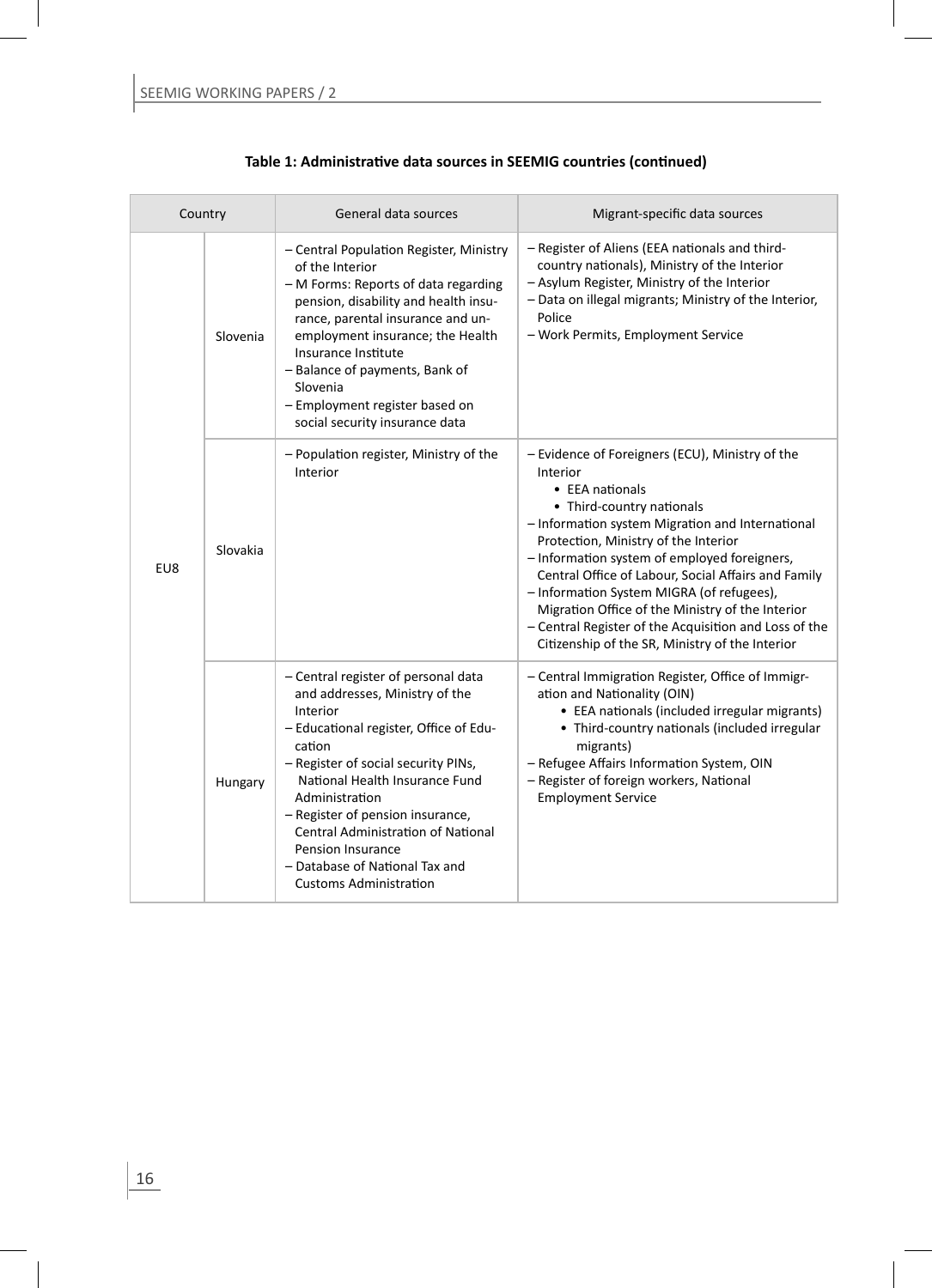| Country |          | General data sources                                                                                                                                                                                                                                                                                                                                                                                      | Migrant-specific data sources                                                                                                                                                                                                                                                                                                                                                                                                                                                                                               |
|---------|----------|-----------------------------------------------------------------------------------------------------------------------------------------------------------------------------------------------------------------------------------------------------------------------------------------------------------------------------------------------------------------------------------------------------------|-----------------------------------------------------------------------------------------------------------------------------------------------------------------------------------------------------------------------------------------------------------------------------------------------------------------------------------------------------------------------------------------------------------------------------------------------------------------------------------------------------------------------------|
|         | Slovenia | - Central Population Register, Ministry<br>of the Interior<br>- M Forms: Reports of data regarding<br>pension, disability and health insu-<br>rance, parental insurance and un-<br>employment insurance; the Health<br>Insurance Institute<br>- Balance of payments, Bank of<br>Slovenia<br>- Employment register based on<br>social security insurance data                                              | - Register of Aliens (EEA nationals and third-<br>country nationals), Ministry of the Interior<br>- Asylum Register, Ministry of the Interior<br>- Data on illegal migrants; Ministry of the Interior,<br>Police<br>- Work Permits, Employment Service                                                                                                                                                                                                                                                                      |
| EU8     | Slovakia | - Population register, Ministry of the<br>Interior                                                                                                                                                                                                                                                                                                                                                        | - Evidence of Foreigners (ECU), Ministry of the<br>Interior<br>• EEA nationals<br>• Third-country nationals<br>- Information system Migration and International<br>Protection, Ministry of the Interior<br>- Information system of employed foreigners,<br>Central Office of Labour, Social Affairs and Family<br>- Information System MIGRA (of refugees),<br>Migration Office of the Ministry of the Interior<br>- Central Register of the Acquisition and Loss of the<br>Citizenship of the SR, Ministry of the Interior |
|         | Hungary  | - Central register of personal data<br>and addresses, Ministry of the<br>Interior<br>- Educational register, Office of Edu-<br>cation<br>- Register of social security PINs,<br>National Health Insurance Fund<br>Administration<br>- Register of pension insurance,<br><b>Central Administration of National</b><br>Pension Insurance<br>- Database of National Tax and<br><b>Customs Administration</b> | - Central Immigration Register, Office of Immigr-<br>ation and Nationality (OIN)<br>• EEA nationals (included irregular migrants)<br>• Third-country nationals (included irregular<br>migrants)<br>- Refugee Affairs Information System, OIN<br>- Register of foreign workers, National<br><b>Employment Service</b>                                                                                                                                                                                                        |

**Table 1: Administrative data sources in SEEMIG countries (continued)**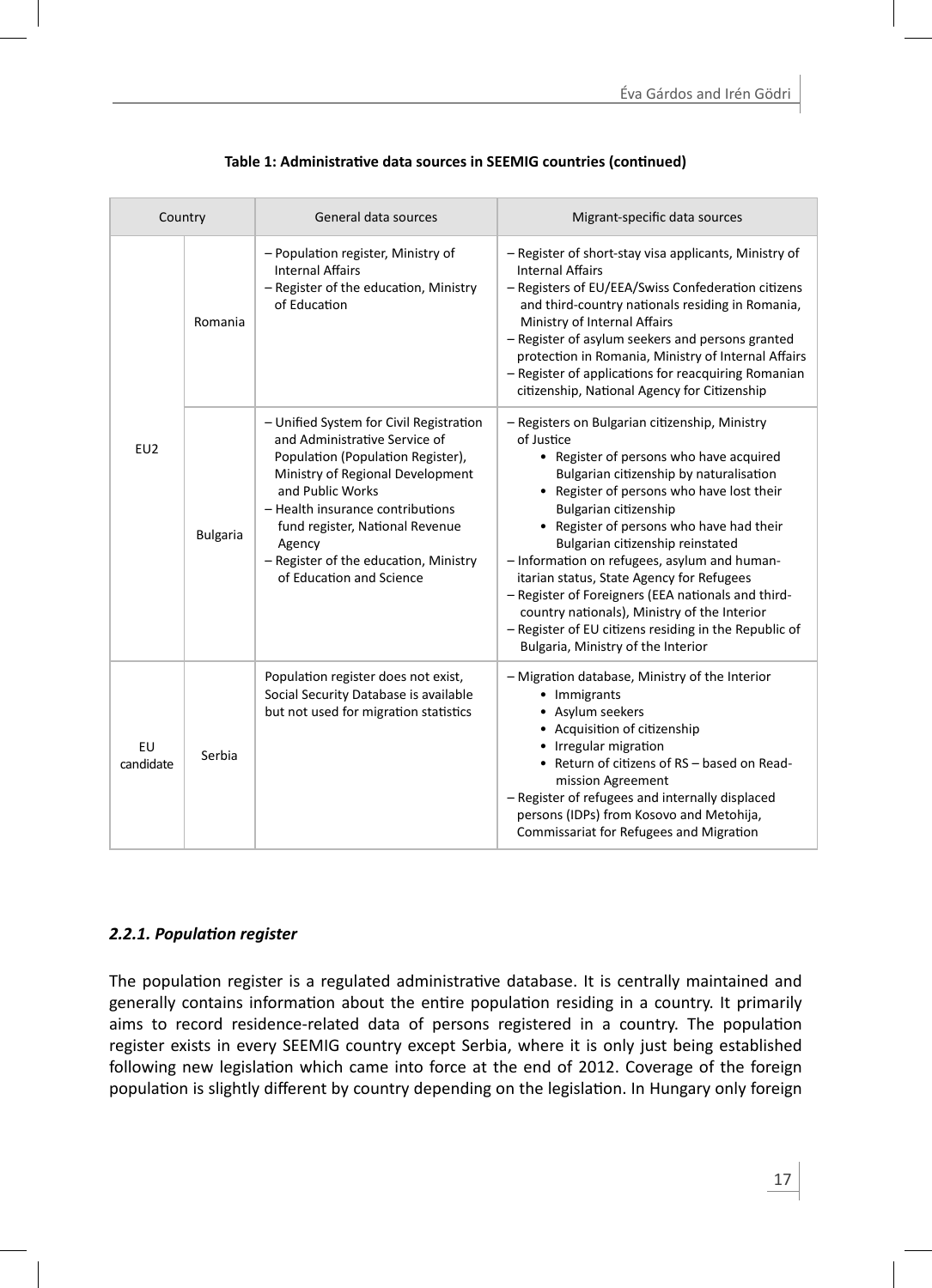| Country         |                 | General data sources                                                                                                                                                                                                                                                                                                        | Migrant-specific data sources                                                                                                                                                                                                                                                                                                                                                                                                                                                                                                                                                                              |
|-----------------|-----------------|-----------------------------------------------------------------------------------------------------------------------------------------------------------------------------------------------------------------------------------------------------------------------------------------------------------------------------|------------------------------------------------------------------------------------------------------------------------------------------------------------------------------------------------------------------------------------------------------------------------------------------------------------------------------------------------------------------------------------------------------------------------------------------------------------------------------------------------------------------------------------------------------------------------------------------------------------|
|                 | Romania         | - Population register, Ministry of<br><b>Internal Affairs</b><br>- Register of the education, Ministry<br>of Education                                                                                                                                                                                                      | - Register of short-stay visa applicants, Ministry of<br><b>Internal Affairs</b><br>- Registers of EU/EEA/Swiss Confederation citizens<br>and third-country nationals residing in Romania,<br>Ministry of Internal Affairs<br>- Register of asylum seekers and persons granted<br>protection in Romania, Ministry of Internal Affairs<br>- Register of applications for reacquiring Romanian<br>citizenship, National Agency for Citizenship                                                                                                                                                               |
| EU2             | <b>Bulgaria</b> | - Unified System for Civil Registration<br>and Administrative Service of<br>Population (Population Register),<br>Ministry of Regional Development<br>and Public Works<br>- Health insurance contributions<br>fund register, National Revenue<br>Agency<br>- Register of the education, Ministry<br>of Education and Science | - Registers on Bulgarian citizenship, Ministry<br>of Justice<br>• Register of persons who have acquired<br>Bulgarian citizenship by naturalisation<br>• Register of persons who have lost their<br>Bulgarian citizenship<br>• Register of persons who have had their<br>Bulgarian citizenship reinstated<br>- Information on refugees, asylum and human-<br>itarian status, State Agency for Refugees<br>- Register of Foreigners (EEA nationals and third-<br>country nationals), Ministry of the Interior<br>- Register of EU citizens residing in the Republic of<br>Bulgaria, Ministry of the Interior |
| EU<br>candidate | Serbia          | Population register does not exist,<br>Social Security Database is available<br>but not used for migration statistics                                                                                                                                                                                                       | - Migration database, Ministry of the Interior<br>• Immigrants<br>• Asylum seekers<br>• Acquisition of citizenship<br>• Irregular migration<br>• Return of citizens of RS - based on Read-<br>mission Agreement<br>- Register of refugees and internally displaced<br>persons (IDPs) from Kosovo and Metohija,<br>Commissariat for Refugees and Migration                                                                                                                                                                                                                                                  |

| Table 1: Administrative data sources in SEEMIG countries (continued) |  |  |
|----------------------------------------------------------------------|--|--|
|                                                                      |  |  |

# *2.2.1. PopulaƟ on register*

The population register is a regulated administrative database. It is centrally maintained and generally contains information about the entire population residing in a country. It primarily aims to record residence-related data of persons registered in a country. The population register exists in every SEEMIG country except Serbia, where it is only just being established following new legislation which came into force at the end of 2012. Coverage of the foreign population is slightly different by country depending on the legislation. In Hungary only foreign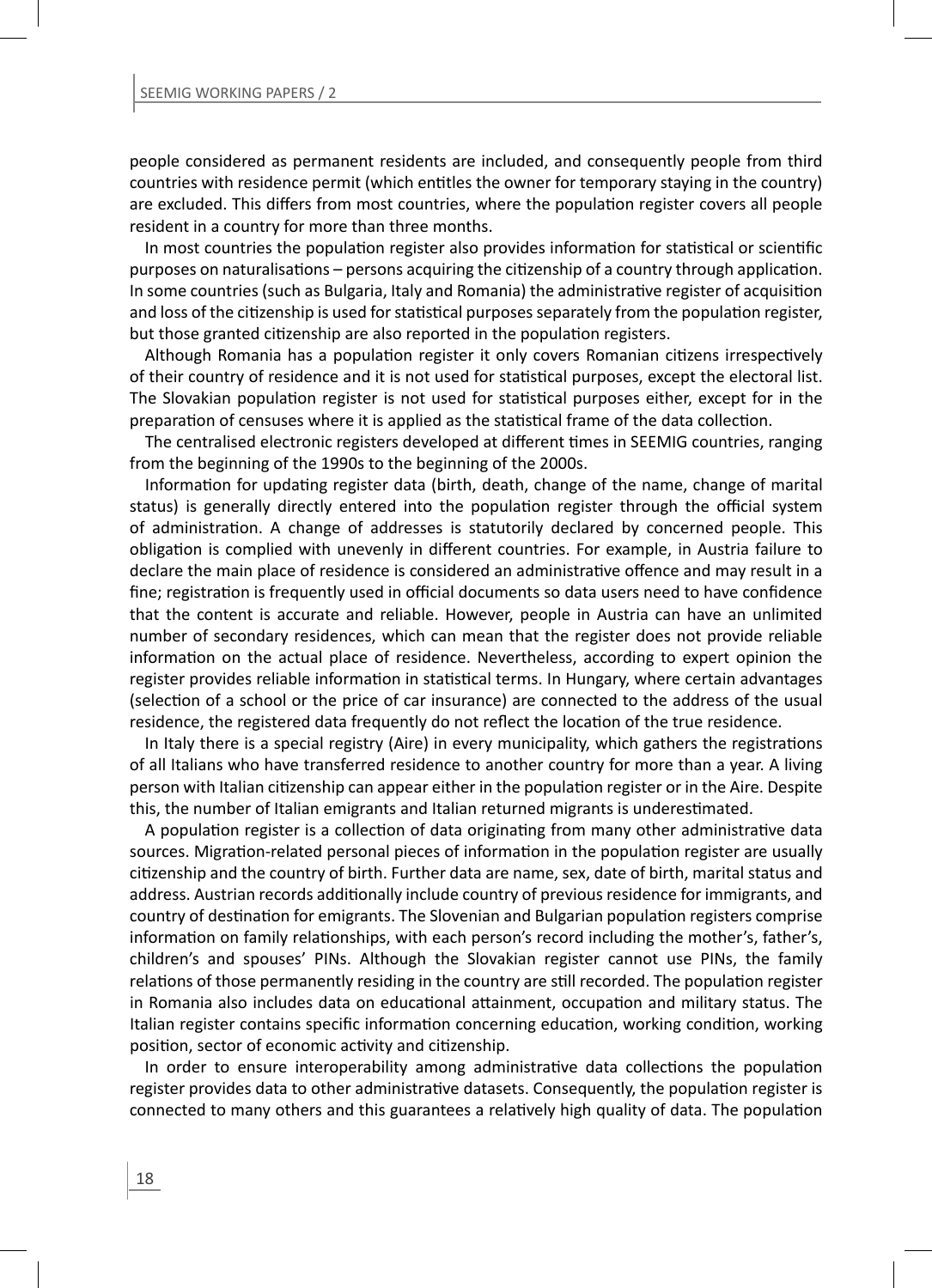people considered as permanent residents are included, and consequently people from third countries with residence permit (which entitles the owner for temporary staying in the country) are excluded. This differs from most countries, where the population register covers all people resident in a country for more than three months.

In most countries the population register also provides information for statistical or scientific purposes on naturalisations – persons acquiring the citizenship of a country through application. In some countries (such as Bulgaria, Italy and Romania) the administrative register of acquisition and loss of the citizenship is used for statistical purposes separately from the population register, but those granted citizenship are also reported in the population registers.

Although Romania has a population register it only covers Romanian citizens irrespectively of their country of residence and it is not used for statistical purposes, except the electoral list. The Slovakian population register is not used for statistical purposes either, except for in the preparation of censuses where it is applied as the statistical frame of the data collection.

The centralised electronic registers developed at different times in SEEMIG countries, ranging from the beginning of the 1990s to the beginning of the 2000s.

Information for updating register data (birth, death, change of the name, change of marital status) is generally directly entered into the population register through the official system of administration. A change of addresses is statutorily declared by concerned people. This obligation is complied with unevenly in different countries. For example, in Austria failure to declare the main place of residence is considered an administrative offence and may result in a fine; registration is frequently used in official documents so data users need to have confidence that the content is accurate and reliable. However, people in Austria can have an unlimited number of secondary residences, which can mean that the register does not provide reliable information on the actual place of residence. Nevertheless, according to expert opinion the register provides reliable information in statistical terms. In Hungary, where certain advantages (selection of a school or the price of car insurance) are connected to the address of the usual residence, the registered data frequently do not reflect the location of the true residence.

In Italy there is a special registry (Aire) in every municipality, which gathers the registrations of all Italians who have transferred residence to another country for more than a year. A living person with Italian citizenship can appear either in the population register or in the Aire. Despite this, the number of Italian emigrants and Italian returned migrants is underestimated.

A population register is a collection of data originating from many other administrative data sources. Migration-related personal pieces of information in the population register are usually citizenship and the country of birth. Further data are name, sex, date of birth, marital status and address. Austrian records additionally include country of previous residence for immigrants, and country of destination for emigrants. The Slovenian and Bulgarian population registers comprise information on family relationships, with each person's record including the mother's, father's, children's and spouses' PINs. Although the Slovakian register cannot use PINs, the family relations of those permanently residing in the country are still recorded. The population register in Romania also includes data on educational attainment, occupation and military status. The Italian register contains specific information concerning education, working condition, working position, sector of economic activity and citizenship.

In order to ensure interoperability among administrative data collections the population register provides data to other administrative datasets. Consequently, the population register is connected to many others and this guarantees a relatively high quality of data. The population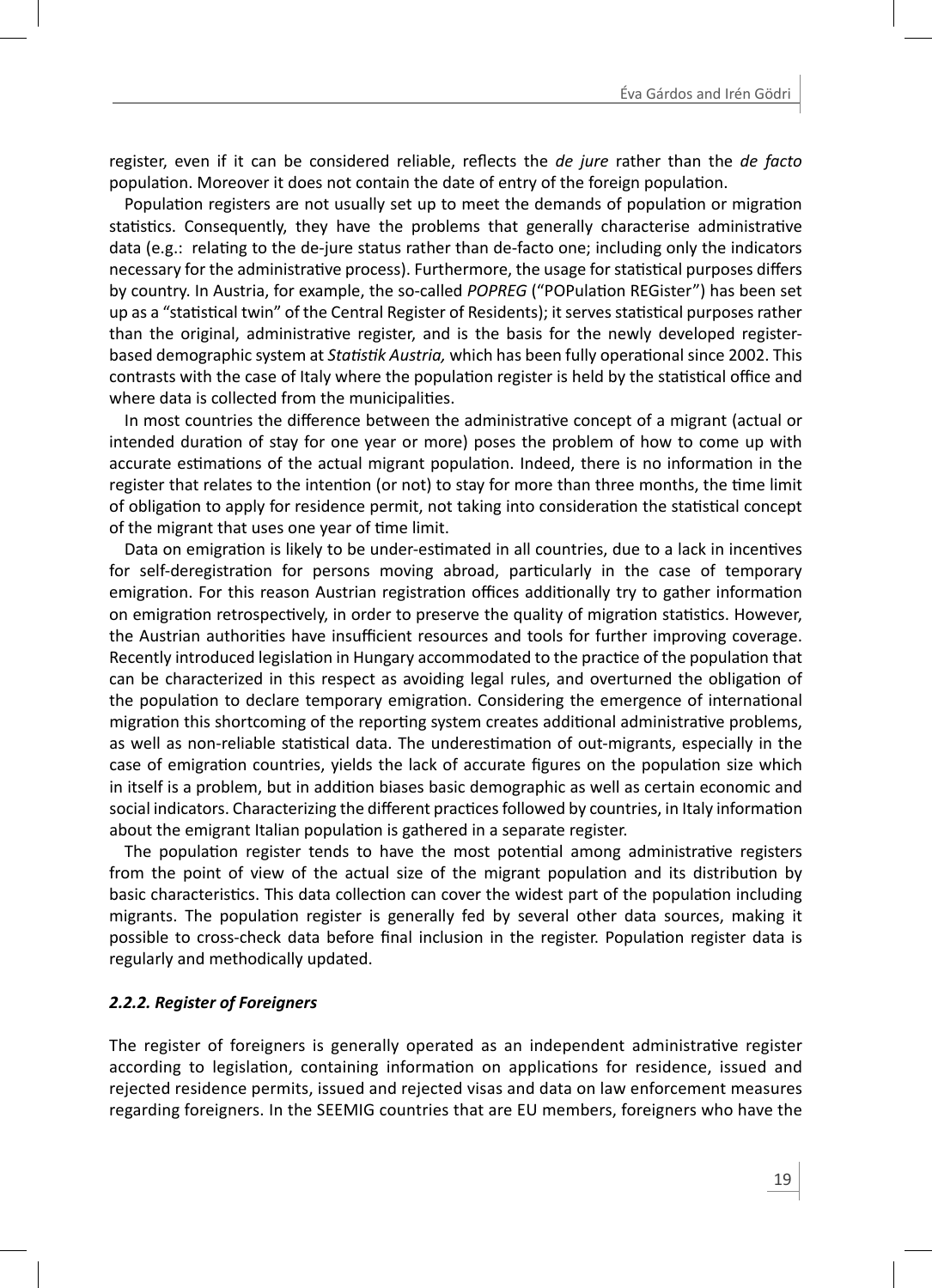register, even if it can be considered reliable, reflects the *de jure* rather than the *de facto* population. Moreover it does not contain the date of entry of the foreign population.

Population registers are not usually set up to meet the demands of population or migration statistics. Consequently, they have the problems that generally characterise administrative data (e.g.: relating to the de-jure status rather than de-facto one; including only the indicators necessary for the administrative process). Furthermore, the usage for statistical purposes differs by country. In Austria, for example, the so-called *POPREG* ("POPulation REGister") has been set up as a "statistical twin" of the Central Register of Residents); it serves statistical purposes rather than the original, administrative register, and is the basis for the newly developed registerbased demographic system at *Statistik Austria*, which has been fully operational since 2002. This contrasts with the case of Italy where the population register is held by the statistical office and where data is collected from the municipalities.

In most countries the difference between the administrative concept of a migrant (actual or intended duration of stay for one year or more) poses the problem of how to come up with accurate estimations of the actual migrant population. Indeed, there is no information in the register that relates to the intention (or not) to stay for more than three months, the time limit of obligation to apply for residence permit, not taking into consideration the statistical concept of the migrant that uses one year of time limit.

Data on emigration is likely to be under-estimated in all countries, due to a lack in incentives for self-deregistration for persons moving abroad, particularly in the case of temporary emigration. For this reason Austrian registration offices additionally try to gather information on emigration retrospectively, in order to preserve the quality of migration statistics. However, the Austrian authorities have insufficient resources and tools for further improving coverage. Recently introduced legislation in Hungary accommodated to the practice of the population that can be characterized in this respect as avoiding legal rules, and overturned the obligation of the population to declare temporary emigration. Considering the emergence of international migration this shortcoming of the reporting system creates additional administrative problems, as well as non-reliable statistical data. The underestimation of out-migrants, especially in the case of emigration countries, yields the lack of accurate figures on the population size which in itself is a problem, but in addition biases basic demographic as well as certain economic and social indicators. Characterizing the different practices followed by countries, in Italy information about the emigrant Italian population is gathered in a separate register.

The population register tends to have the most potential among administrative registers from the point of view of the actual size of the migrant population and its distribution by basic characteristics. This data collection can cover the widest part of the population including migrants. The population register is generally fed by several other data sources, making it possible to cross-check data before final inclusion in the register. Population register data is regularly and methodically updated.

#### *2.2.2. Register of Foreigners*

The register of foreigners is generally operated as an independent administrative register according to legislation, containing information on applications for residence, issued and rejected residence permits, issued and rejected visas and data on law enforcement measures regarding foreigners. In the SEEMIG countries that are EU members, foreigners who have the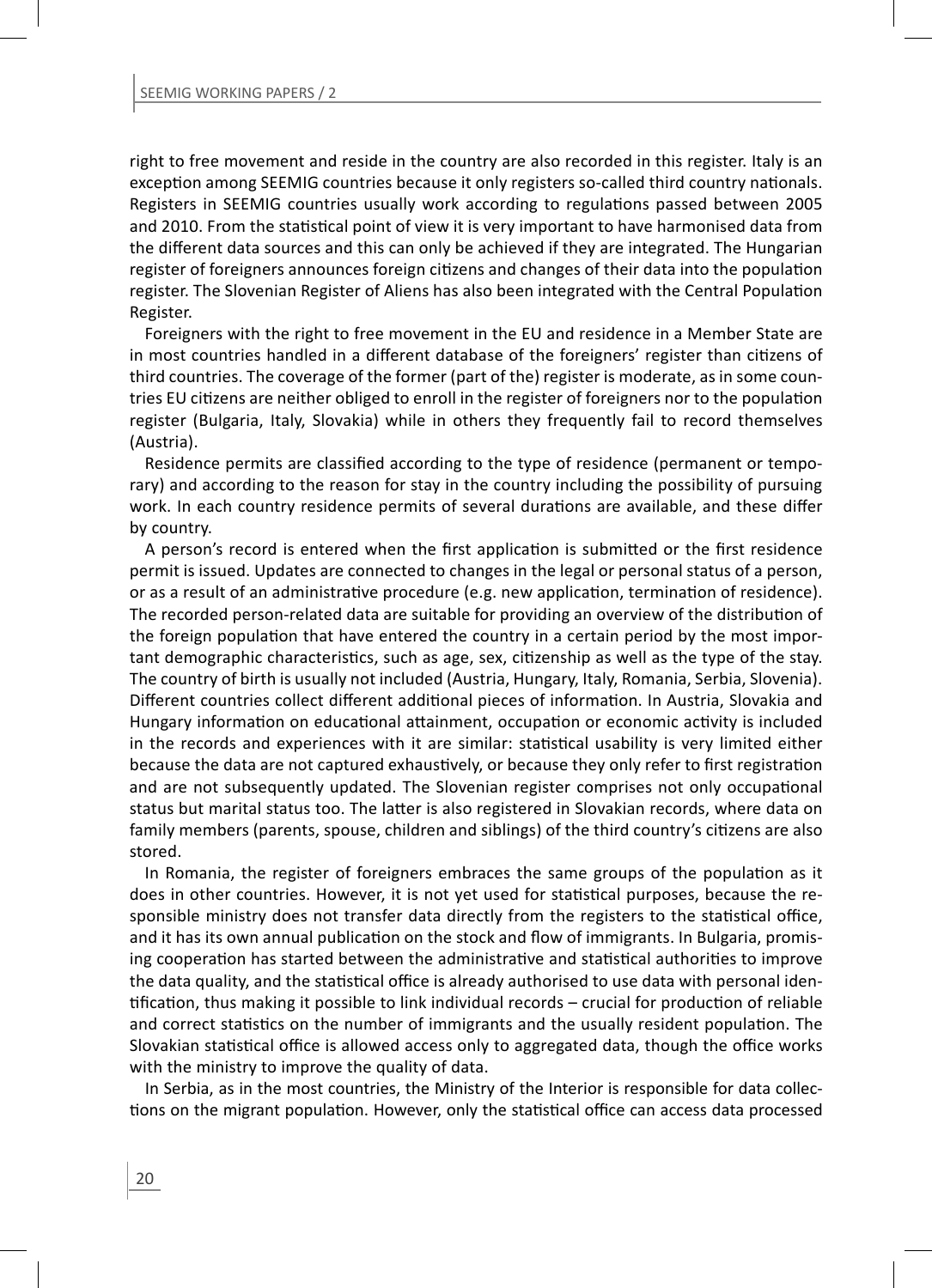right to free movement and reside in the country are also recorded in this register. Italy is an exception among SEEMIG countries because it only registers so-called third country nationals. Registers in SEEMIG countries usually work according to regulations passed between 2005 and 2010. From the statistical point of view it is very important to have harmonised data from the different data sources and this can only be achieved if they are integrated. The Hungarian register of foreigners announces foreign citizens and changes of their data into the population register. The Slovenian Register of Aliens has also been integrated with the Central Population Register.

Foreigners with the right to free movement in the EU and residence in a Member State are in most countries handled in a different database of the foreigners' register than citizens of third countries. The coverage of the former (part of the) register is moderate, as in some countries EU citizens are neither obliged to enroll in the register of foreigners nor to the population register (Bulgaria, Italy, Slovakia) while in others they frequently fail to record themselves (Austria).

Residence permits are classified according to the type of residence (permanent or temporary) and according to the reason for stay in the country including the possibility of pursuing work. In each country residence permits of several durations are available, and these differ by country.

A person's record is entered when the first application is submitted or the first residence permit is issued. Updates are connected to changes in the legal or personal status of a person, or as a result of an administrative procedure (e.g. new application, termination of residence). The recorded person-related data are suitable for providing an overview of the distribution of the foreign population that have entered the country in a certain period by the most important demographic characteristics, such as age, sex, citizenship as well as the type of the stay. The country of birth is usually not included (Austria, Hungary, Italy, Romania, Serbia, Slovenia). Different countries collect different additional pieces of information. In Austria, Slovakia and Hungary information on educational attainment, occupation or economic activity is included in the records and experiences with it are similar: statistical usability is very limited either because the data are not captured exhaustively, or because they only refer to first registration and are not subsequently updated. The Slovenian register comprises not only occupational status but marital status too. The latter is also registered in Slovakian records, where data on family members (parents, spouse, children and siblings) of the third country's citizens are also stored.

In Romania, the register of foreigners embraces the same groups of the population as it does in other countries. However, it is not yet used for statistical purposes, because the responsible ministry does not transfer data directly from the registers to the statistical office, and it has its own annual publication on the stock and flow of immigrants. In Bulgaria, promising cooperation has started between the administrative and statistical authorities to improve the data quality, and the statistical office is already authorised to use data with personal identification, thus making it possible to link individual records – crucial for production of reliable and correct statistics on the number of immigrants and the usually resident population. The Slovakian statistical office is allowed access only to aggregated data, though the office works with the ministry to improve the quality of data.

In Serbia, as in the most countries, the Ministry of the Interior is responsible for data collections on the migrant population. However, only the statistical office can access data processed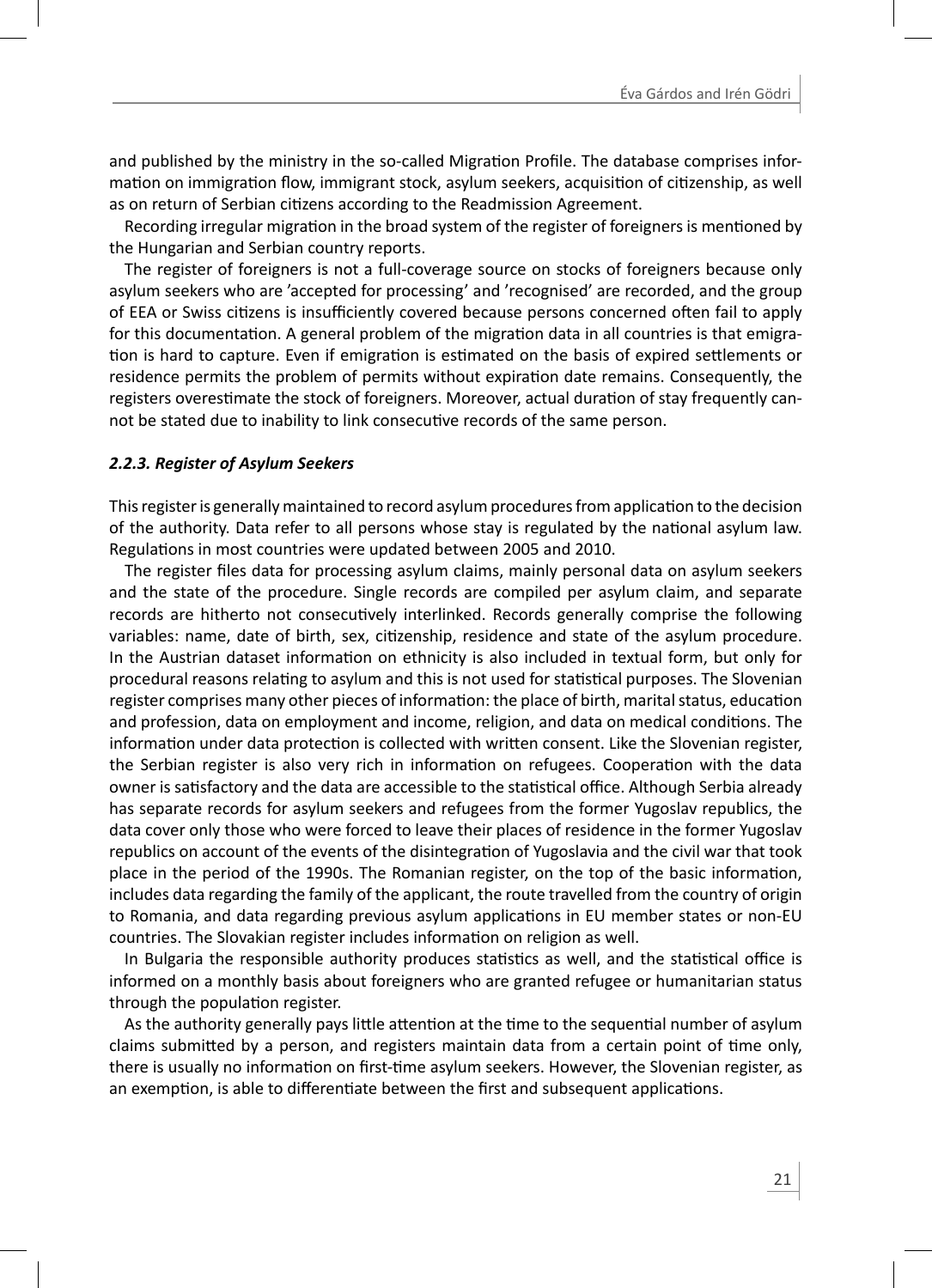and published by the ministry in the so-called Migration Profile. The database comprises information on immigration flow, immigrant stock, asylum seekers, acquisition of citizenship, as well as on return of Serbian citizens according to the Readmission Agreement.

Recording irregular migration in the broad system of the register of foreigners is mentioned by the Hungarian and Serbian country reports.

The register of foreigners is not a full-coverage source on stocks of foreigners because only asylum seekers who are 'accepted for processing' and 'recognised' are recorded, and the group of EEA or Swiss citizens is insufficiently covered because persons concerned often fail to apply for this documentation. A general problem of the migration data in all countries is that emigration is hard to capture. Even if emigration is estimated on the basis of expired settlements or residence permits the problem of permits without expiration date remains. Consequently, the registers overestimate the stock of foreigners. Moreover, actual duration of stay frequently cannot be stated due to inability to link consecutive records of the same person.

#### *2.2.3. Register of Asylum Seekers*

This register is generally maintained to record asylum procedures from application to the decision of the authority. Data refer to all persons whose stay is regulated by the national asylum law. Regulations in most countries were updated between 2005 and 2010.

The register files data for processing asylum claims, mainly personal data on asylum seekers and the state of the procedure. Single records are compiled per asylum claim, and separate records are hitherto not consecutively interlinked. Records generally comprise the following variables: name, date of birth, sex, citizenship, residence and state of the asylum procedure. In the Austrian dataset information on ethnicity is also included in textual form, but only for procedural reasons relating to asylum and this is not used for statistical purposes. The Slovenian register comprises many other pieces of information: the place of birth, marital status, education and profession, data on employment and income, religion, and data on medical conditions. The information under data protection is collected with written consent. Like the Slovenian register, the Serbian register is also very rich in information on refugees. Cooperation with the data owner is satisfactory and the data are accessible to the statistical office. Although Serbia already has separate records for asylum seekers and refugees from the former Yugoslav republics, the data cover only those who were forced to leave their places of residence in the former Yugoslav republics on account of the events of the disintegration of Yugoslavia and the civil war that took place in the period of the 1990s. The Romanian register, on the top of the basic information, includes data regarding the family of the applicant, the route travelled from the country of origin to Romania, and data regarding previous asylum applications in EU member states or non-EU countries. The Slovakian register includes information on religion as well.

In Bulgaria the responsible authority produces statistics as well, and the statistical office is informed on a monthly basis about foreigners who are granted refugee or humanitarian status through the population register.

As the authority generally pays little attention at the time to the sequential number of asylum claims submitted by a person, and registers maintain data from a certain point of time only, there is usually no information on first-time asylum seekers. However, the Slovenian register, as an exemption, is able to differentiate between the first and subsequent applications.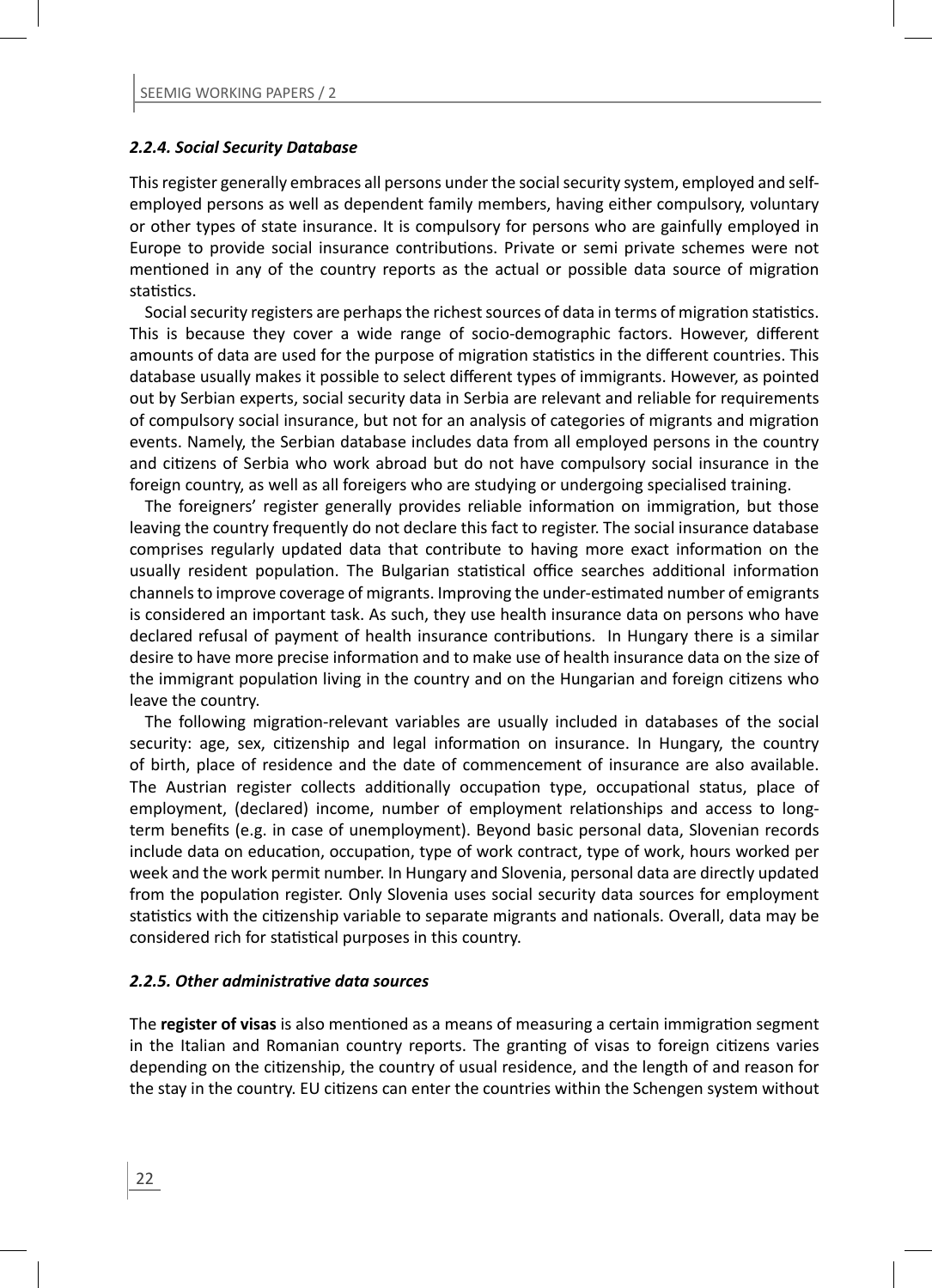#### *2.2.4. Social Security Database*

This register generally embraces all persons under the social security system, employed and selfemployed persons as well as dependent family members, having either compulsory, voluntary or other types of state insurance. It is compulsory for persons who are gainfully employed in Europe to provide social insurance contributions. Private or semi private schemes were not mentioned in any of the country reports as the actual or possible data source of migration statistics.

Social security registers are perhaps the richest sources of data in terms of migration statistics. This is because they cover a wide range of socio-demographic factors. However, different amounts of data are used for the purpose of migration statistics in the different countries. This database usually makes it possible to select different types of immigrants. However, as pointed out by Serbian experts, social security data in Serbia are relevant and reliable for requirements of compulsory social insurance, but not for an analysis of categories of migrants and migration events. Namely, the Serbian database includes data from all employed persons in the country and citizens of Serbia who work abroad but do not have compulsory social insurance in the foreign country, as well as all foreigers who are studying or undergoing specialised training.

The foreigners' register generally provides reliable information on immigration, but those leaving the country frequently do not declare this fact to register. The social insurance database comprises regularly updated data that contribute to having more exact information on the usually resident population. The Bulgarian statistical office searches additional information channels to improve coverage of migrants. Improving the under-estimated number of emigrants is considered an important task. As such, they use health insurance data on persons who have declared refusal of payment of health insurance contributions. In Hungary there is a similar desire to have more precise information and to make use of health insurance data on the size of the immigrant population living in the country and on the Hungarian and foreign citizens who leave the country.

The following migration-relevant variables are usually included in databases of the social security: age, sex, citizenship and legal information on insurance. In Hungary, the country of birth, place of residence and the date of commencement of insurance are also available. The Austrian register collects additionally occupation type, occupational status, place of employment, (declared) income, number of employment relationships and access to longterm benefits (e.g. in case of unemployment). Beyond basic personal data, Slovenian records include data on education, occupation, type of work contract, type of work, hours worked per week and the work permit number. In Hungary and Slovenia, personal data are directly updated from the population register. Only Slovenia uses social security data sources for employment statistics with the citizenship variable to separate migrants and nationals. Overall, data may be considered rich for statistical purposes in this country.

#### *2.2.5. Other administraƟ ve data sources*

The **register of visas** is also mentioned as a means of measuring a certain immigration segment in the Italian and Romanian country reports. The granting of visas to foreign citizens varies depending on the citizenship, the country of usual residence, and the length of and reason for the stay in the country. EU citizens can enter the countries within the Schengen system without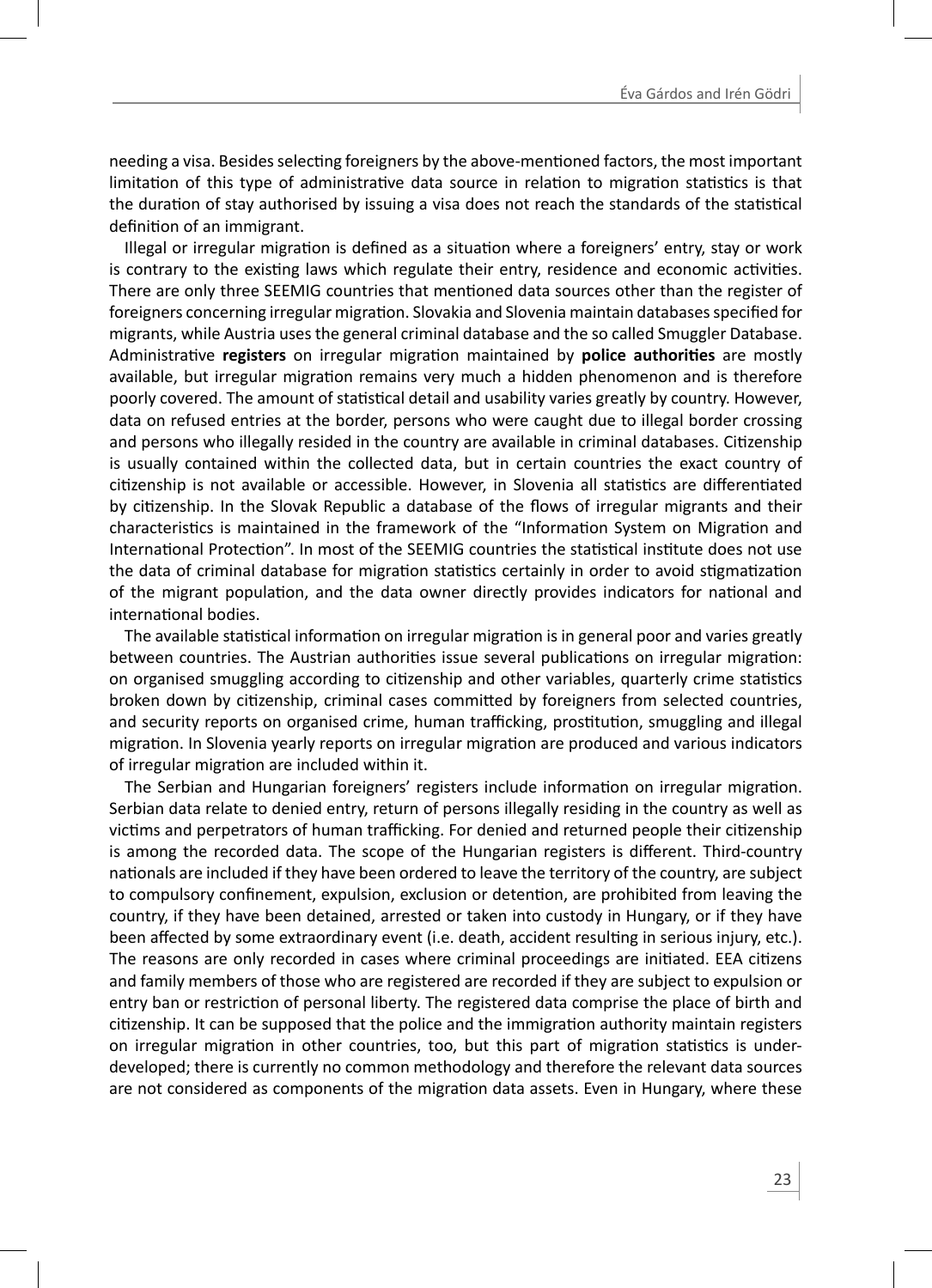needing a visa. Besides selecting foreigners by the above-mentioned factors, the most important limitation of this type of administrative data source in relation to migration statistics is that the duration of stay authorised by issuing a visa does not reach the standards of the statistical definition of an immigrant.

Illegal or irregular migration is defined as a situation where a foreigners' entry, stay or work is contrary to the existing laws which regulate their entry, residence and economic activities. There are only three SEEMIG countries that mentioned data sources other than the register of foreigners concerning irregular migration. Slovakia and Slovenia maintain databases specified for migrants, while Austria uses the general criminal database and the so called Smuggler Database. Administrative **registers** on irregular migration maintained by **police authorities** are mostly available, but irregular migration remains very much a hidden phenomenon and is therefore poorly covered. The amount of statistical detail and usability varies greatly by country. However, data on refused entries at the border, persons who were caught due to illegal border crossing and persons who illegally resided in the country are available in criminal databases. Citizenship is usually contained within the collected data, but in certain countries the exact country of citizenship is not available or accessible. However, in Slovenia all statistics are differentiated by citizenship. In the Slovak Republic a database of the flows of irregular migrants and their characteristics is maintained in the framework of the "Information System on Migration and International Protection". In most of the SEEMIG countries the statistical institute does not use the data of criminal database for migration statistics certainly in order to avoid stigmatization of the migrant population, and the data owner directly provides indicators for national and international bodies.

The available statistical information on irregular migration is in general poor and varies greatly between countries. The Austrian authorities issue several publications on irregular migration: on organised smuggling according to citizenship and other variables, quarterly crime statistics broken down by citizenship, criminal cases committed by foreigners from selected countries, and security reports on organised crime, human trafficking, prostitution, smuggling and illegal migration. In Slovenia yearly reports on irregular migration are produced and various indicators of irregular migration are included within it.

The Serbian and Hungarian foreigners' registers include information on irregular migration. Serbian data relate to denied entry, return of persons illegally residing in the country as well as victims and perpetrators of human trafficking. For denied and returned people their citizenship is among the recorded data. The scope of the Hungarian registers is different. Third-country nationals are included if they have been ordered to leave the territory of the country, are subject to compulsory confinement, expulsion, exclusion or detention, are prohibited from leaving the country, if they have been detained, arrested or taken into custody in Hungary, or if they have been affected by some extraordinary event (i.e. death, accident resulting in serious injury, etc.). The reasons are only recorded in cases where criminal proceedings are initiated. EEA citizens and family members of those who are registered are recorded if they are subject to expulsion or entry ban or restriction of personal liberty. The registered data comprise the place of birth and citizenship. It can be supposed that the police and the immigration authority maintain registers on irregular migration in other countries, too, but this part of migration statistics is underdeveloped; there is currently no common methodology and therefore the relevant data sources are not considered as components of the migration data assets. Even in Hungary, where these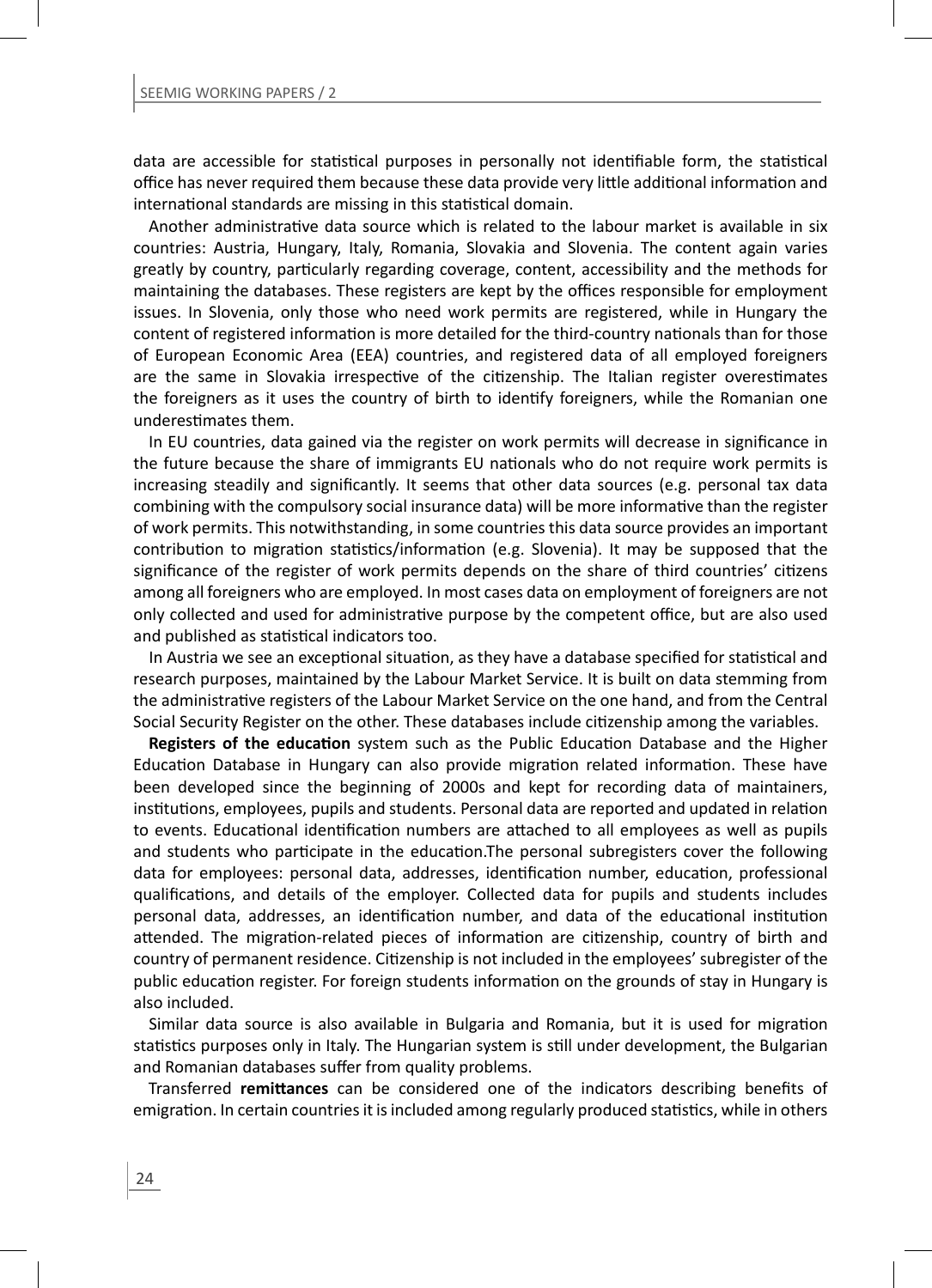data are accessible for statistical purposes in personally not identifiable form, the statistical office has never required them because these data provide very little additional information and international standards are missing in this statistical domain.

Another administrative data source which is related to the labour market is available in six countries: Austria, Hungary, Italy, Romania, Slovakia and Slovenia. The content again varies greatly by country, particularly regarding coverage, content, accessibility and the methods for maintaining the databases. These registers are kept by the offices responsible for employment issues. In Slovenia, only those who need work permits are registered, while in Hungary the content of registered information is more detailed for the third-country nationals than for those of European Economic Area (EEA) countries, and registered data of all employed foreigners are the same in Slovakia irrespective of the citizenship. The Italian register overestimates the foreigners as it uses the country of birth to identify foreigners, while the Romanian one underestimates them.

In EU countries, data gained via the register on work permits will decrease in significance in the future because the share of immigrants EU nationals who do not require work permits is increasing steadily and significantly. It seems that other data sources (e.g. personal tax data combining with the compulsory social insurance data) will be more informative than the register of work permits. This notwithstanding, in some countries this data source provides an important contribution to migration statistics/information (e.g. Slovenia). It may be supposed that the significance of the register of work permits depends on the share of third countries' citizens among all foreigners who are employed. In most cases data on employment of foreigners are not only collected and used for administrative purpose by the competent office, but are also used and published as statistical indicators too.

In Austria we see an exceptional situation, as they have a database specified for statistical and research purposes, maintained by the Labour Market Service. It is built on data stemming from the administrative registers of the Labour Market Service on the one hand, and from the Central Social Security Register on the other. These databases include citizenship among the variables.

**Registers of the education** system such as the Public Education Database and the Higher Education Database in Hungary can also provide migration related information. These have been developed since the beginning of 2000s and kept for recording data of maintainers, institutions, employees, pupils and students. Personal data are reported and updated in relation to events. Educational identification numbers are attached to all employees as well as pupils and students who participate in the education. The personal subregisters cover the following data for employees: personal data, addresses, identification number, education, professional qualifications, and details of the employer. Collected data for pupils and students includes personal data, addresses, an identification number, and data of the educational institution attended. The migration-related pieces of information are citizenship, country of birth and country of permanent residence. Citizenship is not included in the employees' subregister of the public education register. For foreign students information on the grounds of stay in Hungary is also included.

Similar data source is also available in Bulgaria and Romania, but it is used for migration statistics purposes only in Italy. The Hungarian system is still under development, the Bulgarian and Romanian databases suffer from quality problems.

Transferred **remittances** can be considered one of the indicators describing benefits of emigration. In certain countries it is included among regularly produced statistics, while in others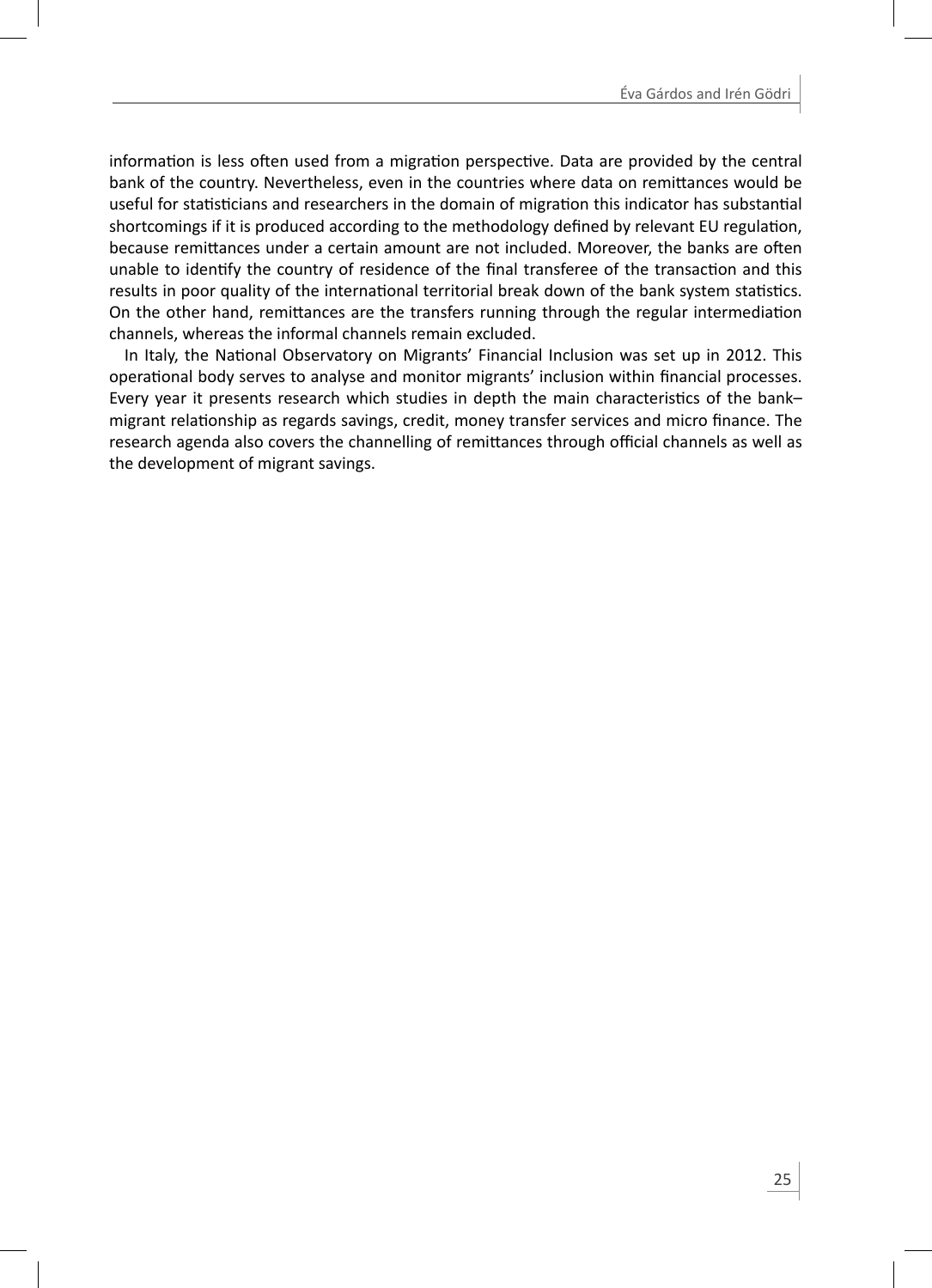information is less often used from a migration perspective. Data are provided by the central bank of the country. Nevertheless, even in the countries where data on remittances would be useful for statisticians and researchers in the domain of migration this indicator has substantial shortcomings if it is produced according to the methodology defined by relevant EU regulation. because remittances under a certain amount are not included. Moreover, the banks are often unable to identify the country of residence of the final transferee of the transaction and this results in poor quality of the international territorial break down of the bank system statistics. On the other hand, remittances are the transfers running through the regular intermediation channels, whereas the informal channels remain excluded.

In Italy, the National Observatory on Migrants' Financial Inclusion was set up in 2012. This operational body serves to analyse and monitor migrants' inclusion within financial processes. Every year it presents research which studies in depth the main characteristics of the bankmigrant relationship as regards savings, credit, money transfer services and micro finance. The research agenda also covers the channelling of remittances through official channels as well as the development of migrant savings.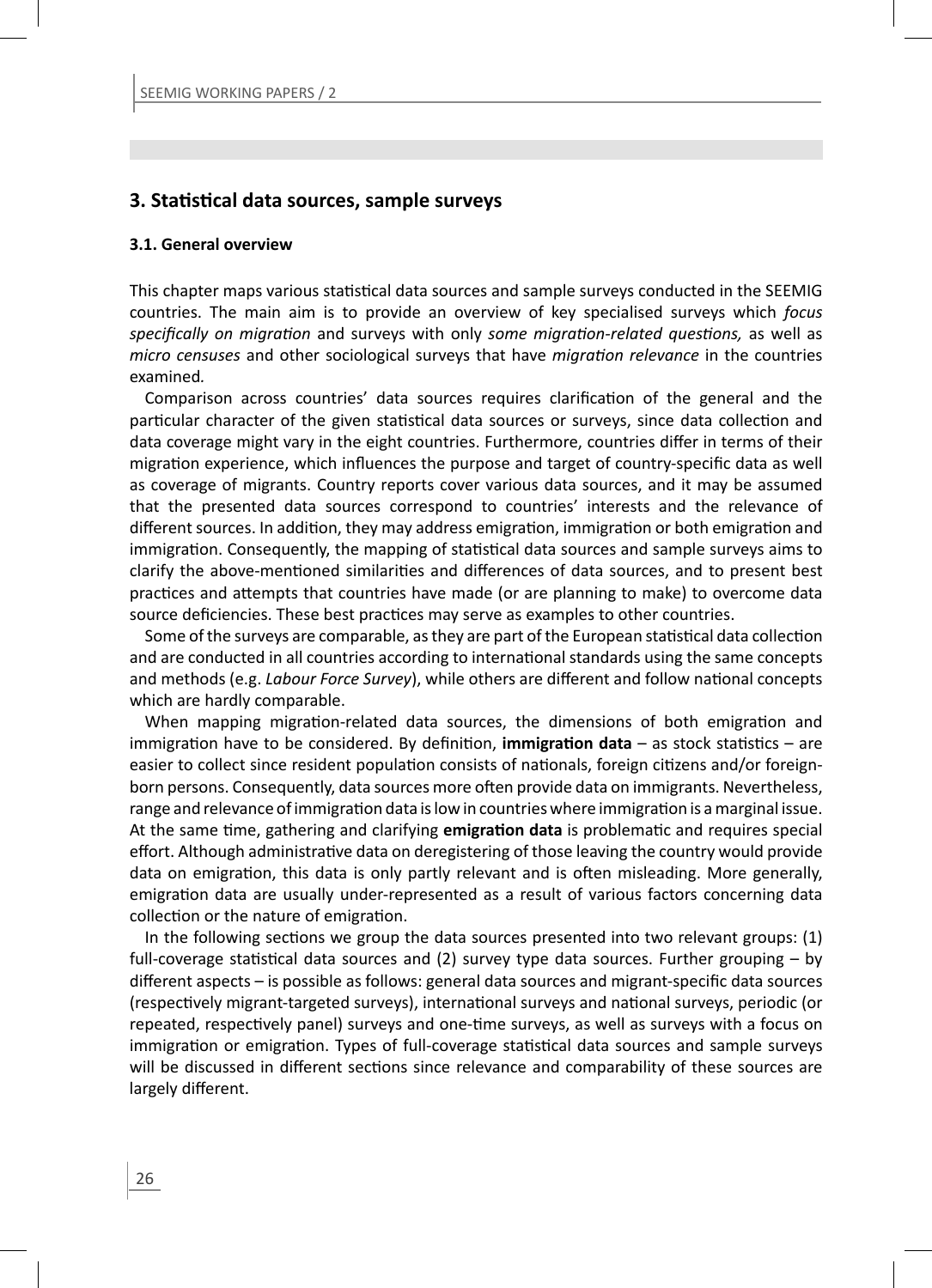## **3. StaƟ sƟ cal data sources, sample surveys**

#### **3.1. General overview**

This chapter maps various statistical data sources and sample surveys conducted in the SEEMIG countries. The main aim is to provide an overview of key specialised surveys which *focus specifically on migration* and surveys with only *some migration-related questions*, as well as *micro censuses* and other sociological surveys that have *migration relevance* in the countries examined*.*

Comparison across countries' data sources requires clarification of the general and the particular character of the given statistical data sources or surveys, since data collection and data coverage might vary in the eight countries. Furthermore, countries differ in terms of their migration experience, which influences the purpose and target of country-specific data as well as coverage of migrants. Country reports cover various data sources, and it may be assumed that the presented data sources correspond to countries' interests and the relevance of different sources. In addition, they may address emigration, immigration or both emigration and immigration. Consequently, the mapping of statistical data sources and sample surveys aims to clarify the above-mentioned similarities and differences of data sources, and to present best practices and attempts that countries have made (or are planning to make) to overcome data source deficiencies. These best practices may serve as examples to other countries.

Some of the surveys are comparable, as they are part of the European statistical data collection and are conducted in all countries according to international standards using the same concepts and methods (e.g. *Labour Force Survey*), while others are different and follow national concepts which are hardly comparable.

When mapping migration-related data sources, the dimensions of both emigration and immigration have to be considered. By definition, **immigration data** – as stock statistics – are easier to collect since resident population consists of nationals, foreign citizens and/or foreignborn persons. Consequently, data sources more often provide data on immigrants. Nevertheless, range and relevance of immigration data is low in countries where immigration is a marginal issue. At the same time, gathering and clarifying **emigration data** is problematic and requires special effort. Although administrative data on deregistering of those leaving the country would provide data on emigration, this data is only partly relevant and is often misleading. More generally, emigration data are usually under-represented as a result of various factors concerning data collection or the nature of emigration.

In the following sections we group the data sources presented into two relevant groups:  $(1)$ full-coverage statistical data sources and (2) survey type data sources. Further grouping - by different aspects – is possible as follows: general data sources and migrant-specific data sources (respectively migrant-targeted surveys), international surveys and national surveys, periodic (or repeated, respectively panel) surveys and one-time surveys, as well as surveys with a focus on immigration or emigration. Types of full-coverage statistical data sources and sample surveys will be discussed in different sections since relevance and comparability of these sources are largely different.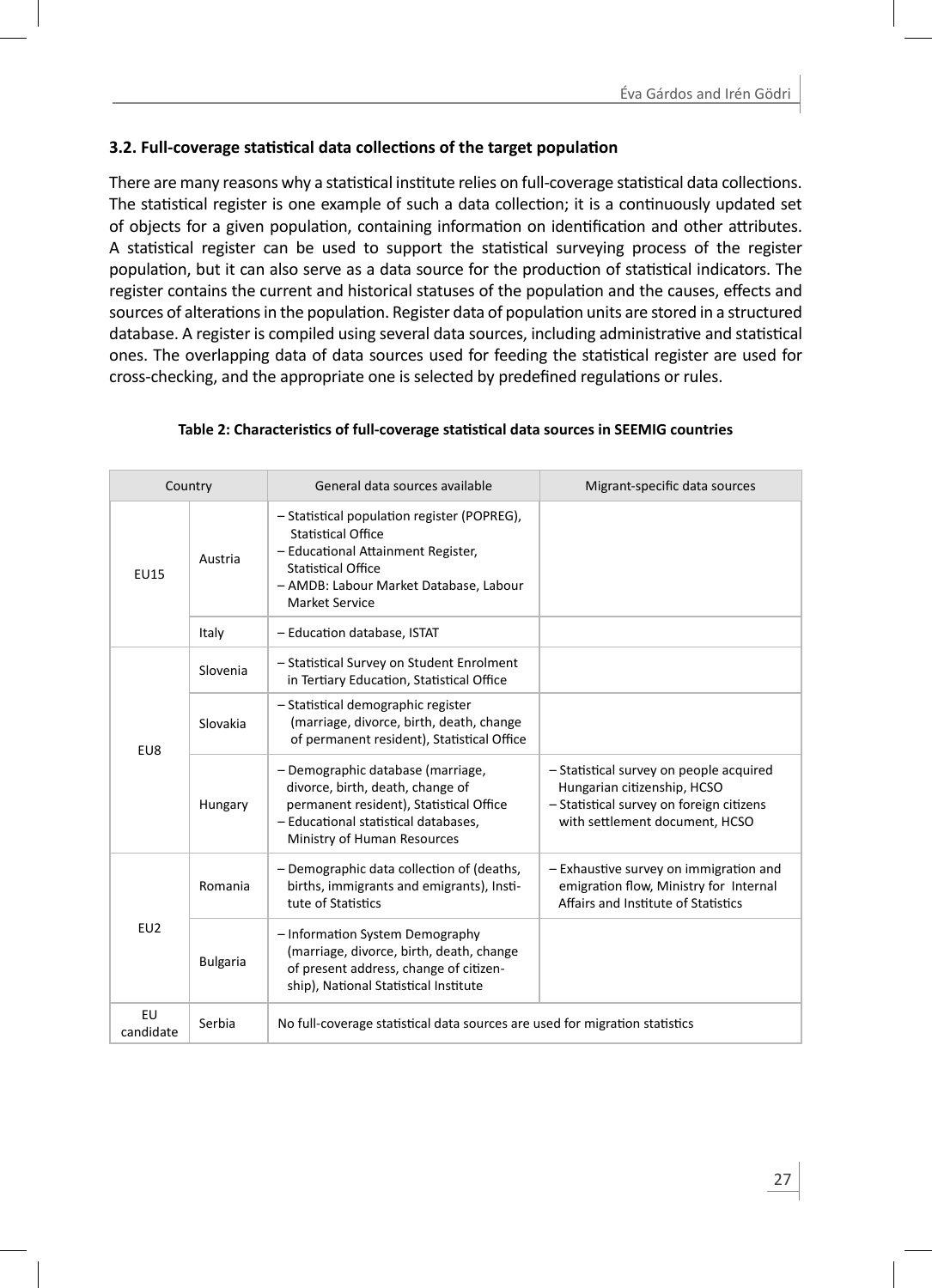## **3.2. Full-coverage staƟ sƟ cal data collecƟ ons of the target populaƟ on**

There are many reasons why a statistical institute relies on full-coverage statistical data collections. The statistical register is one example of such a data collection; it is a continuously updated set of objects for a given population, containing information on identification and other attributes. A statistical register can be used to support the statistical surveying process of the register population, but it can also serve as a data source for the production of statistical indicators. The register contains the current and historical statuses of the population and the causes, effects and sources of alterations in the population. Register data of population units are stored in a structured database. A register is compiled using several data sources, including administrative and statistical ones. The overlapping data of data sources used for feeding the statistical register are used for cross-checking, and the appropriate one is selected by predefined regulations or rules.

|                 | Country         | General data sources available                                                                                                                                                                   | Migrant-specific data sources                                                                                                                        |
|-----------------|-----------------|--------------------------------------------------------------------------------------------------------------------------------------------------------------------------------------------------|------------------------------------------------------------------------------------------------------------------------------------------------------|
| <b>EU15</b>     | Austria         | - Statistical population register (POPREG),<br><b>Statistical Office</b><br>- Educational Attainment Register,<br>Statistical Office<br>- AMDB: Labour Market Database, Labour<br>Market Service |                                                                                                                                                      |
|                 | Italy           | - Education database, ISTAT                                                                                                                                                                      |                                                                                                                                                      |
|                 | Slovenia        | - Statistical Survey on Student Enrolment<br>in Tertiary Education, Statistical Office                                                                                                           |                                                                                                                                                      |
| EU8             | Slovakia        | - Statistical demographic register<br>(marriage, divorce, birth, death, change<br>of permanent resident), Statistical Office                                                                     |                                                                                                                                                      |
|                 | Hungary         | - Demographic database (marriage,<br>divorce, birth, death, change of<br>permanent resident), Statistical Office<br>- Educational statistical databases.<br>Ministry of Human Resources          | - Statistical survey on people acquired<br>Hungarian citizenship, HCSO<br>- Statistical survey on foreign citizens<br>with settlement document, HCSO |
| EU2             | Romania         | - Demographic data collection of (deaths,<br>births, immigrants and emigrants), Insti-<br>tute of Statistics                                                                                     | - Exhaustive survey on immigration and<br>emigration flow, Ministry for Internal<br>Affairs and Institute of Statistics                              |
|                 | <b>Bulgaria</b> | - Information System Demography<br>(marriage, divorce, birth, death, change<br>of present address, change of citizen-<br>ship), National Statistical Institute                                   |                                                                                                                                                      |
| EU<br>candidate | Serbia          | No full-coverage statistical data sources are used for migration statistics                                                                                                                      |                                                                                                                                                      |

#### **Table 2: CharacterisƟ cs of full-coverage staƟ sƟ cal data sources in SEEMIG countries**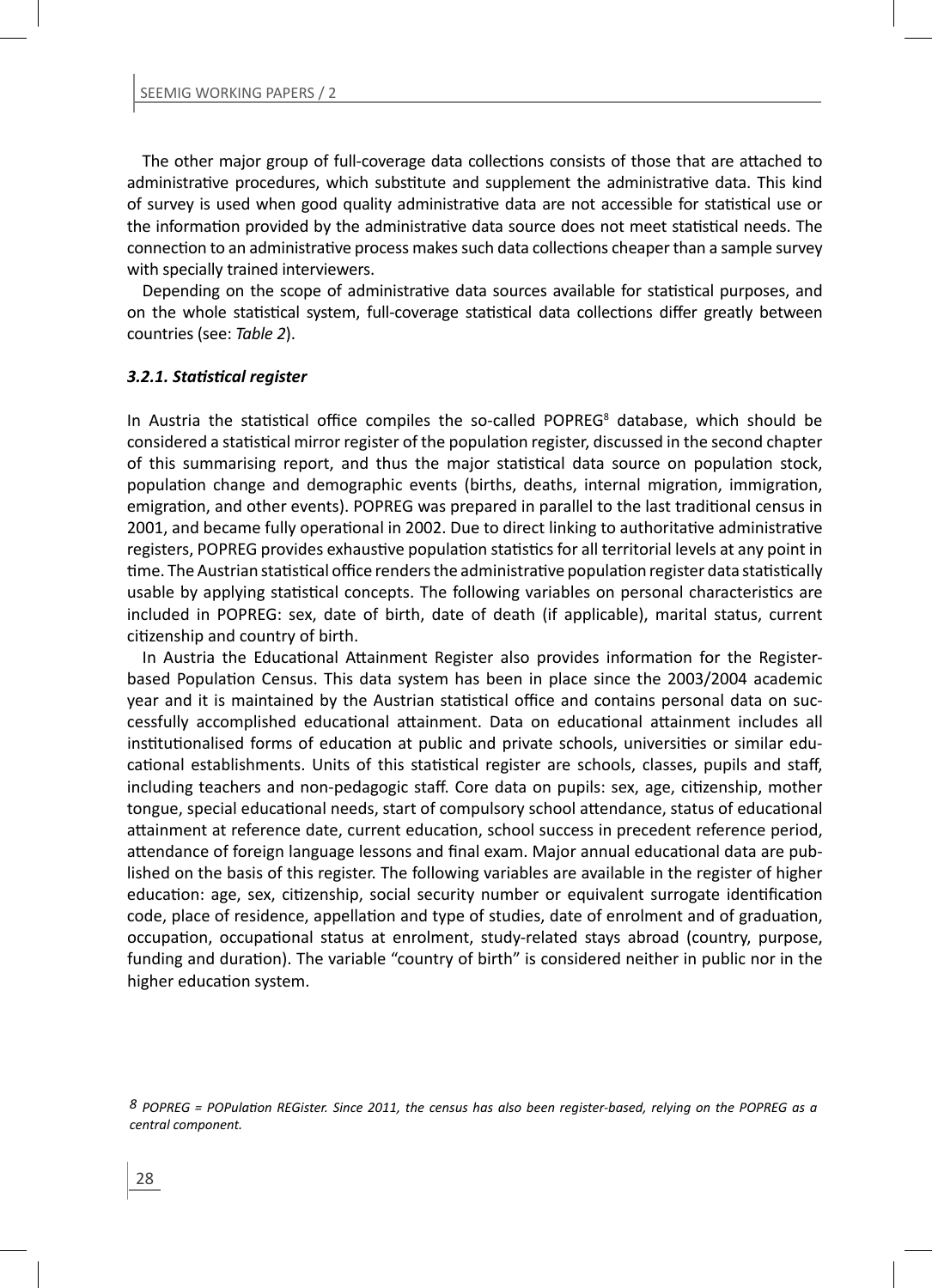The other major group of full-coverage data collections consists of those that are attached to administrative procedures, which substitute and supplement the administrative data. This kind of survey is used when good quality administrative data are not accessible for statistical use or the information provided by the administrative data source does not meet statistical needs. The connection to an administrative process makes such data collections cheaper than a sample survey with specially trained interviewers.

Depending on the scope of administrative data sources available for statistical purposes, and on the whole statistical system, full-coverage statistical data collections differ greatly between countries (see: *Table 2*).

#### *3.2.1. StaƟ sƟ cal register*

In Austria the statistical office compiles the so-called POPREG<sup>8</sup> database, which should be considered a statistical mirror register of the population register, discussed in the second chapter of this summarising report, and thus the major statistical data source on population stock, population change and demographic events (births, deaths, internal migration, immigration, emigration, and other events). POPREG was prepared in parallel to the last traditional census in 2001, and became fully operational in 2002. Due to direct linking to authoritative administrative registers, POPREG provides exhaustive population statistics for all territorial levels at any point in time. The Austrian statistical office renders the administrative population register data statistically usable by applying statistical concepts. The following variables on personal characteristics are included in POPREG: sex, date of birth, date of death (if applicable), marital status, current citizenship and country of birth.

In Austria the Educational Attainment Register also provides information for the Registerbased Population Census. This data system has been in place since the 2003/2004 academic year and it is maintained by the Austrian statistical office and contains personal data on successfully accomplished educational attainment. Data on educational attainment includes all institutionalised forms of education at public and private schools, universities or similar educational establishments. Units of this statistical register are schools, classes, pupils and staff, including teachers and non-pedagogic staff. Core data on pupils: sex, age, citizenship, mother tongue, special educational needs, start of compulsory school attendance, status of educational attainment at reference date, current education, school success in precedent reference period, attendance of foreign language lessons and final exam. Major annual educational data are published on the basis of this register. The following variables are available in the register of higher education: age, sex, citizenship, social security number or equivalent surrogate identification code, place of residence, appellation and type of studies, date of enrolment and of graduation, occupation, occupational status at enrolment, study-related stays abroad (country, purpose, funding and duration). The variable "country of birth" is considered neither in public nor in the higher education system.

*<sup>8</sup> POPREG = POPulaƟ on REGister. Since 2011, the census has also been register-based, relying on the POPREG as a central component.*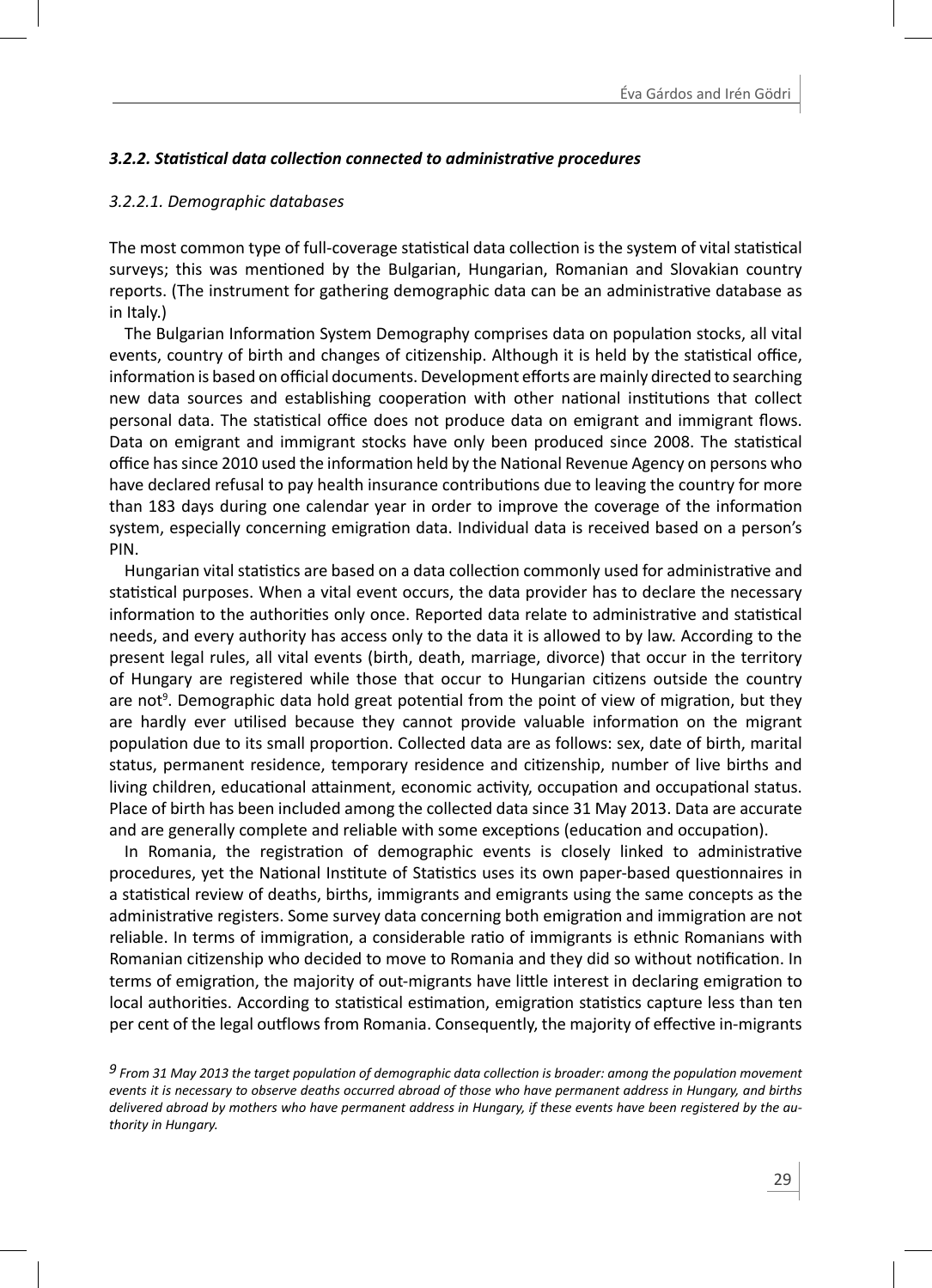#### *3.2.2. StaƟ sƟ cal data collecƟ on connected to administraƟ ve procedures*

#### *3.2.2.1. Demographic databases*

The most common type of full-coverage statistical data collection is the system of vital statistical surveys; this was mentioned by the Bulgarian, Hungarian, Romanian and Slovakian country reports. (The instrument for gathering demographic data can be an administrative database as in Italy.)

The Bulgarian Information System Demography comprises data on population stocks, all vital events, country of birth and changes of citizenship. Although it is held by the statistical office, information is based on official documents. Development efforts are mainly directed to searching new data sources and establishing cooperation with other national institutions that collect personal data. The statistical office does not produce data on emigrant and immigrant flows. Data on emigrant and immigrant stocks have only been produced since 2008. The statistical office has since 2010 used the information held by the National Revenue Agency on persons who have declared refusal to pay health insurance contributions due to leaving the country for more than 183 days during one calendar year in order to improve the coverage of the information system, especially concerning emigration data. Individual data is received based on a person's PIN.

Hungarian vital statistics are based on a data collection commonly used for administrative and statistical purposes. When a vital event occurs, the data provider has to declare the necessary information to the authorities only once. Reported data relate to administrative and statistical needs, and every authority has access only to the data it is allowed to by law. According to the present legal rules, all vital events (birth, death, marriage, divorce) that occur in the territory of Hungary are registered while those that occur to Hungarian citizens outside the country are not<sup>9</sup>. Demographic data hold great potential from the point of view of migration, but they are hardly ever utilised because they cannot provide valuable information on the migrant population due to its small proportion. Collected data are as follows: sex, date of birth, marital status, permanent residence, temporary residence and citizenship, number of live births and living children, educational attainment, economic activity, occupation and occupational status. Place of birth has been included among the collected data since 31 May 2013. Data are accurate and are generally complete and reliable with some exceptions (education and occupation).

In Romania, the registration of demographic events is closely linked to administrative procedures, yet the National Institute of Statistics uses its own paper-based questionnaires in a statistical review of deaths, births, immigrants and emigrants using the same concepts as the administrative registers. Some survey data concerning both emigration and immigration are not reliable. In terms of immigration, a considerable ratio of immigrants is ethnic Romanians with Romanian citizenship who decided to move to Romania and they did so without notification. In terms of emigration, the majority of out-migrants have little interest in declaring emigration to local authorities. According to statistical estimation, emigration statistics capture less than ten per cent of the legal outflows from Romania. Consequently, the majority of effective in-migrants

*<sup>9</sup> From 31 May 2013 the target population of demographic data collection is broader: among the population movement events it is necessary to observe deaths occurred abroad of those who have permanent address in Hungary, and births delivered abroad by mothers who have permanent address in Hungary, if these events have been registered by the authority in Hungary.*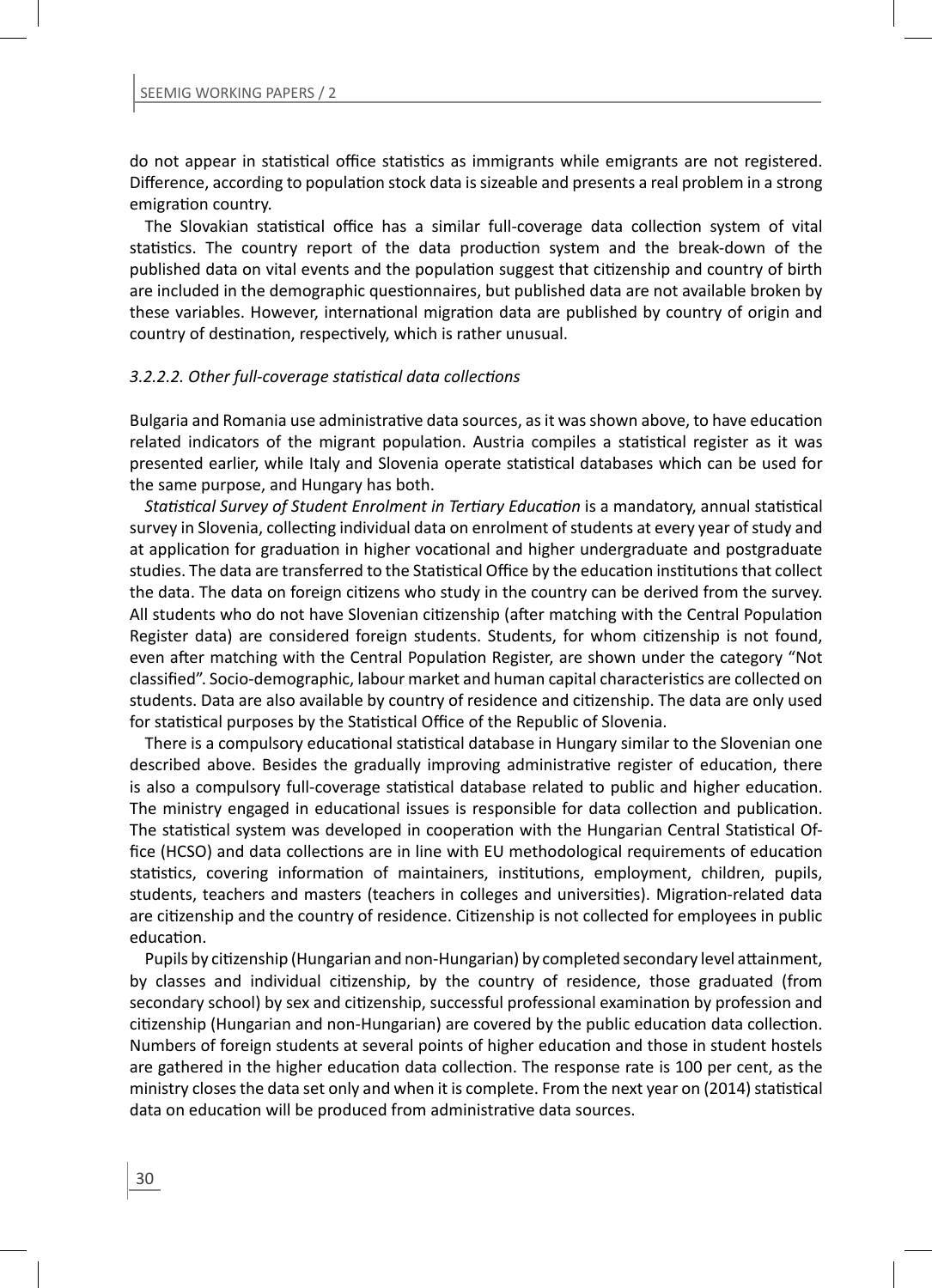do not appear in statistical office statistics as immigrants while emigrants are not registered. Difference, according to population stock data is sizeable and presents a real problem in a strong emigration country.

The Slovakian statistical office has a similar full-coverage data collection system of vital statistics. The country report of the data production system and the break-down of the published data on vital events and the population suggest that citizenship and country of birth are included in the demographic questionnaires, but published data are not available broken by these variables. However, international migration data are published by country of origin and country of destination, respectively, which is rather unusual.

#### *3.2.2.2. Other full-coverage staƟ sƟ cal data collecƟ ons*

Bulgaria and Romania use administrative data sources, as it was shown above, to have education related indicators of the migrant population. Austria compiles a statistical register as it was presented earlier, while Italy and Slovenia operate statistical databases which can be used for the same purpose, and Hungary has both.

*Statistical Survey of Student Enrolment in Tertiary Education is a mandatory, annual statistical* survey in Slovenia, collecting individual data on enrolment of students at every year of study and at application for graduation in higher vocational and higher undergraduate and postgraduate studies. The data are transferred to the Statistical Office by the education institutions that collect the data. The data on foreign citizens who study in the country can be derived from the survey. All students who do not have Slovenian citizenship (after matching with the Central Population Register data) are considered foreign students. Students, for whom citizenship is not found, even after matching with the Central Population Register, are shown under the category "Not classified". Socio-demographic, labour market and human capital characteristics are collected on students. Data are also available by country of residence and citizenship. The data are only used for statistical purposes by the Statistical Office of the Republic of Slovenia.

There is a compulsory educational statistical database in Hungary similar to the Slovenian one described above. Besides the gradually improving administrative register of education, there is also a compulsory full-coverage statistical database related to public and higher education. The ministry engaged in educational issues is responsible for data collection and publication. The statistical system was developed in cooperation with the Hungarian Central Statistical Office (HCSO) and data collections are in line with EU methodological requirements of education statistics, covering information of maintainers, institutions, employment, children, pupils, students, teachers and masters (teachers in colleges and universities). Migration-related data are citizenship and the country of residence. Citizenship is not collected for employees in public education.

Pupils by citizenship (Hungarian and non-Hungarian) by completed secondary level attainment, by classes and individual citizenship, by the country of residence, those graduated (from secondary school) by sex and citizenship, successful professional examination by profession and citizenship (Hungarian and non-Hungarian) are covered by the public education data collection. Numbers of foreign students at several points of higher education and those in student hostels are gathered in the higher education data collection. The response rate is 100 per cent, as the ministry closes the data set only and when it is complete. From the next year on (2014) statistical data on education will be produced from administrative data sources.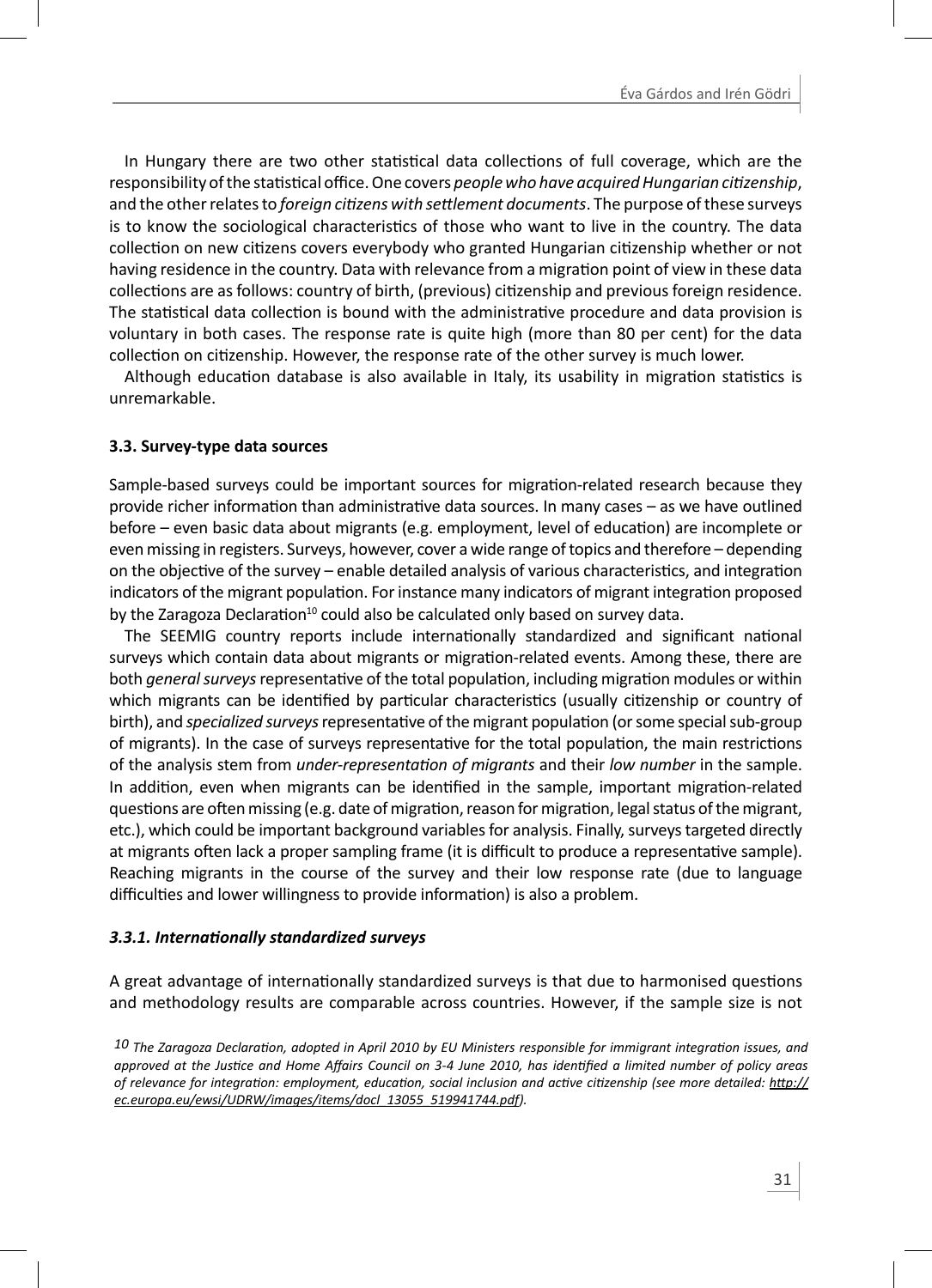In Hungary there are two other statistical data collections of full coverage, which are the responsibility of the statistical office. One covers *people who have acquired Hungarian citizenship*, and the other relates to *foreign citizens with settlement documents*. The purpose of these surveys is to know the sociological characteristics of those who want to live in the country. The data collection on new citizens covers everybody who granted Hungarian citizenship whether or not having residence in the country. Data with relevance from a migration point of view in these data collections are as follows: country of birth, (previous) citizenship and previous foreign residence. The statistical data collection is bound with the administrative procedure and data provision is voluntary in both cases. The response rate is quite high (more than 80 per cent) for the data collection on citizenship. However, the response rate of the other survey is much lower.

Although education database is also available in Italy, its usability in migration statistics is unremarkable.

#### **3.3. Survey-type data sources**

Sample-based surveys could be important sources for migration-related research because they provide richer information than administrative data sources. In many cases – as we have outlined before – even basic data about migrants (e.g. employment, level of education) are incomplete or even missing in registers. Surveys, however, cover a wide range of topics and therefore – depending on the objective of the survey – enable detailed analysis of various characteristics, and integration indicators of the migrant population. For instance many indicators of migrant integration proposed by the Zaragoza Declaration<sup>10</sup> could also be calculated only based on survey data.

The SEEMIG country reports include internationally standardized and significant national surveys which contain data about migrants or migration-related events. Among these, there are both *general surveys* representative of the total population, including migration modules or within which migrants can be identified by particular characteristics (usually citizenship or country of birth), and *specialized surveys* representative of the migrant population (or some special sub-group of migrants). In the case of surveys representative for the total population, the main restrictions of the analysis stem from *under-representaƟ on of migrants* and their *low number* in the sample. In addition, even when migrants can be identified in the sample, important migration-related questions are often missing (e.g. date of migration, reason for migration, legal status of the migrant, etc.), which could be important background variables for analysis. Finally, surveys targeted directly at migrants often lack a proper sampling frame (it is difficult to produce a representative sample). Reaching migrants in the course of the survey and their low response rate (due to language difficulties and lower willingness to provide information) is also a problem.

#### *3.3.1. InternaƟ onally standardized surveys*

A great advantage of internationally standardized surveys is that due to harmonised questions and methodology results are comparable across countries. However, if the sample size is not

*<sup>10</sup> The Zaragoza DeclaraƟ on, adopted in April 2010 by EU Ministers responsible for immigrant integraƟ on issues, and approved at the JusƟ ce and Home Aff airs Council on 3-4 June 2010, has idenƟfi ed a limited number of policy areas of relevance for integraƟ on: employment, educaƟ on, social inclusion and acƟ ve ciƟ zenship (see more detailed: hƩ p:// ec.europa.eu/ewsi/UDRW/images/items/docl\_13055\_519941744.pdf).*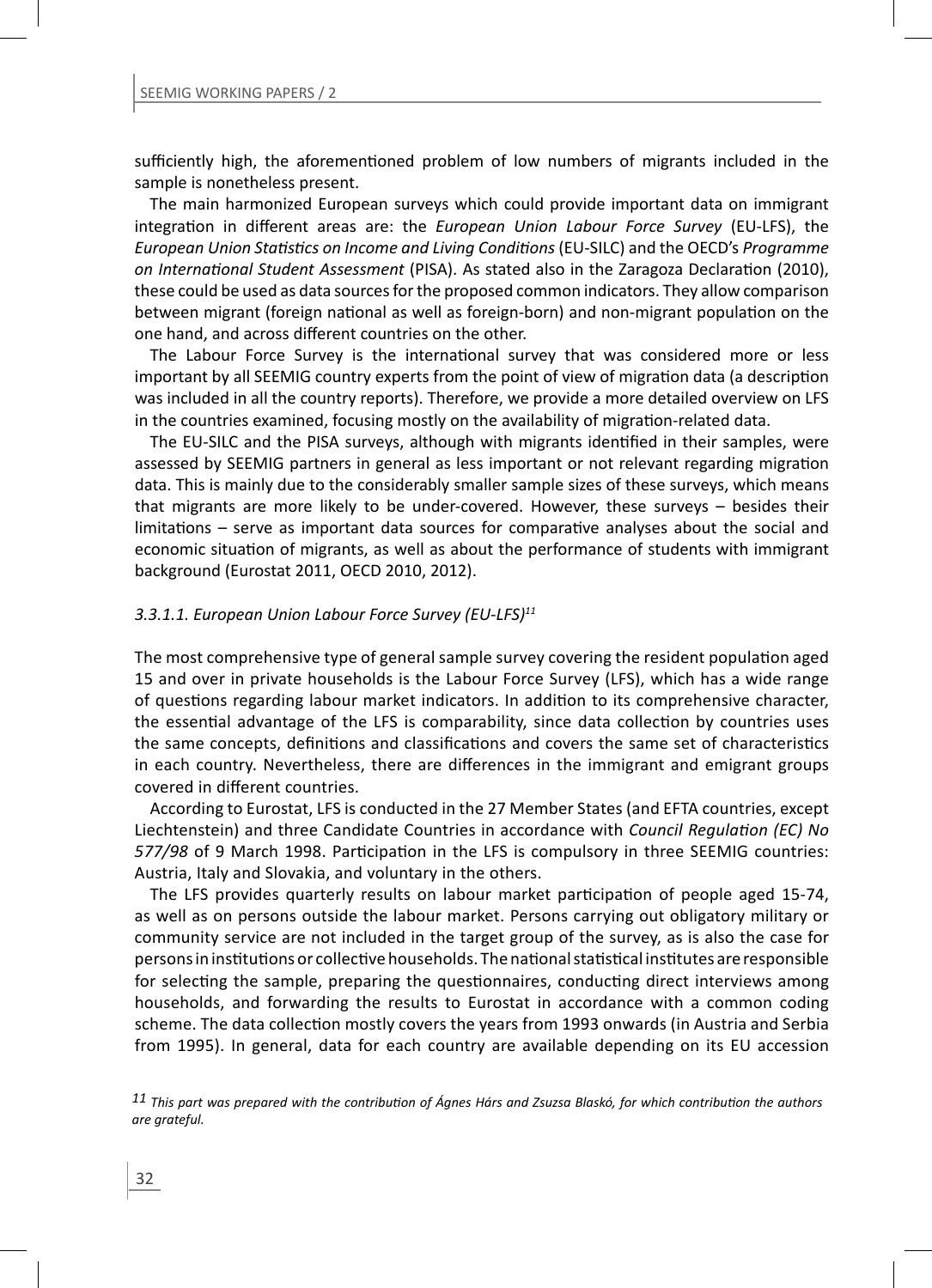sufficiently high, the aforementioned problem of low numbers of migrants included in the sample is nonetheless present.

The main harmonized European surveys which could provide important data on immigrant integration in different areas are: the *European Union Labour Force Survey* (EU-LFS), the *European Union StaƟ sƟ cs on Income and Living CondiƟ ons* (EU-SILC) and the OECD's *Programme on International Student Assessment* (PISA). As stated also in the Zaragoza Declaration (2010), these could be used as data sources for the proposed common indicators. They allow comparison between migrant (foreign national as well as foreign-born) and non-migrant population on the one hand, and across different countries on the other.

The Labour Force Survey is the international survey that was considered more or less important by all SEEMIG country experts from the point of view of migration data (a description was included in all the country reports). Therefore, we provide a more detailed overview on LFS in the countries examined, focusing mostly on the availability of migration-related data.

The EU-SILC and the PISA surveys, although with migrants identified in their samples, were assessed by SEEMIG partners in general as less important or not relevant regarding migration data. This is mainly due to the considerably smaller sample sizes of these surveys, which means that migrants are more likely to be under-covered. However, these surveys – besides their limitations – serve as important data sources for comparative analyses about the social and economic situation of migrants, as well as about the performance of students with immigrant background (Eurostat 2011, OECD 2010, 2012).

#### *3.3.1.1. European Union Labour Force Survey (EU-LFS)11*

The most comprehensive type of general sample survey covering the resident population aged 15 and over in private households is the Labour Force Survey (LFS), which has a wide range of questions regarding labour market indicators. In addition to its comprehensive character, the essential advantage of the LFS is comparability, since data collection by countries uses the same concepts, definitions and classifications and covers the same set of characteristics in each country. Nevertheless, there are differences in the immigrant and emigrant groups covered in different countries.

According to Eurostat, LFS is conducted in the 27 Member States (and EFTA countries, except Liechtenstein) and three Candidate Countries in accordance with *Council Regulation (EC) No 577/98* of 9 March 1998. Participation in the LFS is compulsory in three SEEMIG countries: Austria, Italy and Slovakia, and voluntary in the others.

The LFS provides quarterly results on labour market participation of people aged 15-74, as well as on persons outside the labour market. Persons carrying out obligatory military or community service are not included in the target group of the survey, as is also the case for persons in institutions or collective households. The national statistical institutes are responsible for selecting the sample, preparing the questionnaires, conducting direct interviews among households, and forwarding the results to Eurostat in accordance with a common coding scheme. The data collection mostly covers the years from 1993 onwards (in Austria and Serbia from 1995). In general, data for each country are available depending on its EU accession

*11 This part was prepared with the contribution of Ágnes Hárs and Zsuzsa Blaskó, for which contribution the authors are grateful.*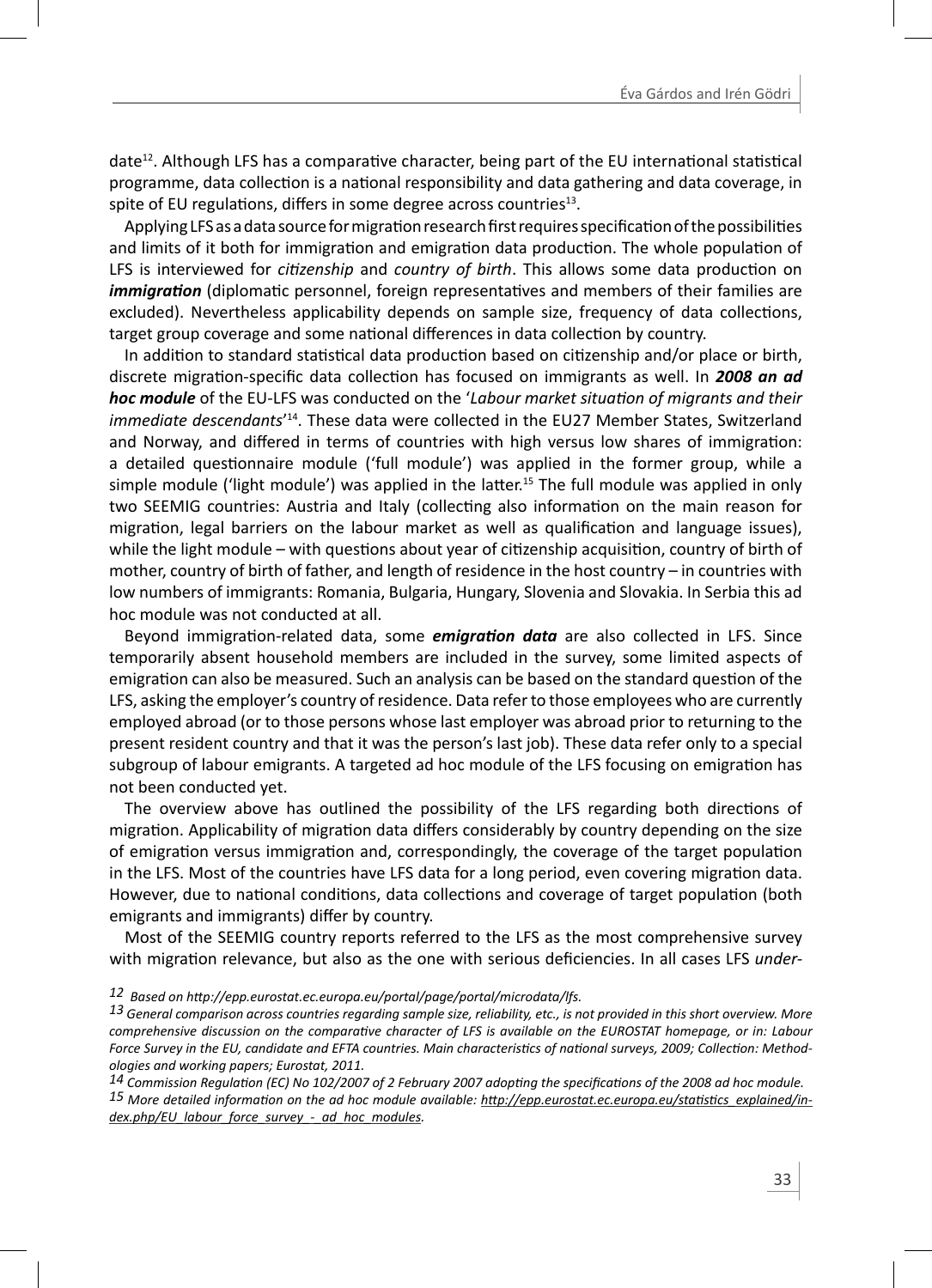date<sup>12</sup>. Although LFS has a comparative character, being part of the EU international statistical programme, data collection is a national responsibility and data gathering and data coverage, in spite of EU regulations, differs in some degree across countries<sup>13</sup>.

Applying LFS as a data source for migration research first requires specification of the possibilities and limits of it both for immigration and emigration data production. The whole population of LFS is interviewed for *citizenship* and *country of birth*. This allows some data production on *immigration* (diplomatic personnel, foreign representatives and members of their families are excluded). Nevertheless applicability depends on sample size, frequency of data collections, target group coverage and some national differences in data collection by country.

In addition to standard statistical data production based on citizenship and/or place or birth, discrete migration-specific data collection has focused on immigrants as well. In **2008 an ad** *hoc module* of the EU-LFS was conducted on the '*Labour market situation of migrants and their* immediate descendants<sup>'14</sup>. These data were collected in the EU27 Member States, Switzerland and Norway, and differed in terms of countries with high versus low shares of immigration: a detailed questionnaire module ('full module') was applied in the former group, while a simple module ('light module') was applied in the latter.<sup>15</sup> The full module was applied in only two SEEMIG countries: Austria and Italy (collecting also information on the main reason for migration, legal barriers on the labour market as well as qualification and language issues), while the light module – with questions about year of citizenship acquisition, country of birth of mother, country of birth of father, and length of residence in the host country – in countries with low numbers of immigrants: Romania, Bulgaria, Hungary, Slovenia and Slovakia. In Serbia this ad hoc module was not conducted at all.

Beyond immigration-related data, some *emigration data* are also collected in LFS. Since temporarily absent household members are included in the survey, some limited aspects of emigration can also be measured. Such an analysis can be based on the standard question of the LFS, asking the employer's country of residence. Data refer to those employees who are currently employed abroad (or to those persons whose last employer was abroad prior to returning to the present resident country and that it was the person's last job). These data refer only to a special subgroup of labour emigrants. A targeted ad hoc module of the LFS focusing on emigration has not been conducted yet.

The overview above has outlined the possibility of the LFS regarding both directions of migration. Applicability of migration data differs considerably by country depending on the size of emigration versus immigration and, correspondingly, the coverage of the target population in the LFS. Most of the countries have LFS data for a long period, even covering migration data. However, due to national conditions, data collections and coverage of target population (both emigrants and immigrants) differ by country.

Most of the SEEMIG country reports referred to the LFS as the most comprehensive survey with migration relevance, but also as the one with serious deficiencies. In all cases LFS *under-*

*14 Commission RegulaƟ on (EC) No 102/2007 of 2 February 2007 adopƟ ng the specifi caƟ ons of the 2008 ad hoc module.* 15 More detailed information on the ad hoc module available: http://epp.eurostat.ec.europa.eu/statistics\_explained/in*dex.php/EU\_labour\_force\_survey\_-\_ad\_hoc\_modules.*

*<sup>12</sup> Based on hƩ p://epp.eurostat.ec.europa.eu/portal/page/portal/microdata/lfs.*

*<sup>13</sup> General comparison across countries regarding sample size, reliability, etc., is not provided in this short overview. More comprehensive discussion on the comparative character of LFS is available on the EUROSTAT homepage, or in: Labour* Force Survey in the EU, candidate and EFTA countries. Main characteristics of national surveys, 2009; Collection: Method*ologies and working papers; Eurostat, 2011.*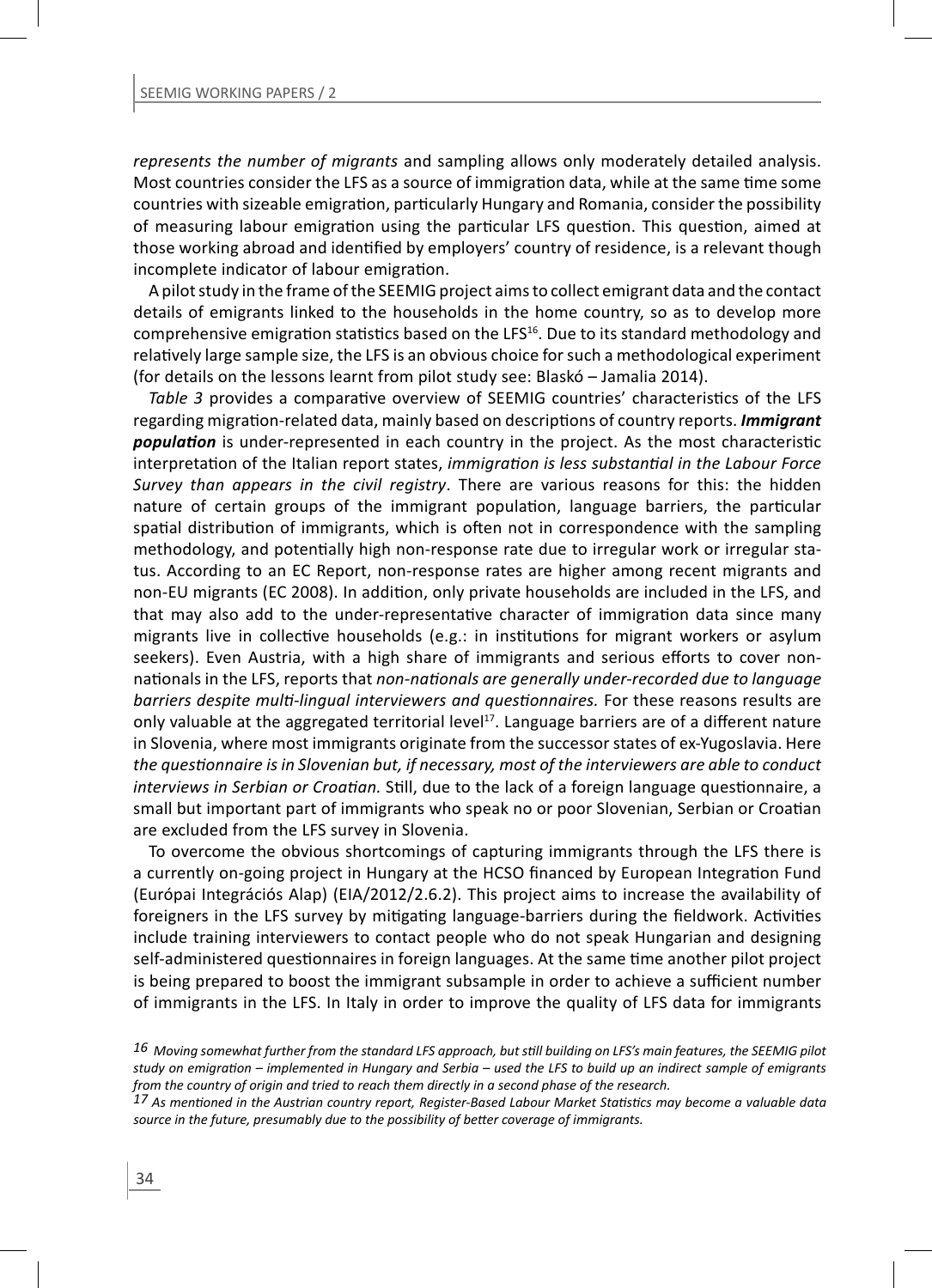*represents the number of migrants* and sampling allows only moderately detailed analysis. Most countries consider the LFS as a source of immigration data, while at the same time some countries with sizeable emigration, particularly Hungary and Romania, consider the possibility of measuring labour emigration using the particular LFS question. This question, aimed at those working abroad and identified by employers' country of residence, is a relevant though incomplete indicator of labour emigration.

A pilot study in the frame of the SEEMIG project aims to collect emigrant data and the contact details of emigrants linked to the households in the home country, so as to develop more comprehensive emigration statistics based on the LFS<sup>16</sup>. Due to its standard methodology and relatively large sample size, the LFS is an obvious choice for such a methodological experiment (for details on the lessons learnt from pilot study see: Blaskó – Jamalia 2014).

Table 3 provides a comparative overview of SEEMIG countries' characteristics of the LFS regarding migration-related data, mainly based on descriptions of country reports. *Immigrant population* is under-represented in each country in the project. As the most characteristic interpretaƟ on of the Italian report states, *immigraƟ on is less substanƟ al in the Labour Force Survey than appears in the civil registry*. There are various reasons for this: the hidden nature of certain groups of the immigrant population, language barriers, the particular spatial distribution of immigrants, which is often not in correspondence with the sampling methodology, and potentially high non-response rate due to irregular work or irregular status. According to an EC Report, non-response rates are higher among recent migrants and non-EU migrants (EC 2008). In addition, only private households are included in the LFS, and that may also add to the under-representative character of immigration data since many migrants live in collective households (e.g.: in institutions for migrant workers or asylum seekers). Even Austria, with a high share of immigrants and serious efforts to cover nonnationals in the LFS, reports that *non-nationals are generally under-recorded due to language barriers despite multi-lingual interviewers and questionnaires.* For these reasons results are only valuable at the aggregated territorial level<sup>17</sup>. Language barriers are of a different nature in Slovenia, where most immigrants originate from the successor states of ex-Yugoslavia. Here *the quesƟ onnaire is in Slovenian but, if necessary, most of the interviewers are able to conduct interviews in Serbian or Croatian.* Still, due to the lack of a foreign language questionnaire, a small but important part of immigrants who speak no or poor Slovenian, Serbian or Croatian are excluded from the LFS survey in Slovenia.

To overcome the obvious shortcomings of capturing immigrants through the LFS there is a currently on-going project in Hungary at the HCSO financed by European Integration Fund (Európai Integrációs Alap) (EIA/2012/2.6.2). This project aims to increase the availability of foreigners in the LFS survey by mitigating language-barriers during the fieldwork. Activities include training interviewers to contact people who do not speak Hungarian and designing self-administered questionnaires in foreign languages. At the same time another pilot project is being prepared to boost the immigrant subsample in order to achieve a sufficient number of immigrants in the LFS. In Italy in order to improve the quality of LFS data for immigrants

*<sup>16</sup> Moving somewhat further from the standard LFS approach, but sƟ ll building on LFS's main features, the SEEMIG pilot study on emigraƟ on – implemented in Hungary and Serbia – used the LFS to build up an indirect sample of emigrants from the country of origin and tried to reach them directly in a second phase of the research.*

*<sup>17</sup> As menƟ oned in the Austrian country report, Register-Based Labour Market StaƟ sƟ cs may become a valuable data*  source in the future, presumably due to the possibility of better coverage of immigrants.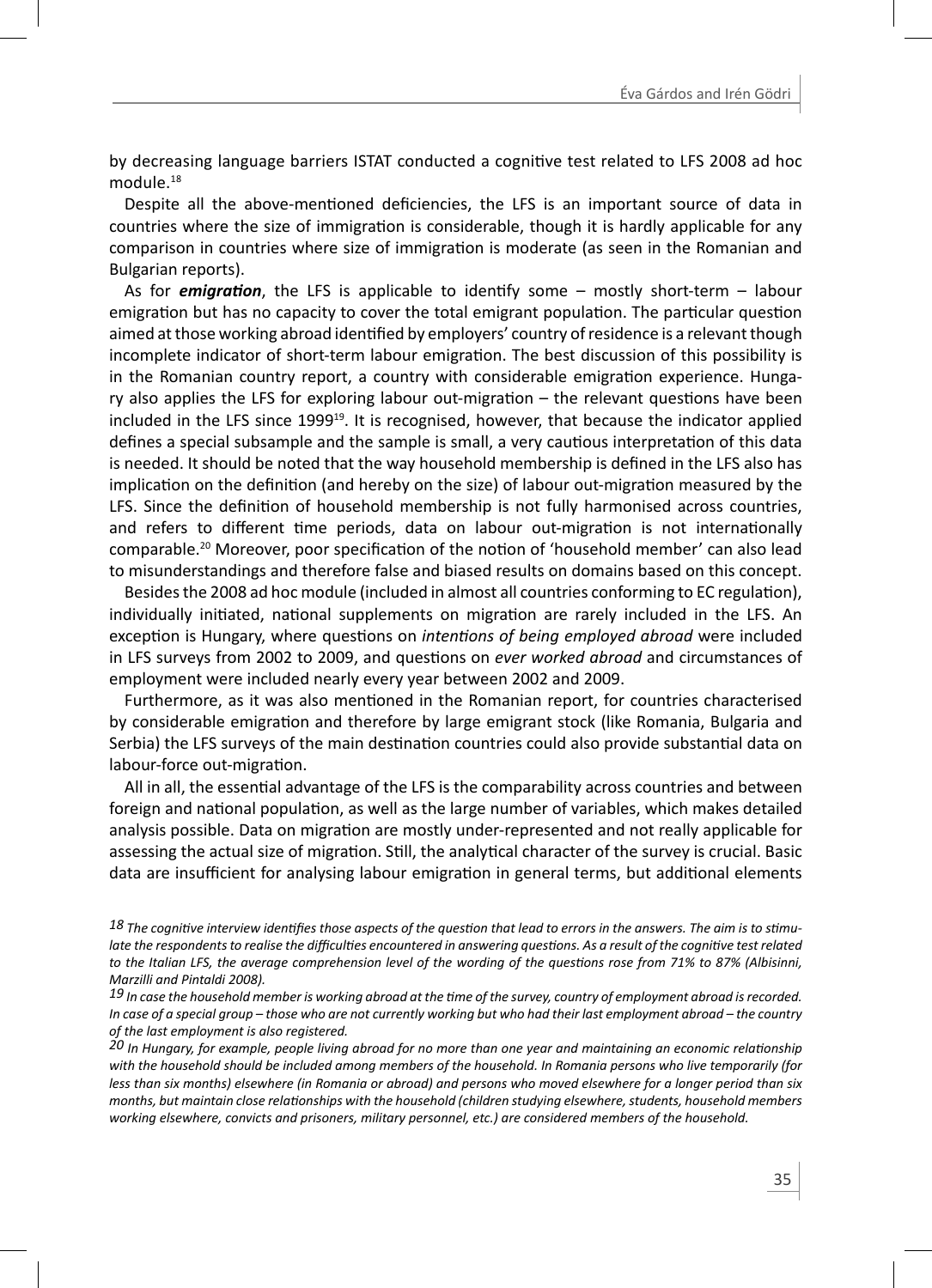by decreasing language barriers ISTAT conducted a cognitive test related to LFS 2008 ad hoc module.18

Despite all the above-mentioned deficiencies, the LFS is an important source of data in countries where the size of immigration is considerable, though it is hardly applicable for any comparison in countries where size of immigration is moderate (as seen in the Romanian and Bulgarian reports).

As for **emigration**, the LFS is applicable to identify some – mostly short-term – labour emigration but has no capacity to cover the total emigrant population. The particular question aimed at those working abroad identified by employers' country of residence is a relevant though incomplete indicator of short-term labour emigration. The best discussion of this possibility is in the Romanian country report, a country with considerable emigration experience. Hungary also applies the LFS for exploring labour out-migration  $-$  the relevant questions have been included in the LFS since  $1999^{19}$ . It is recognised, however, that because the indicator applied defines a special subsample and the sample is small, a very cautious interpretation of this data is needed. It should be noted that the way household membership is defined in the LFS also has implication on the definition (and hereby on the size) of labour out-migration measured by the LFS. Since the definition of household membership is not fully harmonised across countries, and refers to different time periods, data on labour out-migration is not internationally comparable.<sup>20</sup> Moreover, poor specification of the notion of 'household member' can also lead to misunderstandings and therefore false and biased results on domains based on this concept.

Besides the 2008 ad hoc module (included in almost all countries conforming to EC regulation), individually initiated, national supplements on migration are rarely included in the LFS. An exception is Hungary, where questions on *intentions of being employed abroad* were included in LFS surveys from 2002 to 2009, and questions on *ever worked abroad* and circumstances of employment were included nearly every year between 2002 and 2009.

Furthermore, as it was also mentioned in the Romanian report, for countries characterised by considerable emigration and therefore by large emigrant stock (like Romania, Bulgaria and Serbia) the LFS surveys of the main destination countries could also provide substantial data on labour-force out-migration.

All in all, the essential advantage of the LFS is the comparability across countries and between foreign and national population, as well as the large number of variables, which makes detailed analysis possible. Data on migration are mostly under-represented and not really applicable for assessing the actual size of migration. Still, the analytical character of the survey is crucial. Basic data are insufficient for analysing labour emigration in general terms, but additional elements

18 The cognitive interview identifies those aspects of the question that lead to errors in the answers. The aim is to stimu*late the respondents to realise the difficulties encountered in answering questions. As a result of the cognitive test related* to the Italian LFS, the average comprehension level of the wording of the questions rose from 71% to 87% (Albisinni, *Marzilli and Pintaldi 2008).*

19 In case the household member is working abroad at the time of the survey, country of employment abroad is recorded. *In case of a special group – those who are not currently working but who had their last employment abroad – the country of the last employment is also registered.*

*20 In Hungary, for example, people living abroad for no more than one year and maintaining an economic relaƟ onship with the household should be included among members of the household. In Romania persons who live temporarily (for less than six months) elsewhere (in Romania or abroad) and persons who moved elsewhere for a longer period than six months, but maintain close relationships with the household (children studying elsewhere, students, household members working elsewhere, convicts and prisoners, military personnel, etc.) are considered members of the household.*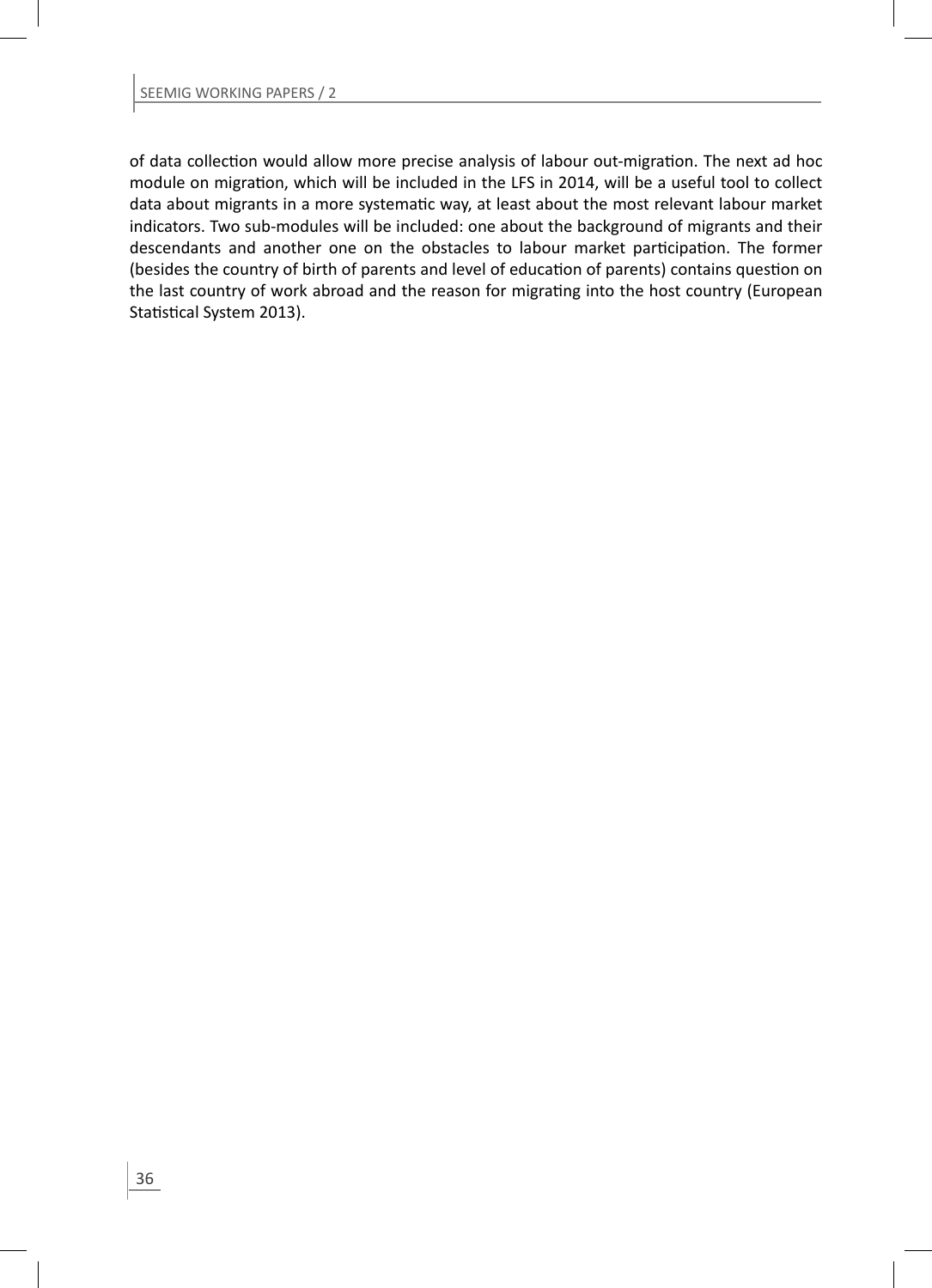of data collection would allow more precise analysis of labour out-migration. The next ad hoc module on migration, which will be included in the LFS in 2014, will be a useful tool to collect data about migrants in a more systematic way, at least about the most relevant labour market indicators. Two sub-modules will be included: one about the background of migrants and their descendants and another one on the obstacles to labour market participation. The former (besides the country of birth of parents and level of education of parents) contains question on the last country of work abroad and the reason for migrating into the host country (European Statistical System 2013).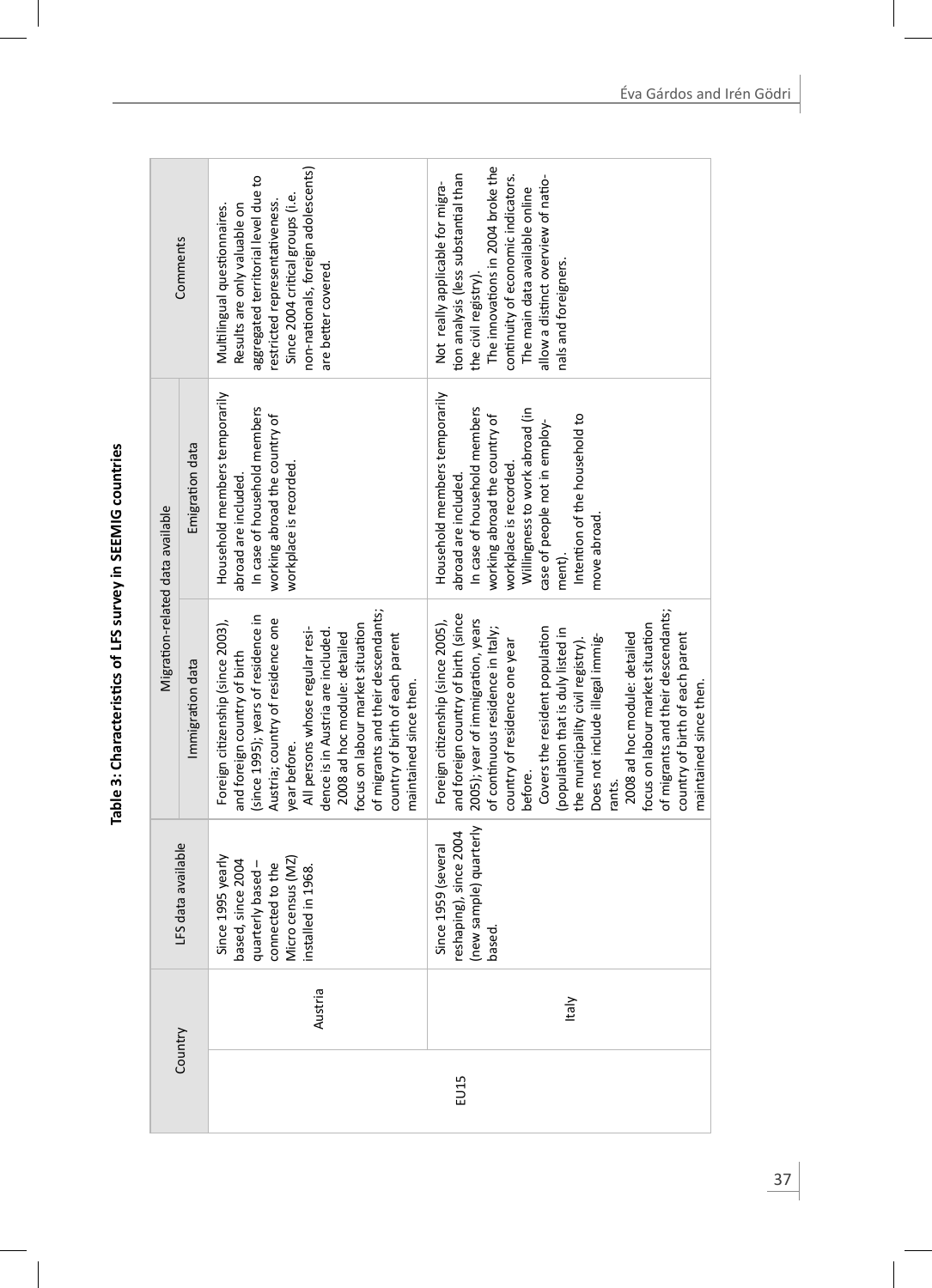| S<br>$\frac{1}{2}$                                             |
|----------------------------------------------------------------|
|                                                                |
|                                                                |
| ֖֖֖ׅׅ֖֚֚֚֚֚֚֚֚֚֚֚֚֚֚֬֡֡֡֬֝֬֝֬֝֬֝֬֝֬֝֬֝֬֝֓֬֝֬֝֬֝֬֝֬֝֬֝֬֝֬֝֬֝֬֝֬ |
| :                                                              |

|                                  | Comments           | non-nationals, foreign adolescents)<br>aggregated territorial level due to<br>Since 2004 critical groups (i.e.<br>restricted representativeness.<br>Results are only valuable on<br>Multilingual questionnaires.<br>are better covered.                                                                                                                                                                      | The innovations in 2004 broke the<br>tion analysis (less substantial than<br>continuity of economic indicators.<br>allow a distinct overview of natio-<br>Not really applicable for migra-<br>The main data available online<br>nals and foreigners.<br>the civil registry).                                                                                                                                                                                                                                                    |
|----------------------------------|--------------------|--------------------------------------------------------------------------------------------------------------------------------------------------------------------------------------------------------------------------------------------------------------------------------------------------------------------------------------------------------------------------------------------------------------|---------------------------------------------------------------------------------------------------------------------------------------------------------------------------------------------------------------------------------------------------------------------------------------------------------------------------------------------------------------------------------------------------------------------------------------------------------------------------------------------------------------------------------|
| Migration-related data available | Emigration data    | Household members temporarily<br>In case of household members<br>working abroad the country of<br>workplace is recorded.<br>abroad are included.                                                                                                                                                                                                                                                             | Household members temporarily<br>In case of household members<br>Willingness to work abroad (in<br>Intention of the household to<br>working abroad the country of<br>case of people not in employ-<br>workplace is recorded.<br>abroad are included.<br>move abroad.<br>ment).                                                                                                                                                                                                                                                  |
|                                  | Immigration data   | of migrants and their descendants;<br>(since 1995); years of residence in<br>Austria; country of residence one<br>Foreign citizenship (since 2003),<br>focus on labour market situation<br>All persons whose regular resi-<br>dence is in Austria are included.<br>2008 ad hoc module: detailed<br>country of birth of each parent<br>and foreign country of birth<br>maintained since then.<br>year before. | of migrants and their descendants;<br>and foreign country of birth (since<br>2005); year of immigration, years<br>Foreign citizenship (since 2005),<br>focus on labour market situation<br>Covers the resident population<br>of continuous residence in Italy;<br>(population that is duly listed in<br>2008 ad hoc module: detailed<br>country of birth of each parent<br>Does not include illegal immig-<br>the municipality civil registry).<br>country of residence one year<br>maintained since then.<br>before.<br>rants. |
|                                  | LFS data available | Since 1995 yearly<br>Micro census (MZ)<br>based, since 2004<br>puarterly based -<br>connected to the<br>nstalled in 1968.                                                                                                                                                                                                                                                                                    | new sample) quarterly<br>reshaping), since 2004<br>Since 1959 (several<br>based.                                                                                                                                                                                                                                                                                                                                                                                                                                                |
|                                  |                    | Austria                                                                                                                                                                                                                                                                                                                                                                                                      | <b>Italy</b>                                                                                                                                                                                                                                                                                                                                                                                                                                                                                                                    |
|                                  | Country            |                                                                                                                                                                                                                                                                                                                                                                                                              | EU15                                                                                                                                                                                                                                                                                                                                                                                                                                                                                                                            |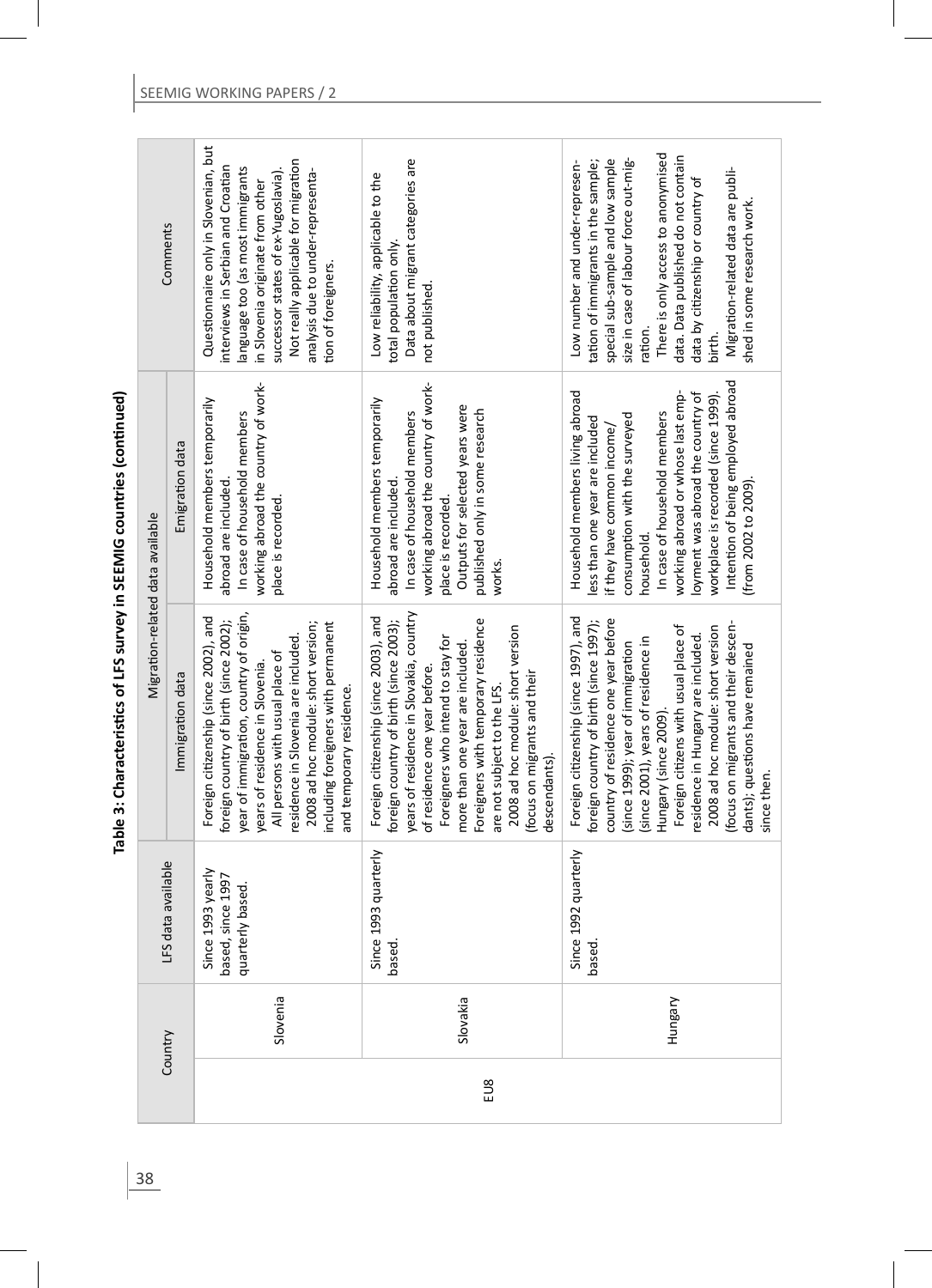| くこうしょ                        |
|------------------------------|
| ֦֝֝֟ <u>֚</u><br>;<br>;<br>Ξ |
|                              |
| l                            |

|                                  | Comments         | Questionnaire only in Slovenian, but<br>Not really applicable for migration<br>interviews in Serbian and Croatian<br>anguage too (as most immigrants<br>successor states of ex-Yugoslavia).<br>analysis due to under-representa-<br>in Slovenia originate from other<br>tion of foreigners.                                                     | Data about migrant categories are<br>Low reliability, applicable to the<br>total population only.<br>not published.                                                                                                                                                                                                                                                                             | There is only access to anonymised<br>data. Data published do not contain<br>special sub-sample and low sample<br>size in case of labour force out-mig-<br>Low number and under-represen-<br>ration of immigrants in the sample;<br>Migration-related data are publi-<br>data by citizenship or country of<br>shed in some research work.<br>ation.<br>birth.                                                                           |
|----------------------------------|------------------|-------------------------------------------------------------------------------------------------------------------------------------------------------------------------------------------------------------------------------------------------------------------------------------------------------------------------------------------------|-------------------------------------------------------------------------------------------------------------------------------------------------------------------------------------------------------------------------------------------------------------------------------------------------------------------------------------------------------------------------------------------------|-----------------------------------------------------------------------------------------------------------------------------------------------------------------------------------------------------------------------------------------------------------------------------------------------------------------------------------------------------------------------------------------------------------------------------------------|
| Migration-related data available | Emigration data  | working abroad the country of work-<br>Household members temporarily<br>In case of household members<br>abroad are included<br>place is recorded.                                                                                                                                                                                               | working abroad the country of work-<br>Household members temporarily<br>Outputs for selected years were<br>published only in some research<br>In case of household members<br>abroad are included.<br>place is recorded.<br>works.                                                                                                                                                              | Intention of being employed abroad<br>Household members living abroad<br>working abroad or whose last emp-<br>loyment was abroad the country of<br>workplace is recorded (since 1999).<br>In case of household members<br>consumption with the surveyed<br>less than one year are included<br>if they have common income/<br>(from 2002 to 2009)<br>household.                                                                          |
|                                  | Immigration data | year of immigration, country of origin,<br>Foreign citizenship (since 2002), and<br>foreign country of birth (since 2002);<br>2008 ad hoc module: short version;<br>including foreigners with permanent<br>residence in Slovenia are included.<br>All persons with usual place of<br>years of residence in Slovenia<br>and temporary residence. | years of residence in Slovakia, country<br>Foreign citizenship (since 2003), and<br>foreign country of birth (since 2003);<br>Foreigners with temporary residence<br>2008 ad hoc module: short version<br>Foreigners who intend to stay for<br>more than one year are included.<br>of residence one year before.<br>focus on migrants and their<br>are not subject to the LFS.<br>descendants). | Foreign citizenship (since 1997), and<br>country of residence one year before<br>foreign country of birth (since 1997);<br>focus on migrants and their descen-<br>Foreign citizens with usual place of<br>2008 ad hoc module: short version<br>esidence in Hungary are included.<br>(since 2001), years of residence in<br>(since 1999); year of immigration<br>dants); questions have remained<br>Hungary (since 2009).<br>since then. |
| LFS data available               |                  | Since 1993 yearly<br>based, since 1997<br>quarterly based.                                                                                                                                                                                                                                                                                      | Since 1993 quarterly<br>based.                                                                                                                                                                                                                                                                                                                                                                  | Since 1992 quarterly<br>based.                                                                                                                                                                                                                                                                                                                                                                                                          |
|                                  | Country          | Slovenia                                                                                                                                                                                                                                                                                                                                        | Slovakia<br>EU8                                                                                                                                                                                                                                                                                                                                                                                 | Hungary                                                                                                                                                                                                                                                                                                                                                                                                                                 |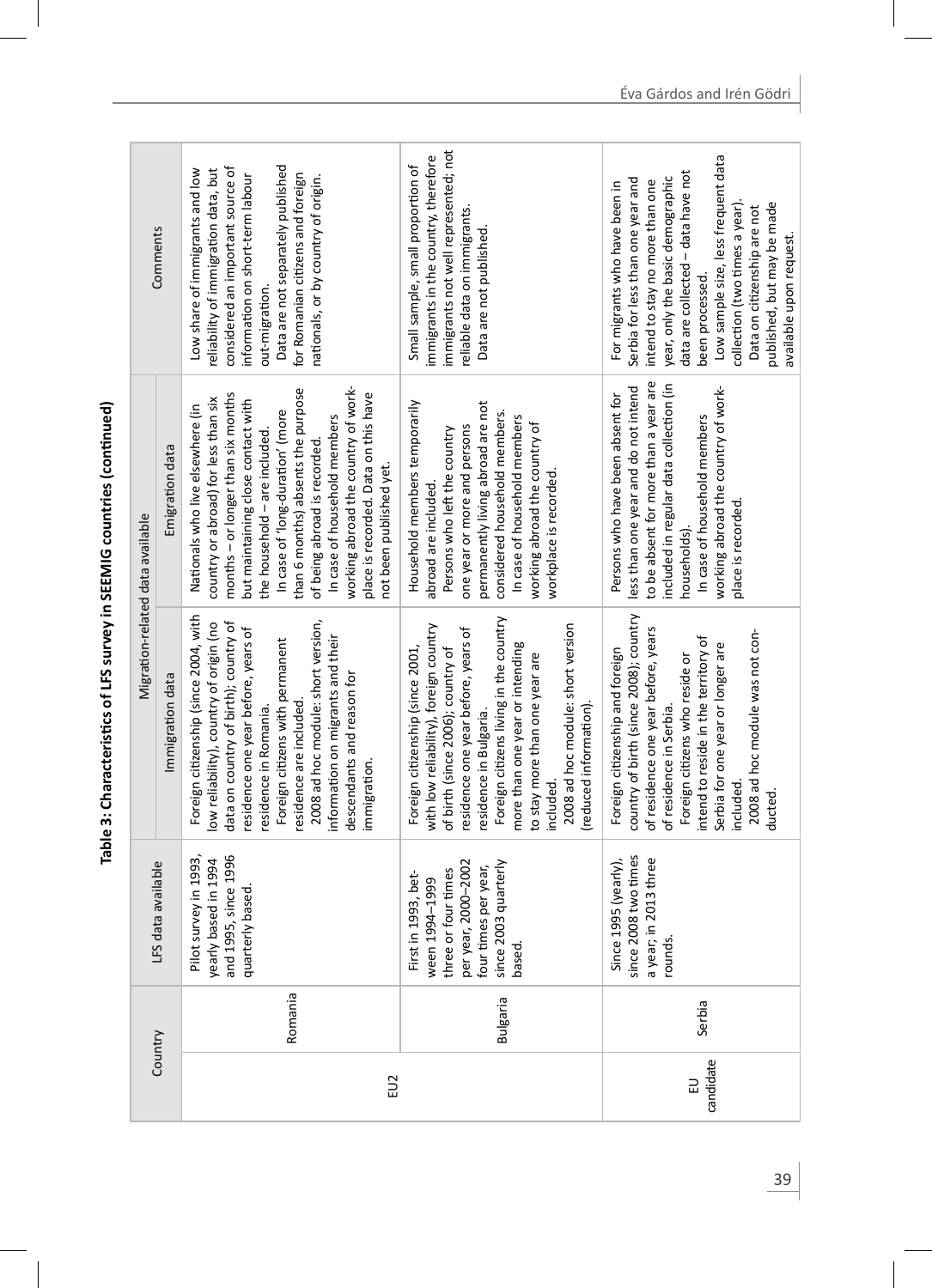| くこここく               |
|---------------------|
| $\ddot{\cdot}$<br>j |
|                     |
|                     |

| Comments                                            |                  | Data are not separately published<br>considered an important source of<br>Low share of immigrants and low<br>reliability of immigration data, but<br>for Romanian citizens and foreign<br>information on short-term labour<br>nationals, or by country of origin.<br>out-migration.                                                                                                                                                       | immigrants not well represented; not<br>immigrants in the country, therefore<br>Small sample, small proportion of<br>eliable data on immigrants.<br>Data are not published.                                                                                                                                                                                               | Low sample size, less frequent data<br>data are collected - data have not<br>year, only the basic demographic<br>Serbia for less than one year and<br>intend to stay no more than one<br>For migrants who have been in<br>published, but may be made<br>collection (two times a year).<br>Data on citizenship are not<br>available upon request<br>been processed. |
|-----------------------------------------------------|------------------|-------------------------------------------------------------------------------------------------------------------------------------------------------------------------------------------------------------------------------------------------------------------------------------------------------------------------------------------------------------------------------------------------------------------------------------------|---------------------------------------------------------------------------------------------------------------------------------------------------------------------------------------------------------------------------------------------------------------------------------------------------------------------------------------------------------------------------|--------------------------------------------------------------------------------------------------------------------------------------------------------------------------------------------------------------------------------------------------------------------------------------------------------------------------------------------------------------------|
| Emigration data<br>Migration-related data available |                  | working abroad the country of work-<br>than 6 months) absents the purpose<br>place is recorded. Data on this have<br>months - or longer than six months<br>country or abroad) for less than six<br>but maintaining close contact with<br>Nationals who live elsewhere (in<br>In case of 'Iong-duration' (more<br>In case of household members<br>the household - are included.<br>of being abroad is recorded.<br>not been published yet. | permanently living abroad are not<br>Household members temporarily<br>considered household members.<br>In case of household members<br>working abroad the country of<br>one year or more and persons<br>Persons who left the country<br>workplace is recorded.<br>abroad are included.                                                                                    | to be absent for more than a year are<br>included in regular data collection (in<br>less than one year and do not intend<br>working abroad the country of work-<br>Persons who have been absent for<br>In case of household members<br>place is recorded.<br>households)                                                                                           |
|                                                     | Immigration data | Foreign citizenship (since 2004, with<br>2008 ad hoc module: short version,<br>ow reliability), country of origin (no<br>data on country of birth); country of<br>residence one year before, years of<br>information on migrants and their<br>Foreign citizens with permanent<br>descendants and reason for<br>esidence are included.<br>esidence in Romania.<br>immigration.                                                             | Foreign citizens living in the country<br>2008 ad hoc module: short version<br>with low reliability), foreign country<br>residence one year before, years of<br>more than one year or intending<br>Foreign citizenship (since 2001,<br>of birth (since 2006); country of<br>to stay more than one year are<br>(reduced information)<br>residence in Bulgaria.<br>included | country of birth (since 2008); country<br>of residence one year before, years<br>2008 ad hoc module was not con-<br>intend to reside in the territory of<br>Serbia for one year or longer are<br>Foreign citizenship and foreign<br>Foreign citizens who reside or<br>of residence in Serbia.<br>included<br>ducted                                                |
| data available<br>LFS                               |                  | and 1995, since 1996<br>survey in 1993,<br>yearly based in 1994<br>quarterly based.<br>Pilot                                                                                                                                                                                                                                                                                                                                              | per year, 2000–2002<br>four times per year,<br>since 2003 quarterly<br>or four times<br>in 1993, bet-<br>1994-1999<br>First<br>ween<br>three<br>based                                                                                                                                                                                                                     | since 2008 two times<br>a year; in 2013 three<br>Since 1995 (yearly),<br>rounds.                                                                                                                                                                                                                                                                                   |
|                                                     |                  | Romania                                                                                                                                                                                                                                                                                                                                                                                                                                   | Bulgaria                                                                                                                                                                                                                                                                                                                                                                  | Serbia                                                                                                                                                                                                                                                                                                                                                             |
| Country                                             |                  | EU2                                                                                                                                                                                                                                                                                                                                                                                                                                       |                                                                                                                                                                                                                                                                                                                                                                           | candidate<br>己                                                                                                                                                                                                                                                                                                                                                     |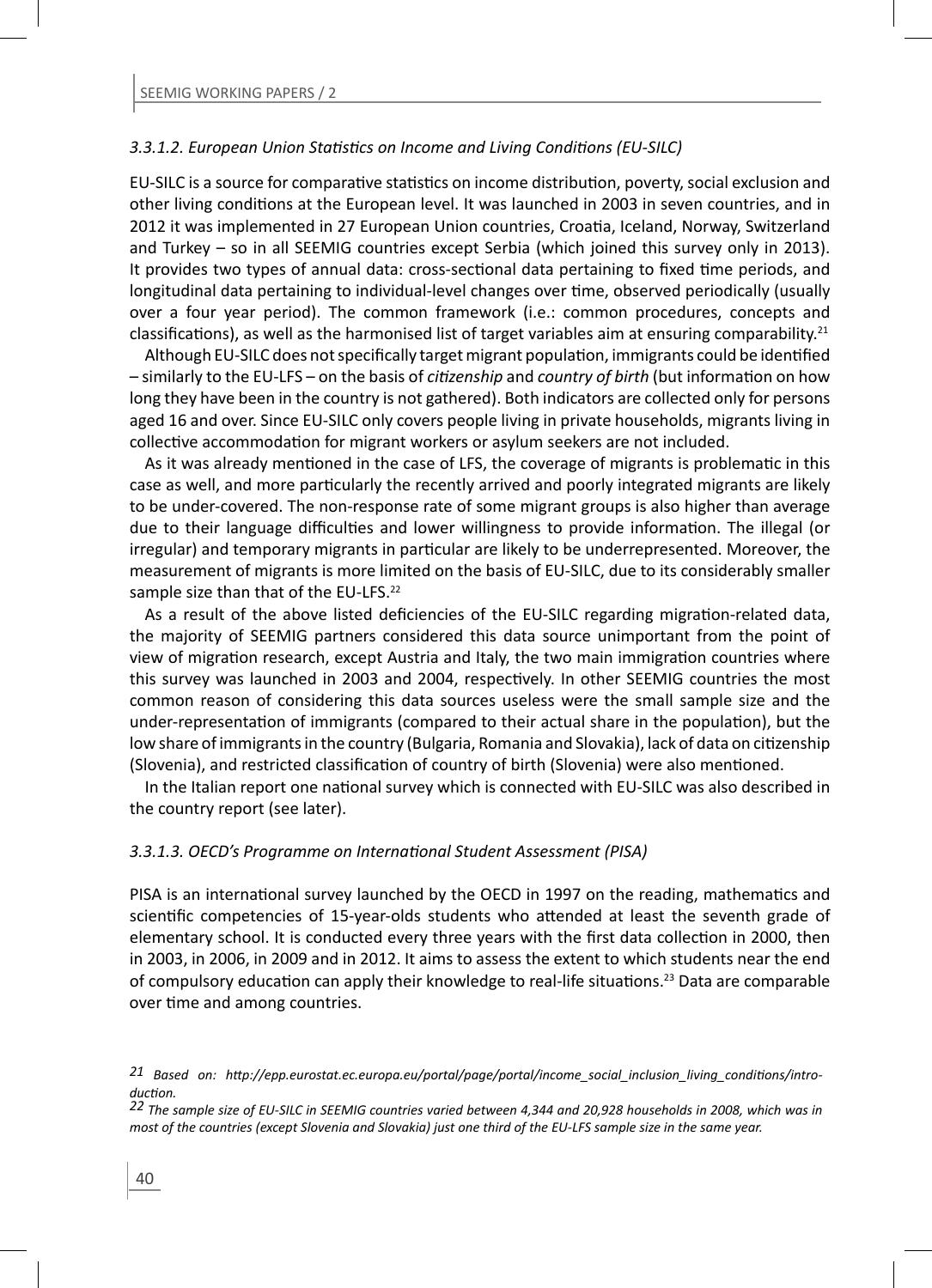#### *3.3.1.2. European Union StaƟ sƟ cs on Income and Living CondiƟ ons (EU-SILC)*

EU-SILC is a source for comparative statistics on income distribution, poverty, social exclusion and other living conditions at the European level. It was launched in 2003 in seven countries, and in 2012 it was implemented in 27 European Union countries, Croatia, Iceland, Norway, Switzerland and Turkey – so in all SEEMIG countries except Serbia (which joined this survey only in 2013). It provides two types of annual data: cross-sectional data pertaining to fixed time periods, and longitudinal data pertaining to individual-level changes over time, observed periodically (usually over a four year period). The common framework (i.e.: common procedures, concepts and classifications), as well as the harmonised list of target variables aim at ensuring comparability.<sup>21</sup>

Although EU-SILC does not specifically target migrant population, immigrants could be identified – similarly to the EU-LFS – on the basis of *ciƟ zenship* and *country of birth* (but informaƟ on on how long they have been in the country is not gathered). Both indicators are collected only for persons aged 16 and over. Since EU-SILC only covers people living in private households, migrants living in collective accommodation for migrant workers or asylum seekers are not included.

As it was already mentioned in the case of LFS, the coverage of migrants is problematic in this case as well, and more particularly the recently arrived and poorly integrated migrants are likely to be under-covered. The non-response rate of some migrant groups is also higher than average due to their language difficulties and lower willingness to provide information. The illegal (or irregular) and temporary migrants in particular are likely to be underrepresented. Moreover, the measurement of migrants is more limited on the basis of EU-SILC, due to its considerably smaller sample size than that of the EU-LFS.<sup>22</sup>

As a result of the above listed deficiencies of the EU-SILC regarding migration-related data, the majority of SEEMIG partners considered this data source unimportant from the point of view of migration research, except Austria and Italy, the two main immigration countries where this survey was launched in 2003 and 2004, respectively. In other SEEMIG countries the most common reason of considering this data sources useless were the small sample size and the under-representation of immigrants (compared to their actual share in the population), but the low share of immigrants in the country (Bulgaria, Romania and Slovakia), lack of data on citizenship (Slovenia), and restricted classification of country of birth (Slovenia) were also mentioned.

In the Italian report one national survey which is connected with EU-SILC was also described in the country report (see later).

#### *3.3.1.3. OECD's Programme on InternaƟ onal Student Assessment (PISA)*

PISA is an international survey launched by the OECD in 1997 on the reading, mathematics and scientific competencies of 15-year-olds students who attended at least the seventh grade of elementary school. It is conducted every three years with the first data collection in 2000, then in 2003, in 2006, in 2009 and in 2012. It aims to assess the extent to which students near the end of compulsory education can apply their knowledge to real-life situations.<sup>23</sup> Data are comparable over time and among countries.

*<sup>21</sup> Based on: hƩ p://epp.eurostat.ec.europa.eu/portal/page/portal/income\_social\_inclusion\_living\_condiƟ ons/introducƟ on. 22 The sample size of EU-SILC in SEEMIG countries varied between 4,344 and 20,928 households in 2008, which was in* 

*most of the countries (except Slovenia and Slovakia) just one third of the EU-LFS sample size in the same year.*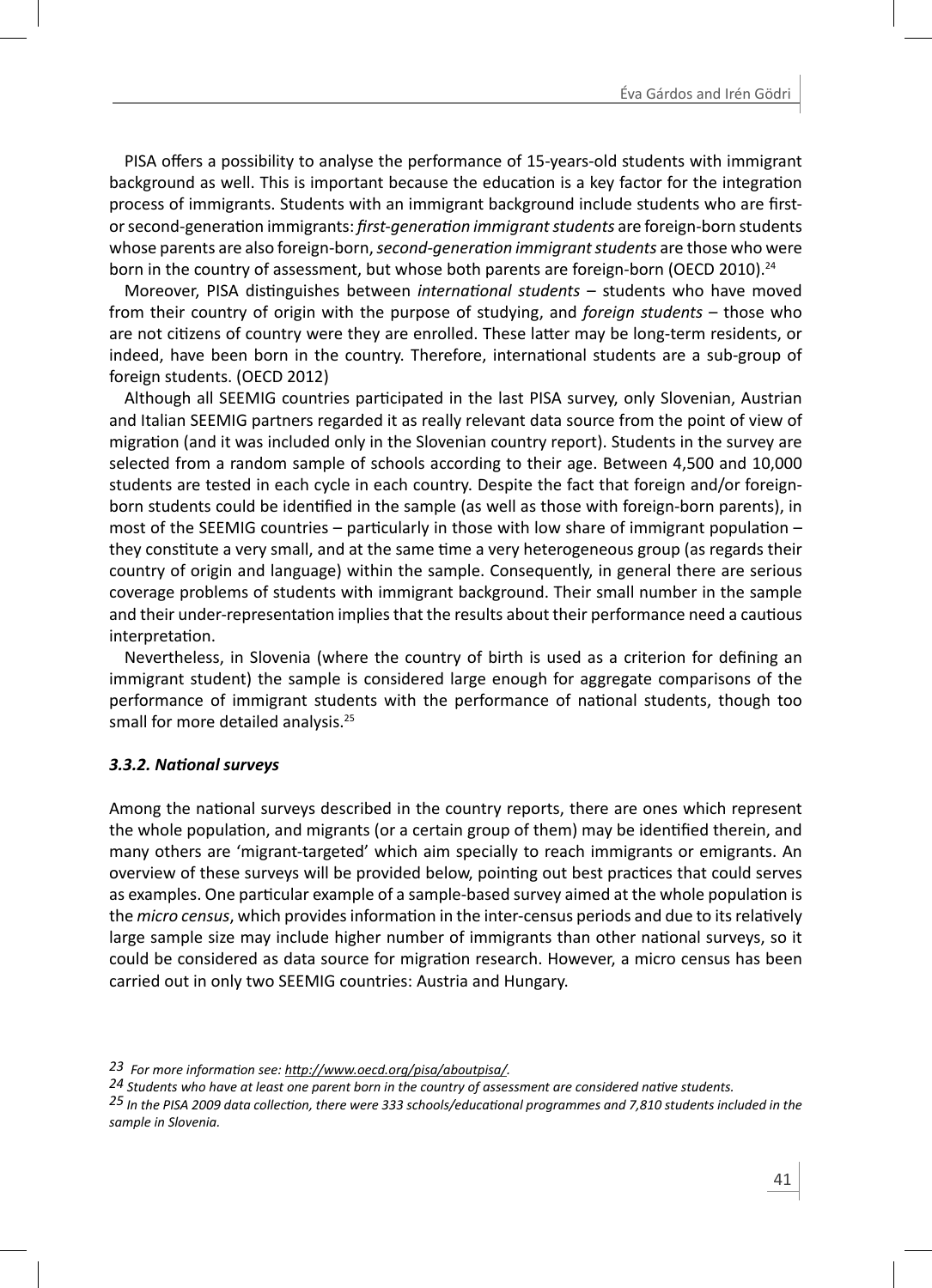PISA offers a possibility to analyse the performance of 15-years-old students with immigrant background as well. This is important because the education is a key factor for the integration process of immigrants. Students with an immigrant background include students who are firstor second-generaƟ on immigrants: *fi rst-generaƟ on immigrant students* are foreign-born students whose parents are also foreign-born, *second-generaƟ on immigrant students* are those who were born in the country of assessment, but whose both parents are foreign-born (OECD 2010).<sup>24</sup>

Moreover, PISA distinguishes between *international students* – students who have moved from their country of origin with the purpose of studying, and *foreign students* – those who are not citizens of country were they are enrolled. These latter may be long-term residents, or indeed, have been born in the country. Therefore, international students are a sub-group of foreign students. (OECD 2012)

Although all SEEMIG countries participated in the last PISA survey, only Slovenian, Austrian and Italian SEEMIG partners regarded it as really relevant data source from the point of view of migration (and it was included only in the Slovenian country report). Students in the survey are selected from a random sample of schools according to their age. Between 4,500 and 10,000 students are tested in each cycle in each country. Despite the fact that foreign and/or foreignborn students could be identified in the sample (as well as those with foreign-born parents), in most of the SEEMIG countries – particularly in those with low share of immigrant population – they constitute a very small, and at the same time a very heterogeneous group (as regards their country of origin and language) within the sample. Consequently, in general there are serious coverage problems of students with immigrant background. Their small number in the sample and their under-representation implies that the results about their performance need a cautious interpretation.

Nevertheless, in Slovenia (where the country of birth is used as a criterion for defining an immigrant student) the sample is considered large enough for aggregate comparisons of the performance of immigrant students with the performance of national students, though too small for more detailed analysis.<sup>25</sup>

#### *3.3.2. NaƟ onal surveys*

Among the national surveys described in the country reports, there are ones which represent the whole population, and migrants (or a certain group of them) may be identified therein, and many others are 'migrant-targeted' which aim specially to reach immigrants or emigrants. An overview of these surveys will be provided below, pointing out best practices that could serves as examples. One particular example of a sample-based survey aimed at the whole population is the *micro census*, which provides information in the inter-census periods and due to its relatively large sample size may include higher number of immigrants than other national surveys, so it could be considered as data source for migration research. However, a micro census has been carried out in only two SEEMIG countries: Austria and Hungary.

*23 For more informaƟ on see: hƩ p://www.oecd.org/pisa/aboutpisa/.*

*24 Students who have at least one parent born in the country of assessment are considered naƟ ve students.* 

*25 In the PISA 2009 data collecƟ on, there were 333 schools/educaƟ onal programmes and 7,810 students included in the sample in Slovenia.*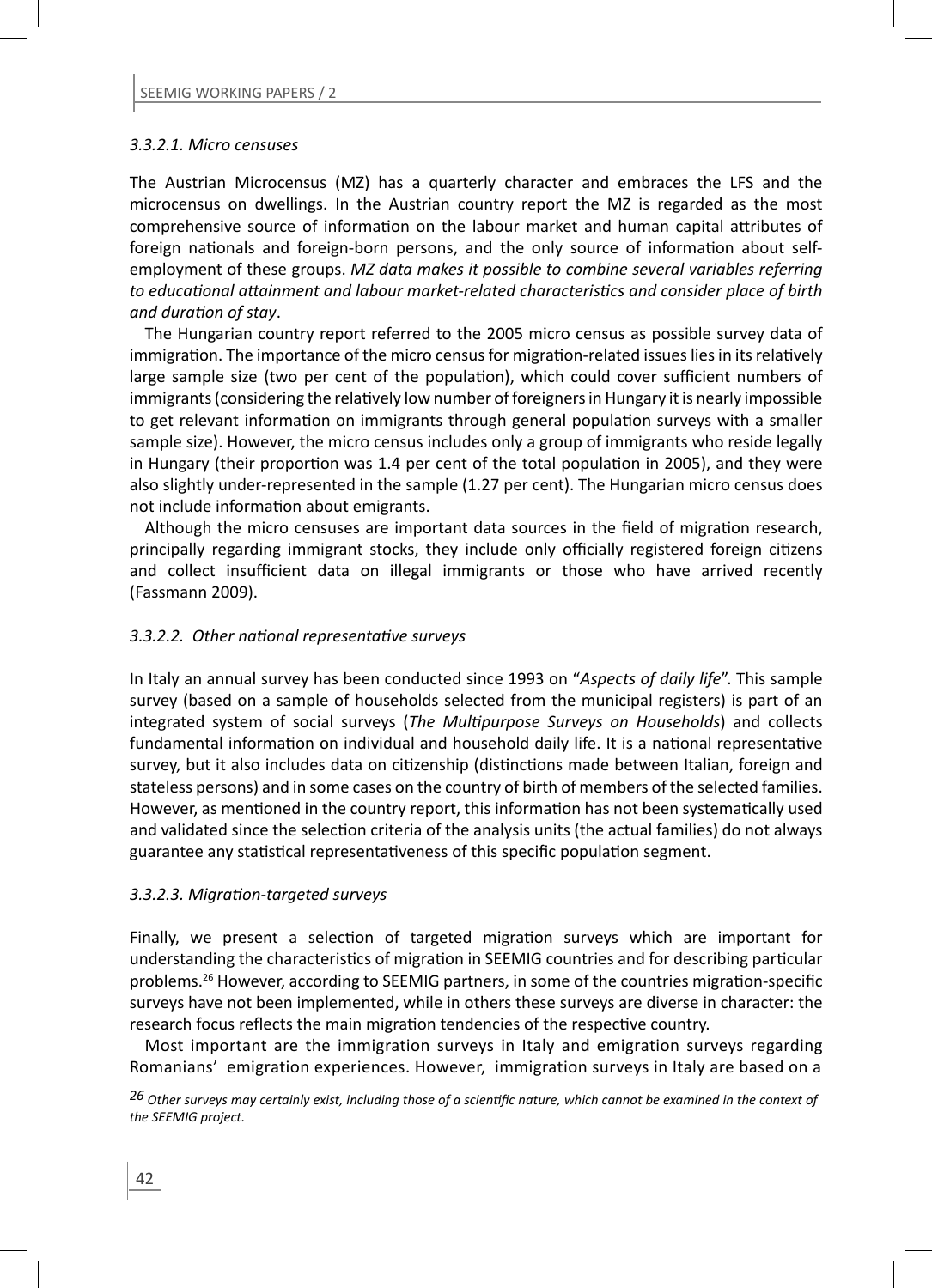#### *3.3.2.1. Micro censuses*

The Austrian Microcensus (MZ) has a quarterly character and embraces the LFS and the microcensus on dwellings. In the Austrian country report the MZ is regarded as the most comprehensive source of information on the labour market and human capital attributes of foreign nationals and foreign-born persons, and the only source of information about selfemployment of these groups. *MZ data makes it possible to combine several variables referring to educaƟ onal aƩ ainment and labour market-related characterisƟ cs and consider place of birth and duraƟ on of stay*.

The Hungarian country report referred to the 2005 micro census as possible survey data of immigration. The importance of the micro census for migration-related issues lies in its relatively large sample size (two per cent of the population), which could cover sufficient numbers of immigrants (considering the relatively low number of foreigners in Hungary it is nearly impossible to get relevant information on immigrants through general population surveys with a smaller sample size). However, the micro census includes only a group of immigrants who reside legally in Hungary (their proportion was 1.4 per cent of the total population in 2005), and they were also slightly under-represented in the sample (1.27 per cent). The Hungarian micro census does not include information about emigrants.

Although the micro censuses are important data sources in the field of migration research, principally regarding immigrant stocks, they include only officially registered foreign citizens and collect insufficient data on illegal immigrants or those who have arrived recently (Fassmann 2009).

#### *3.3.2.2. Other naƟ onal representaƟ ve surveys*

In Italy an annual survey has been conducted since 1993 on "*Aspects of daily life*". This sample survey (based on a sample of households selected from the municipal registers) is part of an integrated system of social surveys (*The Multipurpose Surveys on Households*) and collects fundamental information on individual and household daily life. It is a national representative survey, but it also includes data on citizenship (distinctions made between Italian, foreign and stateless persons) and in some cases on the country of birth of members of the selected families. However, as mentioned in the country report, this information has not been systematically used and validated since the selection criteria of the analysis units (the actual families) do not always guarantee any statistical representativeness of this specific population segment.

#### *3.3.2.3. MigraƟ on-targeted surveys*

Finally, we present a selection of targeted migration surveys which are important for understanding the characteristics of migration in SEEMIG countries and for describing particular problems.<sup>26</sup> However, according to SEEMIG partners, in some of the countries migration-specific surveys have not been implemented, while in others these surveys are diverse in character: the research focus reflects the main migration tendencies of the respective country.

Most important are the immigration surveys in Italy and emigration surveys regarding Romanians' emigration experiences. However, immigration surveys in Italy are based on a

*26 Other surveys may certainly exist, including those of a scienƟfi c nature, which cannot be examined in the context of the SEEMIG project.*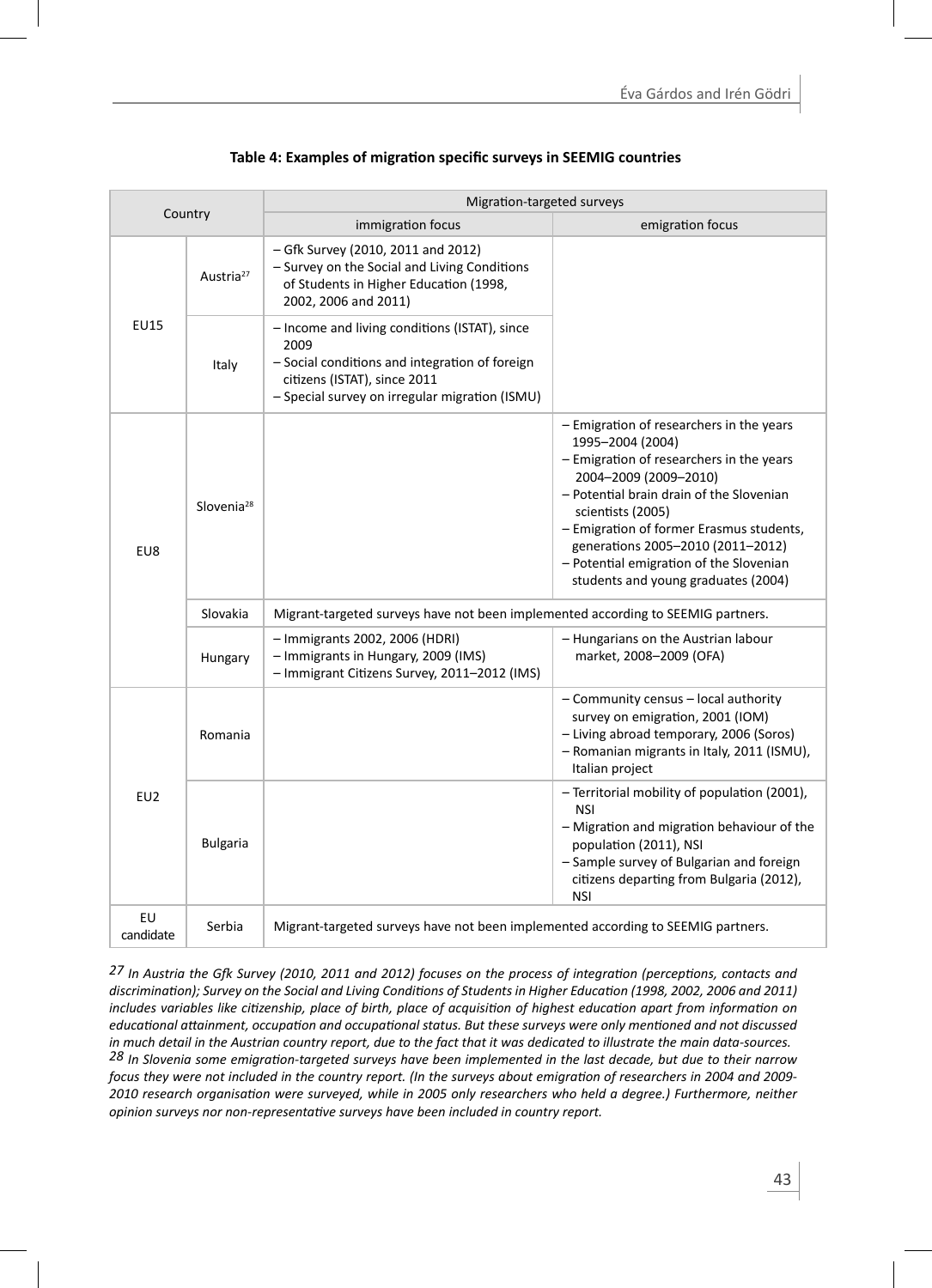| Country         |                        | Migration-targeted surveys                                                                                                                                                                |                                                                                                                                                                                                                                                                                                                                                                       |  |  |  |  |
|-----------------|------------------------|-------------------------------------------------------------------------------------------------------------------------------------------------------------------------------------------|-----------------------------------------------------------------------------------------------------------------------------------------------------------------------------------------------------------------------------------------------------------------------------------------------------------------------------------------------------------------------|--|--|--|--|
|                 |                        | immigration focus                                                                                                                                                                         | emigration focus                                                                                                                                                                                                                                                                                                                                                      |  |  |  |  |
|                 | Austria <sup>27</sup>  | - Gfk Survey (2010, 2011 and 2012)<br>- Survey on the Social and Living Conditions<br>of Students in Higher Education (1998,<br>2002, 2006 and 2011)                                      |                                                                                                                                                                                                                                                                                                                                                                       |  |  |  |  |
| <b>EU15</b>     | Italy                  | - Income and living conditions (ISTAT), since<br>2009<br>- Social conditions and integration of foreign<br>citizens (ISTAT), since 2011<br>- Special survey on irregular migration (ISMU) |                                                                                                                                                                                                                                                                                                                                                                       |  |  |  |  |
| EU8             | Slovenia <sup>28</sup> |                                                                                                                                                                                           | - Emigration of researchers in the years<br>1995-2004 (2004)<br>- Emigration of researchers in the years<br>2004-2009 (2009-2010)<br>- Potential brain drain of the Slovenian<br>scientists (2005)<br>- Emigration of former Erasmus students,<br>generations 2005-2010 (2011-2012)<br>- Potential emigration of the Slovenian<br>students and young graduates (2004) |  |  |  |  |
|                 | Slovakia               | Migrant-targeted surveys have not been implemented according to SEEMIG partners.                                                                                                          |                                                                                                                                                                                                                                                                                                                                                                       |  |  |  |  |
|                 | Hungary                | - Immigrants 2002, 2006 (HDRI)<br>- Immigrants in Hungary, 2009 (IMS)<br>- Immigrant Citizens Survey, 2011-2012 (IMS)                                                                     | - Hungarians on the Austrian labour<br>market, 2008-2009 (OFA)                                                                                                                                                                                                                                                                                                        |  |  |  |  |
| E <sub>U2</sub> | Romania                |                                                                                                                                                                                           | - Community census - local authority<br>survey on emigration, 2001 (IOM)<br>- Living abroad temporary, 2006 (Soros)<br>- Romanian migrants in Italy, 2011 (ISMU),<br>Italian project                                                                                                                                                                                  |  |  |  |  |
|                 | <b>Bulgaria</b>        |                                                                                                                                                                                           | - Territorial mobility of population (2001),<br>NSI<br>- Migration and migration behaviour of the<br>population (2011), NSI<br>- Sample survey of Bulgarian and foreign<br>citizens departing from Bulgaria (2012),<br><b>NSI</b>                                                                                                                                     |  |  |  |  |
| EU<br>candidate | Serbia                 | Migrant-targeted surveys have not been implemented according to SEEMIG partners.                                                                                                          |                                                                                                                                                                                                                                                                                                                                                                       |  |  |  |  |

#### **Table 4: Examples of migration specific surveys in SEEMIG countries**

*27 In Austria the GŅ Survey (2010, 2011 and 2012) focuses on the process of integraƟ on (percepƟ ons, contacts and discriminaƟ on); Survey on the Social and Living CondiƟ ons of Students in Higher EducaƟ on (1998, 2002, 2006 and 2011) includes variables like citizenship, place of birth, place of acquisition of highest education apart from information on educaƟ onal aƩ ainment, occupaƟ on and occupaƟ onal status. But these surveys were only menƟ oned and not discussed in much detail in the Austrian country report, due to the fact that it was dedicated to illustrate the main data-sources. 28 In Slovenia some emigraƟ on-targeted surveys have been implemented in the last decade, but due to their narrow focus they were not included in the country report. (In the surveys about emigration of researchers in 2004 and 2009-2010 research organisaƟ on were surveyed, while in 2005 only researchers who held a degree.) Furthermore, neither opinion surveys nor non-representaƟ ve surveys have been included in country report.*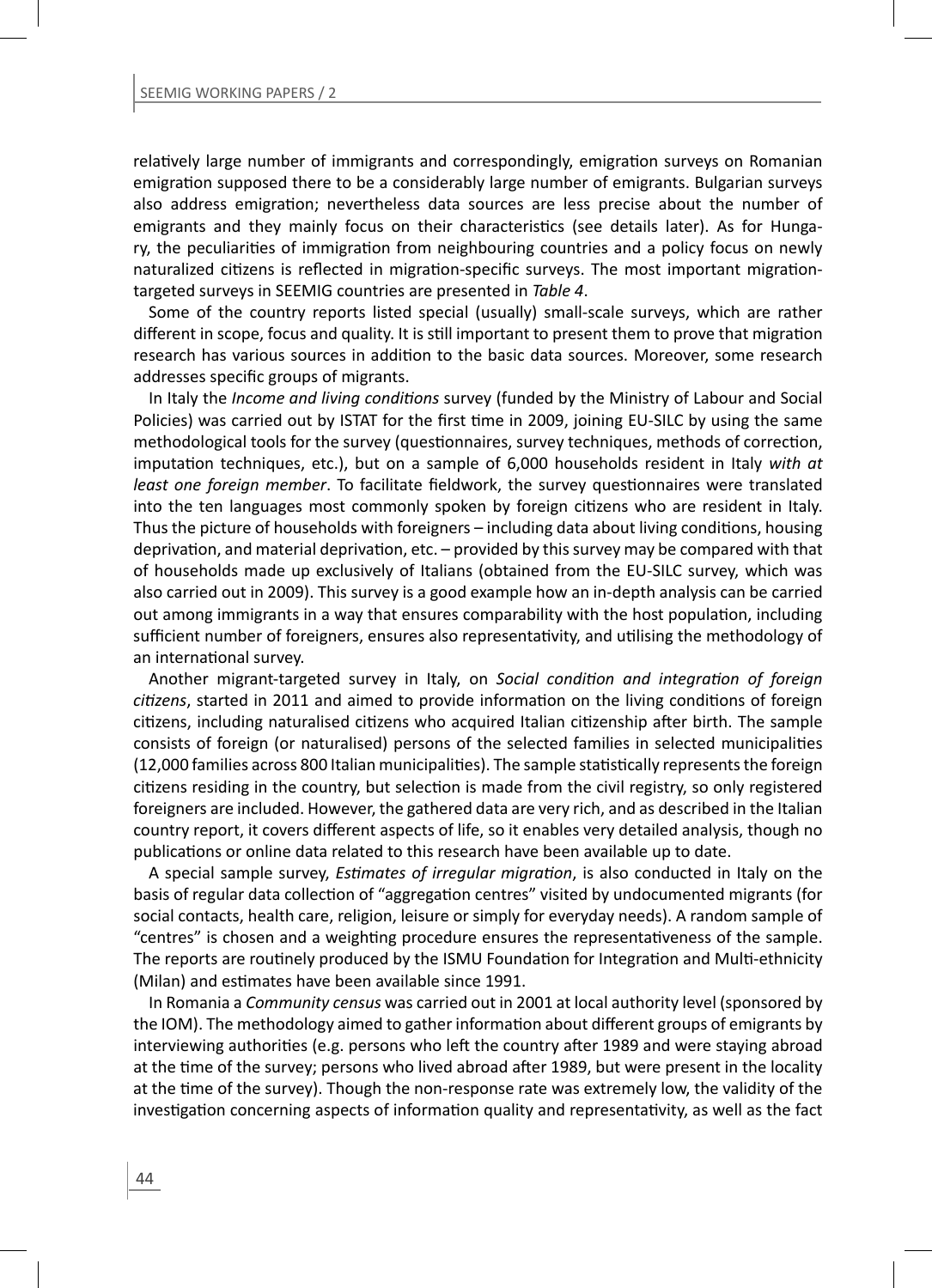relatively large number of immigrants and correspondingly, emigration surveys on Romanian emigration supposed there to be a considerably large number of emigrants. Bulgarian surveys also address emigration; nevertheless data sources are less precise about the number of emigrants and they mainly focus on their characteristics (see details later). As for Hungary, the peculiarities of immigration from neighbouring countries and a policy focus on newly naturalized citizens is reflected in migration-specific surveys. The most important migrationtargeted surveys in SEEMIG countries are presented in *Table 4*.

Some of the country reports listed special (usually) small-scale surveys, which are rather different in scope, focus and quality. It is still important to present them to prove that migration research has various sources in addition to the basic data sources. Moreover, some research addresses specific groups of migrants.

In Italy the *Income and living conditions* survey (funded by the Ministry of Labour and Social Policies) was carried out by ISTAT for the first time in 2009, joining EU-SILC by using the same methodological tools for the survey (questionnaires, survey techniques, methods of correction, imputation techniques, etc.), but on a sample of 6,000 households resident in Italy with at *least one foreign member*. To facilitate fieldwork, the survey questionnaires were translated into the ten languages most commonly spoken by foreign citizens who are resident in Italy. Thus the picture of households with foreigners – including data about living conditions, housing deprivation, and material deprivation, etc. – provided by this survey may be compared with that of households made up exclusively of Italians (obtained from the EU-SILC survey, which was also carried out in 2009). This survey is a good example how an in-depth analysis can be carried out among immigrants in a way that ensures comparability with the host population, including sufficient number of foreigners, ensures also representativity, and utilising the methodology of an international survey.

Another migrant-targeted survey in Italy, on *Social condiƟ on and integraƟ on of foreign citizens*, started in 2011 and aimed to provide information on the living conditions of foreign citizens, including naturalised citizens who acquired Italian citizenship after birth. The sample consists of foreign (or naturalised) persons of the selected families in selected municipalities (12,000 families across 800 Italian municipalities). The sample statistically represents the foreign citizens residing in the country, but selection is made from the civil registry, so only registered foreigners are included. However, the gathered data are very rich, and as described in the Italian country report, it covers different aspects of life, so it enables very detailed analysis, though no publications or online data related to this research have been available up to date.

A special sample survey, *Estimates of irreqular migration*, is also conducted in Italy on the basis of regular data collection of "aggregation centres" visited by undocumented migrants (for social contacts, health care, religion, leisure or simply for everyday needs). A random sample of "centres" is chosen and a weighting procedure ensures the representativeness of the sample. The reports are routinely produced by the ISMU Foundation for Integration and Multi-ethnicity (Milan) and estimates have been available since 1991.

In Romania a *Community census* was carried out in 2001 at local authority level (sponsored by the IOM). The methodology aimed to gather information about different groups of emigrants by interviewing authorities (e.g. persons who left the country after 1989 and were staying abroad at the time of the survey; persons who lived abroad after 1989, but were present in the locality at the time of the survey). Though the non-response rate was extremely low, the validity of the investigation concerning aspects of information quality and representativity, as well as the fact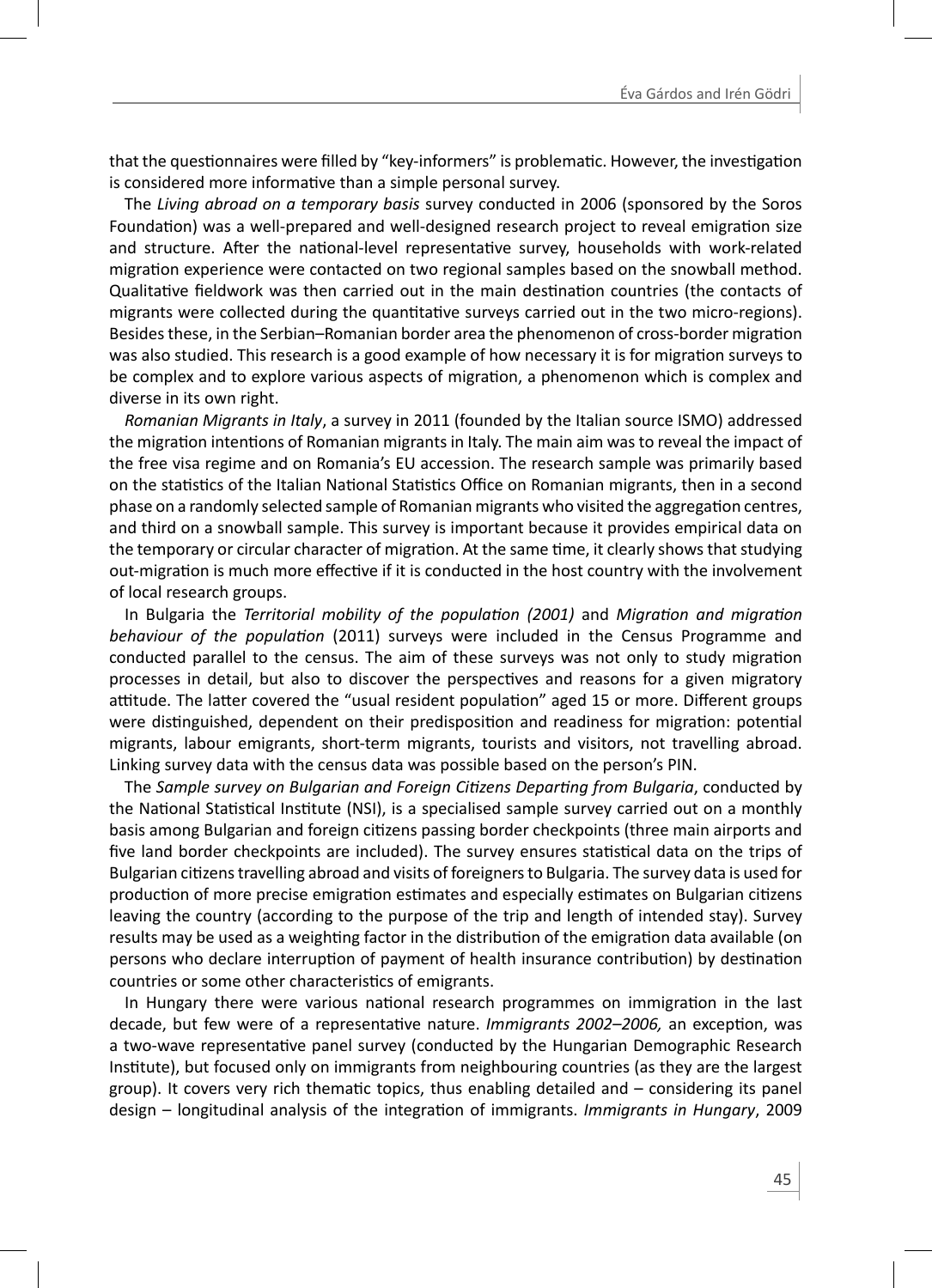that the questionnaires were filled by "key-informers" is problematic. However, the investigation is considered more informative than a simple personal survey.

The *Living abroad on a temporary basis* survey conducted in 2006 (sponsored by the Soros Foundation) was a well-prepared and well-designed research project to reveal emigration size and structure. After the national-level representative survey, households with work-related migration experience were contacted on two regional samples based on the snowball method. Qualitative fieldwork was then carried out in the main destination countries (the contacts of migrants were collected during the quantitative surveys carried out in the two micro-regions). Besides these, in the Serbian–Romanian border area the phenomenon of cross-border migration was also studied. This research is a good example of how necessary it is for migration surveys to be complex and to explore various aspects of migration, a phenomenon which is complex and diverse in its own right.

*Romanian Migrants in Italy*, a survey in 2011 (founded by the Italian source ISMO) addressed the migration intentions of Romanian migrants in Italy. The main aim was to reveal the impact of the free visa regime and on Romania's EU accession. The research sample was primarily based on the statistics of the Italian National Statistics Office on Romanian migrants, then in a second phase on a randomly selected sample of Romanian migrants who visited the aggregation centres, and third on a snowball sample. This survey is important because it provides empirical data on the temporary or circular character of migration. At the same time, it clearly shows that studying out-migration is much more effective if it is conducted in the host country with the involvement of local research groups.

In Bulgaria the *Territorial mobility of the population (2001)* and *Migration and migration behaviour of the population* (2011) surveys were included in the Census Programme and conducted parallel to the census. The aim of these surveys was not only to study migration processes in detail, but also to discover the perspectives and reasons for a given migratory attitude. The latter covered the "usual resident population" aged 15 or more. Different groups were distinguished, dependent on their predisposition and readiness for migration: potential migrants, labour emigrants, short-term migrants, tourists and visitors, not travelling abroad. Linking survey data with the census data was possible based on the person's PIN.

The *Sample survey on Bulgarian and Foreign CiƟ zens DeparƟ ng from Bulgaria*, conducted by the National Statistical Institute (NSI), is a specialised sample survey carried out on a monthly basis among Bulgarian and foreign citizens passing border checkpoints (three main airports and five land border checkpoints are included). The survey ensures statistical data on the trips of Bulgarian citizens travelling abroad and visits of foreigners to Bulgaria. The survey data is used for production of more precise emigration estimates and especially estimates on Bulgarian citizens leaving the country (according to the purpose of the trip and length of intended stay). Survey results may be used as a weighting factor in the distribution of the emigration data available (on persons who declare interruption of payment of health insurance contribution) by destination countries or some other characteristics of emigrants.

In Hungary there were various national research programmes on immigration in the last decade, but few were of a representative nature. *Immigrants 2002–2006*, an exception, was a two-wave representative panel survey (conducted by the Hungarian Demographic Research Institute), but focused only on immigrants from neighbouring countries (as they are the largest group). It covers very rich thematic topics, thus enabling detailed and  $-$  considering its panel design – longitudinal analysis of the integration of immigrants. *Immigrants in Hungary*, 2009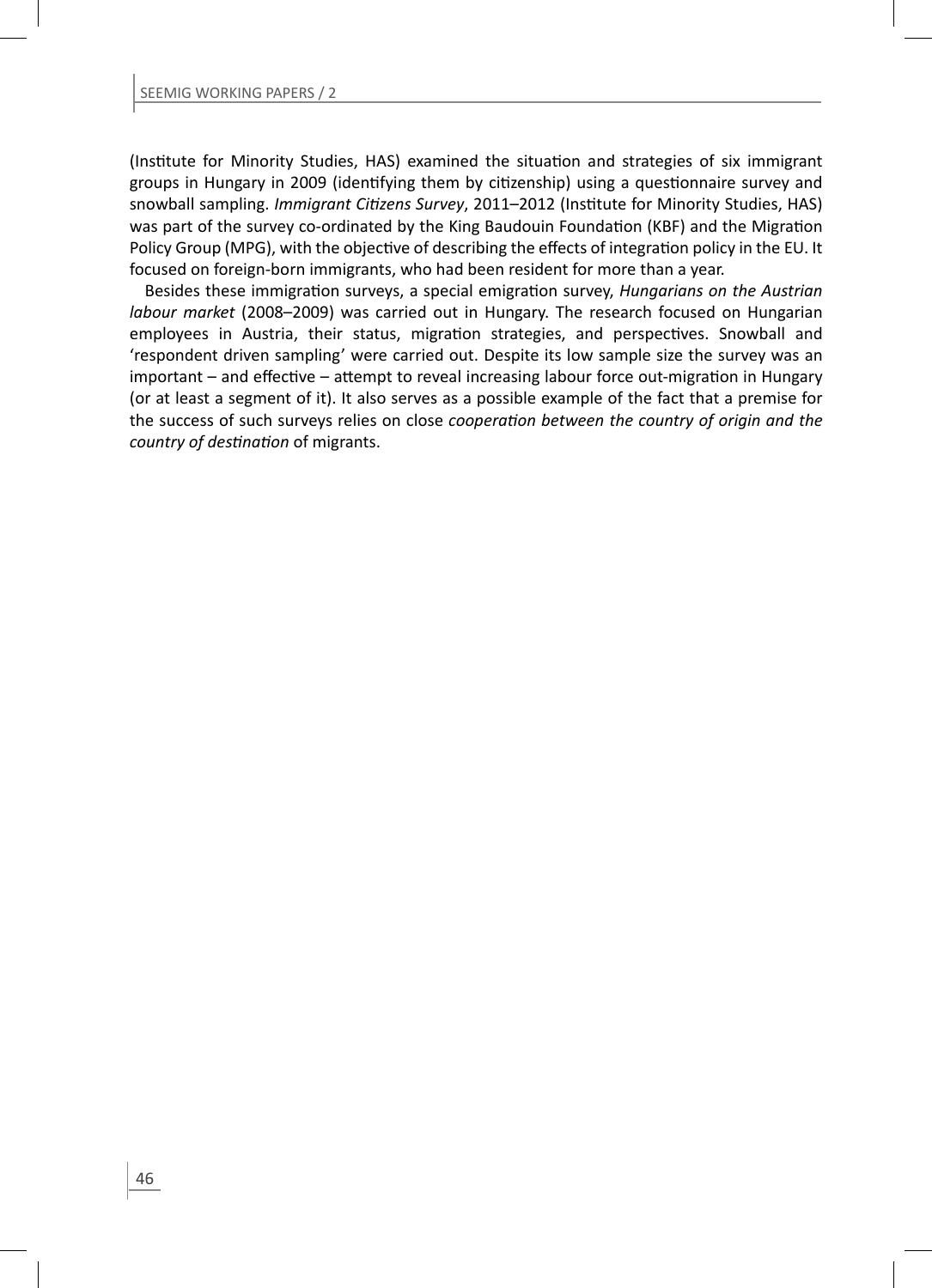(Institute for Minority Studies, HAS) examined the situation and strategies of six immigrant groups in Hungary in 2009 (identifying them by citizenship) using a questionnaire survey and snowball sampling. *Immigrant Citizens Survey*, 2011–2012 (Institute for Minority Studies, HAS) was part of the survey co-ordinated by the King Baudouin Foundation (KBF) and the Migration Policy Group (MPG), with the objective of describing the effects of integration policy in the EU. It focused on foreign-born immigrants, who had been resident for more than a year.

Besides these immigration surveys, a special emigration survey, *Hungarians on the Austrian labour market* (2008–2009) was carried out in Hungary. The research focused on Hungarian employees in Austria, their status, migration strategies, and perspectives. Snowball and 'respondent driven sampling' were carried out. Despite its low sample size the survey was an important – and effective – attempt to reveal increasing labour force out-migration in Hungary (or at least a segment of it). It also serves as a possible example of the fact that a premise for the success of such surveys relies on close *cooperaƟ on between the country of origin and the country of desƟ naƟ on* of migrants.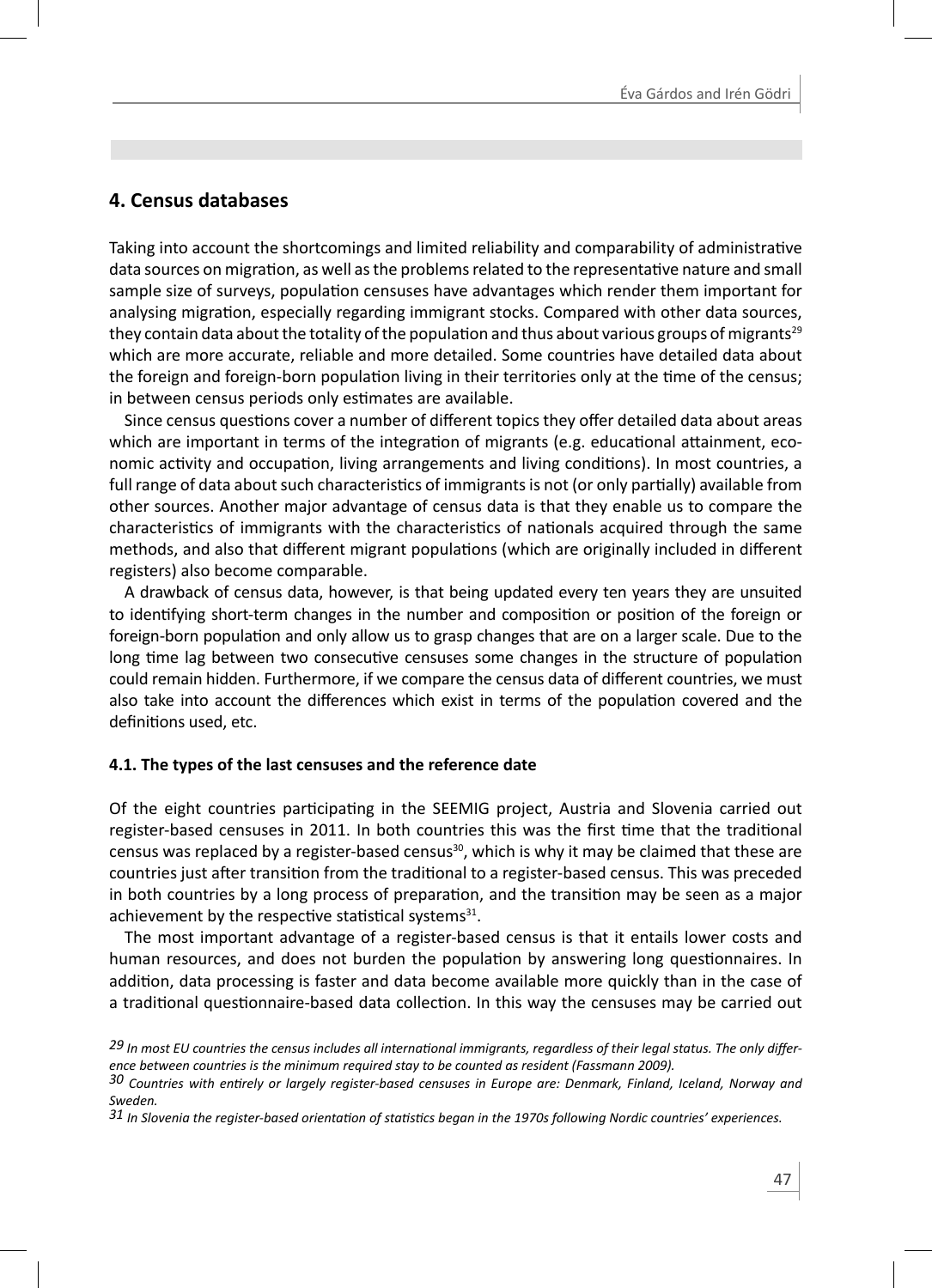# **4. Census databases**

Taking into account the shortcomings and limited reliability and comparability of administrative data sources on migration, as well as the problems related to the representative nature and small sample size of surveys, population censuses have advantages which render them important for analysing migration, especially regarding immigrant stocks. Compared with other data sources, they contain data about the totality of the population and thus about various groups of migrants<sup>29</sup> which are more accurate, reliable and more detailed. Some countries have detailed data about the foreign and foreign-born population living in their territories only at the time of the census; in between census periods only estimates are available.

Since census questions cover a number of different topics they offer detailed data about areas which are important in terms of the integration of migrants (e.g. educational attainment, economic activity and occupation, living arrangements and living conditions). In most countries, a full range of data about such characteristics of immigrants is not (or only partially) available from other sources. Another major advantage of census data is that they enable us to compare the characteristics of immigrants with the characteristics of nationals acquired through the same methods, and also that different migrant populations (which are originally included in different registers) also become comparable.

A drawback of census data, however, is that being updated every ten years they are unsuited to identifying short-term changes in the number and composition or position of the foreign or foreign-born population and only allow us to grasp changes that are on a larger scale. Due to the long time lag between two consecutive censuses some changes in the structure of population could remain hidden. Furthermore, if we compare the census data of different countries, we must also take into account the differences which exist in terms of the population covered and the definitions used, etc.

#### **4.1. The types of the last censuses and the reference date**

Of the eight countries participating in the SEEMIG project, Austria and Slovenia carried out register-based censuses in 2011. In both countries this was the first time that the traditional census was replaced by a register-based census $30$ , which is why it may be claimed that these are countries just after transition from the traditional to a register-based census. This was preceded in both countries by a long process of preparation, and the transition may be seen as a major achievement by the respective statistical systems $^{31}$ .

The most important advantage of a register-based census is that it entails lower costs and human resources, and does not burden the population by answering long questionnaires. In addition, data processing is faster and data become available more quickly than in the case of a traditional questionnaire-based data collection. In this way the censuses may be carried out

<sup>29</sup> In most EU countries the census includes all international immigrants, regardless of their legal status. The only differ*ence between countries is the minimum required stay to be counted as resident (Fassmann 2009).* 

*<sup>30</sup> Countries with enƟ rely or largely register-based censuses in Europe are: Denmark, Finland, Iceland, Norway and Sweden.*

*<sup>31</sup> In Slovenia the register-based orientaƟ on of staƟ sƟ cs began in the 1970s following Nordic countries' experiences.*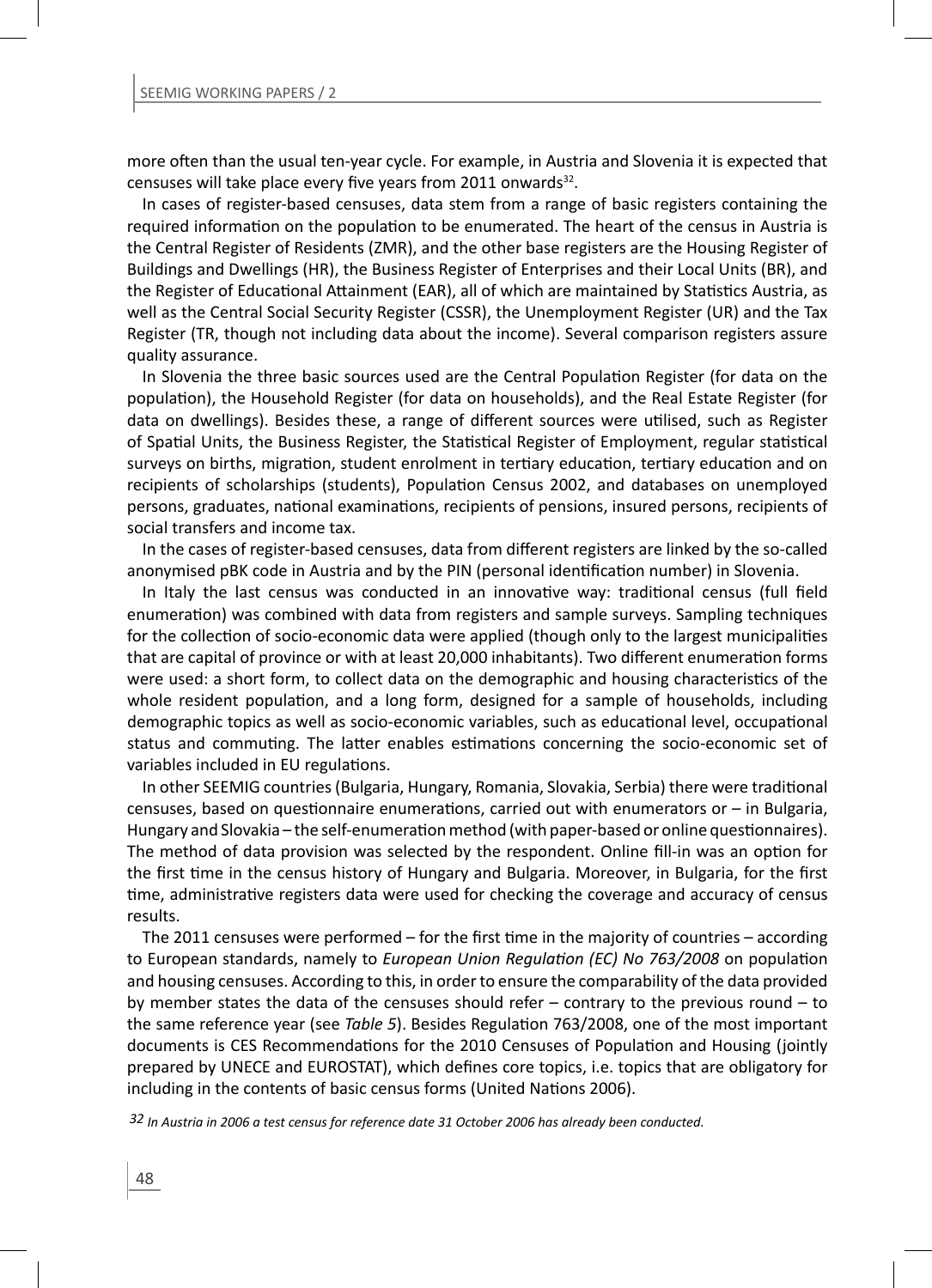more often than the usual ten-year cycle. For example, in Austria and Slovenia it is expected that censuses will take place every five years from 2011 onwards<sup>32</sup>.

In cases of register-based censuses, data stem from a range of basic registers containing the required information on the population to be enumerated. The heart of the census in Austria is the Central Register of Residents (ZMR), and the other base registers are the Housing Register of Buildings and Dwellings (HR), the Business Register of Enterprises and their Local Units (BR), and the Register of Educational Attainment (EAR), all of which are maintained by Statistics Austria, as well as the Central Social Security Register (CSSR), the Unemployment Register (UR) and the Tax Register (TR, though not including data about the income). Several comparison registers assure quality assurance.

In Slovenia the three basic sources used are the Central Population Register (for data on the population), the Household Register (for data on households), and the Real Estate Register (for data on dwellings). Besides these, a range of different sources were utilised, such as Register of Spatial Units, the Business Register, the Statistical Register of Employment, regular statistical surveys on births, migration, student enrolment in tertiary education, tertiary education and on recipients of scholarships (students), Population Census 2002, and databases on unemployed persons, graduates, national examinations, recipients of pensions, insured persons, recipients of social transfers and income tax.

In the cases of register-based censuses, data from different registers are linked by the so-called anonymised pBK code in Austria and by the PIN (personal identification number) in Slovenia.

In Italy the last census was conducted in an innovative way: traditional census (full field enumeration) was combined with data from registers and sample surveys. Sampling techniques for the collection of socio-economic data were applied (though only to the largest municipalities that are capital of province or with at least 20,000 inhabitants). Two different enumeration forms were used: a short form, to collect data on the demographic and housing characteristics of the whole resident population, and a long form, designed for a sample of households, including demographic topics as well as socio-economic variables, such as educational level, occupational status and commuting. The latter enables estimations concerning the socio-economic set of variables included in EU regulations.

In other SEEMIG countries (Bulgaria, Hungary, Romania, Slovakia, Serbia) there were traditional censuses, based on questionnaire enumerations, carried out with enumerators or  $-$  in Bulgaria, Hungary and Slovakia – the self-enumeration method (with paper-based or online questionnaires). The method of data provision was selected by the respondent. Online fill-in was an option for the first time in the census history of Hungary and Bulgaria. Moreover, in Bulgaria, for the first time, administrative registers data were used for checking the coverage and accuracy of census results.

The 2011 censuses were performed – for the first time in the majority of countries – according to European standards, namely to *European Union Regulation (EC) No 763/2008* on population and housing censuses. According to this, in order to ensure the comparability of the data provided by member states the data of the censuses should refer – contrary to the previous round – to the same reference year (see *Table 5*). Besides Regulation 763/2008, one of the most important documents is CES Recommendations for the 2010 Censuses of Population and Housing (jointly prepared by UNECE and EUROSTAT), which defines core topics, i.e. topics that are obligatory for including in the contents of basic census forms (United Nations 2006).

*32 In Austria in 2006 a test census for reference date 31 October 2006 has already been conducted.*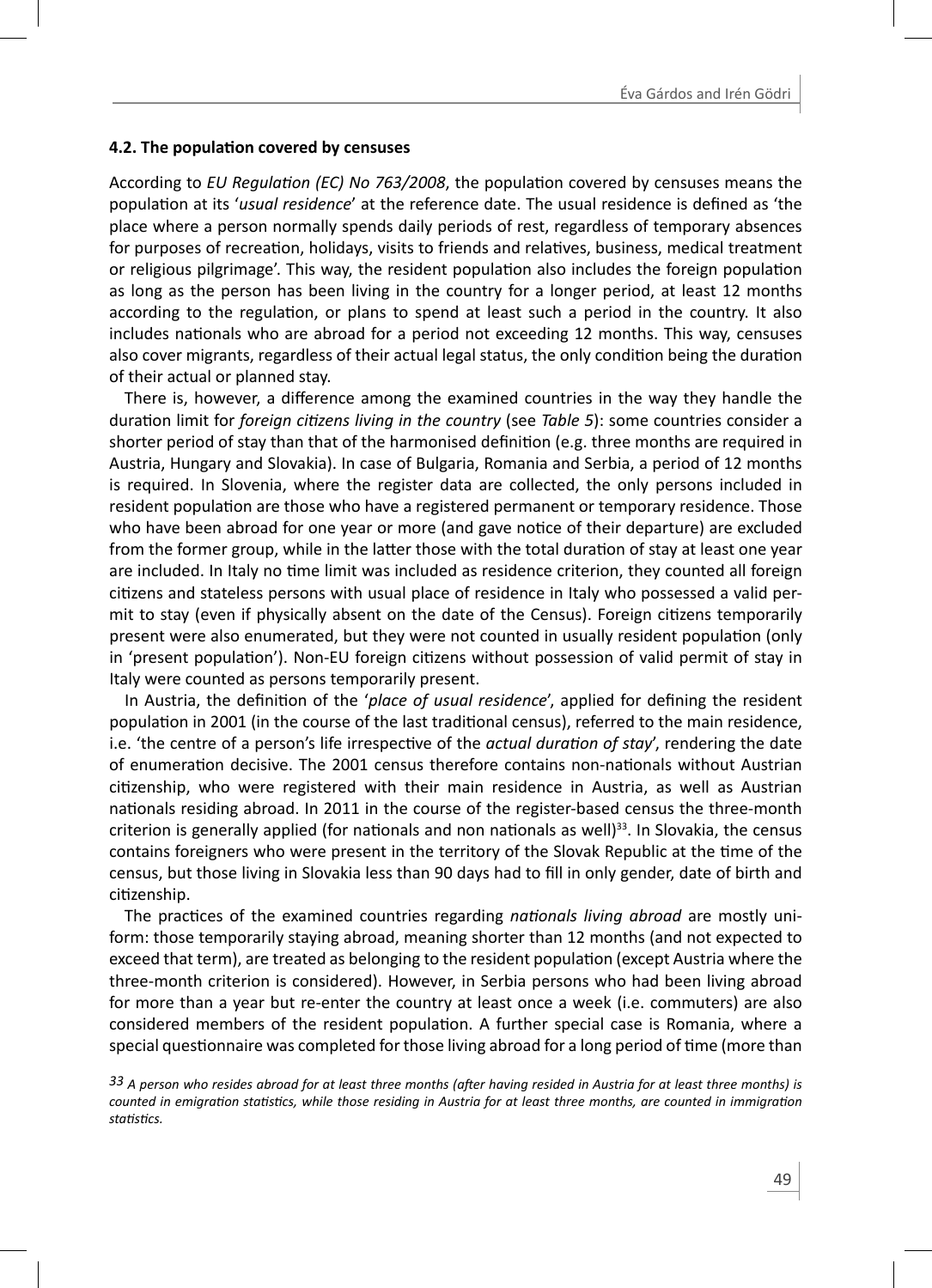#### **4.2. The populaƟ on covered by censuses**

According to *EU Regulation (EC) No 763/2008*, the population covered by censuses means the population at its 'usual residence' at the reference date. The usual residence is defined as 'the place where a person normally spends daily periods of rest, regardless of temporary absences for purposes of recreation, holidays, visits to friends and relatives, business, medical treatment or religious pilgrimage'. This way, the resident population also includes the foreign population as long as the person has been living in the country for a longer period, at least 12 months according to the regulation, or plans to spend at least such a period in the country. It also includes nationals who are abroad for a period not exceeding 12 months. This way, censuses also cover migrants, regardless of their actual legal status, the only condition being the duration of their actual or planned stay.

There is, however, a difference among the examined countries in the way they handle the duration limit for *foreign citizens living in the country* (see *Table 5*): some countries consider a shorter period of stay than that of the harmonised definition (e.g. three months are required in Austria, Hungary and Slovakia). In case of Bulgaria, Romania and Serbia, a period of 12 months is required. In Slovenia, where the register data are collected, the only persons included in resident population are those who have a registered permanent or temporary residence. Those who have been abroad for one year or more (and gave notice of their departure) are excluded from the former group, while in the latter those with the total duration of stay at least one year are included. In Italy no time limit was included as residence criterion, they counted all foreign citizens and stateless persons with usual place of residence in Italy who possessed a valid permit to stay (even if physically absent on the date of the Census). Foreign citizens temporarily present were also enumerated, but they were not counted in usually resident population (only in 'present population'). Non-EU foreign citizens without possession of valid permit of stay in Italy were counted as persons temporarily present.

In Austria, the definition of the 'place of usual residence', applied for defining the resident population in 2001 (in the course of the last traditional census), referred to the main residence, i.e. 'the centre of a person's life irrespective of the *actual duration of stay'*, rendering the date of enumeration decisive. The 2001 census therefore contains non-nationals without Austrian citizenship, who were registered with their main residence in Austria, as well as Austrian nationals residing abroad. In 2011 in the course of the register-based census the three-month criterion is generally applied (for nationals and non nationals as well)<sup>33</sup>. In Slovakia, the census contains foreigners who were present in the territory of the Slovak Republic at the time of the census, but those living in Slovakia less than 90 days had to fill in only gender, date of birth and citizenship.

The practices of the examined countries regarding *nationals living abroad* are mostly uniform: those temporarily staying abroad, meaning shorter than 12 months (and not expected to exceed that term), are treated as belonging to the resident population (except Austria where the three-month criterion is considered). However, in Serbia persons who had been living abroad for more than a year but re-enter the country at least once a week (i.e. commuters) are also considered members of the resident population. A further special case is Romania, where a special questionnaire was completed for those living abroad for a long period of time (more than

<sup>33</sup> A person who resides abroad for at least three months (after having resided in Austria for at least three months) is *counted in emigraƟ on staƟ sƟ cs, while those residing in Austria for at least three months, are counted in immigraƟ on staƟ sƟ cs.*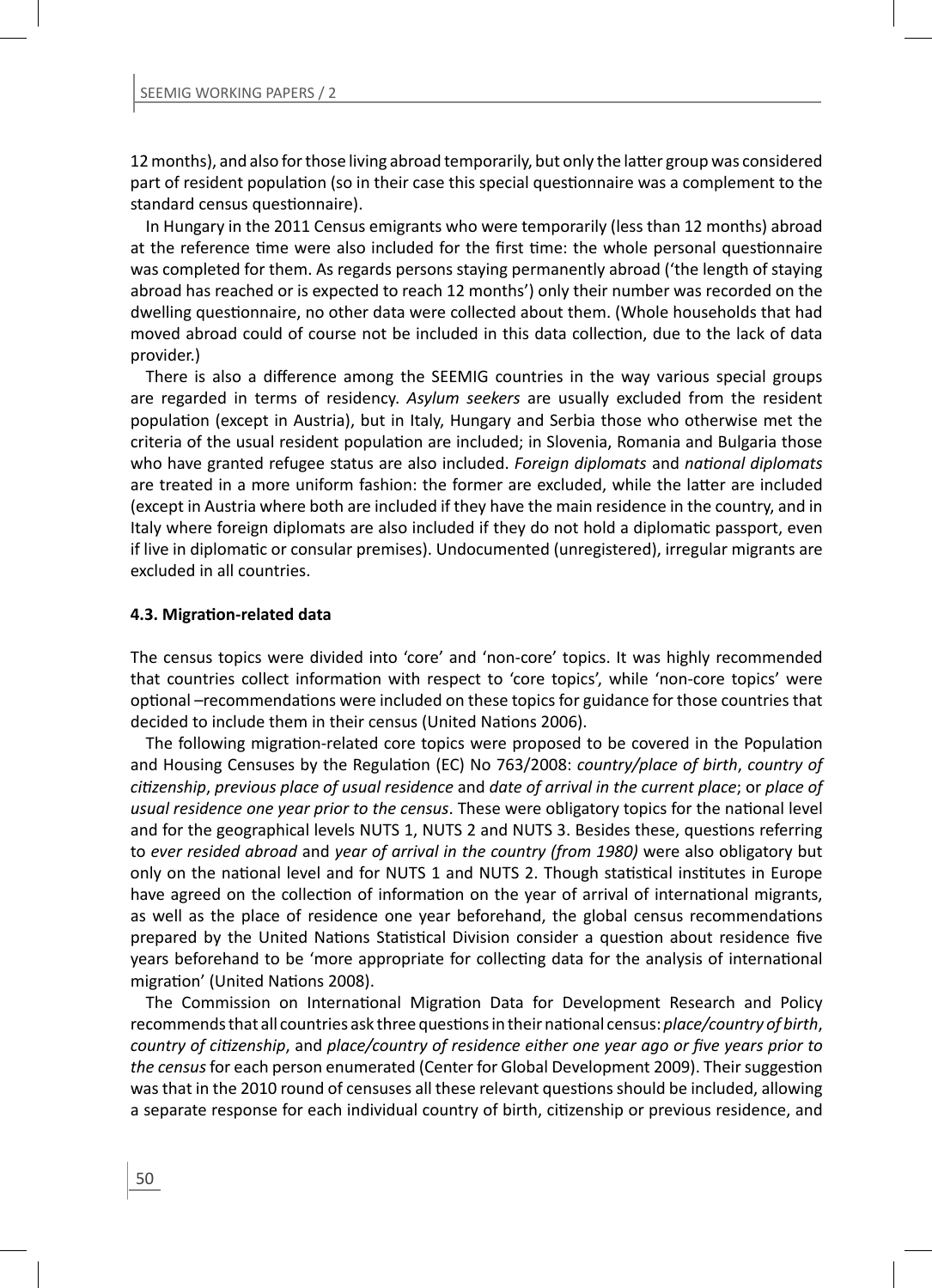12 months), and also for those living abroad temporarily, but only the latter group was considered part of resident population (so in their case this special questionnaire was a complement to the standard census questionnaire).

In Hungary in the 2011 Census emigrants who were temporarily (less than 12 months) abroad at the reference time were also included for the first time: the whole personal questionnaire was completed for them. As regards persons staying permanently abroad ('the length of staying abroad has reached or is expected to reach 12 months') only their number was recorded on the dwelling questionnaire, no other data were collected about them. (Whole households that had moved abroad could of course not be included in this data collection, due to the lack of data provider.)

There is also a difference among the SEEMIG countries in the way various special groups are regarded in terms of residency. *Asylum seekers* are usually excluded from the resident populaƟ on (except in Austria), but in Italy, Hungary and Serbia those who otherwise met the criteria of the usual resident population are included; in Slovenia, Romania and Bulgaria those who have granted refugee status are also included. *Foreign diplomats* and *national diplomats* are treated in a more uniform fashion: the former are excluded, while the latter are included (except in Austria where both are included if they have the main residence in the country, and in Italy where foreign diplomats are also included if they do not hold a diplomatic passport, even if live in diplomatic or consular premises). Undocumented (unregistered), irregular migrants are excluded in all countries.

#### **4.3. MigraƟ on-related data**

The census topics were divided into 'core' and 'non-core' topics. It was highly recommended that countries collect information with respect to 'core topics', while 'non-core topics' were optional –recommendations were included on these topics for guidance for those countries that decided to include them in their census (United Nations 2006).

The following migration-related core topics were proposed to be covered in the Population and Housing Censuses by the Regulation (EC) No 763/2008: *country/place of birth, country of ciƟ zenship*, *previous place of usual residence* and *date of arrival in the current place*; or *place of usual residence one year prior to the census.* These were obligatory topics for the national level and for the geographical levels NUTS 1, NUTS 2 and NUTS 3. Besides these, questions referring to *ever resided abroad* and *year of arrival in the country (from 1980)* were also obligatory but only on the national level and for NUTS 1 and NUTS 2. Though statistical institutes in Europe have agreed on the collection of information on the year of arrival of international migrants, as well as the place of residence one year beforehand, the global census recommendations prepared by the United Nations Statistical Division consider a question about residence five years beforehand to be 'more appropriate for collecting data for the analysis of international migration' (United Nations 2008).

The Commission on International Migration Data for Development Research and Policy recommends that all countries ask three questions in their national census: *place/country of birth*, *country of citizenship, and place/country of residence either one year ago or five years prior to* the census for each person enumerated (Center for Global Development 2009). Their suggestion was that in the 2010 round of censuses all these relevant questions should be included, allowing a separate response for each individual country of birth, citizenship or previous residence, and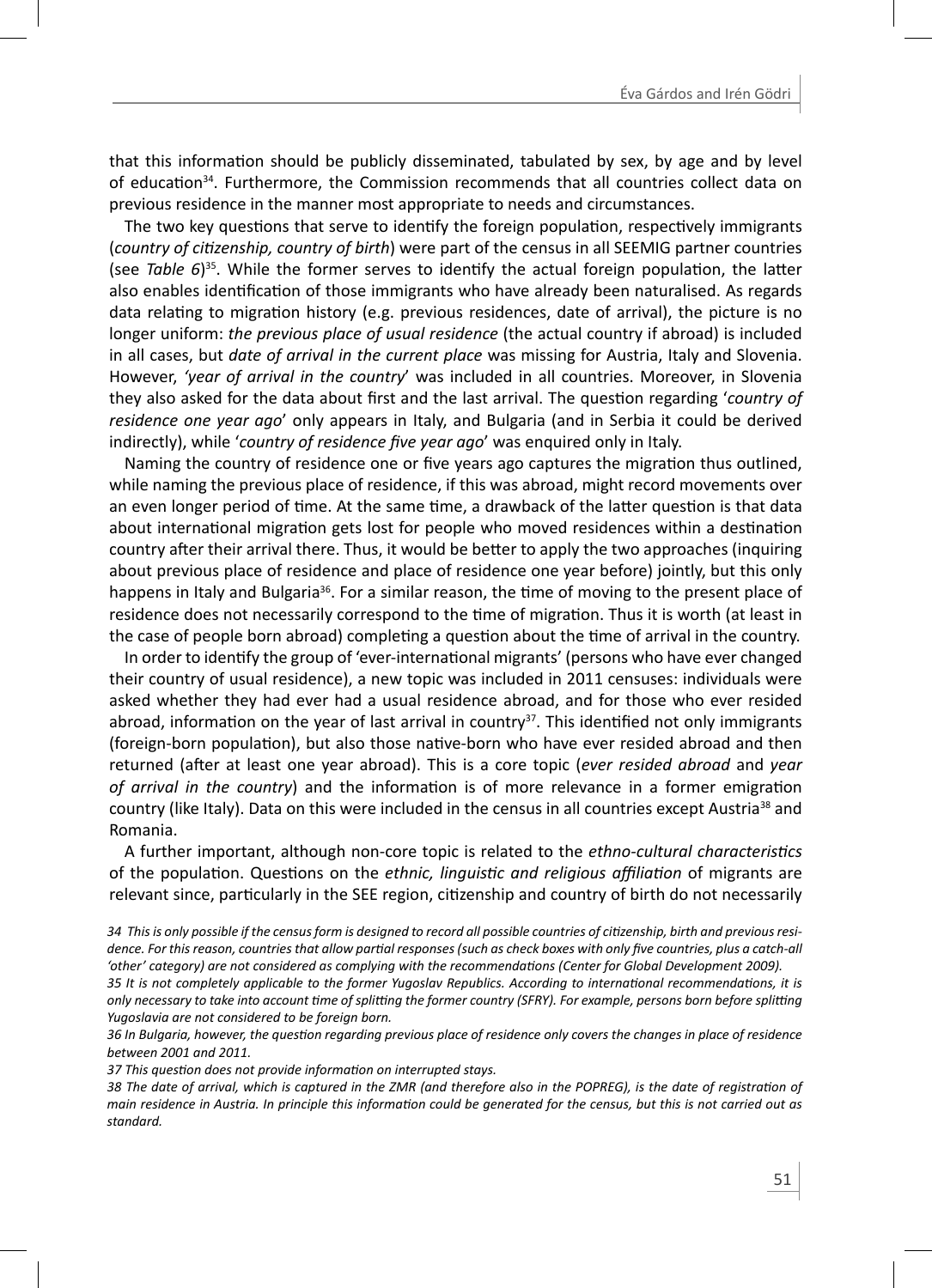that this information should be publicly disseminated, tabulated by sex, by age and by level of education<sup>34</sup>. Furthermore, the Commission recommends that all countries collect data on previous residence in the manner most appropriate to needs and circumstances.

The two key questions that serve to identify the foreign population, respectively immigrants (*country of ciƟ zenship, country of birth*) were part of the census in all SEEMIG partner countries (see *Table 6*)<sup>35</sup>. While the former serves to identify the actual foreign population, the latter also enables identification of those immigrants who have already been naturalised. As regards data relating to migration history (e.g. previous residences, date of arrival), the picture is no longer uniform: *the previous place of usual residence* (the actual country if abroad) is included in all cases, but *date of arrival in the current place* was missing for Austria, Italy and Slovenia. However, *'year of arrival in the country*' was included in all countries. Moreover, in Slovenia they also asked for the data about first and the last arrival. The question regarding '*country of residence one year ago*' only appears in Italy, and Bulgaria (and in Serbia it could be derived indirectly), while '*country of residence five year ago'* was enquired only in Italy.

Naming the country of residence one or five years ago captures the migration thus outlined, while naming the previous place of residence, if this was abroad, might record movements over an even longer period of time. At the same time, a drawback of the latter question is that data about international migration gets lost for people who moved residences within a destination country after their arrival there. Thus, it would be better to apply the two approaches (inquiring about previous place of residence and place of residence one year before) jointly, but this only happens in Italy and Bulgaria<sup>36</sup>. For a similar reason, the time of moving to the present place of residence does not necessarily correspond to the time of migration. Thus it is worth (at least in the case of people born abroad) completing a question about the time of arrival in the country.

In order to identify the group of 'ever-international migrants' (persons who have ever changed their country of usual residence), a new topic was included in 2011 censuses: individuals were asked whether they had ever had a usual residence abroad, and for those who ever resided abroad, information on the year of last arrival in country<sup>37</sup>. This identified not only immigrants (foreign-born population), but also those native-born who have ever resided abroad and then returned (after at least one year abroad). This is a core topic (ever resided abroad and year *of arrival in the country*) and the information is of more relevance in a former emigration country (like Italy). Data on this were included in the census in all countries except Austria<sup>38</sup> and Romania.

A further important, although non-core topic is related to the *ethno-cultural characteristics* of the populaƟ on. QuesƟ ons on the *ethnic, linguisƟ c and religious affi liaƟ on* of migrants are relevant since, particularly in the SEE region, citizenship and country of birth do not necessarily

34 This is only possible if the census form is designed to record all possible countries of citizenship, birth and previous resi*dence. For this reason, countries that allow partial responses (such as check boxes with only five countries, plus a catch-all* 'other' category) are not considered as complying with the recommendations (Center for Global Development 2009).

*35 It is not completely applicable to the former Yugoslav Republics. According to international recommendations, it is only necessary to take into account time of splitting the former country (SFRY). For example, persons born before splitting Yugoslavia are not considered to be foreign born.*

*36 In Bulgaria, however, the question regarding previous place of residence only covers the changes in place of residence between 2001 and 2011.*

*37 This quesƟ on does not provide informaƟ on on interrupted stays.*

*38 The date of arrival, which is captured in the ZMR (and therefore also in the POPREG), is the date of registration of main residence in Austria. In principle this information could be generated for the census, but this is not carried out as standard.*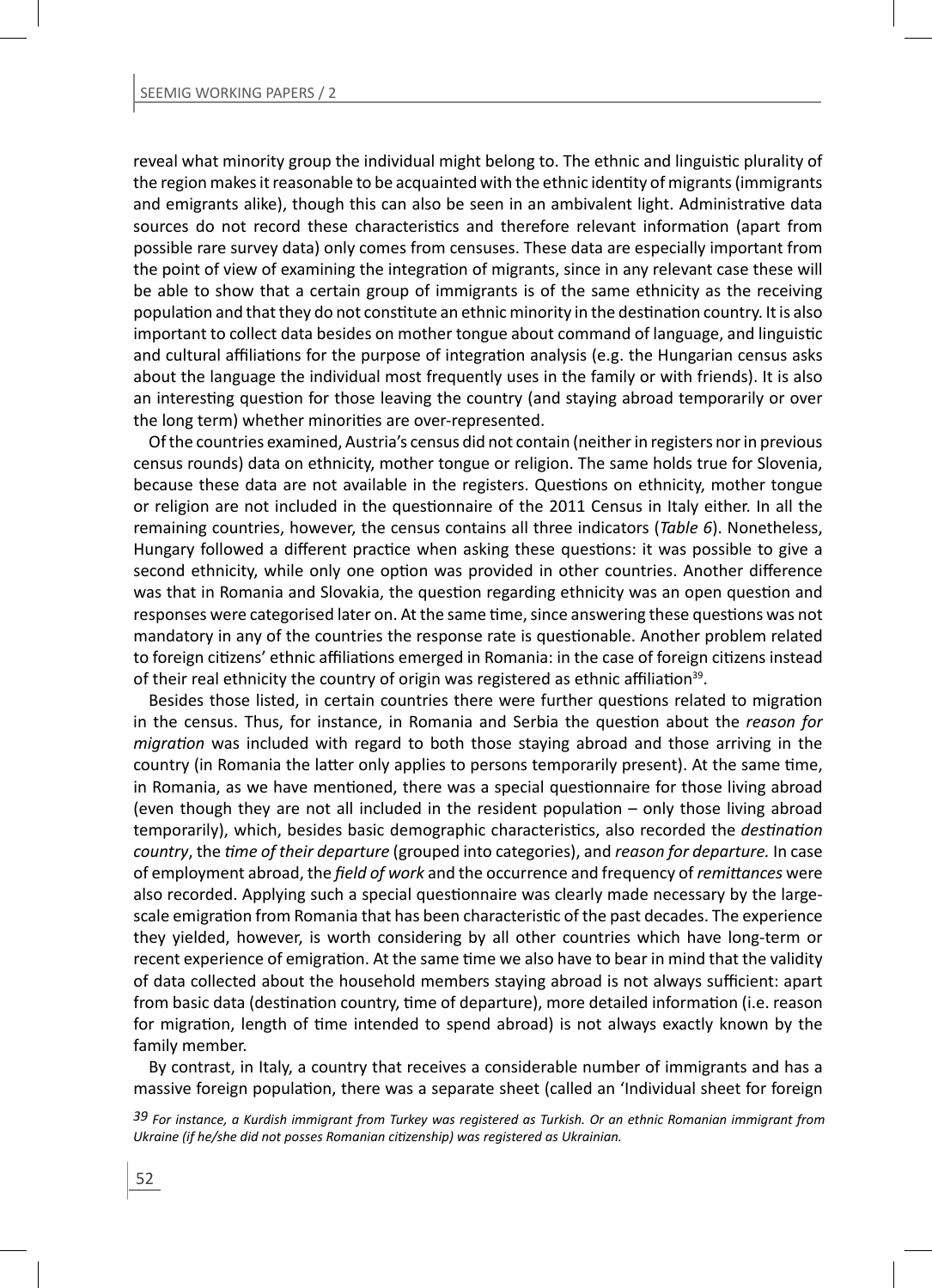reveal what minority group the individual might belong to. The ethnic and linguistic plurality of the region makes it reasonable to be acquainted with the ethnic identity of migrants (immigrants and emigrants alike), though this can also be seen in an ambivalent light. Administrative data sources do not record these characteristics and therefore relevant information (apart from possible rare survey data) only comes from censuses. These data are especially important from the point of view of examining the integration of migrants, since in any relevant case these will be able to show that a certain group of immigrants is of the same ethnicity as the receiving population and that they do not constitute an ethnic minority in the destination country. It is also important to collect data besides on mother tongue about command of language, and linguistic and cultural affiliations for the purpose of integration analysis (e.g. the Hungarian census asks about the language the individual most frequently uses in the family or with friends). It is also an interesting question for those leaving the country (and staying abroad temporarily or over the long term) whether minorities are over-represented.

Of the countries examined, Austria's census did not contain (neither in registers nor in previous census rounds) data on ethnicity, mother tongue or religion. The same holds true for Slovenia, because these data are not available in the registers. Questions on ethnicity, mother tongue or religion are not included in the questionnaire of the 2011 Census in Italy either. In all the remaining countries, however, the census contains all three indicators (*Table 6*). Nonetheless, Hungary followed a different practice when asking these questions: it was possible to give a second ethnicity, while only one option was provided in other countries. Another difference was that in Romania and Slovakia, the question regarding ethnicity was an open question and responses were categorised later on. At the same time, since answering these questions was not mandatory in any of the countries the response rate is questionable. Another problem related to foreign citizens' ethnic affiliations emerged in Romania: in the case of foreign citizens instead of their real ethnicity the country of origin was registered as ethnic affiliation<sup>39</sup>.

Besides those listed, in certain countries there were further questions related to migration in the census. Thus, for instance, in Romania and Serbia the question about the *reason for migration* was included with regard to both those staying abroad and those arriving in the country (in Romania the latter only applies to persons temporarily present). At the same time, in Romania, as we have mentioned, there was a special questionnaire for those living abroad (even though they are not all included in the resident population  $-$  only those living abroad temporarily), which, besides basic demographic characteristics, also recorded the *destination country*, the *Ɵ me of their departure* (grouped into categories), and *reason for departure.* In case of employment abroad, the *field of work* and the occurrence and frequency of *remittances* were also recorded. Applying such a special questionnaire was clearly made necessary by the largescale emigration from Romania that has been characteristic of the past decades. The experience they yielded, however, is worth considering by all other countries which have long-term or recent experience of emigration. At the same time we also have to bear in mind that the validity of data collected about the household members staying abroad is not always sufficient: apart from basic data (destination country, time of departure), more detailed information (i.e. reason for migration, length of time intended to spend abroad) is not always exactly known by the family member.

By contrast, in Italy, a country that receives a considerable number of immigrants and has a massive foreign population, there was a separate sheet (called an 'Individual sheet for foreign

*39 For instance, a Kurdish immigrant from Turkey was registered as Turkish. Or an ethnic Romanian immigrant from Ukraine (if he/she did not posses Romanian citizenship) was registered as Ukrainian.*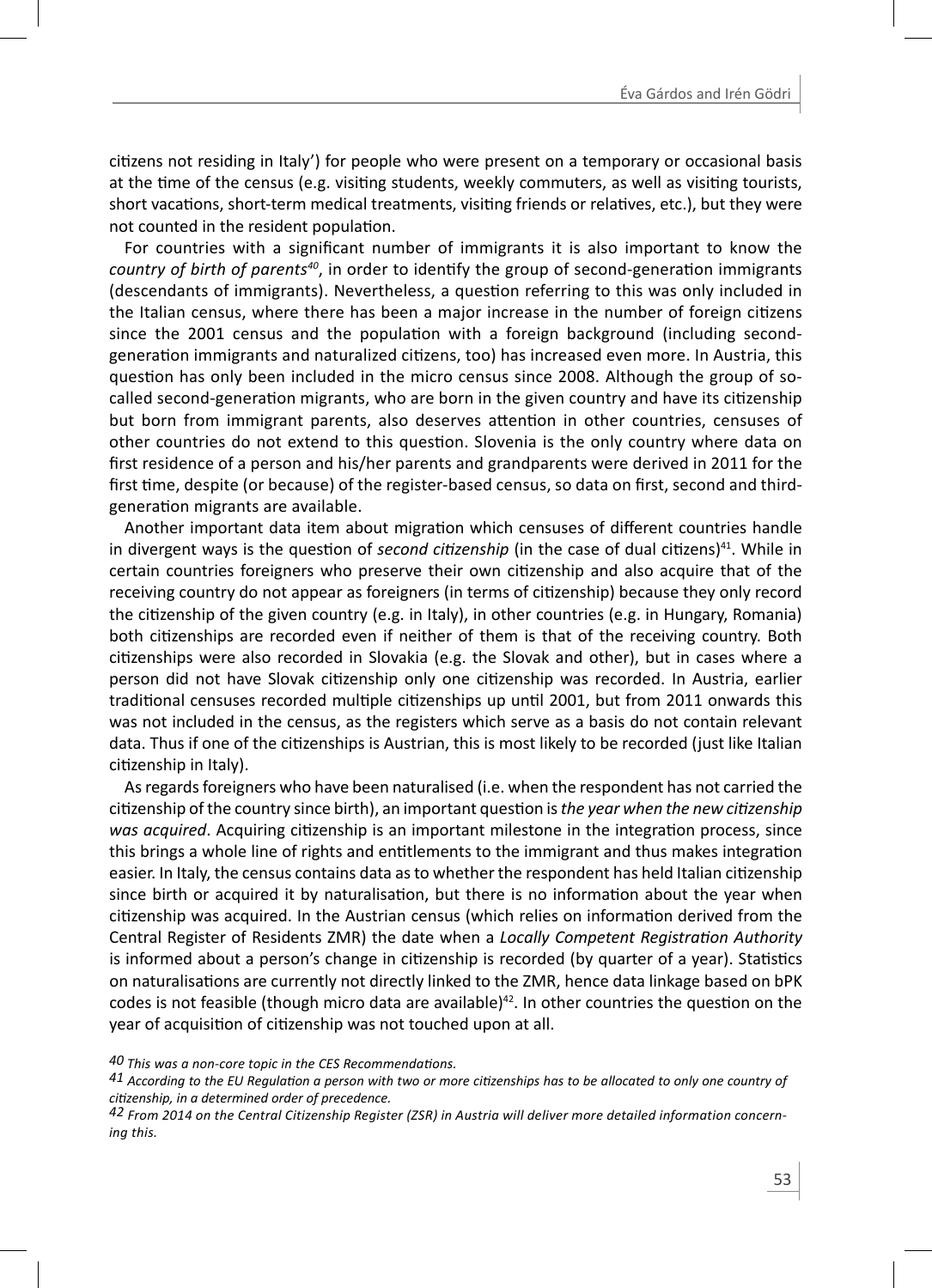citizens not residing in Italy') for people who were present on a temporary or occasional basis at the time of the census (e.g. visiting students, weekly commuters, as well as visiting tourists, short vacations, short-term medical treatments, visiting friends or relatives, etc.), but they were not counted in the resident population.

For countries with a significant number of immigrants it is also important to know the *country of birth of parents<sup>40</sup>*, in order to identify the group of second-generation immigrants (descendants of immigrants). Nevertheless, a question referring to this was only included in the Italian census, where there has been a major increase in the number of foreign citizens since the 2001 census and the population with a foreign background (including secondgeneration immigrants and naturalized citizens, too) has increased even more. In Austria, this question has only been included in the micro census since 2008. Although the group of socalled second-generation migrants, who are born in the given country and have its citizenship but born from immigrant parents, also deserves attention in other countries, censuses of other countries do not extend to this question. Slovenia is the only country where data on first residence of a person and his/her parents and grandparents were derived in 2011 for the first time, despite (or because) of the register-based census, so data on first, second and thirdgeneration migrants are available.

Another important data item about migration which censuses of different countries handle in divergent ways is the question of *second citizenship* (in the case of dual citizens)<sup>41</sup>. While in certain countries foreigners who preserve their own citizenship and also acquire that of the receiving country do not appear as foreigners (in terms of citizenship) because they only record the citizenship of the given country (e.g. in Italy), in other countries (e.g. in Hungary, Romania) both citizenships are recorded even if neither of them is that of the receiving country. Both citizenships were also recorded in Slovakia (e.g. the Slovak and other), but in cases where a person did not have Slovak citizenship only one citizenship was recorded. In Austria, earlier traditional censuses recorded multiple citizenships up until 2001, but from 2011 onwards this was not included in the census, as the registers which serve as a basis do not contain relevant data. Thus if one of the citizenships is Austrian, this is most likely to be recorded (just like Italian citizenship in Italy).

As regards foreigners who have been naturalised (i.e. when the respondent has not carried the citizenship of the country since birth), an important question is *the year when the new citizenship* was acquired. Acquiring citizenship is an important milestone in the integration process, since this brings a whole line of rights and entitlements to the immigrant and thus makes integration easier. In Italy, the census contains data as to whether the respondent has held Italian citizenship since birth or acquired it by naturalisation, but there is no information about the year when citizenship was acquired. In the Austrian census (which relies on information derived from the Central Register of Residents ZMR) the date when a *Locally Competent RegistraƟ on Authority* is informed about a person's change in citizenship is recorded (by quarter of a year). Statistics on naturalisations are currently not directly linked to the ZMR, hence data linkage based on bPK codes is not feasible (though micro data are available) $42$ . In other countries the question on the year of acquisition of citizenship was not touched upon at all.

<sup>40</sup> This was a non-core topic in the CES Recommendations.<br>41 According to the EU Regulation a person with two or more citizenships has to be allocated to only one country of *ciƟ zenship, in a determined order of precedence.*

*<sup>42</sup> From 2014 on the Central Citizenship Register (ZSR) in Austria will deliver more detailed information concerning this.*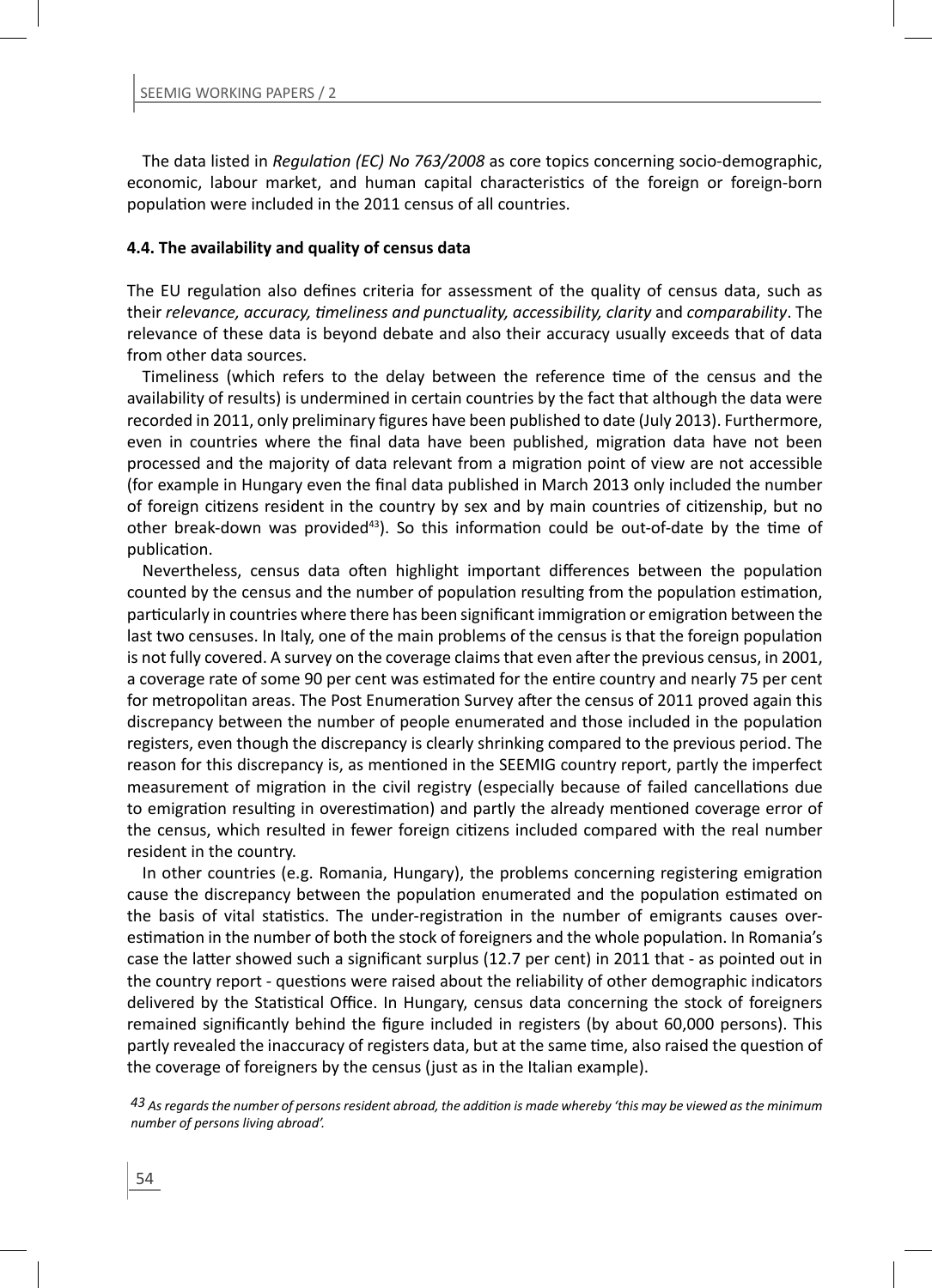The data listed in *Regulation (EC) No 763/2008* as core topics concerning socio-demographic. economic, labour market, and human capital characteristics of the foreign or foreign-born population were included in the 2011 census of all countries.

#### **4.4. The availability and quality of census data**

The EU regulation also defines criteria for assessment of the quality of census data, such as their *relevance, accuracy, Ɵ meliness and punctuality, accessibility, clarity* and *comparability*. The relevance of these data is beyond debate and also their accuracy usually exceeds that of data from other data sources.

Timeliness (which refers to the delay between the reference time of the census and the availability of results) is undermined in certain countries by the fact that although the data were recorded in 2011, only preliminary figures have been published to date (July 2013). Furthermore, even in countries where the final data have been published, migration data have not been processed and the majority of data relevant from a migration point of view are not accessible (for example in Hungary even the final data published in March 2013 only included the number of foreign citizens resident in the country by sex and by main countries of citizenship, but no other break-down was provided<sup>43</sup>). So this information could be out-of-date by the time of publication.

Nevertheless, census data often highlight important differences between the population counted by the census and the number of population resulting from the population estimation, particularly in countries where there has been significant immigration or emigration between the last two censuses. In Italy, one of the main problems of the census is that the foreign population is not fully covered. A survey on the coverage claims that even after the previous census, in 2001, a coverage rate of some 90 per cent was estimated for the entire country and nearly 75 per cent for metropolitan areas. The Post Enumeration Survey after the census of 2011 proved again this discrepancy between the number of people enumerated and those included in the population registers, even though the discrepancy is clearly shrinking compared to the previous period. The reason for this discrepancy is, as mentioned in the SEEMIG country report, partly the imperfect measurement of migration in the civil registry (especially because of failed cancellations due to emigration resulting in overestimation) and partly the already mentioned coverage error of the census, which resulted in fewer foreign citizens included compared with the real number resident in the country.

In other countries (e.g. Romania, Hungary), the problems concerning registering emigration cause the discrepancy between the population enumerated and the population estimated on the basis of vital statistics. The under-registration in the number of emigrants causes overestimation in the number of both the stock of foreigners and the whole population. In Romania's case the latter showed such a significant surplus (12.7 per cent) in 2011 that - as pointed out in the country report - questions were raised about the reliability of other demographic indicators delivered by the Statistical Office. In Hungary, census data concerning the stock of foreigners remained significantly behind the figure included in registers (by about 60,000 persons). This partly revealed the inaccuracy of registers data, but at the same time, also raised the question of the coverage of foreigners by the census (just as in the Italian example).

*43 As regards the number of persons resident abroad, the addiƟ on is made whereby 'this may be viewed as the minimum number of persons living abroad'.*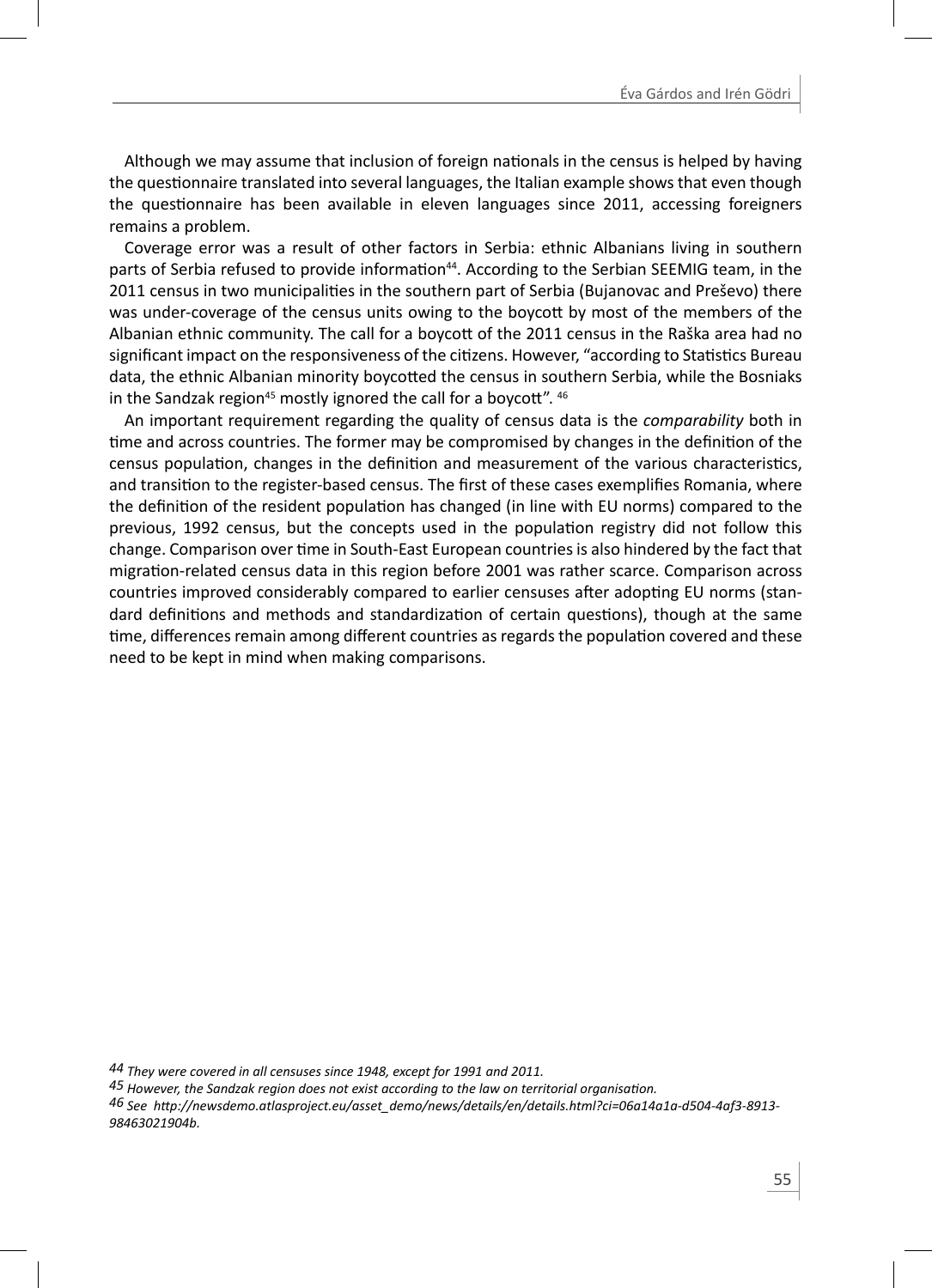Although we may assume that inclusion of foreign nationals in the census is helped by having the questionnaire translated into several languages, the Italian example shows that even though the questionnaire has been available in eleven languages since 2011, accessing foreigners remains a problem.

Coverage error was a result of other factors in Serbia: ethnic Albanians living in southern parts of Serbia refused to provide information<sup>44</sup>. According to the Serbian SEEMIG team, in the 2011 census in two municipalities in the southern part of Serbia (Bujanovac and Preševo) there was under-coverage of the census units owing to the boycott by most of the members of the Albanian ethnic community. The call for a boycott of the 2011 census in the Raška area had no significant impact on the responsiveness of the citizens. However, "according to Statistics Bureau data, the ethnic Albanian minority boycotted the census in southern Serbia, while the Bosniaks in the Sandzak region<sup>45</sup> mostly ignored the call for a boycott".  $46$ 

An important requirement regarding the quality of census data is the *comparability* both in time and across countries. The former may be compromised by changes in the definition of the census population, changes in the definition and measurement of the various characteristics, and transition to the register-based census. The first of these cases exemplifies Romania, where the definition of the resident population has changed (in line with EU norms) compared to the previous, 1992 census, but the concepts used in the population registry did not follow this change. Comparison over time in South-East European countries is also hindered by the fact that migration-related census data in this region before 2001 was rather scarce. Comparison across countries improved considerably compared to earlier censuses after adopting EU norms (standard definitions and methods and standardization of certain questions), though at the same time, differences remain among different countries as regards the population covered and these need to be kept in mind when making comparisons.

46 See http://newsdemo.atlasproject.eu/asset\_demo/news/details/en/details.html?ci=06a14a1a-d504-4af3-8913-*98463021904b.*

*<sup>44</sup> They were covered in all censuses since 1948, except for 1991 and 2011.*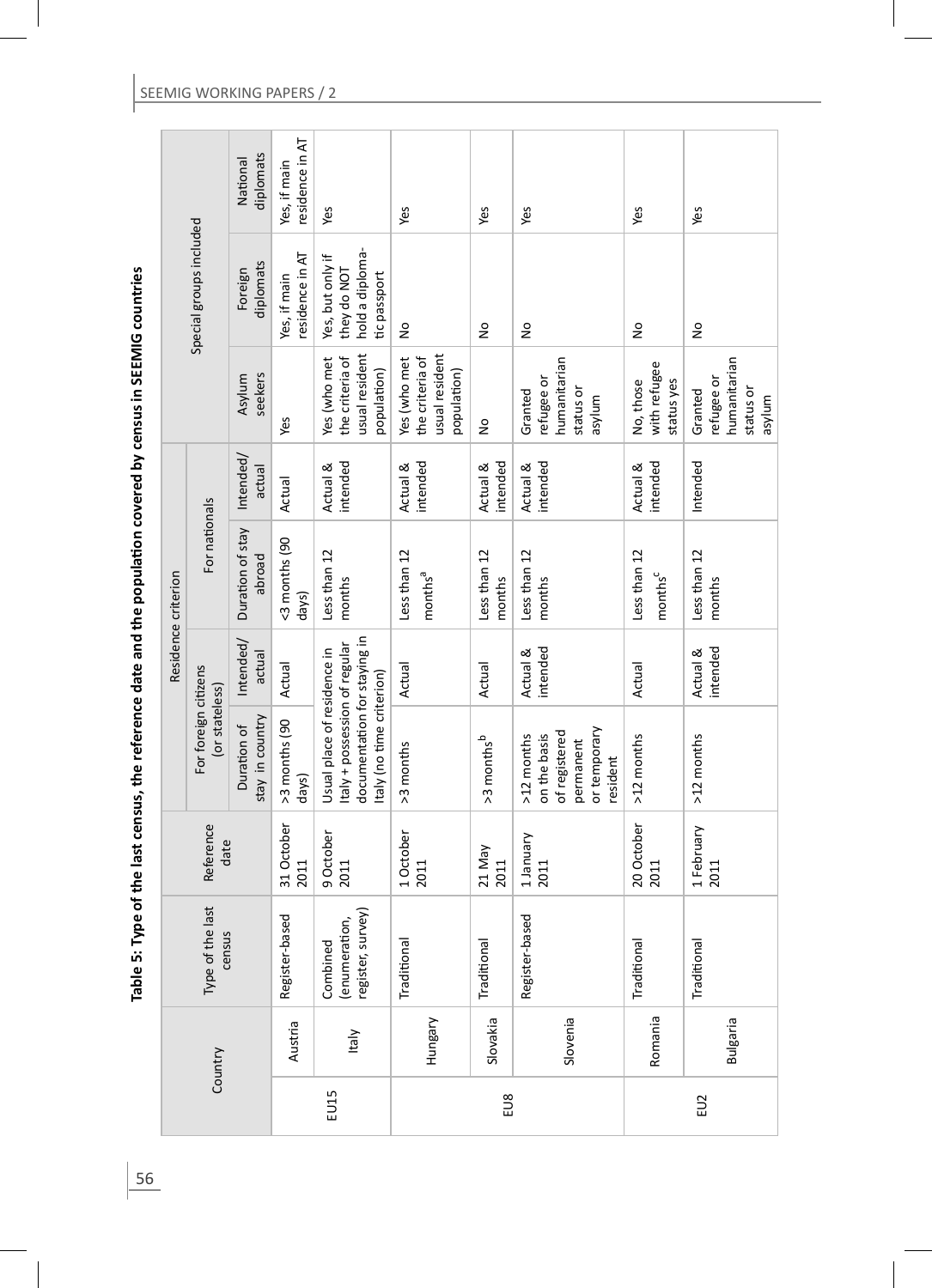| $\ddot{\cdot}$<br>$\bf{r}$ , $\bf{s}$ , $\bf{s}$ , $\bf{s}$ , $\bf{s}$ , $\bf{s}$ , $\bf{s}$ , $\bf{s}$ , $\bf{s}$ , $\bf{s}$<br>Table 5: Type of |  |
|---------------------------------------------------------------------------------------------------------------------------------------------------|--|
|                                                                                                                                                   |  |
|                                                                                                                                                   |  |
|                                                                                                                                                   |  |
|                                                                                                                                                   |  |
|                                                                                                                                                   |  |
|                                                                                                                                                   |  |
|                                                                                                                                                   |  |
|                                                                                                                                                   |  |
|                                                                                                                                                   |  |

|      |                 |                                                |                    |                                                                                                                          |                      | Residence criterion                 |                      |                                                                  |                                                                    |                                 |
|------|-----------------|------------------------------------------------|--------------------|--------------------------------------------------------------------------------------------------------------------------|----------------------|-------------------------------------|----------------------|------------------------------------------------------------------|--------------------------------------------------------------------|---------------------------------|
|      | Country         | Type of the last<br>census                     | Reference<br>date  | For foreign citizens<br>(or stateless)                                                                                   |                      | For nationals                       |                      |                                                                  | Special groups included                                            |                                 |
|      |                 |                                                |                    | stay in country<br>Duration of                                                                                           | Intended/<br>actual  | Duration of stay<br>abroad          | Intended/<br>actual  | seekers<br>Asylum                                                | diplomats<br>Foreign                                               | diplomats<br>National           |
|      | Austria         | ত<br>Register-base                             | 31 October<br>2011 | >3 months (90<br>days)                                                                                                   | Actual               | <3 months (90<br>days)              | Actual               | Yes                                                              | residence in AT<br>Yes, if main                                    | residence in AT<br>Yes, if main |
| EU15 | ltaly           | (enumeration,<br>register, survey)<br>Combined | 9 October<br>2011  | documentation for staying in<br>Italy + possession of regular<br>Usual place of residence in<br>taly (no time criterion) |                      | Less than 12<br>months              | intended<br>Actual & | usual resident<br>the criteria of<br>Yes (who met<br>population) | hold a diploma-<br>Yes, but only if<br>they do NOT<br>tic passport | Yes                             |
|      | Hungary         | Traditional                                    | 1 October<br>2011  | >3 months                                                                                                                | Actual               | Less than 12<br>months <sup>a</sup> | intended<br>Actual & | usual resident<br>the criteria of<br>Yes (who met<br>population) | $\frac{1}{2}$                                                      | Yes                             |
| EU8  | Slovakia        | Traditional                                    | 21 May<br>2011     | >3 months <sup>b</sup>                                                                                                   | Actual               | Less than 12<br>months              | intended<br>Actual & | $\frac{1}{2}$                                                    | Ş                                                                  | Yes                             |
|      | Slovenia        | ᅙ<br>Register-base                             | 1January<br>2011   | or temporary<br>of registered<br>on the basis<br>>12 months<br>permanent<br>resident                                     | intended<br>Actual & | Less than 12<br>months              | intended<br>Actual & | humanitarian<br>refugee or<br>status or<br>Granted<br>mulya      | ş                                                                  | Yes                             |
|      | Romania         | Traditional                                    | 20 October<br>2011 | >12 months                                                                                                               | Actual               | Less than 12<br>months <sup>c</sup> | intended<br>Actual & | with refugee<br>No, those<br>status yes                          | $\frac{1}{2}$                                                      | Yes                             |
| EU2  | <b>Bulgaria</b> | Traditional                                    | 1 February<br>2011 | >12 months                                                                                                               | intended<br>Actual & | Less than 12<br>months              | Intended             | humanitarian<br>efugee or<br>status or<br>Granted<br>asylum      | ş                                                                  | Yes                             |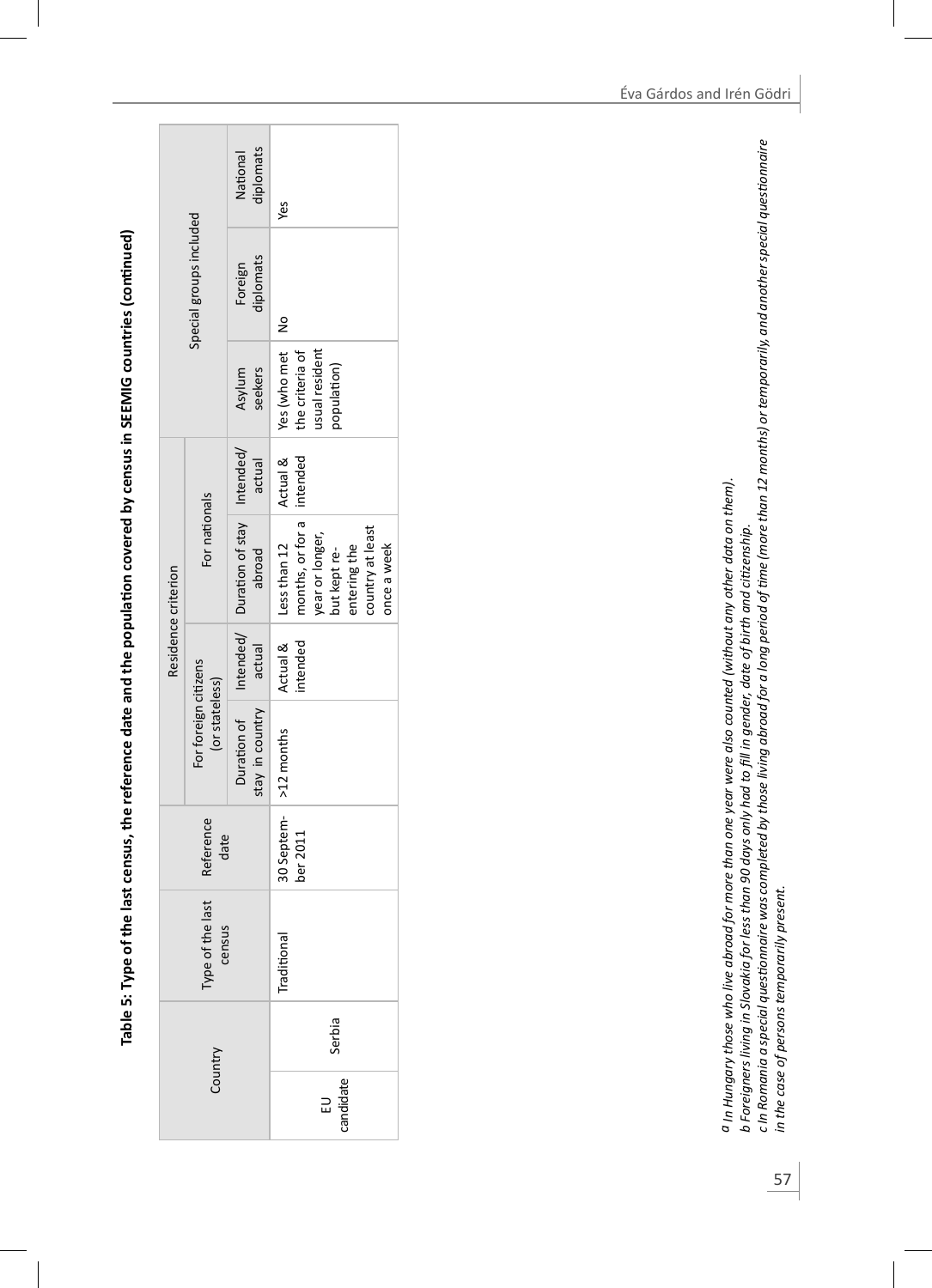Table 5: Type of the last census, the reference date and the population covered by census in SEEMIG countries (continued) **Table 5: Type of the last census, the reference date and the populaƟ on covered by census in SEEMIG countries (conƟ nued)**

|                     |                                        | diplomats<br>National                                        | yes                                                                                                                      |
|---------------------|----------------------------------------|--------------------------------------------------------------|--------------------------------------------------------------------------------------------------------------------------|
|                     | Special groups included                | Foreign<br>diplomats                                         | $\frac{1}{2}$                                                                                                            |
|                     |                                        | seekers<br>Asylum                                            | Yes (who met<br>usual resident<br>the criteria of<br>opulation)                                                          |
|                     |                                        | actual                                                       | Actual &<br>intended                                                                                                     |
| Residence criterion | For nationals                          | Duration of Intended/ Duration of stay   Intended/<br>abroad | Less than $12$<br>months, or for a<br>country at least<br>rear or longer,<br>out kept re-<br>entering the<br>once a week |
|                     |                                        | actual                                                       | Actual &<br>intended                                                                                                     |
|                     | For foreign citizens<br>(or stateless) | stay in country                                              | >12 months                                                                                                               |
|                     | Reference<br>date                      |                                                              | 30 Septem-<br>ber 2011                                                                                                   |
|                     | Type of the last<br>census             |                                                              | Traditional                                                                                                              |
|                     | Country                                |                                                              | Serbia                                                                                                                   |
|                     |                                        |                                                              | EU<br>candidate                                                                                                          |

a In Hungary those who live abroad for more than one year were also counted (without any other data on them). *a In Hungary those who live abroad for more than one year were also counted (without any other data on them).* b Foreigners living in Slovakia for less than 90 days only had to fill in gender, date of birth and citizenship. *b Foreigners living in Slovakia for less than 90 days only had to fi ll in gender, date of birth and ciƟ zenship.*

и Foreigners niving in sovukia juriess unary somy naa to juring gender, aace of print and acterismy.<br>c In Romania a special questionnaire was completed by those living abroad for a long period of time (more than 12 months *c In Romania a special quesƟ onnaire was completed by those living abroad for a long period of Ɵ me (more than 12 months) or temporarily, and another special quesƟ onnaire in the case of persons temporarily present.*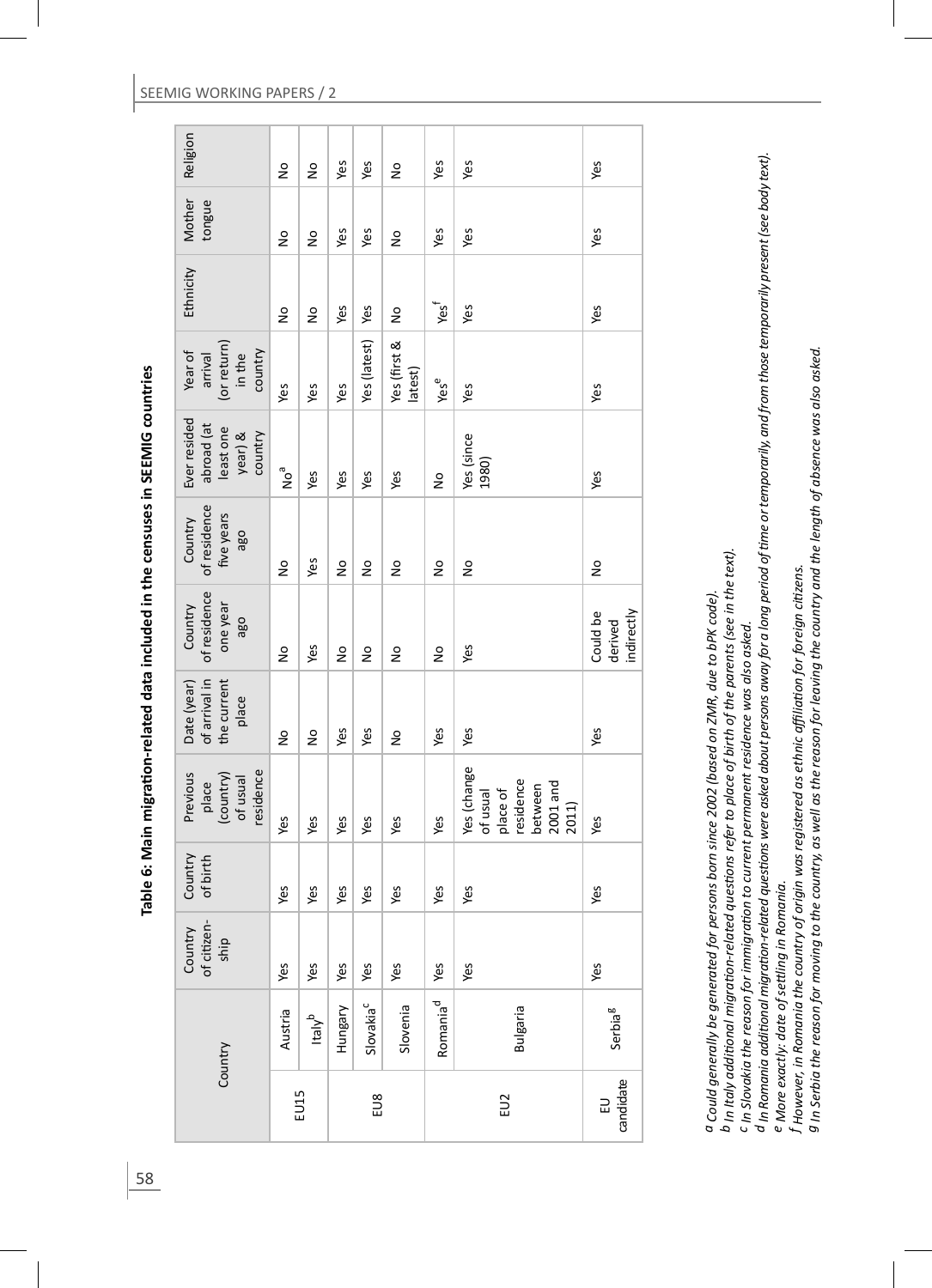| Religion                                                      | $\frac{1}{2}$   | å                  | Yes     | Yes                   | Ş                       | Yes                      | Yes                                                                                | Yes                               |
|---------------------------------------------------------------|-----------------|--------------------|---------|-----------------------|-------------------------|--------------------------|------------------------------------------------------------------------------------|-----------------------------------|
| Mother<br>tongue                                              | $\frac{1}{2}$   | $\frac{1}{2}$      | Yes     | Yes                   | $\frac{1}{2}$           | Yes                      | Yes                                                                                | Yes                               |
| Ethnicity                                                     | Ş               | ş                  | Yes     | Yes                   | ş                       | ٦es<br>د                 | Yes                                                                                | Yes                               |
| (or return)<br>in the<br>Year of<br>country<br>arrival        | Yes             | Yes                | Yes     | Yes (latest)          | Yes (first &<br>latest) | Yese                     | Yes                                                                                | Yes                               |
| Ever resided<br>abroad (at<br>least one<br>year) &<br>country | no <sup>a</sup> | Yes                | Yes     | Yes                   | Yes                     | $\frac{1}{2}$            | Yes (since<br>1980)                                                                | Yes                               |
| of residence<br>five years<br>Country<br>oge                  | $\frac{1}{2}$   | Yes                | ş       | ş                     | Ş                       | å                        | ş                                                                                  | ş                                 |
| of residence<br>Country<br>one year<br>ago                    | $\frac{1}{2}$   | Yes                | ş       | ş                     | $\frac{1}{2}$           | å                        | Yes                                                                                | indirectly<br>Could be<br>derived |
| of arrival in<br>the current<br>Date (year)<br>place          | $\frac{1}{2}$   | $\frac{1}{2}$      | Yes     | Yes                   | $\frac{1}{2}$           | Yes                      | Yes                                                                                | Yes                               |
| residence<br>Previous<br>(country)<br>of usual<br>place       | Yes             | Yes                | Yes     | Yes                   | Yes                     | Yes                      | Yes (change<br>of usual<br>place of<br>residence<br>$2001$ and<br>between<br>2011) | Yes                               |
| Country<br>of birth                                           | Yes             | Yes                | Yes     | Yes                   | Yes                     | Yes                      | Yes                                                                                | Yes                               |
| Country<br>of citizen-<br>ship                                | Yes             | Yes                | Yes     | Yes                   | Yes                     |                          | Yes                                                                                | Yes                               |
|                                                               | Austria         | ltaly <sup>b</sup> | Hungary | Slovakia <sup>c</sup> | Slovenia                | Romania <sup>d</sup> Yes | <b>Bulgaria</b>                                                                    | Serbia <sup>g</sup>               |
| Country                                                       |                 | EU15               |         | EU8                   |                         |                          | EU2                                                                                | candidate<br>$\Xi$                |

a Could generally be generated for persons born since 2002 (based on ZMR, due to bPK code). *a Could generally be generated for persons born since 2002 (based on ZMR, due to bPK code).*

 $b$  In Italy additional migration-related questions refer to place of birth of the parents (see in the text). *b In Italy addiƟ onal migraƟ on-related quesƟ ons refer to place of birth of the parents (see in the text).*

<sup>C</sup> In Slovakia the reason for immigration to current permanent residence was also asked. *c In Slovakia the reason for immigraƟ on to current permanent residence was also asked.*

d In Romania additional migration-related questions were asked about persons away for a long period of time or temporarily, and from those temporarily present (see body text). d In Romania additional migration-related questions were asked about persons away for a long period of time or temporarily, and from those temporarily present (see body text). e More exactly: date of settling in Romania. *e More exactly: date of seƩ ling in Romania.*

f However, in Romania the country of origin was registered as ethnic affiliation for foreign citizens. *f However, in Romania the country of origin was registered as ethnic affi liaƟ on for foreign ciƟ zens.*

g In Serbia the reason for moving to the country, as well as the reason for leaving the country and the length of absence was also asked. *g In Serbia the reason for moving to the country, as well as the reason for leaving the country and the length of absence was also asked.*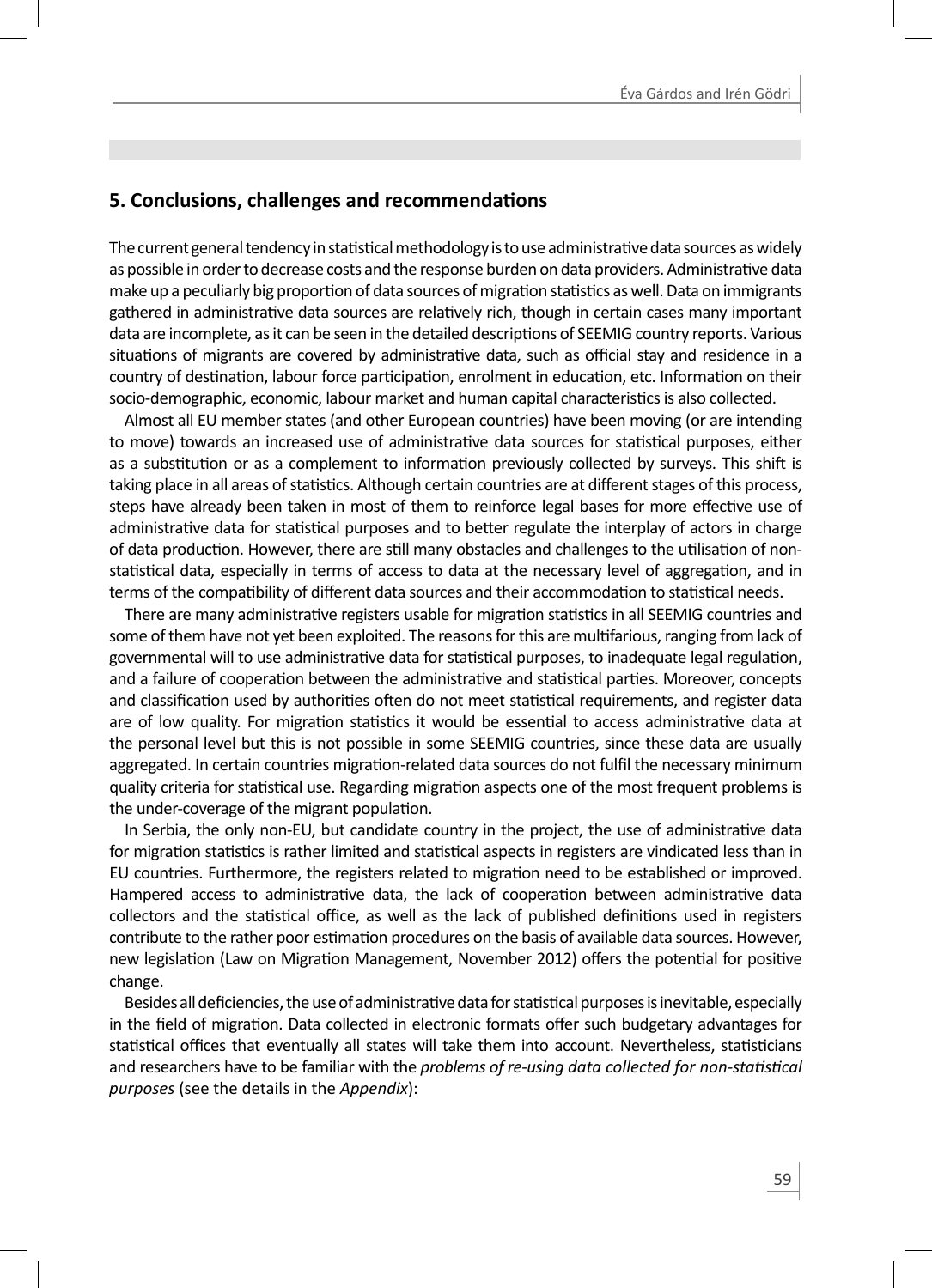# **5. Conclusions, challenges and recommendations**

The current general tendency in statistical methodology is to use administrative data sources as widely as possible in order to decrease costs and the response burden on data providers. Administrative data make up a peculiarly big proportion of data sources of migration statistics as well. Data on immigrants gathered in administrative data sources are relatively rich, though in certain cases many important data are incomplete, as it can be seen in the detailed descriptions of SEEMIG country reports. Various situations of migrants are covered by administrative data, such as official stay and residence in a country of destination, labour force participation, enrolment in education, etc. Information on their socio-demographic, economic, labour market and human capital characteristics is also collected.

Almost all EU member states (and other European countries) have been moving (or are intending to move) towards an increased use of administrative data sources for statistical purposes, either as a substitution or as a complement to information previously collected by surveys. This shift is taking place in all areas of statistics. Although certain countries are at different stages of this process, steps have already been taken in most of them to reinforce legal bases for more effective use of administrative data for statistical purposes and to better regulate the interplay of actors in charge of data production. However, there are still many obstacles and challenges to the utilisation of nonstatistical data, especially in terms of access to data at the necessary level of aggregation, and in terms of the compatibility of different data sources and their accommodation to statistical needs.

There are many administrative registers usable for migration statistics in all SEEMIG countries and some of them have not yet been exploited. The reasons for this are multifarious, ranging from lack of governmental will to use administrative data for statistical purposes, to inadequate legal regulation, and a failure of cooperation between the administrative and statistical parties. Moreover, concepts and classification used by authorities often do not meet statistical requirements, and register data are of low quality. For migration statistics it would be essential to access administrative data at the personal level but this is not possible in some SEEMIG countries, since these data are usually aggregated. In certain countries migration-related data sources do not fulfil the necessary minimum quality criteria for statistical use. Regarding migration aspects one of the most frequent problems is the under-coverage of the migrant population.

In Serbia, the only non-EU, but candidate country in the project, the use of administrative data for migration statistics is rather limited and statistical aspects in registers are vindicated less than in EU countries. Furthermore, the registers related to migration need to be established or improved. Hampered access to administrative data, the lack of cooperation between administrative data collectors and the statistical office, as well as the lack of published definitions used in registers contribute to the rather poor estimation procedures on the basis of available data sources. However, new legislation (Law on Migration Management, November 2012) offers the potential for positive change.

Besides all deficiencies, the use of administrative data for statistical purposes is inevitable, especially in the field of migration. Data collected in electronic formats offer such budgetary advantages for statistical offices that eventually all states will take them into account. Nevertheless, statisticians and researchers have to be familiar with the *problems of re-using data collected for non-statistical purposes* (see the details in the *Appendix*):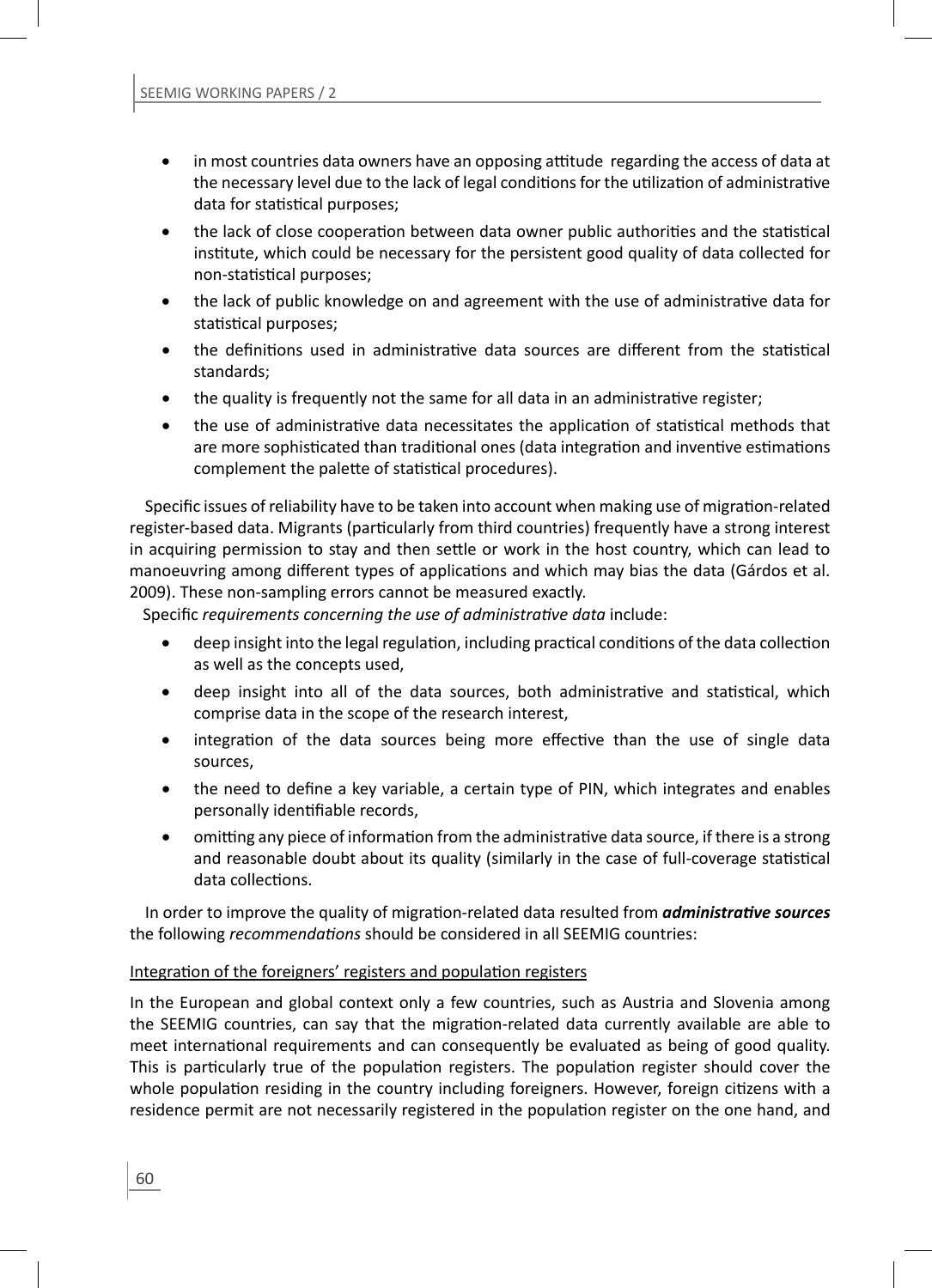- in most countries data owners have an opposing attitude regarding the access of data at the necessary level due to the lack of legal conditions for the utilization of administrative data for statistical purposes;
- the lack of close cooperation between data owner public authorities and the statistical institute, which could be necessary for the persistent good quality of data collected for non-statistical purposes:
- the lack of public knowledge on and agreement with the use of administrative data for statistical purposes;
- the definitions used in administrative data sources are different from the statistical standards;
- the quality is frequently not the same for all data in an administrative register;
- the use of administrative data necessitates the application of statistical methods that are more sophisticated than traditional ones (data integration and inventive estimations complement the palette of statistical procedures).

Specific issues of reliability have to be taken into account when making use of migration-related register-based data. Migrants (particularly from third countries) frequently have a strong interest in acquiring permission to stay and then settle or work in the host country, which can lead to manoeuvring among different types of applications and which may bias the data (Gárdos et al. 2009). These non-sampling errors cannot be measured exactly.

Specific *requirements concerning the use of administrative data* include:

- deep insight into the legal regulation, including practical conditions of the data collection as well as the concepts used,
- deep insight into all of the data sources, both administrative and statistical, which comprise data in the scope of the research interest,
- integration of the data sources being more effective than the use of single data sources,
- the need to define a key variable, a certain type of PIN, which integrates and enables personally identifiable records,
- omitting any piece of information from the administrative data source, if there is a strong and reasonable doubt about its quality (similarly in the case of full-coverage statistical data collections

In order to improve the quality of migration-related data resulted from *administrative sources* the following *recommendations* should be considered in all SEEMIG countries:

# Integration of the foreigners' registers and population registers

In the European and global context only a few countries, such as Austria and Slovenia among the SEEMIG countries, can say that the migration-related data currently available are able to meet international requirements and can consequently be evaluated as being of good quality. This is particularly true of the population registers. The population register should cover the whole population residing in the country including foreigners. However, foreign citizens with a residence permit are not necessarily registered in the population register on the one hand, and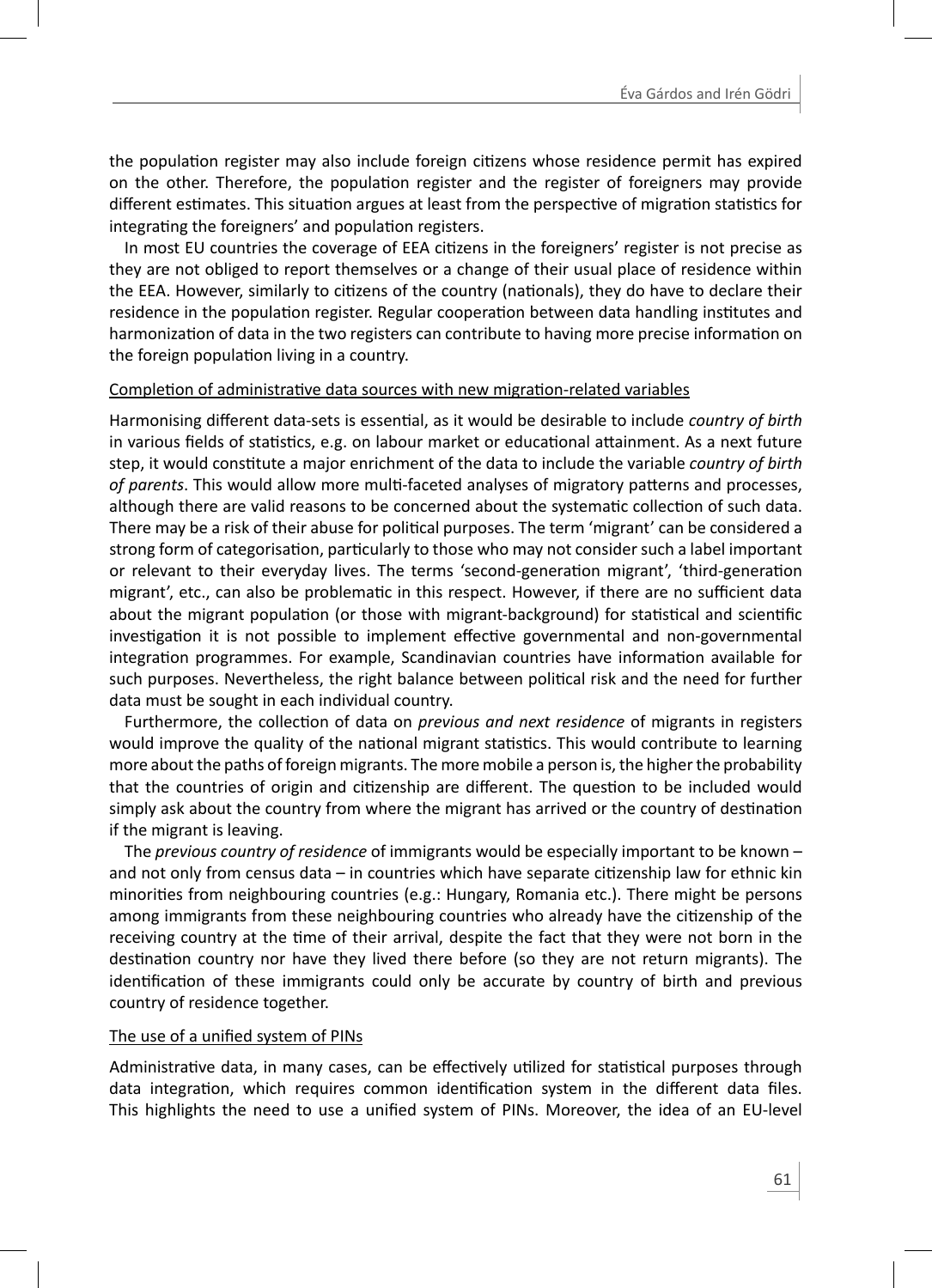the population register may also include foreign citizens whose residence permit has expired on the other. Therefore, the population register and the register of foreigners may provide different estimates. This situation argues at least from the perspective of migration statistics for integrating the foreigners' and population registers.

In most EU countries the coverage of EEA citizens in the foreigners' register is not precise as they are not obliged to report themselves or a change of their usual place of residence within the EEA. However, similarly to citizens of the country (nationals), they do have to declare their residence in the population register. Regular cooperation between data handling institutes and harmonization of data in the two registers can contribute to having more precise information on the foreign population living in a country.

#### Completion of administrative data sources with new migration-related variables

Harmonising different data-sets is essential, as it would be desirable to include *country of birth* in various fields of statistics, e.g. on labour market or educational attainment. As a next future step, it would constitute a major enrichment of the data to include the variable *country of birth* of parents. This would allow more multi-faceted analyses of migratory patterns and processes, although there are valid reasons to be concerned about the systematic collection of such data. There may be a risk of their abuse for political purposes. The term 'migrant' can be considered a strong form of categorisation, particularly to those who may not consider such a label important or relevant to their everyday lives. The terms 'second-generation migrant', 'third-generation migrant', etc., can also be problematic in this respect. However, if there are no sufficient data about the migrant population (or those with migrant-background) for statistical and scientific investigation it is not possible to implement effective governmental and non-governmental integration programmes. For example, Scandinavian countries have information available for such purposes. Nevertheless, the right balance between political risk and the need for further data must be sought in each individual country.

Furthermore, the collection of data on *previous and next residence* of migrants in registers would improve the quality of the national migrant statistics. This would contribute to learning more about the paths of foreign migrants. The more mobile a person is, the higher the probability that the countries of origin and citizenship are different. The question to be included would simply ask about the country from where the migrant has arrived or the country of destination if the migrant is leaving.

The *previous country of residence* of immigrants would be especially important to be known – and not only from census data – in countries which have separate citizenship law for ethnic kin minorities from neighbouring countries (e.g.: Hungary, Romania etc.). There might be persons among immigrants from these neighbouring countries who already have the citizenship of the receiving country at the time of their arrival, despite the fact that they were not born in the destination country nor have they lived there before (so they are not return migrants). The identification of these immigrants could only be accurate by country of birth and previous country of residence together.

#### The use of a unified system of PINs

Administrative data, in many cases, can be effectively utilized for statistical purposes through data integration, which requires common identification system in the different data files. This highlights the need to use a unified system of PINs. Moreover, the idea of an EU-level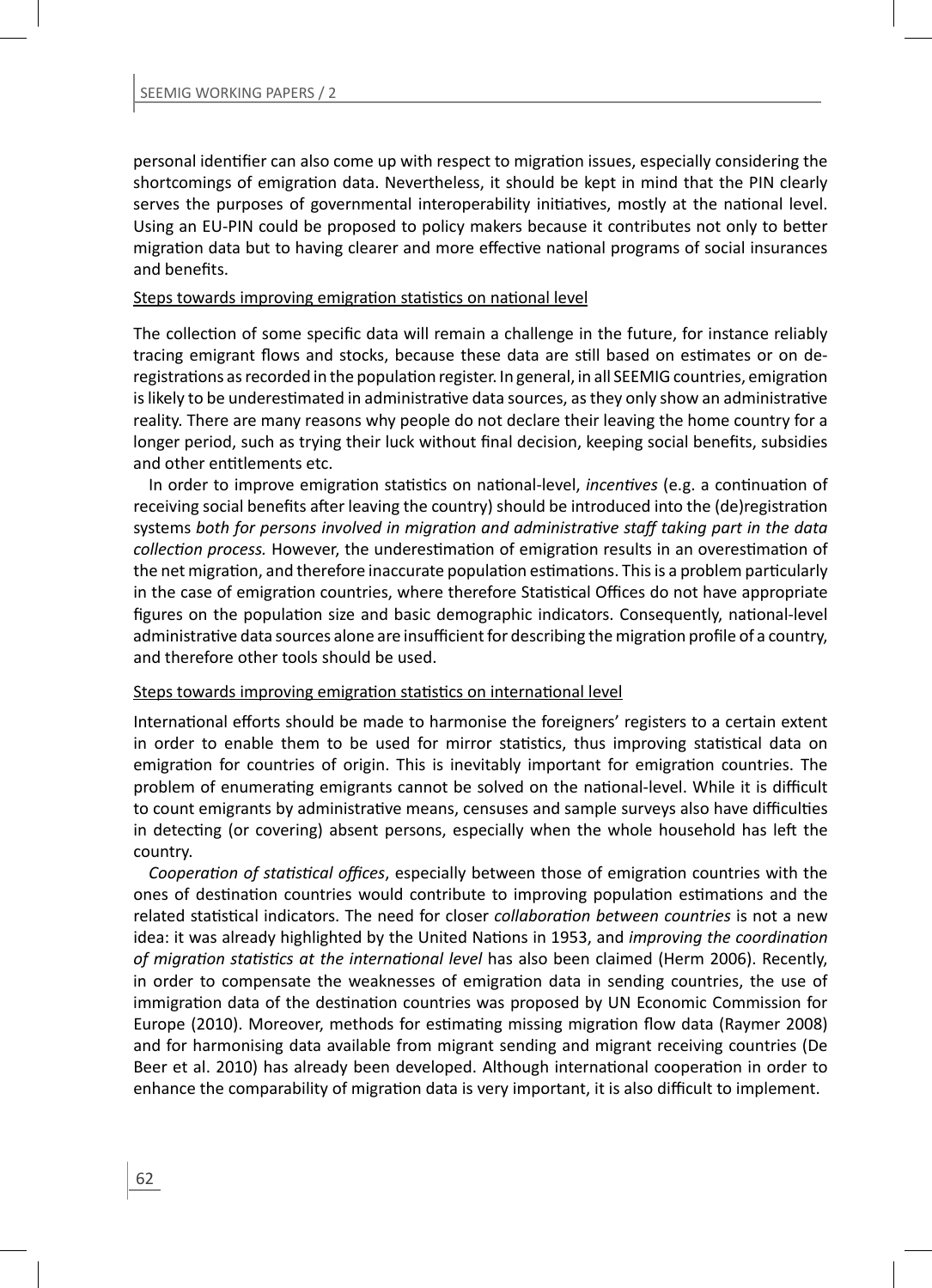personal identifier can also come up with respect to migration issues, especially considering the shortcomings of emigration data. Nevertheless, it should be kept in mind that the PIN clearly serves the purposes of governmental interoperability initiatives, mostly at the national level. Using an EU-PIN could be proposed to policy makers because it contributes not only to better migration data but to having clearer and more effective national programs of social insurances and henefits

#### Steps towards improving emigration statistics on national level

The collection of some specific data will remain a challenge in the future, for instance reliably tracing emigrant flows and stocks, because these data are still based on estimates or on deregistrations as recorded in the population register. In general, in all SEEMIG countries, emigration is likely to be underestimated in administrative data sources, as they only show an administrative reality. There are many reasons why people do not declare their leaving the home country for a longer period, such as trying their luck without final decision, keeping social benefits, subsidies and other entitlements etc.

In order to improve emigration statistics on national-level, *incentives* (e.g. a continuation of receiving social benefits after leaving the country) should be introduced into the (de)registration systems *both for persons involved in migraƟ on and administraƟ ve staff taking part in the data collection process.* However, the underestimation of emigration results in an overestimation of the net migration, and therefore inaccurate population estimations. This is a problem particularly in the case of emigration countries, where therefore Statistical Offices do not have appropriate figures on the population size and basic demographic indicators. Consequently, national-level administrative data sources alone are insufficient for describing the migration profile of a country, and therefore other tools should be used.

#### Steps towards improving emigration statistics on international level

International efforts should be made to harmonise the foreigners' registers to a certain extent in order to enable them to be used for mirror statistics, thus improving statistical data on emigration for countries of origin. This is inevitably important for emigration countries. The problem of enumerating emigrants cannot be solved on the national-level. While it is difficult to count emigrants by administrative means, censuses and sample surveys also have difficulties in detecting (or covering) absent persons, especially when the whole household has left the country.

*Cooperation of statistical offices, especially between those of emigration countries with the* ones of destination countries would contribute to improving population estimations and the related staƟ sƟ cal indicators. The need for closer *collaboraƟ on between countries* is not a new idea: it was already highlighted by the United Nations in 1953, and *improving the coordination of migraƟ on staƟ sƟ cs at the internaƟ onal level* has also been claimed (Herm 2006). Recently, in order to compensate the weaknesses of emigration data in sending countries, the use of immigration data of the destination countries was proposed by UN Economic Commission for Europe (2010). Moreover, methods for estimating missing migration flow data (Raymer 2008) and for harmonising data available from migrant sending and migrant receiving countries (De Beer et al. 2010) has already been developed. Although international cooperation in order to enhance the comparability of migration data is very important, it is also difficult to implement.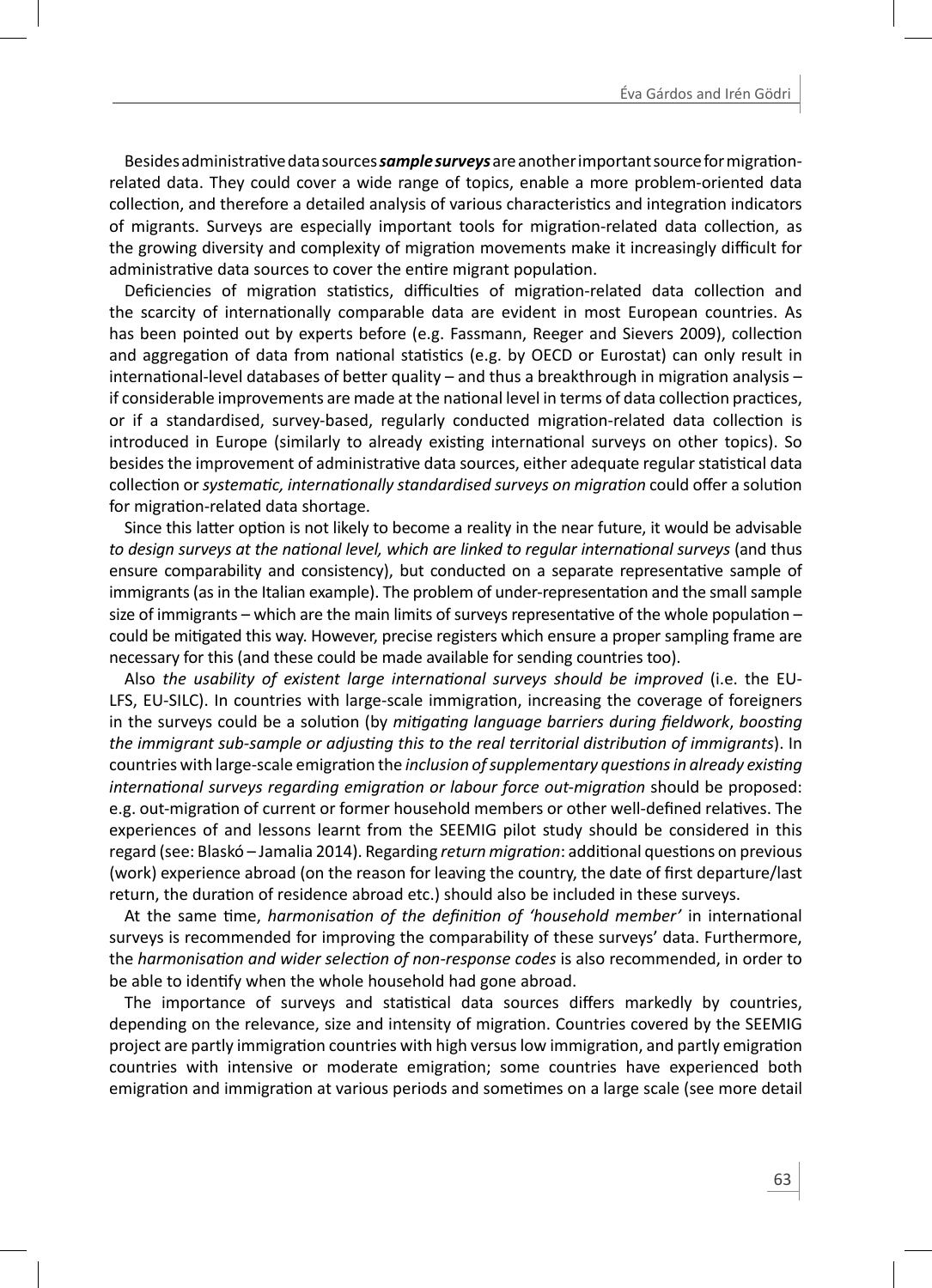Besides administrative data sources *sample surveys* are another important source for migrationrelated data. They could cover a wide range of topics, enable a more problem-oriented data collection, and therefore a detailed analysis of various characteristics and integration indicators of migrants. Surveys are especially important tools for migration-related data collection, as the growing diversity and complexity of migration movements make it increasingly difficult for administrative data sources to cover the entire migrant population.

Deficiencies of migration statistics, difficulties of migration-related data collection and the scarcity of internationally comparable data are evident in most European countries. As has been pointed out by experts before (e.g. Fassmann, Reeger and Sievers 2009), collection and aggregation of data from national statistics (e.g. by OECD or Eurostat) can only result in international-level databases of better quality – and thus a breakthrough in migration analysis – if considerable improvements are made at the national level in terms of data collection practices, or if a standardised, survey-based, regularly conducted migration-related data collection is introduced in Europe (similarly to already existing international surveys on other topics). So besides the improvement of administrative data sources, either adequate regular statistical data collection or *systematic, internationally standardised surveys on migration could offer a solution* for migration-related data shortage.

Since this latter option is not likely to become a reality in the near future, it would be advisable *to design surveys at the naƟ onal level, which are linked to regular internaƟ onal surveys* (and thus ensure comparability and consistency), but conducted on a separate representative sample of immigrants (as in the Italian example). The problem of under-representation and the small sample size of immigrants – which are the main limits of surveys representative of the whole population – could be mitigated this way. However, precise registers which ensure a proper sampling frame are necessary for this (and these could be made available for sending countries too).

Also *the usability of existent large international surveys should be improved (i.e. the EU-*LFS, EU-SILC). In countries with large-scale immigration, increasing the coverage of foreigners in the surveys could be a solution (by *mitigating language barriers during fieldwork, boosting the immigrant sub-sample or adjusƟ ng this to the real territorial distribuƟ on of immigrants*). In countries with large-scale emigration the *inclusion of supplementary questions in already existing internaƟ onal surveys regarding emigraƟ on or labour force out-migraƟ on* should be proposed: e.g. out-migration of current or former household members or other well-defined relatives. The experiences of and lessons learnt from the SEEMIG pilot study should be considered in this regard (see: Blaskó – Jamalia 2014). Regarding *return migration*: additional questions on previous (work) experience abroad (on the reason for leaving the country, the date of first departure/last return, the duration of residence abroad etc.) should also be included in these surveys.

At the same time, *harmonisation of the definition of 'household member'* in international surveys is recommended for improving the comparability of these surveys' data. Furthermore, the *harmonisaƟ on and wider selecƟ on of non-response codes* is also recommended, in order to be able to identify when the whole household had gone abroad.

The importance of surveys and statistical data sources differs markedly by countries, depending on the relevance, size and intensity of migration. Countries covered by the SEEMIG project are partly immigration countries with high versus low immigration, and partly emigration countries with intensive or moderate emigration; some countries have experienced both emigration and immigration at various periods and sometimes on a large scale (see more detail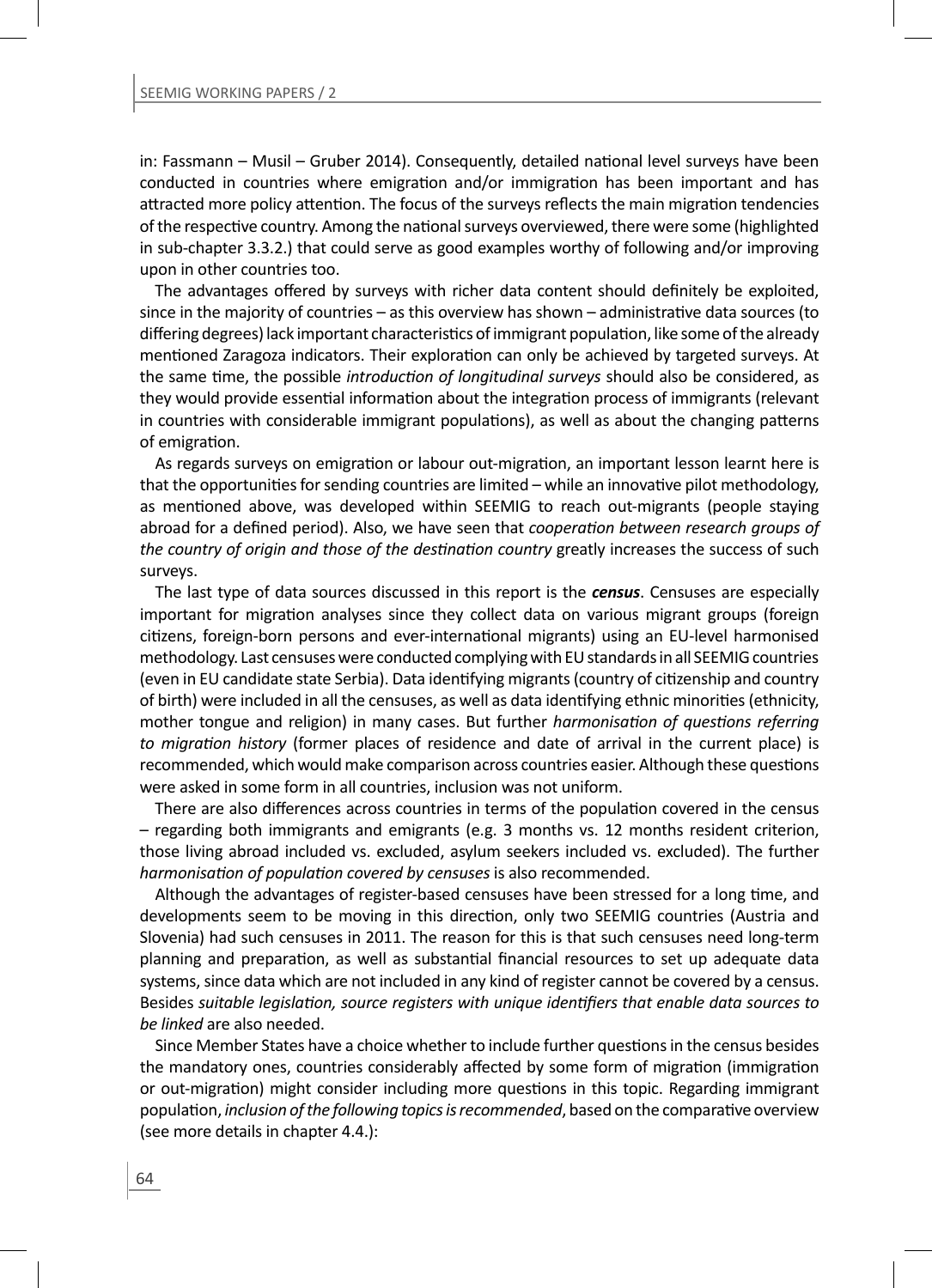in: Fassmann – Musil – Gruber 2014). Consequently, detailed national level surveys have been conducted in countries where emigration and/or immigration has been important and has attracted more policy attention. The focus of the surveys reflects the main migration tendencies of the respective country. Among the national surveys overviewed, there were some (highlighted in sub-chapter 3.3.2.) that could serve as good examples worthy of following and/or improving upon in other countries too.

The advantages offered by surveys with richer data content should definitely be exploited. since in the majority of countries  $-$  as this overview has shown  $-$  administrative data sources (to differing degrees) lack important characteristics of immigrant population, like some of the already mentioned Zaragoza indicators. Their exploration can only be achieved by targeted surveys. At the same time, the possible *introduction of longitudinal surveys* should also be considered, as they would provide essential information about the integration process of immigrants (relevant in countries with considerable immigrant populations), as well as about the changing patterns of emigration.

As regards surveys on emigration or labour out-migration, an important lesson learnt here is that the opportunities for sending countries are limited – while an innovative pilot methodology, as mentioned above, was developed within SEEMIG to reach out-migrants (people staying abroad for a defined period). Also, we have seen that *cooperation between research groups of the country of origin and those of the destination country greatly increases the success of such* surveys.

The last type of data sources discussed in this report is the *census*. Censuses are especially important for migration analyses since they collect data on various migrant groups (foreign citizens, foreign-born persons and ever-international migrants) using an EU-level harmonised methodology. Last censuses were conducted complying with EU standards in all SEEMIG countries (even in EU candidate state Serbia). Data identifying migrants (country of citizenship and country of birth) were included in all the censuses, as well as data identifying ethnic minorities (ethnicity, mother tongue and religion) in many cases. But further *harmonisation of questions referring to migraƟ on history* (former places of residence and date of arrival in the current place) is recommended, which would make comparison across countries easier. Although these questions were asked in some form in all countries, inclusion was not uniform.

There are also differences across countries in terms of the population covered in the census – regarding both immigrants and emigrants (e.g. 3 months vs. 12 months resident criterion, those living abroad included vs. excluded, asylum seekers included vs. excluded). The further *harmonisation of population covered by censuses* is also recommended.

Although the advantages of register-based censuses have been stressed for a long time, and developments seem to be moving in this direction, only two SEEMIG countries (Austria and Slovenia) had such censuses in 2011. The reason for this is that such censuses need long-term planning and preparation, as well as substantial financial resources to set up adequate data systems, since data which are not included in any kind of register cannot be covered by a census. Besides *suitable legislaƟ on, source registers with unique idenƟfi ers that enable data sources to be linked* are also needed.

Since Member States have a choice whether to include further questions in the census besides the mandatory ones, countries considerably affected by some form of migration (immigration or out-migration) might consider including more questions in this topic. Regarding immigrant population, *inclusion of the following topics is recommended*, based on the comparative overview (see more details in chapter 4.4.):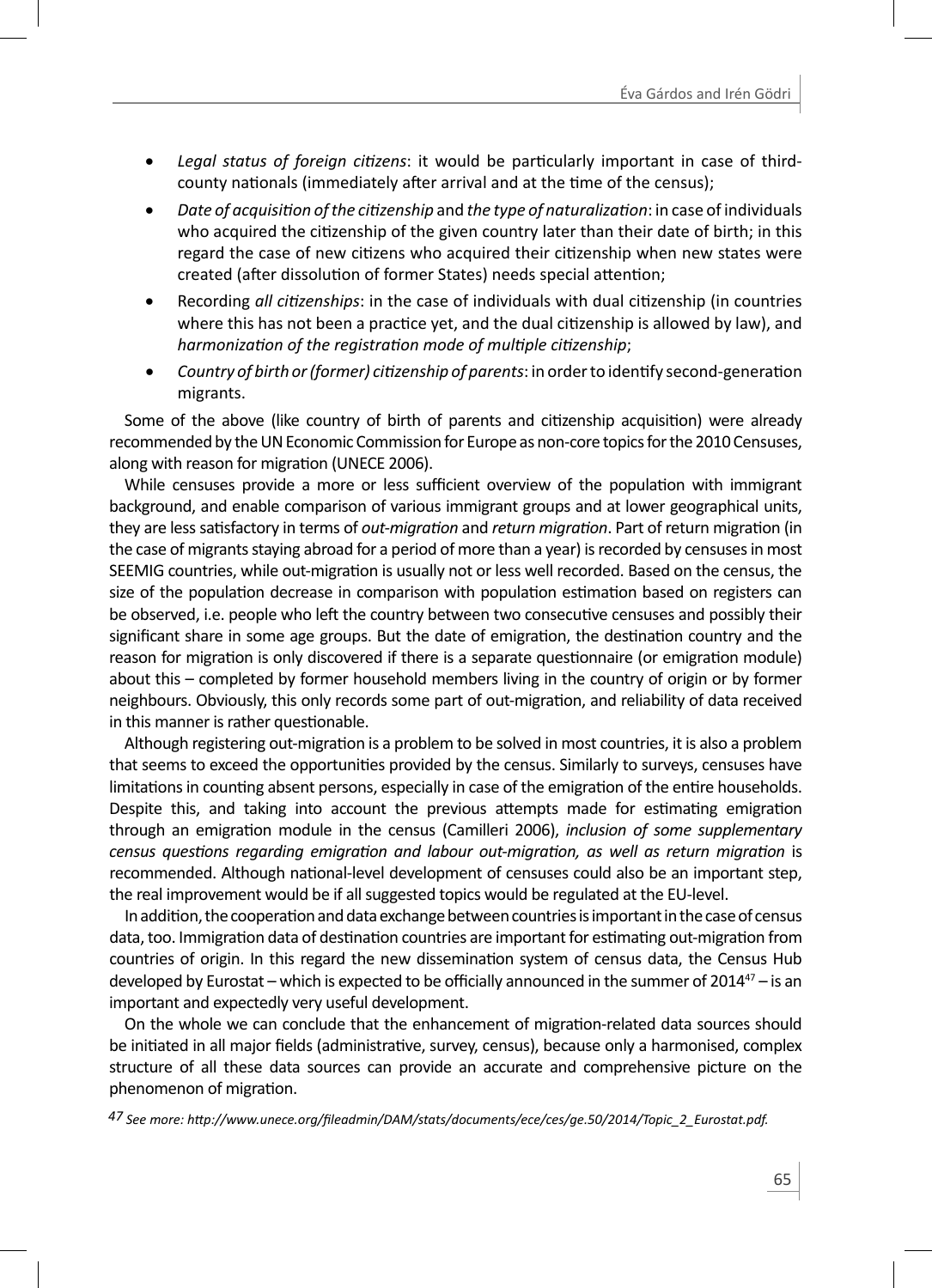- Legal status of foreign citizens: it would be particularly important in case of thirdcounty nationals (immediately after arrival and at the time of the census):
- *Date of acquisiƟ on of the ciƟ zenship* and *the type of naturalizaƟ on*: in case of individuals who acquired the citizenship of the given country later than their date of birth; in this regard the case of new citizens who acquired their citizenship when new states were created (after dissolution of former States) needs special attention;
- Recording *all citizenships*: in the case of individuals with dual citizenship (in countries where this has not been a practice yet, and the dual citizenship is allowed by law), and *harmonization of the registration mode of multiple citizenship;*
- *Country of birth or (former) citizenship of parents:* in order to identify second-generation migrants.

Some of the above (like country of birth of parents and citizenship acquisition) were already recommended by the UN Economic Commission for Europe as non-core topics for the 2010 Censuses, along with reason for migration (UNECE 2006).

While censuses provide a more or less sufficient overview of the population with immigrant background, and enable comparison of various immigrant groups and at lower geographical units, they are less satisfactory in terms of *out-migration* and *return migration*. Part of return migration (in the case of migrants staying abroad for a period of more than a year) is recorded by censuses in most SEEMIG countries, while out-migration is usually not or less well recorded. Based on the census, the size of the population decrease in comparison with population estimation based on registers can be observed, i.e. people who left the country between two consecutive censuses and possibly their significant share in some age groups. But the date of emigration, the destination country and the reason for migration is only discovered if there is a separate questionnaire (or emigration module) about this – completed by former household members living in the country of origin or by former neighbours. Obviously, this only records some part of out-migration, and reliability of data received in this manner is rather questionable.

Although registering out-migration is a problem to be solved in most countries, it is also a problem that seems to exceed the opportunities provided by the census. Similarly to surveys, censuses have limitations in counting absent persons, especially in case of the emigration of the entire households. Despite this, and taking into account the previous attempts made for estimating emigration through an emigraƟ on module in the census (Camilleri 2006), *inclusion of some supplementary census quesƟ ons regarding emigraƟ on and labour out-migraƟ on, as well as return migraƟ on* is recommended. Although national-level development of censuses could also be an important step, the real improvement would be if all suggested topics would be regulated at the EU-level.

In addition, the cooperation and data exchange between countries is important in the case of census data, too. Immigration data of destination countries are important for estimating out-migration from countries of origin. In this regard the new dissemination system of census data, the Census Hub developed by Eurostat – which is expected to be officially announced in the summer of 2014<sup>47</sup> – is an important and expectedly very useful development.

On the whole we can conclude that the enhancement of migration-related data sources should be initiated in all major fields (administrative, survey, census), because only a harmonised, complex structure of all these data sources can provide an accurate and comprehensive picture on the phenomenon of migration.

*47 See more: hƩ p://www.unece.org/fi leadmin/DAM/stats/documents/ece/ces/ge.50/2014/Topic\_2\_Eurostat.pdf.*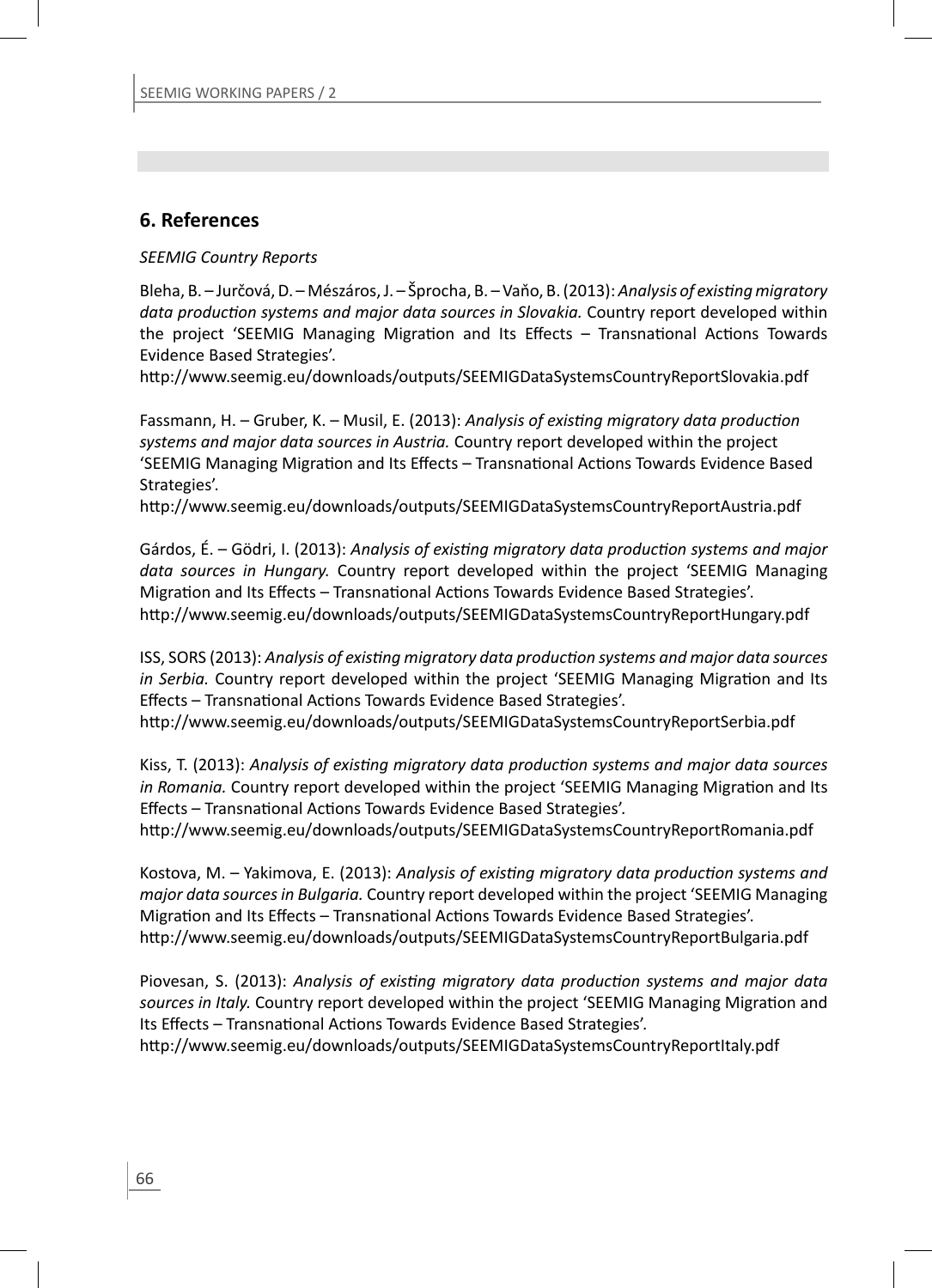# **6. References**

# *SEEMIG Country Reports*

Bleha, B. – Jurčová, D. – Mészáros, J. – Šprocha, B. – Vaňo, B. (2013): *Analysis of exisƟ ng migratory data production systems and major data sources in Slovakia.* Country report developed within the project 'SEEMIG Managing Migration and Its Effects - Transnational Actions Towards Evidence Based Strategies'.

http://www.seemig.eu/downloads/outputs/SEEMIGDataSystemsCountryReportSlovakia.pdf

Fassmann, H. – Gruber, K. – Musil, E. (2013): *Analysis of existing migratory data production systems and major data sources in Austria.* Country report developed within the project 'SEEMIG Managing Migration and Its Effects - Transnational Actions Towards Evidence Based Strategies'.

http://www.seemig.eu/downloads/outputs/SEEMIGDataSystemsCountryReportAustria.pdf

Gárdos, É. – Gödri, I. (2013): *Analysis of existing migratory data production systems and major data sources in Hungary.* Country report developed within the project 'SEEMIG Managing Migration and Its Effects – Transnational Actions Towards Evidence Based Strategies'. http://www.seemig.eu/downloads/outputs/SEEMIGDataSystemsCountryReportHungary.pdf

ISS, SORS (2013): *Analysis of exisƟ ng migratory data producƟ on systems and major data sources in Serbia.* Country report developed within the project 'SEEMIG Managing Migration and Its Effects – Transnational Actions Towards Evidence Based Strategies'.

http://www.seemig.eu/downloads/outputs/SEEMIGDataSystemsCountryReportSerbia.pdf

Kiss, T. (2013): Analysis of existing migratory data production systems and major data sources *in Romania.* Country report developed within the project 'SEEMIG Managing Migration and Its Effects – Transnational Actions Towards Evidence Based Strategies'.

http://www.seemig.eu/downloads/outputs/SEEMIGDataSystemsCountryReportRomania.pdf

Kostova, M. – Yakimova, E. (2013): *Analysis of existing migratory data production systems and major data sources in Bulgaria.* Country report developed within the project 'SEEMIG Managing Migration and Its Effects - Transnational Actions Towards Evidence Based Strategies'. http://www.seemig.eu/downloads/outputs/SEEMIGDataSystemsCountryReportBulgaria.pdf

Piovesan, S. (2013): *Analysis of existing migratory data production systems and major data* sources in Italy. Country report developed within the project 'SEEMIG Managing Migration and Its Effects – Transnational Actions Towards Evidence Based Strategies'.

http://www.seemig.eu/downloads/outputs/SEEMIGDataSystemsCountryReportItaly.pdf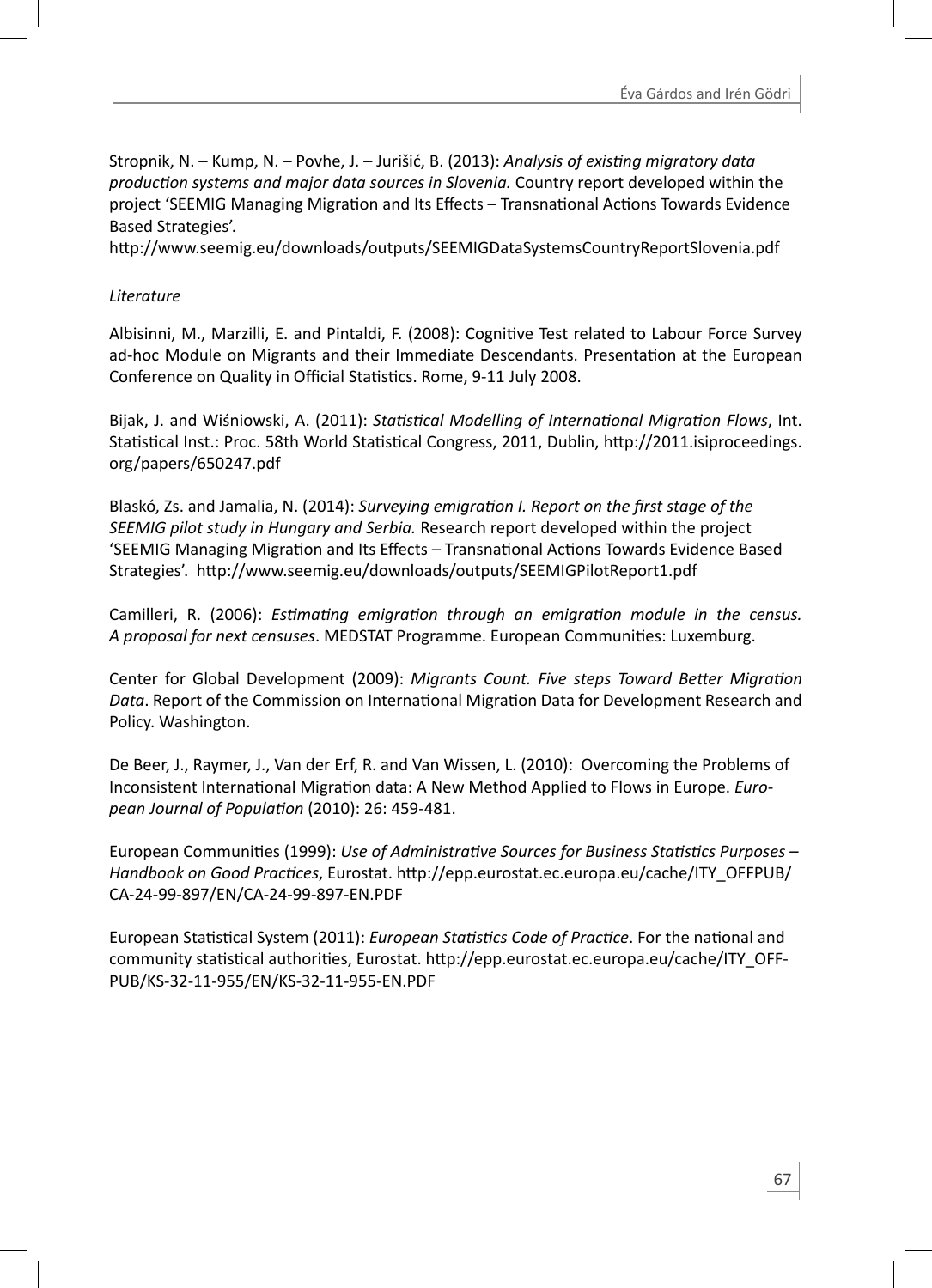Stropnik, N. – Kump, N. – Povhe, J. – Jurišić, B. (2013): *Analysis of exisƟ ng migratory data producƟ on systems and major data sources in Slovenia.* Country report developed within the project 'SEEMIG Managing Migration and Its Effects – Transnational Actions Towards Evidence Based Strategies'.

http://www.seemig.eu/downloads/outputs/SEEMIGDataSystemsCountryReportSlovenia.pdf

# *Literature*

Albisinni, M., Marzilli, E. and Pintaldi, F. (2008): Cognitive Test related to Labour Force Survey ad-hoc Module on Migrants and their Immediate Descendants. Presentation at the European Conference on Quality in Official Statistics. Rome, 9-11 July 2008.

Bijak, J. and Wiśniowski, A. (2011): *StaƟ sƟ cal Modelling of InternaƟ onal MigraƟ on Flows*, Int. Statistical Inst.: Proc. 58th World Statistical Congress, 2011, Dublin, http://2011.isiproceedings. org/papers/650247.pdf

Blaskó, Zs. and Jamalia, N. (2014): *Surveying emigration I. Report on the first stage of the SEEMIG pilot study in Hungary and Serbia.* Research report developed within the project 'SEEMIG Managing Migration and Its Effects – Transnational Actions Towards Evidence Based Strategies'. http://www.seemig.eu/downloads/outputs/SEEMIGPilotReport1.pdf

Camilleri, R. (2006): *Estimating emigration through an emigration module in the census. A proposal for next censuses*. MEDSTAT Programme. European CommuniƟ es: Luxemburg.

Center for Global Development (2009): *Migrants Count. Five steps Toward Better Migration* Data. Report of the Commission on International Migration Data for Development Research and Policy. Washington.

De Beer, J., Raymer, J., Van der Erf, R. and Van Wissen, L. (2010): Overcoming the Problems of Inconsistent International Migration data: A New Method Applied to Flows in Europe. *European Journal of PopulaƟ on* (2010): 26: 459-481.

European Communities (1999): *Use of Administrative Sources for Business Statistics Purposes –* Handbook on Good Practices, Eurostat. http://epp.eurostat.ec.europa.eu/cache/ITY\_OFFPUB/ CA-24-99-897/EN/CA-24-99-897-EN.PDF

European Statistical System (2011): *European Statistics Code of Practice*. For the national and community statistical authorities, Eurostat. http://epp.eurostat.ec.europa.eu/cache/ITY\_OFF-PUB/KS-32-11-955/EN/KS-32-11-955-EN.PDF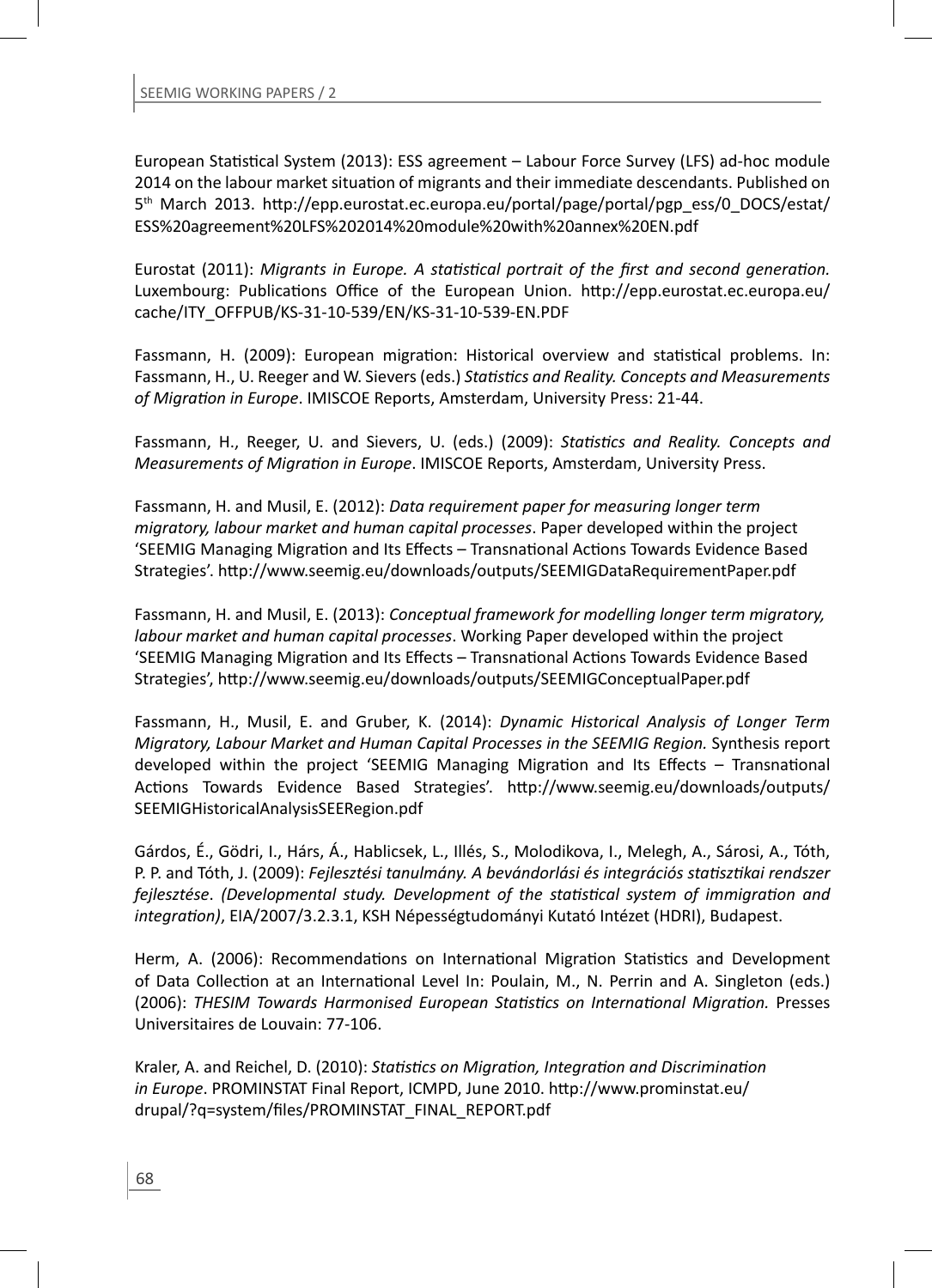European Statistical System (2013): ESS agreement – Labour Force Survey (LFS) ad-hoc module 2014 on the labour market situation of migrants and their immediate descendants. Published on 5<sup>th</sup> March 2013. http://epp.eurostat.ec.europa.eu/portal/page/portal/pgp\_ess/0\_DOCS/estat/ ESS%20agreement%20LFS%202014%20module%20with%20annex%20EN.pdf

Eurostat (2011): *Migrants in Europe. A statistical portrait of the first and second generation.* Luxembourg: Publications Office of the European Union. http://epp.eurostat.ec.europa.eu/ cache/ITY\_OFFPUB/KS-31-10-539/EN/KS-31-10-539-EN.PDF

Fassmann, H. (2009): European migration: Historical overview and statistical problems. In: Fassmann, H., U. Reeger and W. Sievers (eds.) *StaƟ sƟ cs and Reality. Concepts and Measurements of MigraƟ on in Europe*. IMISCOE Reports, Amsterdam, University Press: 21-44.

Fassmann, H., Reeger, U. and Sievers, U. (eds.) (2009): *StaƟ sƟ cs and Reality. Concepts and Measurements of Migration in Europe*. IMISCOE Reports, Amsterdam, University Press.

Fassmann, H. and Musil, E. (2012): *Data requirement paper for measuring longer term migratory, labour market and human capital processes*. Paper developed within the project 'SEEMIG Managing Migration and Its Effects – Transnational Actions Towards Evidence Based Strategies'. http://www.seemig.eu/downloads/outputs/SEEMIGDataRequirementPaper.pdf

Fassmann, H. and Musil, E. (2013): *Conceptual framework for modelling longer term migratory, labour market and human capital processes*. Working Paper developed within the project 'SEEMIG Managing Migration and Its Effects – Transnational Actions Towards Evidence Based Strategies', hƩ p://www.seemig.eu/downloads/outputs/SEEMIGConceptualPaper.pdf

Fassmann, H., Musil, E. and Gruber, K. (2014): *Dynamic Historical Analysis of Longer Term Migratory, Labour Market and Human Capital Processes in the SEEMIG Region. Synthesis report* developed within the project 'SEEMIG Managing Migration and Its Effects - Transnational Actions Towards Evidence Based Strategies'. http://www.seemig.eu/downloads/outputs/ SEEMIGHistoricalAnalysisSEERegion.pdf

Gárdos, É., Gödri, I., Hárs, Á., Hablicsek, L., Illés, S., Molodikova, I., Melegh, A., Sárosi, A., Tóth, P. P. and Tóth, J. (2009): *Fejlesztési tanulmány. A bevándorlási és integrációs staƟ szƟ kai rendszer fejlesztése. (Developmental study. Development of the statistical system of immigration and integraƟ on)*, EIA/2007/3.2.3.1, KSH Népességtudományi Kutató Intézet (HDRI), Budapest.

Herm, A. (2006): Recommendations on International Migration Statistics and Development of Data Collection at an International Level In: Poulain, M., N. Perrin and A. Singleton (eds.) (2006): *THESIM Towards Harmonised European StaƟ sƟ cs on InternaƟ onal MigraƟ on.* Presses Universitaires de Louvain: 77-106.

Kraler, A. and Reichel, D. (2010): *Statistics on Migration, Integration and Discrimination* in Europe. PROMINSTAT Final Report, ICMPD, June 2010. http://www.prominstat.eu/ drupal/?q=system/files/PROMINSTAT\_FINAL\_REPORT.pdf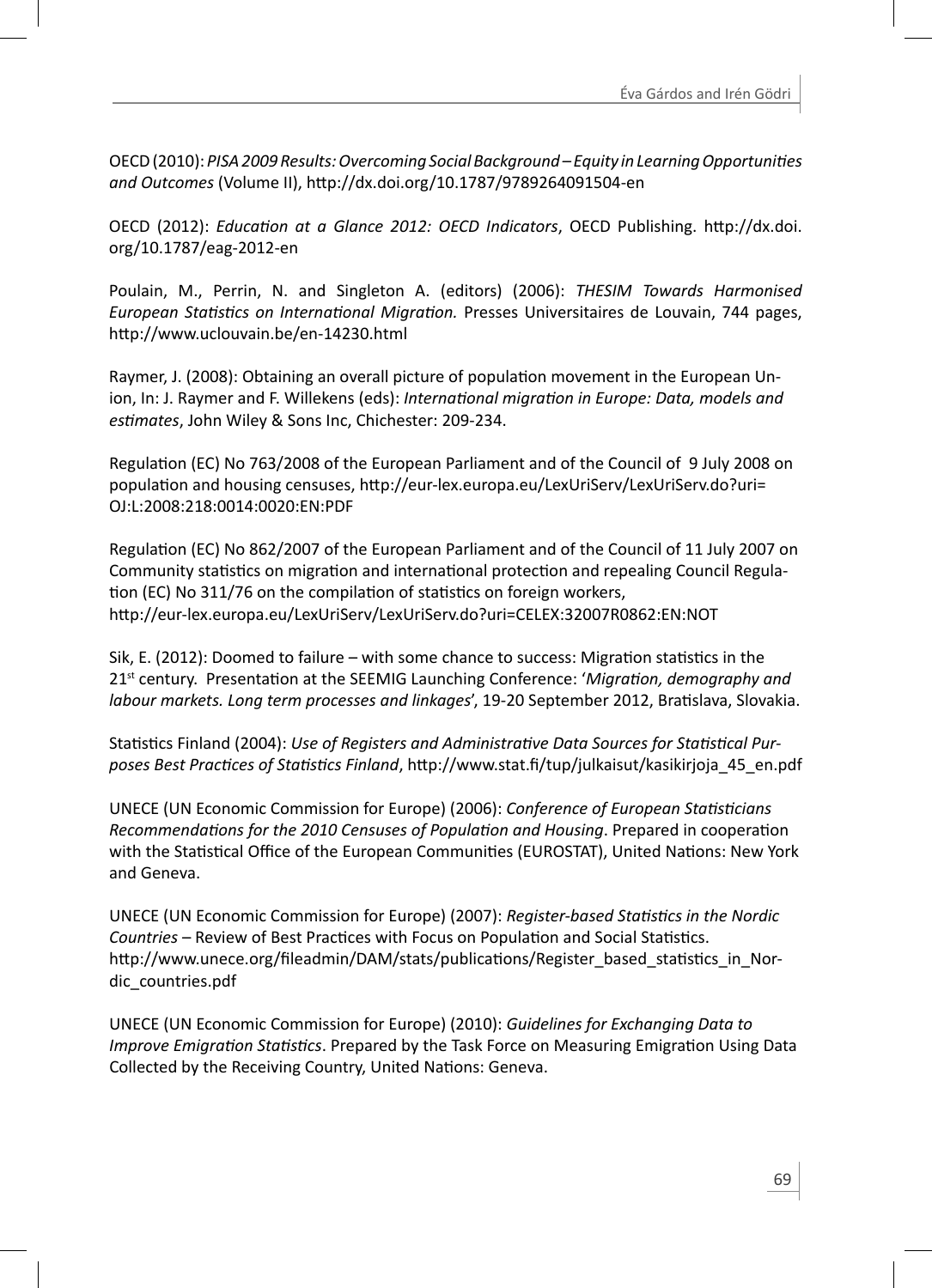OECD (2010): *PISA 2009 Results: Overcoming Social Background – Equity in Learning Opportunities and Outcomes* (Volume II), hƩ p://dx.doi.org/10.1787/9789264091504-en

OECD (2012): *Education at a Glance 2012: OECD Indicators*, OECD Publishing, http://dx.doi. org/10.1787/eag-2012-en

Poulain, M., Perrin, N. and Singleton A. (editors) (2006): *THESIM Towards Harmonised European StaƟ sƟ cs on InternaƟ onal MigraƟ on.* Presses Universitaires de Louvain, 744 pages, http://www.uclouvain.be/en-14230.html

Raymer, J. (2008): Obtaining an overall picture of population movement in the European Union, In: J. Raymer and F. Willekens (eds): *InternaƟ onal migraƟ on in Europe: Data, models and esƟ mates*, John Wiley & Sons Inc, Chichester: 209-234.

Regulation (EC) No 763/2008 of the European Parliament and of the Council of 9 July 2008 on population and housing censuses, http://eur-lex.europa.eu/LexUriServ/LexUriServ.do?uri= OJ:L:2008:218:0014:0020:EN:PDF

Regulation (EC) No 862/2007 of the European Parliament and of the Council of 11 July 2007 on Community statistics on migration and international protection and repealing Council Regulation (EC) No 311/76 on the compilation of statistics on foreign workers, http://eur-lex.europa.eu/LexUriServ/LexUriServ.do?uri=CELEX:32007R0862:EN:NOT

Sik, E. (2012): Doomed to failure – with some chance to success: Migration statistics in the 21<sup>st</sup> century. Presentation at the SEEMIG Launching Conference: 'Migration, demography and *labour markets. Long term processes and linkages'*, 19-20 September 2012, Bratislava, Slovakia.

Statistics Finland (2004): *Use of Registers and Administrative Data Sources for Statistical Purposes Best PracƟ ces of StaƟ sƟ cs Finland*, hƩ p://www.stat.fi /tup/julkaisut/kasikirjoja\_45\_en.pdf

UNECE (UN Economic Commission for Europe) (2006): *Conference of European StaƟ sƟ cians Recommendations for the 2010 Censuses of Population and Housing. Prepared in cooperation* with the Statistical Office of the European Communities (EUROSTAT), United Nations: New York and Geneva.

UNECE (UN Economic Commission for Europe) (2007): *Register-based StaƟ sƟ cs in the Nordic Countries* – Review of Best Practices with Focus on Population and Social Statistics. http://www.unece.org/fileadmin/DAM/stats/publications/Register\_based\_statistics\_in\_Nordic\_countries.pdf

UNECE (UN Economic Commission for Europe) (2010): *Guidelines for Exchanging Data to Improve Emigration Statistics*. Prepared by the Task Force on Measuring Emigration Using Data Collected by the Receiving Country, United Nations: Geneva.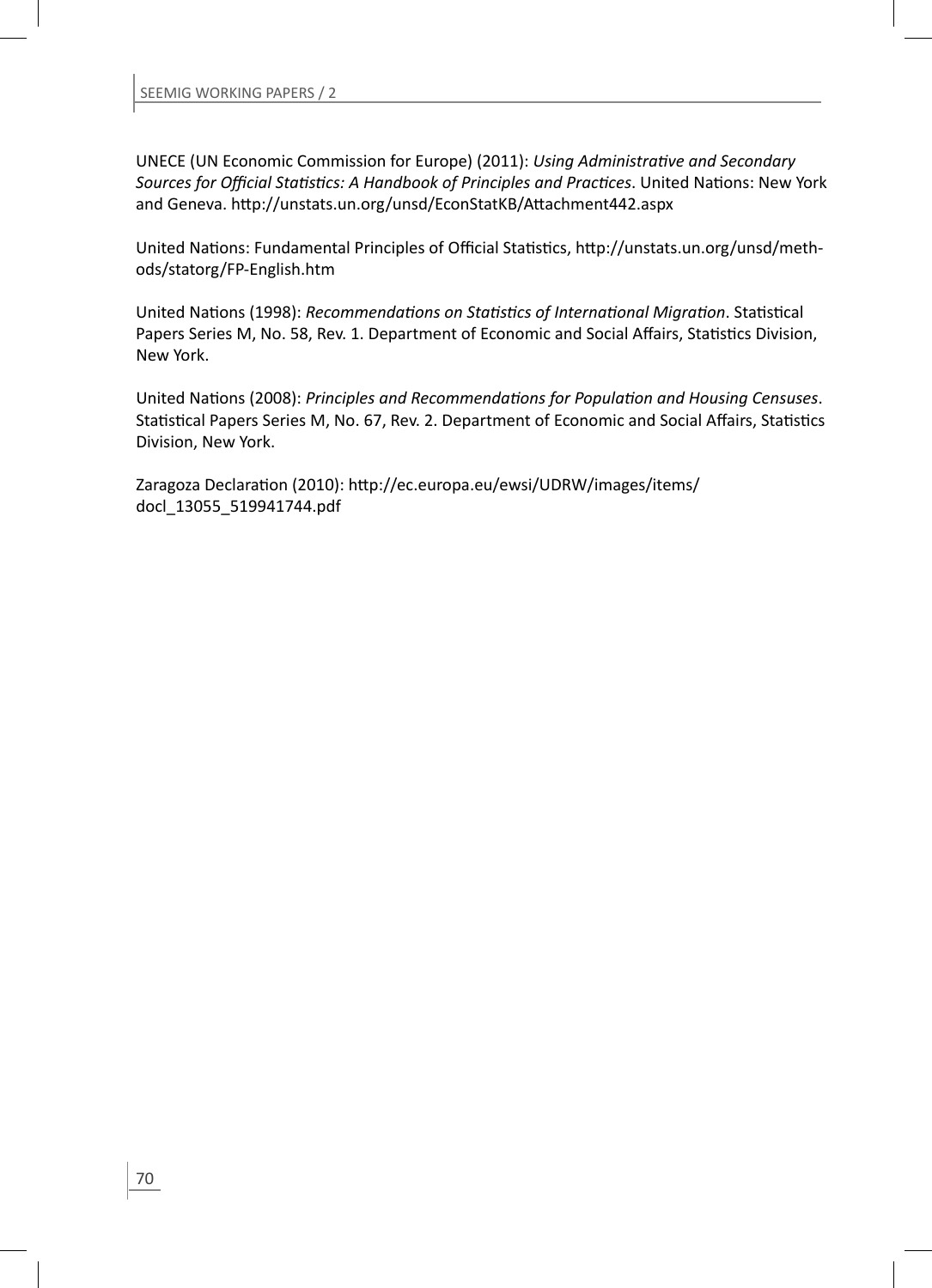UNECE (UN Economic Commission for Europe) (2011): *Using AdministraƟ ve and Secondary Sources for Offi cial StaƟ sƟ cs: A Handbook of Principles and PracƟ ces*. United NaƟ ons: New York and Geneva. http://unstats.un.org/unsd/EconStatKB/Attachment442.aspx

United Nations: Fundamental Principles of Official Statistics, http://unstats.un.org/unsd/methods/statorg/FP-English.htm

United Nations (1998): *Recommendations on Statistics of International Migration*. Statistical Papers Series M, No. 58, Rev. 1. Department of Economic and Social Affairs, Statistics Division, New York.

United Nations (2008): Principles and Recommendations for Population and Housing Censuses. Statistical Papers Series M, No. 67, Rev. 2. Department of Economic and Social Affairs, Statistics Division, New York.

Zaragoza Declaration (2010): http://ec.europa.eu/ewsi/UDRW/images/items/ docl\_13055\_519941744.pdf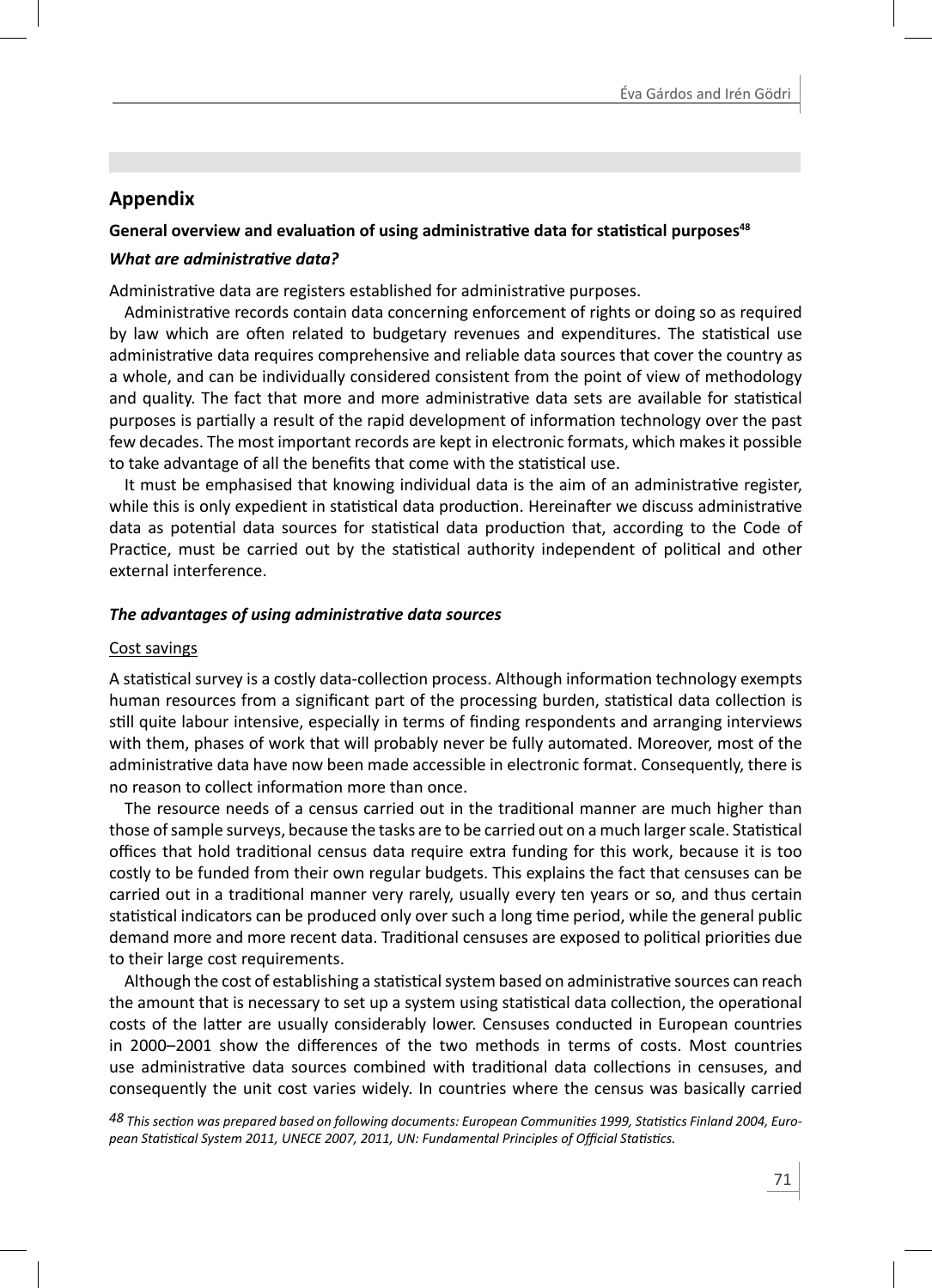# **Appendix**

# **General overview and evaluation of using administrative data for statistical purposes<sup>48</sup>**

## *What are administrative data?*

Administrative data are registers established for administrative purposes.

Administrative records contain data concerning enforcement of rights or doing so as required by law which are often related to budgetary revenues and expenditures. The statistical use administrative data requires comprehensive and reliable data sources that cover the country as a whole, and can be individually considered consistent from the point of view of methodology and quality. The fact that more and more administrative data sets are available for statistical purposes is partially a result of the rapid development of information technology over the past few decades. The most important records are kept in electronic formats, which makes it possible to take advantage of all the benefits that come with the statistical use.

It must be emphasised that knowing individual data is the aim of an administrative register, while this is only expedient in statistical data production. Hereinafter we discuss administrative data as potential data sources for statistical data production that, according to the Code of Practice, must be carried out by the statistical authority independent of political and other external interference.

# *The advantages of using administrative data sources*

## Cost savings

A statistical survey is a costly data-collection process. Although information technology exempts human resources from a significant part of the processing burden, statistical data collection is still quite labour intensive, especially in terms of finding respondents and arranging interviews with them, phases of work that will probably never be fully automated. Moreover, most of the administrative data have now been made accessible in electronic format. Consequently, there is no reason to collect information more than once.

The resource needs of a census carried out in the traditional manner are much higher than those of sample surveys, because the tasks are to be carried out on a much larger scale. Statistical offices that hold traditional census data require extra funding for this work, because it is too costly to be funded from their own regular budgets. This explains the fact that censuses can be carried out in a traditional manner very rarely, usually every ten years or so, and thus certain statistical indicators can be produced only over such a long time period, while the general public demand more and more recent data. Traditional censuses are exposed to political priorities due to their large cost requirements.

Although the cost of establishing a statistical system based on administrative sources can reach the amount that is necessary to set up a system using statistical data collection, the operational costs of the latter are usually considerably lower. Censuses conducted in European countries in 2000–2001 show the differences of the two methods in terms of costs. Most countries use administrative data sources combined with traditional data collections in censuses, and consequently the unit cost varies widely. In countries where the census was basically carried

*48 This secƟ on was prepared based on following documents: European CommuniƟ es 1999, StaƟ sƟ cs Finland 2004, European StaƟ sƟ cal System 2011, UNECE 2007, 2011, UN: Fundamental Principles of Offi cial StaƟ sƟ cs.*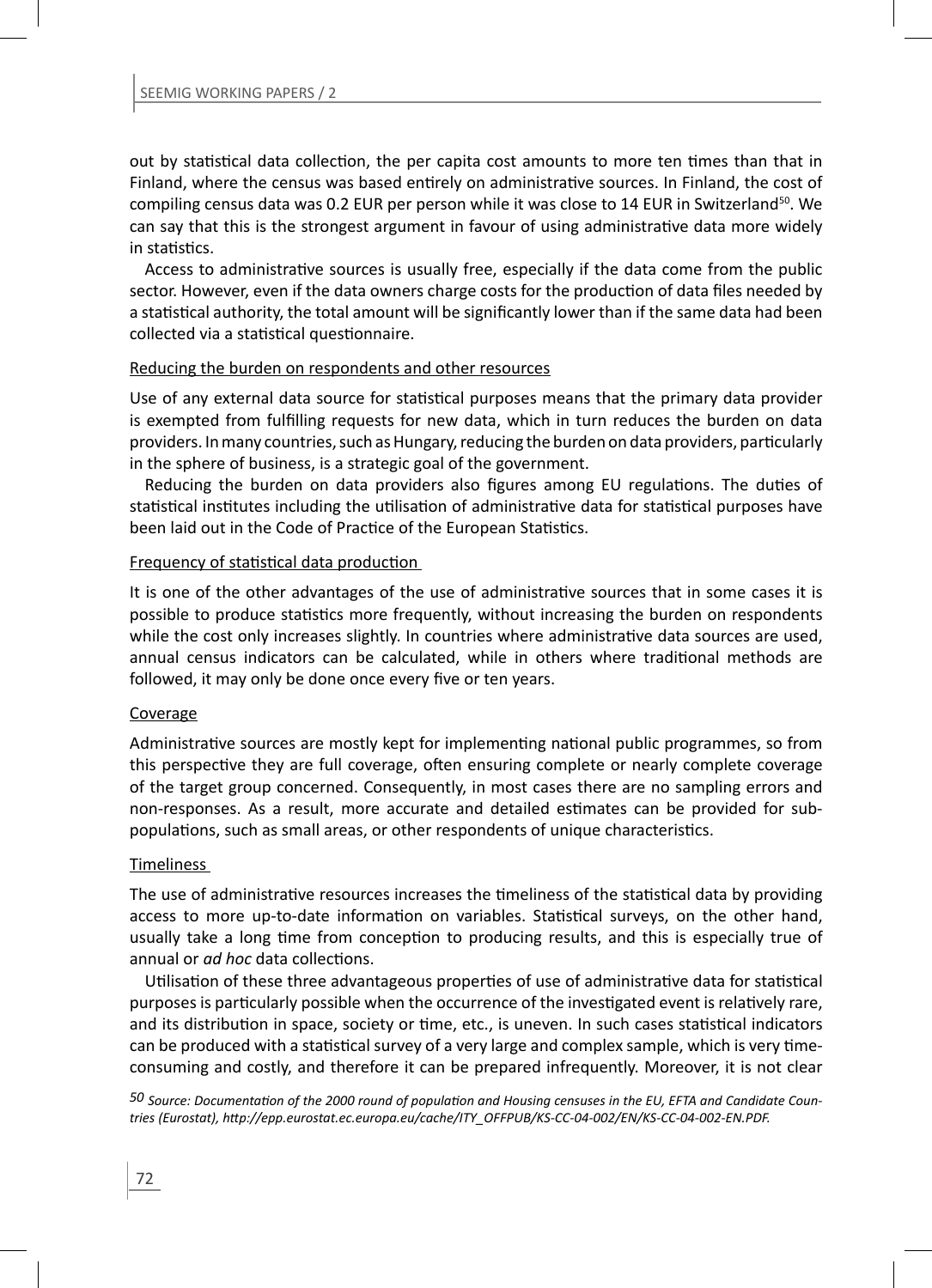out by statistical data collection, the per capita cost amounts to more ten times than that in Finland, where the census was based entirely on administrative sources. In Finland, the cost of compiling census data was 0.2 EUR per person while it was close to 14 EUR in Switzerland<sup>50</sup>. We can say that this is the strongest argument in favour of using administrative data more widely in statistics.

Access to administrative sources is usually free, especially if the data come from the public sector. However, even if the data owners charge costs for the production of data files needed by a statistical authority, the total amount will be significantly lower than if the same data had been collected via a statistical questionnaire.

### Reducing the burden on respondents and other resources

Use of any external data source for statistical purposes means that the primary data provider is exempted from fulfilling requests for new data, which in turn reduces the burden on data providers. In many countries, such as Hungary, reducing the burden on data providers, particularly in the sphere of business, is a strategic goal of the government.

Reducing the burden on data providers also figures among EU regulations. The duties of statistical institutes including the utilisation of administrative data for statistical purposes have been laid out in the Code of Practice of the European Statistics.

### Frequency of statistical data production

It is one of the other advantages of the use of administrative sources that in some cases it is possible to produce statistics more frequently, without increasing the burden on respondents while the cost only increases slightly. In countries where administrative data sources are used, annual census indicators can be calculated, while in others where traditional methods are followed, it may only be done once every five or ten years.

### Coverage

Administrative sources are mostly kept for implementing national public programmes, so from this perspective they are full coverage, often ensuring complete or nearly complete coverage of the target group concerned. Consequently, in most cases there are no sampling errors and non-responses. As a result, more accurate and detailed estimates can be provided for subpopulations, such as small areas, or other respondents of unique characteristics.

### **Timeliness**

The use of administrative resources increases the timeliness of the statistical data by providing access to more up-to-date information on variables. Statistical surveys, on the other hand, usually take a long time from conception to producing results, and this is especially true of annual or *ad hoc* data collections.

Utilisation of these three advantageous properties of use of administrative data for statistical purposes is particularly possible when the occurrence of the investigated event is relatively rare, and its distribution in space, society or time, etc., is uneven. In such cases statistical indicators can be produced with a statistical survey of a very large and complex sample, which is very timeconsuming and costly, and therefore it can be prepared infrequently. Moreover, it is not clear

*50 Source: DocumentaƟ on of the 2000 round of populaƟ on and Housing censuses in the EU, EFTA and Candidate Countries (Eurostat), hƩ p://epp.eurostat.ec.europa.eu/cache/ITY\_OFFPUB/KS-CC-04-002/EN/KS-CC-04-002-EN.PDF.*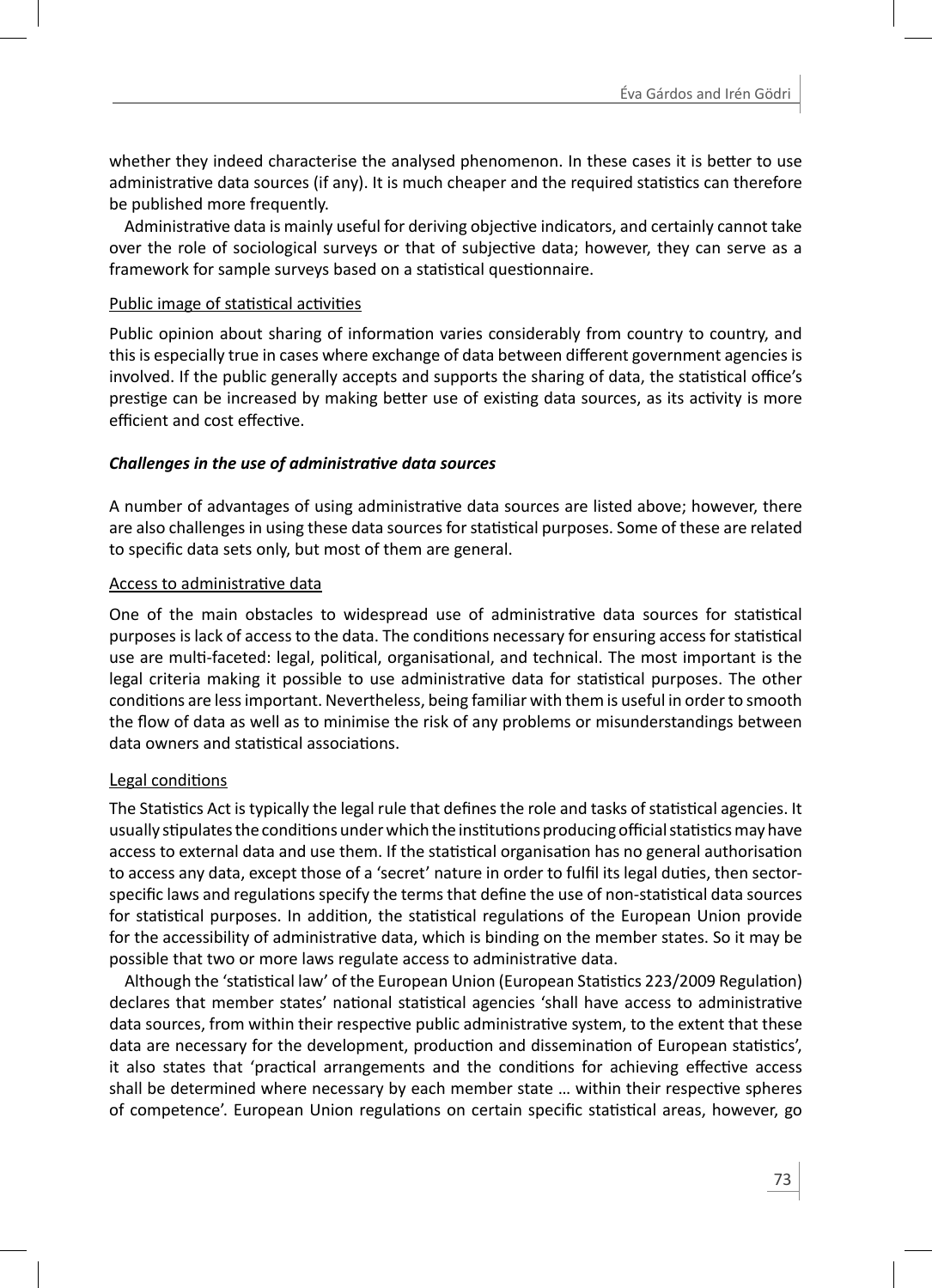whether they indeed characterise the analysed phenomenon. In these cases it is better to use administrative data sources (if any). It is much cheaper and the required statistics can therefore be published more frequently.

Administrative data is mainly useful for deriving objective indicators, and certainly cannot take over the role of sociological surveys or that of subjective data; however, they can serve as a framework for sample surveys based on a statistical questionnaire.

### Public image of statistical activities

Public opinion about sharing of information varies considerably from country to country, and this is especially true in cases where exchange of data between different government agencies is involved. If the public generally accepts and supports the sharing of data, the statistical office's prestige can be increased by making better use of existing data sources, as its activity is more efficient and cost effective.

## Challenges in the use of administrative data sources

A number of advantages of using administrative data sources are listed above; however, there are also challenges in using these data sources for statistical purposes. Some of these are related to specific data sets only, but most of them are general.

## Access to administrative data

One of the main obstacles to widespread use of administrative data sources for statistical purposes is lack of access to the data. The conditions necessary for ensuring access for statistical use are multi-faceted: legal, political, organisational, and technical. The most important is the legal criteria making it possible to use administrative data for statistical purposes. The other conditions are less important. Nevertheless, being familiar with them is useful in order to smooth the flow of data as well as to minimise the risk of any problems or misunderstandings between data owners and statistical associations.

# Legal conditions

The Statistics Act is typically the legal rule that defines the role and tasks of statistical agencies. It usually stipulates the conditions under which the institutions producing official statistics may have access to external data and use them. If the statistical organisation has no general authorisation to access any data, except those of a 'secret' nature in order to fulfil its legal duties, then sectorspecific laws and regulations specify the terms that define the use of non-statistical data sources for statistical purposes. In addition, the statistical regulations of the European Union provide for the accessibility of administrative data, which is binding on the member states. So it may be possible that two or more laws regulate access to administrative data.

Although the 'statistical law' of the European Union (European Statistics 223/2009 Regulation) declares that member states' national statistical agencies 'shall have access to administrative data sources, from within their respective public administrative system, to the extent that these data are necessary for the development, production and dissemination of European statistics', it also states that 'practical arrangements and the conditions for achieving effective access shall be determined where necessary by each member state ... within their respective spheres of competence'. European Union regulations on certain specific statistical areas, however, go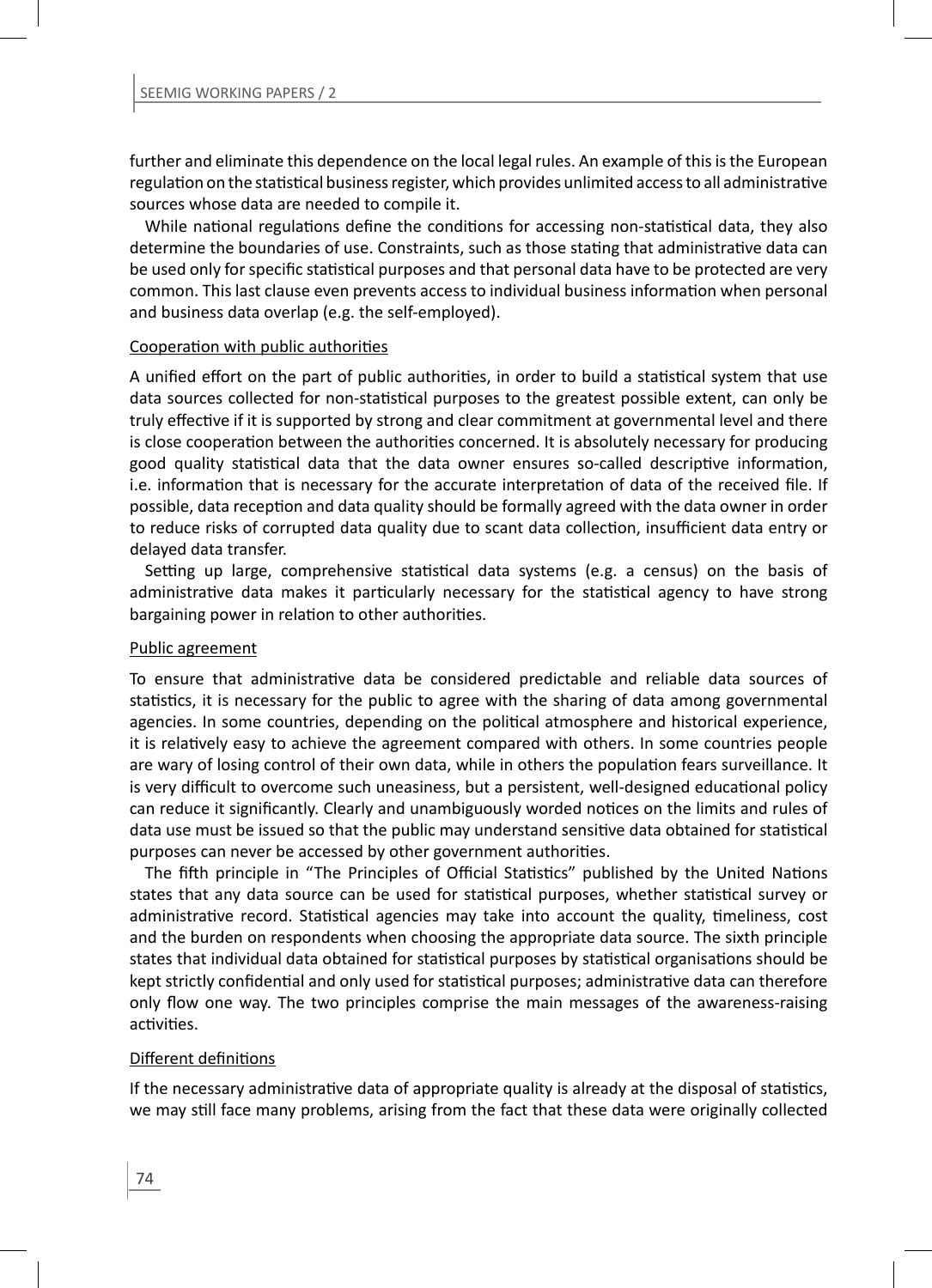further and eliminate this dependence on the local legal rules. An example of this is the European regulation on the statistical business register, which provides unlimited access to all administrative sources whose data are needed to compile it.

While national regulations define the conditions for accessing non-statistical data, they also determine the boundaries of use. Constraints, such as those stating that administrative data can be used only for specific statistical purposes and that personal data have to be protected are very common. This last clause even prevents access to individual business information when personal and business data overlap (e.g. the self-employed).

### Cooperation with public authorities

A unified effort on the part of public authorities, in order to build a statistical system that use data sources collected for non-statistical purposes to the greatest possible extent, can only be truly effective if it is supported by strong and clear commitment at governmental level and there is close cooperation between the authorities concerned. It is absolutely necessary for producing good quality statistical data that the data owner ensures so-called descriptive information, i.e. information that is necessary for the accurate interpretation of data of the received file. If possible, data reception and data quality should be formally agreed with the data owner in order to reduce risks of corrupted data quality due to scant data collection, insufficient data entry or delayed data transfer.

Setting up large, comprehensive statistical data systems (e.g. a census) on the basis of administrative data makes it particularly necessary for the statistical agency to have strong bargaining power in relation to other authorities.

#### Public agreement

To ensure that administrative data be considered predictable and reliable data sources of statistics, it is necessary for the public to agree with the sharing of data among governmental agencies. In some countries, depending on the political atmosphere and historical experience, it is relatively easy to achieve the agreement compared with others. In some countries people are wary of losing control of their own data, while in others the population fears surveillance. It is very difficult to overcome such uneasiness, but a persistent, well-designed educational policy can reduce it significantly. Clearly and unambiguously worded notices on the limits and rules of data use must be issued so that the public may understand sensitive data obtained for statistical purposes can never be accessed by other government authorities.

The fifth principle in "The Principles of Official Statistics" published by the United Nations states that any data source can be used for statistical purposes, whether statistical survey or administrative record. Statistical agencies may take into account the quality, timeliness, cost and the burden on respondents when choosing the appropriate data source. The sixth principle states that individual data obtained for statistical purposes by statistical organisations should be kept strictly confidential and only used for statistical purposes; administrative data can therefore only flow one way. The two principles comprise the main messages of the awareness-raising activities.

### Different definitions

If the necessary administrative data of appropriate quality is already at the disposal of statistics, we may still face many problems, arising from the fact that these data were originally collected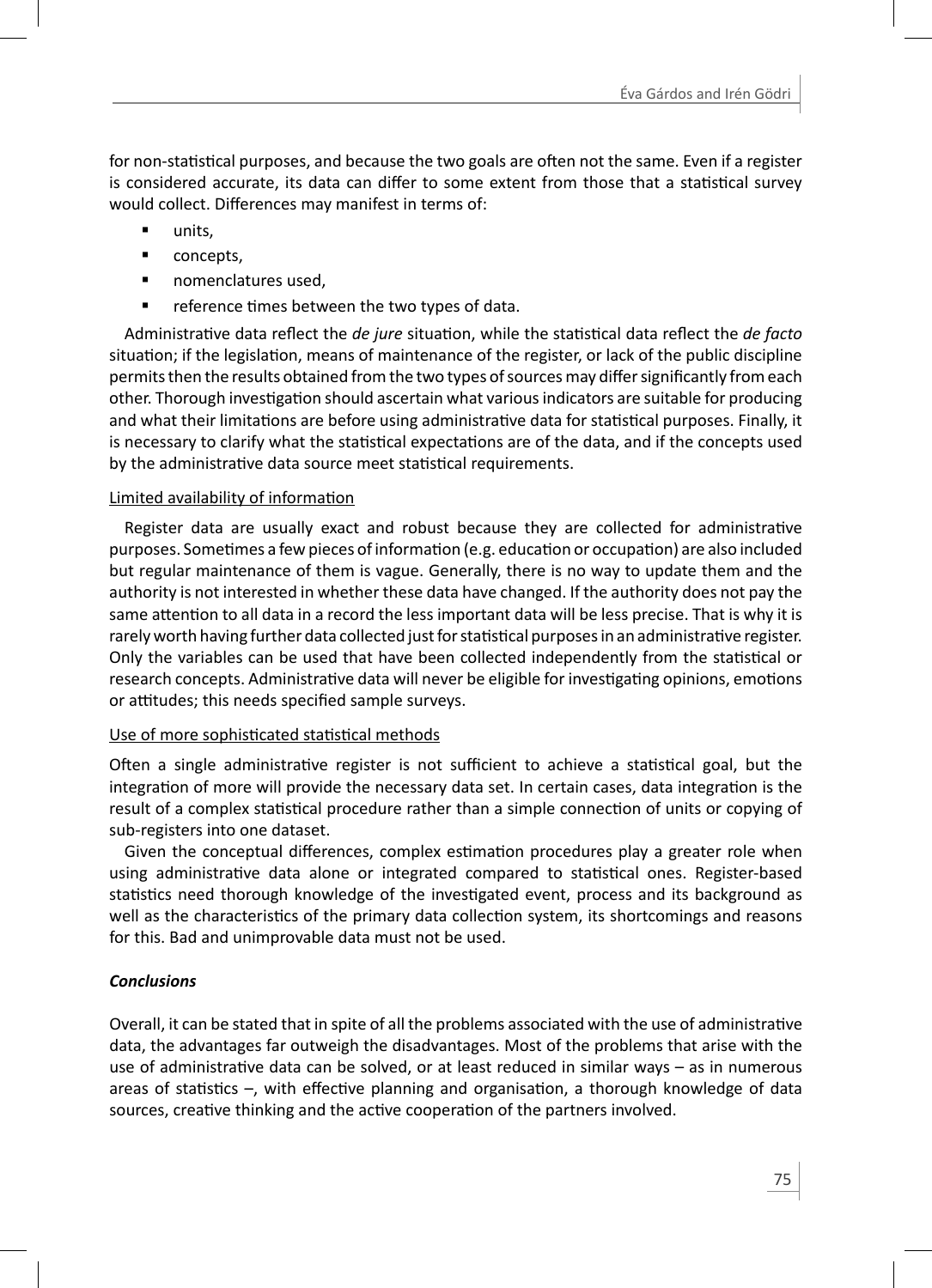for non-statistical purposes, and because the two goals are often not the same. Even if a register is considered accurate, its data can differ to some extent from those that a statistical survey would collect. Differences may manifest in terms of:

- **units.**
- **•** concepts,
- **nomenclatures used,**
- **•** reference times between the two types of data.

Administrative data reflect the *de jure* situation, while the statistical data reflect the *de facto* situation; if the legislation, means of maintenance of the register, or lack of the public discipline permits then the results obtained from the two types of sources may differ significantly from each other. Thorough investigation should ascertain what various indicators are suitable for producing and what their limitations are before using administrative data for statistical purposes. Finally, it is necessary to clarify what the statistical expectations are of the data, and if the concepts used by the administrative data source meet statistical requirements.

## Limited availability of information

Register data are usually exact and robust because they are collected for administrative purposes. Sometimes a few pieces of information (e.g. education or occupation) are also included but regular maintenance of them is vague. Generally, there is no way to update them and the authority is not interested in whether these data have changed. If the authority does not pay the same attention to all data in a record the less important data will be less precise. That is why it is rarely worth having further data collected just for statistical purposes in an administrative register. Only the variables can be used that have been collected independently from the statistical or research concepts. Administrative data will never be eligible for investigating opinions, emotions or attitudes; this needs specified sample surveys.

### Use of more sophisticated statistical methods

Often a single administrative register is not sufficient to achieve a statistical goal, but the integration of more will provide the necessary data set. In certain cases, data integration is the result of a complex statistical procedure rather than a simple connection of units or copying of sub-registers into one dataset.

Given the conceptual differences, complex estimation procedures play a greater role when using administrative data alone or integrated compared to statistical ones. Register-based statistics need thorough knowledge of the investigated event, process and its background as well as the characteristics of the primary data collection system, its shortcomings and reasons for this. Bad and unimprovable data must not be used.

# *Conclusions*

Overall, it can be stated that in spite of all the problems associated with the use of administrative data, the advantages far outweigh the disadvantages. Most of the problems that arise with the use of administrative data can be solved, or at least reduced in similar ways - as in numerous areas of statistics –, with effective planning and organisation, a thorough knowledge of data sources, creative thinking and the active cooperation of the partners involved.